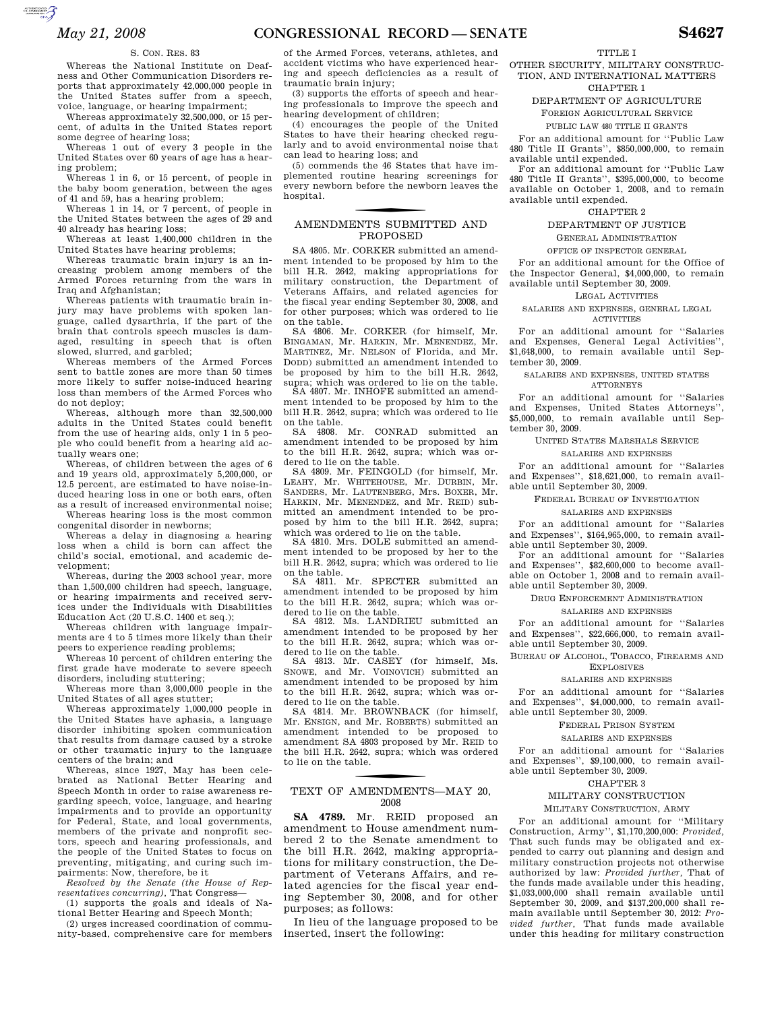## S. CON. RES. 83

Whereas the National Institute on Deafness and Other Communication Disorders reports that approximately 42,000,000 people in the United States suffer from a speech, voice, language, or hearing impairment;

Whereas approximately 32,500,000, or 15 percent, of adults in the United States report some degree of hearing loss;

Whereas 1 out of every 3 people in the United States over 60 years of age has a hearing problem;

Whereas 1 in 6, or 15 percent, of people in the baby boom generation, between the ages of 41 and 59, has a hearing problem;

Whereas 1 in 14, or 7 percent, of people in the United States between the ages of 29 and 40 already has hearing loss;

Whereas at least 1,400,000 children in the United States have hearing problems;

Whereas traumatic brain injury is an increasing problem among members of the Armed Forces returning from the wars in Iraq and Afghanistan;

Whereas patients with traumatic brain injury may have problems with spoken language, called dysarthria, if the part of the brain that controls speech muscles is damaged, resulting in speech that is often slowed, slurred, and garbled;

Whereas members of the Armed Forces sent to battle zones are more than 50 times more likely to suffer noise-induced hearing loss than members of the Armed Forces who do not deploy;

Whereas, although more than 32,500,000 adults in the United States could benefit from the use of hearing aids, only 1 in 5 people who could benefit from a hearing aid actually wears one;

Whereas, of children between the ages of 6 and 19 years old, approximately 5,200,000, or 12.5 percent, are estimated to have noise-induced hearing loss in one or both ears, often as a result of increased environmental noise;

Whereas hearing loss is the most common congenital disorder in newborns;

Whereas a delay in diagnosing a hearing loss when a child is born can affect the child's social, emotional, and academic development;

Whereas, during the 2003 school year, more than 1,500,000 children had speech, language, or hearing impairments and received services under the Individuals with Disabilities Education Act (20 U.S.C. 1400 et seq.);

Whereas children with language impairments are 4 to 5 times more likely than their peers to experience reading problems;

Whereas 10 percent of children entering the first grade have moderate to severe speech disorders, including stuttering;

Whereas more than 3,000,000 people in the United States of all ages stutter;

Whereas approximately 1,000,000 people in the United States have aphasia, a language disorder inhibiting spoken communication that results from damage caused by a stroke or other traumatic injury to the language centers of the brain; and

Whereas, since 1927, May has been celebrated as National Better Hearing and Speech Month in order to raise awareness regarding speech, voice, language, and hearing impairments and to provide an opportunity for Federal, State, and local governments, members of the private and nonprofit sectors, speech and hearing professionals, and the people of the United States to focus on preventing, mitigating, and curing such impairments: Now, therefore, be it

*Resolved by the Senate (the House of Representatives concurring),* That Congress—

(1) supports the goals and ideals of National Better Hearing and Speech Month;

(2) urges increased coordination of community-based, comprehensive care for members

of the Armed Forces, veterans, athletes, and accident victims who have experienced hearing and speech deficiencies as a result of traumatic brain injury;

(3) supports the efforts of speech and hearing professionals to improve the speech and hearing development of children;

(4) encourages the people of the United States to have their hearing checked regularly and to avoid environmental noise that can lead to hearing loss; and

(5) commends the 46 States that have implemented routine hearing screenings for every newborn before the newborn leaves the hospital.

## f AMENDMENTS SUBMITTED AND PROPOSED

SA 4805. Mr. CORKER submitted an amendment intended to be proposed by him to the bill H.R. 2642, making appropriations for military construction, the Department of Veterans Affairs, and related agencies for the fiscal year ending September 30, 2008, and for other purposes; which was ordered to lie

on the table. SA 4806. Mr. CORKER (for himself, Mr. BINGAMAN, Mr. HARKIN, Mr. MENENDEZ, Mr. MARTINEZ, Mr. NELSON of Florida, and Mr. DODD) submitted an amendment intended to be proposed by him to the bill H.R. 2642, supra; which was ordered to lie on the table.

SA 4807. Mr. INHOFE submitted an amendment intended to be proposed by him to the bill H.R. 2642, supra; which was ordered to lie on the table.

SA 4808. Mr. CONRAD submitted an amendment intended to be proposed by him to the bill H.R. 2642, supra; which was ordered to lie on the table.

SA 4809. Mr. FEINGOLD (for himself, Mr. LEAHY, Mr. WHITEHOUSE, Mr. DURBIN, Mr. SANDERS, Mr. LAUTENBERG, Mrs. BOXER, Mr. HARKIN, Mr. MENENDEZ, and Mr. REID) submitted an amendment intended to be proposed by him to the bill H.R. 2642, supra; which was ordered to lie on the table.

SA 4810. Mrs. DOLE submitted an amendment intended to be proposed by her to the bill H.R. 2642, supra; which was ordered to lie on the table.

SA 4811. Mr. SPECTER submitted an amendment intended to be proposed by him to the bill H.R. 2642, supra; which was ordered to lie on the table.

SA 4812. Ms. LANDRIEU submitted an amendment intended to be proposed by her to the bill H.R. 2642, supra; which was or-

dered to lie on the table. SA 4813. Mr. CASEY (for himself, Ms. SNOWE, and Mr. VOINOVICH) submitted an amendment intended to be proposed by him to the bill H.R. 2642, supra; which was or-

dered to lie on the table. SA 4814. Mr. BROWNBACK (for himself, Mr. ENSIGN, and Mr. ROBERTS) submitted an amendment intended to be proposed to amendment SA 4803 proposed by Mr. REID to the bill H.R. 2642, supra; which was ordered to lie on the table.

## TEXT OF AMENDMENTS-MAY 20, 2008

**SA 4789.** Mr. REID proposed an amendment to House amendment numbered 2 to the Senate amendment to the bill H.R. 2642, making appropriations for military construction, the Department of Veterans Affairs, and related agencies for the fiscal year ending September 30, 2008, and for other purposes; as follows:

In lieu of the language proposed to be inserted, insert the following:

TITLE I

## OTHER SECURITY, MILITARY CONSTRUC-TION, AND INTERNATIONAL MATTERS CHAPTER 1

DEPARTMENT OF AGRICULTURE

FOREIGN AGRICULTURAL SERVICE

PUBLIC LAW 480 TITLE II GRANTS

For an additional amount for ''Public Law 480 Title II Grants'', \$850,000,000, to remain available until expended.

For an additional amount for ''Public Law 480 Title II Grants'', \$395,000,000, to become available on October 1, 2008, and to remain available until expended.

## CHAPTER 2

## DEPARTMENT OF JUSTICE

GENERAL ADMINISTRATION OFFICE OF INSPECTOR GENERAL

For an additional amount for the Office of the Inspector General, \$4,000,000, to remain available until September 30, 2009.

### LEGAL ACTIVITIES

SALARIES AND EXPENSES, GENERAL LEGAL ACTIVITIES

For an additional amount for ''Salaries and Expenses, General Legal Activities'', \$1,648,000, to remain available until September 30, 2009.

### SALARIES AND EXPENSES, UNITED STATES ATTORNEYS

For an additional amount for ''Salaries and Expenses, United States Attorneys'', \$5,000,000, to remain available until September 30, 2009.

UNITED STATES MARSHALS SERVICE

### SALARIES AND EXPENSES

For an additional amount for ''Salaries and Expenses'', \$18,621,000, to remain available until September 30, 2009.

FEDERAL BUREAU OF INVESTIGATION

SALARIES AND EXPENSES

For an additional amount for ''Salaries and Expenses'', \$164,965,000, to remain available until September 30, 2009.

For an additional amount for ''Salaries and Expenses'', \$82,600,000 to become available on October 1, 2008 and to remain available until September 30, 2009.

DRUG ENFORCEMENT ADMINISTRATION

SALARIES AND EXPENSES

For an additional amount for ''Salaries and Expenses'', \$22,666,000, to remain available until September 30, 2009.

BUREAU OF ALCOHOL, TOBACCO, FIREARMS AND EXPLOSIVES

#### SALARIES AND EXPENSES

For an additional amount for ''Salaries and Expenses'', \$4,000,000, to remain available until September 30, 2009.

## FEDERAL PRISON SYSTEM

SALARIES AND EXPENSES

For an additional amount for ''Salaries and Expenses'', \$9,100,000, to remain available until September 30, 2009.

## CHAPTER 3 MILITARY CONSTRUCTION

## MILITARY CONSTRUCTION, ARMY

For an additional amount for ''Military Construction, Army'', \$1,170,200,000: *Provided,*  That such funds may be obligated and expended to carry out planning and design and military construction projects not otherwise authorized by law: *Provided further,* That of the funds made available under this heading, \$1,033,000,000 shall remain available until September 30, 2009, and \$137,200,000 shall remain available until September 30, 2012: *Provided further,* That funds made available under this heading for military construction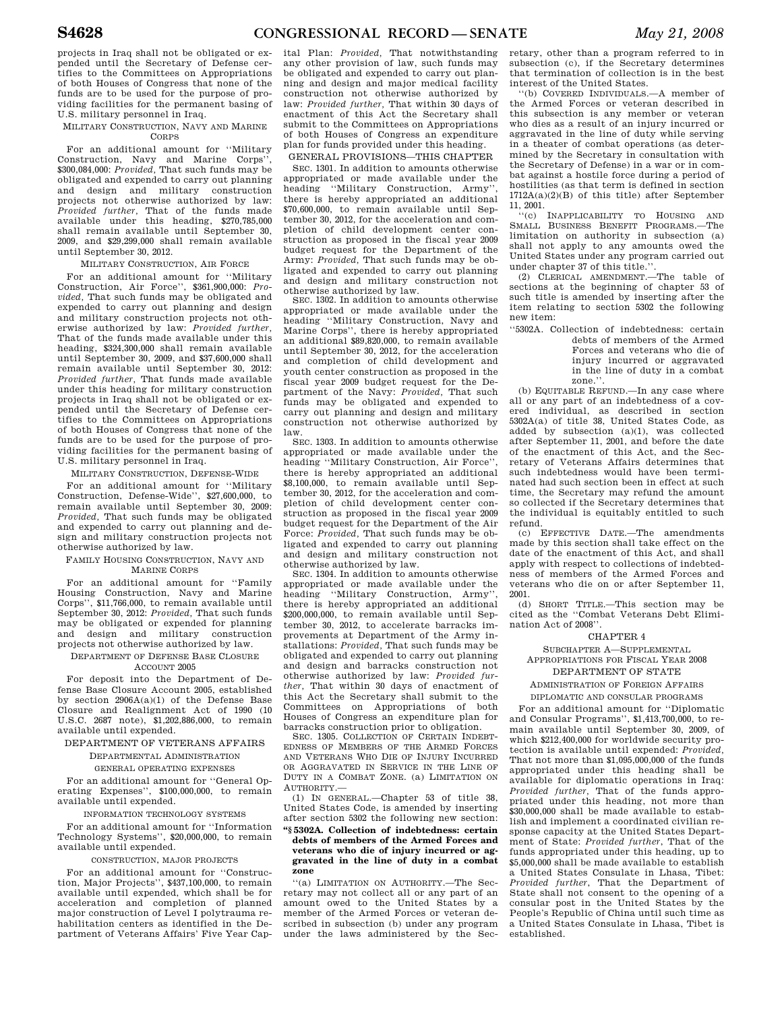projects in Iraq shall not be obligated or expended until the Secretary of Defense certifies to the Committees on Appropriations of both Houses of Congress that none of the funds are to be used for the purpose of providing facilities for the permanent basing of U.S. military personnel in Iraq.

MILITARY CONSTRUCTION, NAVY AND MARINE CORPS

For an additional amount for ''Military Construction, Navy and Marine Corps'', \$300,084,000: *Provided,* That such funds may be obligated and expended to carry out planning and design and military construction projects not otherwise authorized by law: *Provided further,* That of the funds made available under this heading, \$270,785,000 shall remain available until September 30, 2009, and \$29,299,000 shall remain available until September 30, 2012.

MILITARY CONSTRUCTION, AIR FORCE

For an additional amount for ''Military Construction, Air Force'', \$361,900,000: *Provided,* That such funds may be obligated and expended to carry out planning and design and military construction projects not otherwise authorized by law: *Provided further* That of the funds made available under this heading, \$324,300,000 shall remain available until September 30, 2009, and \$37,600,000 shall remain available until September 30, 2012: *Provided further,* That funds made available under this heading for military construction projects in Iraq shall not be obligated or expended until the Secretary of Defense certifies to the Committees on Appropriations of both Houses of Congress that none of the funds are to be used for the purpose of providing facilities for the permanent basing of U.S. military personnel in Iraq.

MILITARY CONSTRUCTION, DEFENSE-WIDE

For an additional amount for ''Military Construction, Defense-Wide'', \$27,600,000, to remain available until September 30, 2009: *Provided,* That such funds may be obligated and expended to carry out planning and design and military construction projects not otherwise authorized by law.

## FAMILY HOUSING CONSTRUCTION, NAVY AND MARINE CORPS

For an additional amount for ''Family Housing Construction, Navy and Marine Corps'', \$11,766,000, to remain available until September 30, 2012: *Provided,* That such funds may be obligated or expended for planning and design and military construction projects not otherwise authorized by law.

DEPARTMENT OF DEFENSE BASE CLOSURE

### ACCOUNT 2005

For deposit into the Department of Defense Base Closure Account 2005, established by section 2906A(a)(1) of the Defense Base Closure and Realignment Act of 1990 (10 U.S.C. 2687 note), \$1,202,886,000, to remain available until expended.

## DEPARTMENT OF VETERANS AFFAIRS DEPARTMENTAL ADMINISTRATION

GENERAL OPERATING EXPENSES

For an additional amount for ''General Operating Expenses'', \$100,000,000, to remain available until expended.

## INFORMATION TECHNOLOGY SYSTEMS

For an additional amount for ''Information Technology Systems'', \$20,000,000, to remain available until expended.

### CONSTRUCTION, MAJOR PROJECTS

For an additional amount for ''Construction, Major Projects'', \$437,100,000, to remain available until expended, which shall be for acceleration and completion of planned major construction of Level I polytrauma rehabilitation centers as identified in the Department of Veterans Affairs' Five Year Capital Plan: *Provided,* That notwithstanding any other provision of law, such funds may be obligated and expended to carry out planning and design and major medical facility construction not otherwise authorized by law: *Provided further,* That within 30 days of enactment of this Act the Secretary shall submit to the Committees on Appropriations of both Houses of Congress an expenditure plan for funds provided under this heading.

GENERAL PROVISIONS—THIS CHAPTER SEC. 1301. In addition to amounts otherwise

appropriated or made available under the heading "Military Construction, Army" there is hereby appropriated an additional \$70,600,000, to remain available until September 30, 2012, for the acceleration and completion of child development center construction as proposed in the fiscal year 2009 budget request for the Department of the Army: *Provided,* That such funds may be obligated and expended to carry out planning and design and military construction not otherwise authorized by law.

SEC. 1302. In addition to amounts otherwise appropriated or made available under the heading ''Military Construction, Navy and Marine Corps'', there is hereby appropriated an additional \$89,820,000, to remain available until September 30, 2012, for the acceleration and completion of child development and youth center construction as proposed in the fiscal year 2009 budget request for the Department of the Navy: *Provided,* That such funds may be obligated and expended to carry out planning and design and military construction not otherwise authorized by law.

SEC. 1303. In addition to amounts otherwise appropriated or made available under the heading ''Military Construction, Air Force'', there is hereby appropriated an additional \$8,100,000, to remain available until September 30, 2012, for the acceleration and completion of child development center construction as proposed in the fiscal year 2009 budget request for the Department of the Air Force: *Provided,* That such funds may be obligated and expended to carry out planning and design and military construction not otherwise authorized by law.

SEC. 1304. In addition to amounts otherwise appropriated or made available under the heading ''Military Construction, Army'', there is hereby appropriated an additional \$200,000,000, to remain available until September 30, 2012, to accelerate barracks improvements at Department of the Army installations: *Provided,* That such funds may be obligated and expended to carry out planning and design and barracks construction not otherwise authorized by law: *Provided further,* That within 30 days of enactment of this Act the Secretary shall submit to the Committees on Appropriations of both Houses of Congress an expenditure plan for barracks construction prior to obligation.

SEC. 1305. COLLECTION OF CERTAIN INDEBT-EDNESS OF MEMBERS OF THE ARMED FORCES AND VETERANS WHO DIE OF INJURY INCURRED OR AGGRAVATED IN SERVICE IN THE LINE OF DUTY IN A COMBAT ZONE. (a) LIMITATION ON AUTHORITY.—

(1) IN GENERAL.—Chapter 53 of title 38, United States Code, is amended by inserting after section 5302 the following new section: **''§ 5302A. Collection of indebtedness: certain** 

## **debts of members of the Armed Forces and veterans who die of injury incurred or aggravated in the line of duty in a combat zone**

''(a) LIMITATION ON AUTHORITY.—The Secretary may not collect all or any part of an amount owed to the United States by a member of the Armed Forces or veteran described in subsection (b) under any program under the laws administered by the Sec-

retary, other than a program referred to in subsection (c), if the Secretary determines that termination of collection is in the best interest of the United States.

''(b) COVERED INDIVIDUALS.—A member of the Armed Forces or veteran described in this subsection is any member or veteran who dies as a result of an injury incurred or aggravated in the line of duty while serving in a theater of combat operations (as determined by the Secretary in consultation with the Secretary of Defense) in a war or in combat against a hostile force during a period of hostilities (as that term is defined in section  $1712A(a)(2)(B)$  of this title) after September 11, 2001.

"(c) INAPPLICABILITY TO HOUSING SMALL BUSINESS BENEFIT PROGRAMS.—The limitation on authority in subsection (a) shall not apply to any amounts owed the United States under any program carried out under chapter 37 of this title.''.

(2) CLERICAL AMENDMENT.—The table of sections at the beginning of chapter 53 of such title is amended by inserting after the item relating to section 5302 the following new item:

''5302A. Collection of indebtedness: certain debts of members of the Armed Forces and veterans who die of injury incurred or aggravated in the line of duty in a combat zone.''.

(b) EQUITABLE REFUND.—In any case where all or any part of an indebtedness of a covered individual, as described in section 5302A(a) of title 38, United States Code, as added by subsection (a)(1), was collected after September 11, 2001, and before the date of the enactment of this Act, and the Secretary of Veterans Affairs determines that such indebtedness would have been terminated had such section been in effect at such time, the Secretary may refund the amount so collected if the Secretary determines that the individual is equitably entitled to such refund.

(c) EFFECTIVE DATE.—The amendments made by this section shall take effect on the date of the enactment of this Act, and shall apply with respect to collections of indebtedness of members of the Armed Forces and veterans who die on or after September 11, 2001.

(d) SHORT TITLE.—This section may be cited as the ''Combat Veterans Debt Elimination Act of 2008''.

## CHAPTER 4

SUBCHAPTER A—SUPPLEMENTAL APPROPRIATIONS FOR FISCAL YEAR 2008 DEPARTMENT OF STATE

ADMINISTRATION OF FOREIGN AFFAIRS

DIPLOMATIC AND CONSULAR PROGRAMS

For an additional amount for ''Diplomatic and Consular Programs'', \$1,413,700,000, to remain available until September 30, 2009, of which \$212,400,000 for worldwide security protection is available until expended: *Provided,*  That not more than \$1,095,000,000 of the funds appropriated under this heading shall be available for diplomatic operations in Iraq: *Provided further,* That of the funds appropriated under this heading, not more than \$30,000,000 shall be made available to establish and implement a coordinated civilian response capacity at the United States Department of State: *Provided further*, That of the funds appropriated under this heading, up to \$5,000,000 shall be made available to establish a United States Consulate in Lhasa, Tibet: *Provided further*, That the Department of State shall not consent to the opening of a consular post in the United States by the People's Republic of China until such time as a United States Consulate in Lhasa, Tibet is established.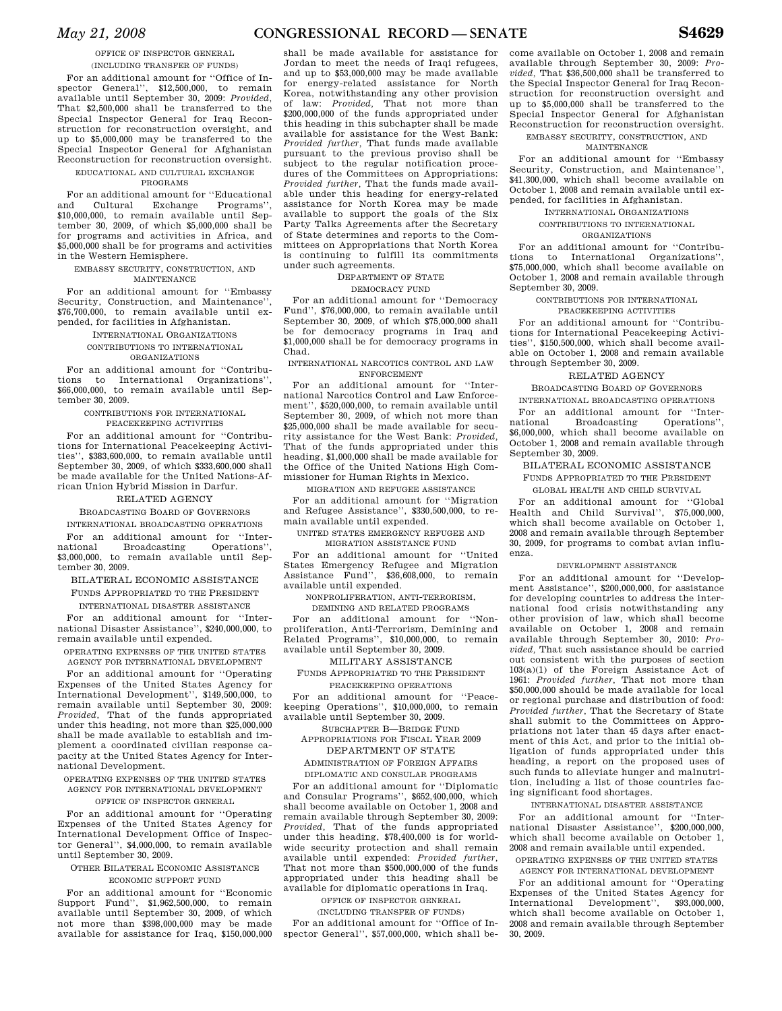## OFFICE OF INSPECTOR GENERAL (INCLUDING TRANSFER OF FUNDS)

For an additional amount for ''Office of Inspector General'', \$12,500,000, to remain available until September 30, 2009: *Provided,*  That \$2,500,000 shall be transferred to the Special Inspector General for Iraq Reconstruction for reconstruction oversight, and up to \$5,000,000 may be transferred to the Special Inspector General for Afghanistan Reconstruction for reconstruction oversight. EDUCATIONAL AND CULTURAL EXCHANGE

### PROGRAMS

For an additional amount for ''Educational and Cultural Exchange Programs'', \$10,000,000, to remain available until September 30, 2009, of which \$5,000,000 shall be for programs and activities in Africa, and \$5,000,000 shall be for programs and activities in the Western Hemisphere.

### EMBASSY SECURITY, CONSTRUCTION, AND MAINTENANCE

For an additional amount for ''Embassy Security, Construction, and Maintenance'', \$76,700,000, to remain available until expended, for facilities in Afghanistan.

INTERNATIONAL ORGANIZATIONS CONTRIBUTIONS TO INTERNATIONAL ORGANIZATIONS

For an additional amount for ''Contributions to International Organizations'', \$66,000,000, to remain available until September 30, 2009.

### CONTRIBUTIONS FOR INTERNATIONAL PEACEKEEPING ACTIVITIES

For an additional amount for ''Contributions for International Peacekeeping Activities'', \$383,600,000, to remain available until September 30, 2009, of which \$333,600,000 shall be made available for the United Nations-African Union Hybrid Mission in Darfur.

## RELATED AGENCY

BROADCASTING BOARD OF GOVERNORS

INTERNATIONAL BROADCASTING OPERATIONS For an additional amount for "Inter-<br>ational Broadcasting Operations". national Broadcasting Operations'', \$3,000,000, to remain available until September 30, 2009.

## BILATERAL ECONOMIC ASSISTANCE

FUNDS APPROPRIATED TO THE PRESIDENT INTERNATIONAL DISASTER ASSISTANCE

For an additional amount for ''International Disaster Assistance'', \$240,000,000, to remain available until expended.

OPERATING EXPENSES OF THE UNITED STATES AGENCY FOR INTERNATIONAL DEVELOPMENT

For an additional amount for ''Operating Expenses of the United States Agency for International Development'', \$149,500,000, to remain available until September 30, 2009: *Provided,* That of the funds appropriated under this heading, not more than \$25,000,000 shall be made available to establish and implement a coordinated civilian response capacity at the United States Agency for International Development.

OPERATING EXPENSES OF THE UNITED STATES AGENCY FOR INTERNATIONAL DEVELOPMENT

OFFICE OF INSPECTOR GENERAL

For an additional amount for ''Operating Expenses of the United States Agency for International Development Office of Inspector General'', \$4,000,000, to remain available until September 30, 2009.

## OTHER BILATERAL ECONOMIC ASSISTANCE ECONOMIC SUPPORT FUND

For an additional amount for ''Economic Support Fund'', \$1,962,500,000, to remain available until September 30, 2009, of which not more than \$398,000,000 may be made available for assistance for Iraq, \$150,000,000

shall be made available for assistance for Jordan to meet the needs of Iraqi refugees, and up to \$53,000,000 may be made available for energy-related assistance for North Korea, notwithstanding any other provision of law: *Provided,* That not more than \$200,000,000 of the funds appropriated under this heading in this subchapter shall be made available for assistance for the West Bank: *Provided further,* That funds made available pursuant to the previous proviso shall be subject to the regular notification procedures of the Committees on Appropriations: *Provided further,* That the funds made available under this heading for energy-related assistance for North Korea may be made available to support the goals of the Six Party Talks Agreements after the Secretary of State determines and reports to the Committees on Appropriations that North Korea is continuing to fulfill its commitments under such agreements.

DEPARTMENT OF STATE

## DEMOCRACY FUND

For an additional amount for ''Democracy Fund'', \$76,000,000, to remain available until September 30, 2009, of which \$75,000,000 shall be for democracy programs in Iraq and \$1,000,000 shall be for democracy programs in Chad.

INTERNATIONAL NARCOTICS CONTROL AND LAW ENFORCEMENT

For an additional amount for ''International Narcotics Control and Law Enforcement'', \$520,000,000, to remain available until September 30, 2009, of which not more than \$25,000,000 shall be made available for security assistance for the West Bank: *Provided,*  That of the funds appropriated under this heading, \$1,000,000 shall be made available for the Office of the United Nations High Commissioner for Human Rights in Mexico.

## MIGRATION AND REFUGEE ASSISTANCE

For an additional amount for ''Migration and Refugee Assistance'', \$330,500,000, to remain available until expended.

UNITED STATES EMERGENCY REFUGEE AND MIGRATION ASSISTANCE FUND

For an additional amount for ''United States Emergency Refugee and Migration Assistance Fund'', \$36,608,000, to remain available until expended.

NONPROLIFERATION, ANTI-TERRORISM, DEMINING AND RELATED PROGRAMS

For an additional amount for ''Nonproliferation, Anti-Terrorism, Demining and Related Programs'', \$10,000,000, to remain available until September 30, 2009.

## MILITARY ASSISTANCE

FUNDS APPROPRIATED TO THE PRESIDENT PEACEKEEPING OPERATIONS

For an additional amount for ''Peacekeeping Operations'', \$10,000,000, to remain available until September 30, 2009.

SUBCHAPTER B—BRIDGE FUND APPROPRIATIONS FOR FISCAL YEAR 2009 DEPARTMENT OF STATE ADMINISTRATION OF FOREIGN AFFAIRS DIPLOMATIC AND CONSULAR PROGRAMS

For an additional amount for ''Diplomatic and Consular Programs'', \$652,400,000, which shall become available on October 1, 2008 and remain available through September 30, 2009: *Provided,* That of the funds appropriated under this heading, \$78,400,000 is for worldwide security protection and shall remain available until expended: *Provided further,*  That not more than \$500,000,000 of the funds appropriated under this heading shall be available for diplomatic operations in Iraq.

OFFICE OF INSPECTOR GENERAL

(INCLUDING TRANSFER OF FUNDS) For an additional amount for ''Office of Inspector General'', \$57,000,000, which shall become available on October 1, 2008 and remain available through September 30, 2009: *Provided,* That \$36,500,000 shall be transferred to the Special Inspector General for Iraq Reconstruction for reconstruction oversight and up to \$5,000,000 shall be transferred to the Special Inspector General for Afghanistan Reconstruction for reconstruction oversight.

### EMBASSY SECURITY, CONSTRUCTION, AND MAINTENANCE

For an additional amount for ''Embassy Security, Construction, and Maintenance'', \$41,300,000, which shall become available on October 1, 2008 and remain available until expended, for facilities in Afghanistan.

INTERNATIONAL ORGANIZATIONS

## CONTRIBUTIONS TO INTERNATIONAL ORGANIZATIONS

For an additional amount for ''Contributions to International Organizations'', \$75,000,000, which shall become available on October 1, 2008 and remain available through September 30, 2009.

CONTRIBUTIONS FOR INTERNATIONAL PEACEKEEPING ACTIVITIES

For an additional amount for ''Contributions for International Peacekeeping Activities'', \$150,500,000, which shall become available on October 1, 2008 and remain available through September 30, 2009.

### RELATED AGENCY

BROADCASTING BOARD OF GOVERNORS

INTERNATIONAL BROADCASTING OPERATIONS For an additional amount for ''International Broadcasting Operations'', \$6,000,000, which shall become available on October 1, 2008 and remain available through September 30, 2009.

BILATERAL ECONOMIC ASSISTANCE

FUNDS APPROPRIATED TO THE PRESIDENT

GLOBAL HEALTH AND CHILD SURVIVAL

For an additional amount for ''Global Health and Child Survival'', \$75,000,000, which shall become available on October 1, 2008 and remain available through September 30, 2009, for programs to combat avian influenza.

### DEVELOPMENT ASSISTANCE

For an additional amount for ''Development Assistance'', \$200,000,000, for assistance for developing countries to address the international food crisis notwithstanding any other provision of law, which shall become available on October 1, 2008 and remain available through September 30, 2010: *Provided,* That such assistance should be carried out consistent with the purposes of section 103(a)(1) of the Foreign Assistance Act of 1961: *Provided further,* That not more than \$50,000,000 should be made available for local or regional purchase and distribution of food: *Provided further,* That the Secretary of State shall submit to the Committees on Appropriations not later than 45 days after enactment of this Act, and prior to the initial obligation of funds appropriated under this heading, a report on the proposed uses of such funds to alleviate hunger and malnutrition, including a list of those countries facing significant food shortages.

INTERNATIONAL DISASTER ASSISTANCE

For an additional amount for ''International Disaster Assistance'', \$200,000,000, which shall become available on October 1, 2008 and remain available until expended.

OPERATING EXPENSES OF THE UNITED STATES AGENCY FOR INTERNATIONAL DEVELOPMENT

For an additional amount for ''Operating Expenses of the United States Agency for International Development'', \$93,000,000, which shall become available on October 1, 2008 and remain available through September 30, 2009.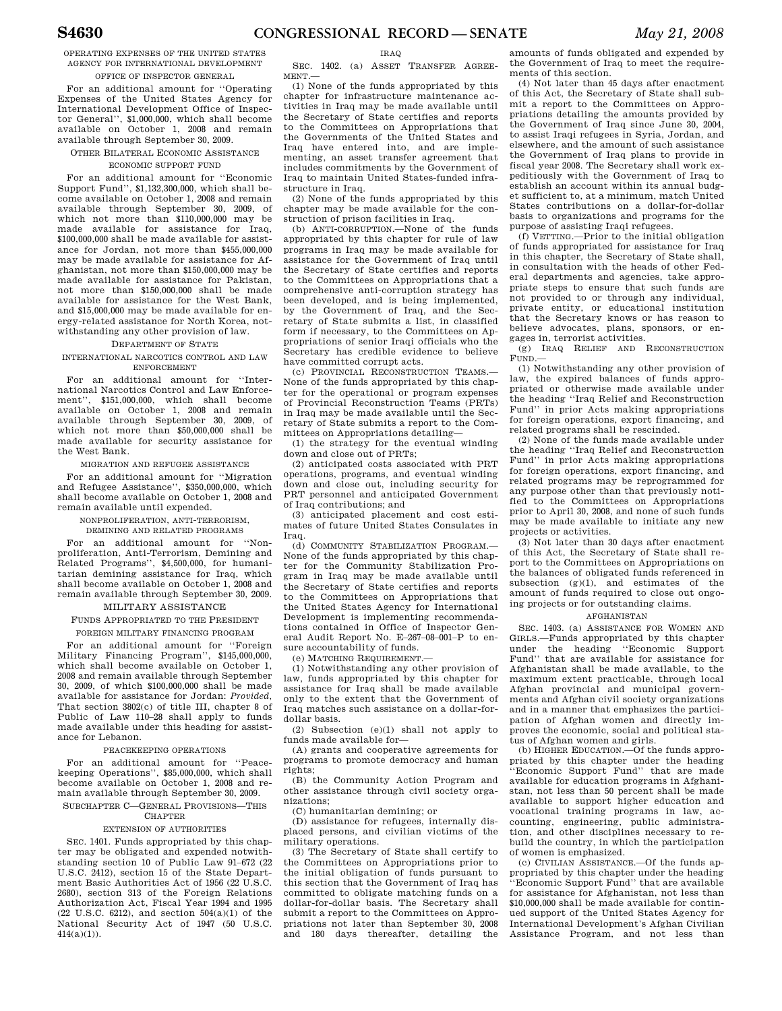OPERATING EXPENSES OF THE UNITED STATES AGENCY FOR INTERNATIONAL DEVELOPMENT

### OFFICE OF INSPECTOR GENERAL

For an additional amount for ''Operating Expenses of the United States Agency for International Development Office of Inspector General'', \$1,000,000, which shall become available on October 1, 2008 and remain available through September 30, 2009.

## OTHER BILATERAL ECONOMIC ASSISTANCE

## ECONOMIC SUPPORT FUND

For an additional amount for ''Economic Support Fund'', \$1,132,300,000, which shall become available on October 1, 2008 and remain available through September 30, 2009, of which not more than \$110,000,000 may be made available for assistance for Iraq, \$100,000,000 shall be made available for assistance for Jordan, not more than \$455,000,000 may be made available for assistance for Afghanistan, not more than \$150,000,000 may be made available for assistance for Pakistan, not more than \$150,000,000 shall be made available for assistance for the West Bank, and \$15,000,000 may be made available for energy-related assistance for North Korea, notwithstanding any other provision of law.

## DEPARTMENT OF STATE

INTERNATIONAL NARCOTICS CONTROL AND LAW ENFORCEMENT

For an additional amount for ''International Narcotics Control and Law Enforcement'', \$151,000,000, which shall become available on October 1, 2008 and remain available through September 30, 2009, of which not more than \$50,000,000 shall be made available for security assistance for the West Bank.

## MIGRATION AND REFUGEE ASSISTANCE

For an additional amount for ''Migration and Refugee Assistance'', \$350,000,000, which shall become available on October 1, 2008 and remain available until expended.

### NONPROLIFERATION, ANTI-TERRORISM, DEMINING AND RELATED PROGRAMS

For an additional amount for ''Nonproliferation, Anti-Terrorism, Demining and Related Programs'', \$4,500,000, for humanitarian demining assistance for Iraq, which shall become available on October 1, 2008 and remain available through September 30, 2009.

## MILITARY ASSISTANCE

FUNDS APPROPRIATED TO THE PRESIDENT

FOREIGN MILITARY FINANCING PROGRAM

For an additional amount for ''Foreign Military Financing Program'', \$145,000,000, which shall become available on October 1, 2008 and remain available through September 30, 2009, of which \$100,000,000 shall be made available for assistance for Jordan: *Provided,*  That section 3802(c) of title III, chapter 8 of Public of Law 110–28 shall apply to funds made available under this heading for assistance for Lebanon.

### PEACEKEEPING OPERATIONS

For an additional amount for ''Peacekeeping Operations'', \$85,000,000, which shall become available on October 1, 2008 and remain available through September 30, 2009.

## SUBCHAPTER C—GENERAL PROVISIONS—THIS CHAPTER

## EXTENSION OF AUTHORITIES

SEC. 1401. Funds appropriated by this chapter may be obligated and expended notwithstanding section 10 of Public Law 91–672 (22 U.S.C. 2412), section 15 of the State Department Basic Authorities Act of 1956 (22 U.S.C. 2680), section 313 of the Foreign Relations Authorization Act, Fiscal Year 1994 and 1995  $(22 \text{ U.S.C. } 6212)$ , and section  $504(a)(1)$  of the National Security Act of 1947 (50 U.S.C.  $414(a)(1)$ ).

### IRAQ

SEC. 1402. (a) ASSET TRANSFER AGREE-MENT.—

(1) None of the funds appropriated by this chapter for infrastructure maintenance activities in Iraq may be made available until the Secretary of State certifies and reports to the Committees on Appropriations that the Governments of the United States and Iraq have entered into, and are implementing, an asset transfer agreement that includes commitments by the Government of Iraq to maintain United States-funded infrastructure in Iraq.

(2) None of the funds appropriated by this chapter may be made available for the construction of prison facilities in Iraq.

(b) ANTI-CORRUPTION.—None of the funds appropriated by this chapter for rule of law programs in Iraq may be made available for assistance for the Government of Iraq until the Secretary of State certifies and reports to the Committees on Appropriations that a comprehensive anti-corruption strategy has been developed, and is being implemented, by the Government of Iraq, and the Secretary of State submits a list, in classified form if necessary, to the Committees on Appropriations of senior Iraqi officials who the Secretary has credible evidence to believe have committed corrupt acts.

(c) PROVINCIAL RECONSTRUCTION TEAMS.— None of the funds appropriated by this chapter for the operational or program expenses of Provincial Reconstruction Teams (PRTs) in Iraq may be made available until the Secretary of State submits a report to the Committees on Appropriations detailing—

(1) the strategy for the eventual winding down and close out of PRTs;

(2) anticipated costs associated with PRT operations, programs, and eventual winding down and close out, including security for PRT personnel and anticipated Government of Iraq contributions; and

(3) anticipated placement and cost estimates of future United States Consulates in Iraq.

(d) COMMUNITY STABILIZATION PROGRAM.— None of the funds appropriated by this chapter for the Community Stabilization Program in Iraq may be made available until the Secretary of State certifies and reports to the Committees on Appropriations that the United States Agency for International Development is implementing recommendations contained in Office of Inspector General Audit Report No. E–267–08–001–P to ensure accountability of funds.

(e) MATCHING REQUIREMENT.—

(1) Notwithstanding any other provision of law, funds appropriated by this chapter for assistance for Iraq shall be made available only to the extent that the Government of Iraq matches such assistance on a dollar-fordollar basis.

(2) Subsection (e)(1) shall not apply to funds made available for—

(A) grants and cooperative agreements for programs to promote democracy and human rights;

(B) the Community Action Program and other assistance through civil society organizations;

(C) humanitarian demining; or

(D) assistance for refugees, internally displaced persons, and civilian victims of the military operations.

(3) The Secretary of State shall certify to the Committees on Appropriations prior to the initial obligation of funds pursuant to this section that the Government of Iraq has committed to obligate matching funds on a dollar-for-dollar basis. The Secretary shall submit a report to the Committees on Appropriations not later than September 30, 2008 and 180 days thereafter, detailing the

amounts of funds obligated and expended by the Government of Iraq to meet the requirements of this section.

(4) Not later than 45 days after enactment of this Act, the Secretary of State shall submit a report to the Committees on Appropriations detailing the amounts provided by the Government of Iraq since June 30, 2004, to assist Iraqi refugees in Syria, Jordan, and elsewhere, and the amount of such assistance the Government of Iraq plans to provide in fiscal year 2008. The Secretary shall work expeditiously with the Government of Iraq to establish an account within its annual budget sufficient to, at a minimum, match United States contributions on a dollar-for-dollar basis to organizations and programs for the purpose of assisting Iraqi refugees.

(f) VETTING.—Prior to the initial obligation of funds appropriated for assistance for Iraq in this chapter, the Secretary of State shall, in consultation with the heads of other Federal departments and agencies, take appropriate steps to ensure that such funds are not provided to or through any individual, private entity, or educational institution that the Secretary knows or has reason to believe advocates, plans, sponsors, or engages in, terrorist activities. (g) IRAQ RELIEF AND RECONSTRUCTION

FUND.—

(1) Notwithstanding any other provision of law, the expired balances of funds appropriated or otherwise made available under the heading ''Iraq Relief and Reconstruction Fund'' in prior Acts making appropriations for foreign operations, export financing, and related programs shall be rescinded.

(2) None of the funds made available under the heading ''Iraq Relief and Reconstruction Fund'' in prior Acts making appropriations for foreign operations, export financing, and related programs may be reprogrammed for any purpose other than that previously notified to the Committees on Appropriations prior to April 30, 2008, and none of such funds may be made available to initiate any new projects or activities.

(3) Not later than 30 days after enactment of this Act, the Secretary of State shall report to the Committees on Appropriations on the balances of obligated funds referenced in subsection (g)(1), and estimates of the amount of funds required to close out ongoing projects or for outstanding claims.

## AFGHANISTAN

SEC. 1403. (a) ASSISTANCE FOR WOMEN AND GIRLS.—Funds appropriated by this chapter under the heading ''Economic Support Fund'' that are available for assistance for Afghanistan shall be made available, to the maximum extent practicable, through local Afghan provincial and municipal governments and Afghan civil society organizations and in a manner that emphasizes the participation of Afghan women and directly improves the economic, social and political status of Afghan women and girls.

(b) HIGHER EDUCATION.—Of the funds appropriated by this chapter under the heading 'Economic Support Fund'' that are made available for education programs in Afghanistan, not less than 50 percent shall be made available to support higher education and vocational training programs in law, accounting, engineering, public administration, and other disciplines necessary to rebuild the country, in which the participation of women is emphasized.

(c) CIVILIAN ASSISTANCE.—Of the funds appropriated by this chapter under the heading 'Economic Support Fund'' that are available for assistance for Afghanistan, not less than \$10,000,000 shall be made available for continued support of the United States Agency for International Development's Afghan Civilian Assistance Program, and not less than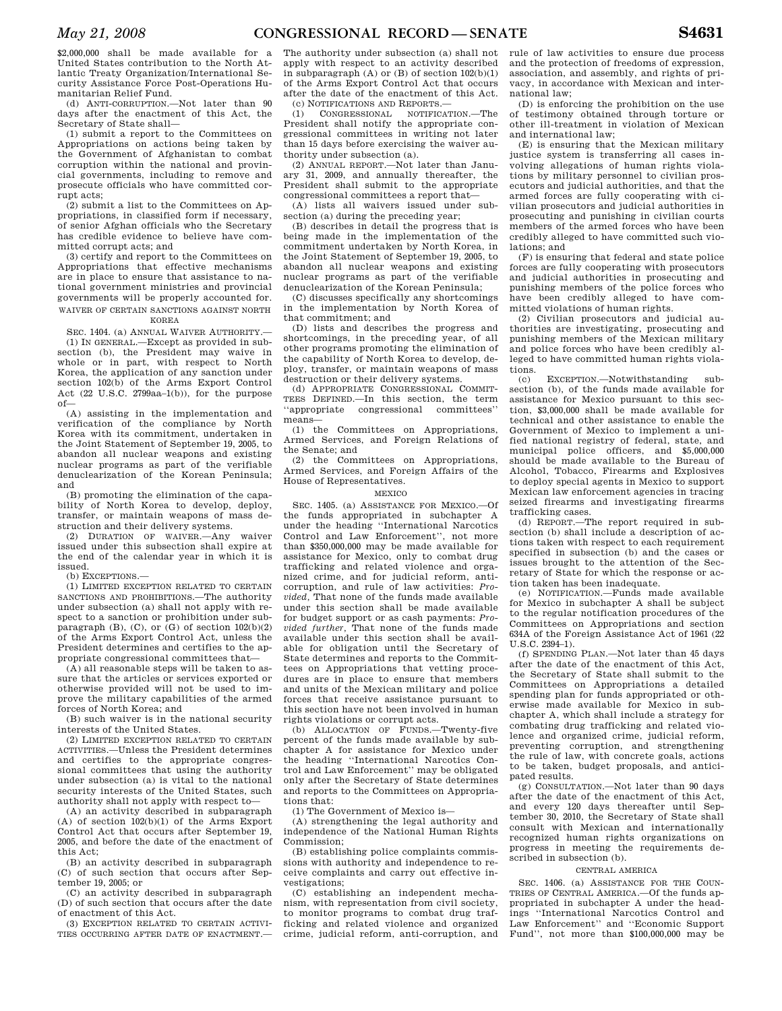\$2,000,000 shall be made available for a United States contribution to the North Atlantic Treaty Organization/International Security Assistance Force Post-Operations Humanitarian Relief Fund.

(d) ANTI-CORRUPTION.—Not later than 90 days after the enactment of this Act, the Secretary of State shall—

(1) submit a report to the Committees on Appropriations on actions being taken by the Government of Afghanistan to combat corruption within the national and provincial governments, including to remove and prosecute officials who have committed corrupt acts;

(2) submit a list to the Committees on Appropriations, in classified form if necessary, of senior Afghan officials who the Secretary has credible evidence to believe have committed corrupt acts; and

(3) certify and report to the Committees on Appropriations that effective mechanisms are in place to ensure that assistance to national government ministries and provincial governments will be properly accounted for. WAIVER OF CERTAIN SANCTIONS AGAINST NORTH KOREA

SEC. 1404. (a) ANNUAL WAIVER AUTHORITY.— (1) IN GENERAL.—Except as provided in subsection (b), the President may waive in whole or in part, with respect to North Korea, the application of any sanction under section 102(b) of the Arms Export Control Act (22 U.S.C. 2799aa–1(b)), for the purpose of—

(A) assisting in the implementation and verification of the compliance by North Korea with its commitment, undertaken in the Joint Statement of September 19, 2005, to abandon all nuclear weapons and existing nuclear programs as part of the verifiable denuclearization of the Korean Peninsula; and

(B) promoting the elimination of the capability of North Korea to develop, deploy, transfer, or maintain weapons of mass destruction and their delivery systems.

(2) DURATION OF WAIVER.—Any waiver issued under this subsection shall expire at the end of the calendar year in which it is issued.

(b) EXCEPTIONS.—

(1) LIMITED EXCEPTION RELATED TO CERTAIN SANCTIONS AND PROHIBITIONS.—The authority under subsection (a) shall not apply with respect to a sanction or prohibition under subparagraph  $(B)$ ,  $(C)$ , or  $(G)$  of section  $102(b)(2)$ of the Arms Export Control Act, unless the President determines and certifies to the appropriate congressional committees that—

(A) all reasonable steps will be taken to assure that the articles or services exported or otherwise provided will not be used to improve the military capabilities of the armed forces of North Korea; and

(B) such waiver is in the national security interests of the United States.

(2) LIMITED EXCEPTION RELATED TO CERTAIN ACTIVITIES.—Unless the President determines and certifies to the appropriate congressional committees that using the authority under subsection (a) is vital to the national security interests of the United States, such authority shall not apply with respect to—

(A) an activity described in subparagraph (A) of section 102(b)(1) of the Arms Export Control Act that occurs after September 19, 2005, and before the date of the enactment of this Act;

(B) an activity described in subparagraph (C) of such section that occurs after September 19, 2005; or

(C) an activity described in subparagraph (D) of such section that occurs after the date of enactment of this Act.

(3) EXCEPTION RELATED TO CERTAIN ACTIVI-TIES OCCURRING AFTER DATE OF ENACTMENT.—

The authority under subsection (a) shall not apply with respect to an activity described in subparagraph  $(A)$  or  $(B)$  of section  $102(b)(1)$ of the Arms Export Control Act that occurs after the date of the enactment of this Act.

(c) NOTIFICATIONS AND REPORTS.-<br>(1) CONGRESSIONAL NOTIFICA

(1) CONGRESSIONAL NOTIFICATION.—The President shall notify the appropriate congressional committees in writing not later than 15 days before exercising the waiver authority under subsection (a).

(2) ANNUAL REPORT.—Not later than January 31, 2009, and annually thereafter, the President shall submit to the appropriate congressional committees a report that—

(A) lists all waivers issued under subsection (a) during the preceding year;

(B) describes in detail the progress that is being made in the implementation of the commitment undertaken by North Korea, in the Joint Statement of September 19, 2005, to abandon all nuclear weapons and existing nuclear programs as part of the verifiable denuclearization of the Korean Peninsula;

(C) discusses specifically any shortcomings in the implementation by North Korea of that commitment; and

(D) lists and describes the progress and shortcomings, in the preceding year, of all other programs promoting the elimination of the capability of North Korea to develop, deploy, transfer, or maintain weapons of mass destruction or their delivery systems.

(d) APPROPRIATE CONGRESSIONAL COMMIT-TEES DEFINED.—In this section, the term ''appropriate congressional committees'' means—

(1) the Committees on Appropriations, Armed Services, and Foreign Relations of the Senate; and

(2) the Committees on Appropriations, Armed Services, and Foreign Affairs of the House of Representatives.

### MEXICO

SEC. 1405. (a) ASSISTANCE FOR MEXICO.—Of the funds appropriated in subchapter A under the heading ''International Narcotics Control and Law Enforcement'', not more than \$350,000,000 may be made available for assistance for Mexico, only to combat drug trafficking and related violence and organized crime, and for judicial reform, anticorruption, and rule of law activities: *Provided,* That none of the funds made available under this section shall be made available for budget support or as cash payments: *Provided further,* That none of the funds made available under this section shall be available for obligation until the Secretary of State determines and reports to the Committees on Appropriations that vetting procedures are in place to ensure that members and units of the Mexican military and police forces that receive assistance pursuant to this section have not been involved in human rights violations or corrupt acts.

(b) ALLOCATION OF FUNDS.—Twenty-five percent of the funds made available by subchapter A for assistance for Mexico under the heading ''International Narcotics Control and Law Enforcement'' may be obligated only after the Secretary of State determines and reports to the Committees on Appropriations that:

(1) The Government of Mexico is—

(A) strengthening the legal authority and independence of the National Human Rights Commission;

(B) establishing police complaints commissions with authority and independence to receive complaints and carry out effective investigations;

(C) establishing an independent mechanism, with representation from civil society, to monitor programs to combat drug trafficking and related violence and organized crime, judicial reform, anti-corruption, and rule of law activities to ensure due process and the protection of freedoms of expression, association, and assembly, and rights of privacy, in accordance with Mexican and international law;

(D) is enforcing the prohibition on the use of testimony obtained through torture or other ill-treatment in violation of Mexican and international law;

(E) is ensuring that the Mexican military justice system is transferring all cases involving allegations of human rights violations by military personnel to civilian prosecutors and judicial authorities, and that the armed forces are fully cooperating with civilian prosecutors and judicial authorities in prosecuting and punishing in civilian courts members of the armed forces who have been credibly alleged to have committed such violations; and

(F) is ensuring that federal and state police forces are fully cooperating with prosecutors and judicial authorities in prosecuting and punishing members of the police forces who have been credibly alleged to have committed violations of human rights.

(2) Civilian prosecutors and judicial authorities are investigating, prosecuting and punishing members of the Mexican military and police forces who have been credibly alleged to have committed human rights violations.

(c) EXCEPTION.—Notwithstanding subsection (b), of the funds made available for assistance for Mexico pursuant to this section, \$3,000,000 shall be made available for technical and other assistance to enable the Government of Mexico to implement a unified national registry of federal, state, and municipal police officers, and \$5,000,000 should be made available to the Bureau of Alcohol, Tobacco, Firearms and Explosives to deploy special agents in Mexico to support Mexican law enforcement agencies in tracing seized firearms and investigating firearms trafficking cases.

(d) REPORT.—The report required in subsection (b) shall include a description of actions taken with respect to each requirement specified in subsection (b) and the cases or issues brought to the attention of the Secretary of State for which the response or action taken has been inadequate.

(e) NOTIFICATION.—Funds made available for Mexico in subchapter A shall be subject to the regular notification procedures of the Committees on Appropriations and section 634A of the Foreign Assistance Act of 1961 (22 U.S.C. 2394–1).

(f) SPENDING PLAN.—Not later than 45 days after the date of the enactment of this Act, the Secretary of State shall submit to the Committees on Appropriations a detailed spending plan for funds appropriated or otherwise made available for Mexico in subchapter A, which shall include a strategy for combating drug trafficking and related violence and organized crime, judicial reform, preventing corruption, and strengthening the rule of law, with concrete goals, actions to be taken, budget proposals, and anticipated results.

(g) CONSULTATION.—Not later than 90 days after the date of the enactment of this Act, and every 120 days thereafter until September 30, 2010, the Secretary of State shall consult with Mexican and internationally recognized human rights organizations on progress in meeting the requirements described in subsection (b).

## CENTRAL AMERICA

SEC. 1406. (a) ASSISTANCE FOR THE COUN-TRIES OF CENTRAL AMERICA.—Of the funds appropriated in subchapter A under the headings ''International Narcotics Control and Law Enforcement'' and ''Economic Support Fund'', not more than \$100,000,000 may be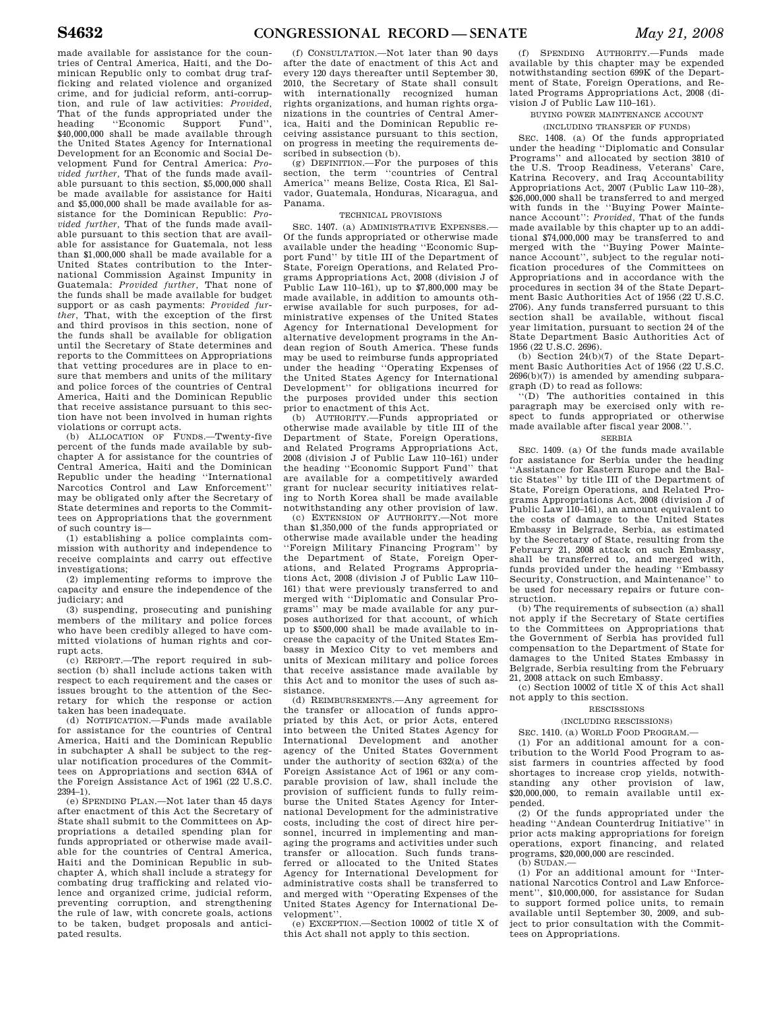made available for assistance for the countries of Central America, Haiti, and the Dominican Republic only to combat drug trafficking and related violence and organized crime, and for judicial reform, anti-corruption, and rule of law activities: *Provided,*  That of the funds appropriated under the<br>heading "Economic Support Fund".  $\mathop{\rm Support}\nolimits$ \$40,000,000 shall be made available through the United States Agency for International Development for an Economic and Social Development Fund for Central America: *Provided further,* That of the funds made available pursuant to this section, \$5,000,000 shall be made available for assistance for Haiti and \$5,000,000 shall be made available for assistance for the Dominican Republic: *Provided further,* That of the funds made available pursuant to this section that are available for assistance for Guatemala, not less than \$1,000,000 shall be made available for a United States contribution to the International Commission Against Impunity in Guatemala: *Provided further,* That none of the funds shall be made available for budget support or as cash payments: *Provided further,* That, with the exception of the first and third provisos in this section, none of the funds shall be available for obligation until the Secretary of State determines and reports to the Committees on Appropriations that vetting procedures are in place to ensure that members and units of the military and police forces of the countries of Central America, Haiti and the Dominican Republic that receive assistance pursuant to this section have not been involved in human rights

violations or corrupt acts. (b) ALLOCATION OF FUNDS.—Twenty-five percent of the funds made available by subchapter A for assistance for the countries of Central America, Haiti and the Dominican Republic under the heading ''International Narcotics Control and Law Enforcement'' may be obligated only after the Secretary of State determines and reports to the Committees on Appropriations that the government of such country is—

(1) establishing a police complaints commission with authority and independence to receive complaints and carry out effective investigations;

(2) implementing reforms to improve the capacity and ensure the independence of the judiciary; and

(3) suspending, prosecuting and punishing members of the military and police forces who have been credibly alleged to have committed violations of human rights and corrupt acts.

(c) REPORT.—The report required in subsection (b) shall include actions taken with respect to each requirement and the cases or issues brought to the attention of the Secretary for which the response or action taken has been inadequate.

(d) NOTIFICATION.—Funds made available for assistance for the countries of Central America, Haiti and the Dominican Republic in subchapter A shall be subject to the regular notification procedures of the Committees on Appropriations and section 634A of the Foreign Assistance Act of 1961 (22 U.S.C. 2394–1).

(e) SPENDING PLAN.—Not later than 45 days after enactment of this Act the Secretary of State shall submit to the Committees on Appropriations a detailed spending plan for funds appropriated or otherwise made available for the countries of Central America, Haiti and the Dominican Republic in subchapter A, which shall include a strategy for combating drug trafficking and related violence and organized crime, judicial reform, preventing corruption, and strengthening the rule of law, with concrete goals, actions to be taken, budget proposals and anticipated results.

(f) CONSULTATION.—Not later than 90 days after the date of enactment of this Act and every 120 days thereafter until September 30, 2010, the Secretary of State shall consult with internationally recognized human rights organizations, and human rights organizations in the countries of Central America, Haiti and the Dominican Republic receiving assistance pursuant to this section, on progress in meeting the requirements described in subsection (b).

(g) DEFINITION.—For the purposes of this section, the term "countries of Central" America'' means Belize, Costa Rica, El Salvador, Guatemala, Honduras, Nicaragua, and Panama.

## TECHNICAL PROVISIONS

SEC. 1407. (a) ADMINISTRATIVE EXPENSES. Of the funds appropriated or otherwise made available under the heading ''Economic Support Fund'' by title III of the Department of State, Foreign Operations, and Related Programs Appropriations Act, 2008 (division J of Public Law 110–161), up to \$7,800,000 may be made available, in addition to amounts otherwise available for such purposes, for administrative expenses of the United States Agency for International Development for alternative development programs in the Andean region of South America. These funds may be used to reimburse funds appropriated under the heading ''Operating Expenses of the United States Agency for International Development'' for obligations incurred for the purposes provided under this section prior to enactment of this Act.<br>(b) AUTHORITY.—Funds appropriated or

 $(b)$  AUTHORITY.—Funds otherwise made available by title III of the Department of State, Foreign Operations, and Related Programs Appropriations Act, 2008 (division J of Public Law 110–161) under the heading ''Economic Support Fund'' that are available for a competitively awarded grant for nuclear security initiatives relating to North Korea shall be made available notwithstanding any other provision of law.

(c) EXTENSION OF AUTHORITY.—Not more than \$1,350,000 of the funds appropriated or otherwise made available under the heading 'Foreign Military Financing Program" by the Department of State, Foreign Operations, and Related Programs Appropriations Act, 2008 (division J of Public Law 110– 161) that were previously transferred to and merged with ''Diplomatic and Consular Programs'' may be made available for any purposes authorized for that account, of which up to \$500,000 shall be made available to increase the capacity of the United States Embassy in Mexico City to vet members and units of Mexican military and police forces that receive assistance made available by this Act and to monitor the uses of such assistance.

(d) REIMBURSEMENTS.—Any agreement for the transfer or allocation of funds appropriated by this Act, or prior Acts, entered into between the United States Agency for International Development and another agency of the United States Government under the authority of section 632(a) of the Foreign Assistance Act of 1961 or any comparable provision of law, shall include the provision of sufficient funds to fully reimburse the United States Agency for International Development for the administrative costs, including the cost of direct hire personnel, incurred in implementing and managing the programs and activities under such transfer or allocation. Such funds transferred or allocated to the United States Agency for International Development for administrative costs shall be transferred to and merged with ''Operating Expenses of the United States Agency for International Development''.

(e) EXCEPTION.—Section 10002 of title X of this Act shall not apply to this section.

(f) SPENDING AUTHORITY.—Funds made available by this chapter may be expended notwithstanding section 699K of the Department of State, Foreign Operations, and Related Programs Appropriations Act, 2008 (division J of Public Law 110–161).

BUYING POWER MAINTENANCE ACCOUNT

(INCLUDING TRANSFER OF FUNDS)

SEC. 1408. (a) Of the funds appropriated under the heading ''Diplomatic and Consular Programs'' and allocated by section 3810 of the U.S. Troop Readiness, Veterans' Care, Katrina Recovery, and Iraq Accountability Appropriations Act, 2007 (Public Law 110–28), \$26,000,000 shall be transferred to and merged with funds in the ''Buying Power Maintenance Account'': *Provided,* That of the funds made available by this chapter up to an additional \$74,000,000 may be transferred to and merged with the ''Buying Power Maintenance Account'', subject to the regular notification procedures of the Committees on Appropriations and in accordance with the procedures in section 34 of the State Department Basic Authorities Act of 1956 (22 U.S.C. 2706). Any funds transferred pursuant to this section shall be available, without fiscal year limitation, pursuant to section 24 of the State Department Basic Authorities Act of 1956 (22 U.S.C. 2696).

(b) Section  $24(b)(7)$  of the State Department Basic Authorities Act of 1956 (22 U.S.C. 2696(b)(7)) is amended by amending subparagraph (D) to read as follows:

''(D) The authorities contained in this paragraph may be exercised only with respect to funds appropriated or otherwise made available after fiscal year 2008.''.

## SERBIA

SEC. 1409. (a) Of the funds made available for assistance for Serbia under the heading ''Assistance for Eastern Europe and the Baltic States'' by title III of the Department of State, Foreign Operations, and Related Programs Appropriations Act, 2008 (division J of Public Law 110–161), an amount equivalent to the costs of damage to the United States Embassy in Belgrade, Serbia, as estimated by the Secretary of State, resulting from the February 21, 2008 attack on such Embassy, shall be transferred to, and merged with, funds provided under the heading ''Embassy Security, Construction, and Maintenance'' to be used for necessary repairs or future construction.

(b) The requirements of subsection (a) shall not apply if the Secretary of State certifies to the Committees on Appropriations that the Government of Serbia has provided full compensation to the Department of State for damages to the United States Embassy in Belgrade, Serbia resulting from the February 21, 2008 attack on such Embassy.

(c) Section 10002 of title X of this Act shall not apply to this section.

### RESCISSIONS

(INCLUDING RESCISSIONS)

SEC. 1410. (a) WORLD FOOD PROGRAM.—

(1) For an additional amount for a contribution to the World Food Program to assist farmers in countries affected by food shortages to increase crop yields, notwithstanding any other provision of law, \$20,000,000, to remain available until expended.

(2) Of the funds appropriated under the heading ''Andean Counterdrug Initiative'' in prior acts making appropriations for foreign operations, export financing, and related programs, \$20,000,000 are rescinded.

(b) SUDAN.—

(1) For an additional amount for ''International Narcotics Control and Law Enforcement'', \$10,000,000, for assistance for Sudan to support formed police units, to remain available until September 30, 2009, and subject to prior consultation with the Committees on Appropriations.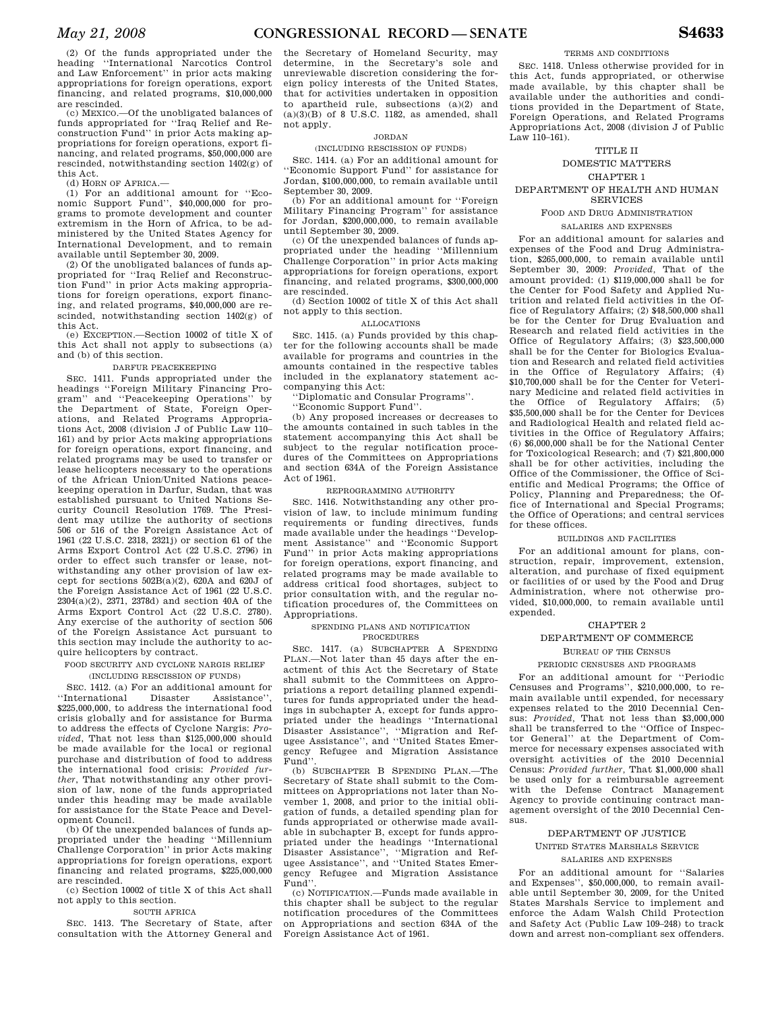(2) Of the funds appropriated under the heading ''International Narcotics Control and Law Enforcement'' in prior acts making appropriations for foreign operations, export financing, and related programs, \$10,000,000 are rescinded.

(c) MEXICO.—Of the unobligated balances of funds appropriated for ''Iraq Relief and Reconstruction Fund'' in prior Acts making appropriations for foreign operations, export financing, and related programs, \$50,000,000 are rescinded, notwithstanding section 1402(g) of this Act.

(d) HORN OF AFRICA.—

(1) For an additional amount for ''Economic Support Fund'', \$40,000,000 for programs to promote development and counter extremism in the Horn of Africa, to be administered by the United States Agency for International Development, and to remain available until September 30, 2009.

(2) Of the unobligated balances of funds appropriated for ''Iraq Relief and Reconstruction Fund'' in prior Acts making appropriations for foreign operations, export financing, and related programs, \$40,000,000 are rescinded, notwithstanding section 1402(g) of this Act.

(e) EXCEPTION.—Section 10002 of title X of this Act shall not apply to subsections (a) and (b) of this section.

#### DARFUR PEACEKEEPING

SEC. 1411. Funds appropriated under the headings ''Foreign Military Financing Program'' and ''Peacekeeping Operations'' by the Department of State, Foreign Operations, and Related Programs Appropriations Act, 2008 (division J of Public Law 110– 161) and by prior Acts making appropriations for foreign operations, export financing, and related programs may be used to transfer or lease helicopters necessary to the operations of the African Union/United Nations peacekeeping operation in Darfur, Sudan, that was established pursuant to United Nations Security Council Resolution 1769. The President may utilize the authority of sections 506 or 516 of the Foreign Assistance Act of 1961 (22 U.S.C. 2318, 2321j) or section 61 of the Arms Export Control Act (22 U.S.C. 2796) in order to effect such transfer or lease, notwithstanding any other provision of law except for sections  $502B(a)$  $(2)$ ,  $620A$  and  $620J$  of the Foreign Assistance Act of 1961 (22 U.S.C.  $2304(a)(2)$ ,  $2371$ ,  $2378d$  and section 40A of the Arms Export Control Act (22 U.S.C. 2780). Any exercise of the authority of section 506 of the Foreign Assistance Act pursuant to this section may include the authority to acquire helicopters by contract.

FOOD SECURITY AND CYCLONE NARGIS RELIEF (INCLUDING RESCISSION OF FUNDS)

SEC. 1412. (a) For an additional amount for<br>International Disaster Assistance''. "International \$225,000,000, to address the international food crisis globally and for assistance for Burma to address the effects of Cyclone Nargis: *Provided*, That not less than \$125,000,000 should be made available for the local or regional purchase and distribution of food to address the international food crisis: *Provided further*, That notwithstanding any other provision of law, none of the funds appropriated under this heading may be made available for assistance for the State Peace and Development Council.

(b) Of the unexpended balances of funds appropriated under the heading ''Millennium Challenge Corporation'' in prior Acts making appropriations for foreign operations, export financing and related programs, \$225,000,000 are rescinded.

(c) Section 10002 of title X of this Act shall not apply to this section.

## SOUTH AFRICA

SEC. 1413. The Secretary of State, after consultation with the Attorney General and

the Secretary of Homeland Security, may determine, in the Secretary's sole and unreviewable discretion considering the foreign policy interests of the United States, that for activities undertaken in opposition to apartheid rule, subsections  $(a)(2)$  and  $(a)(3)(B)$  of 8 U.S.C. 1182, as amended, shall not apply.

#### JORDAN

(INCLUDING RESCISSION OF FUNDS)

SEC. 1414. (a) For an additional amount for ''Economic Support Fund'' for assistance for Jordan, \$100,000,000, to remain available until September 30, 2009.

(b) For an additional amount for ''Foreign Military Financing Program'' for assistance for Jordan, \$200,000,000, to remain available until September 30, 2009.

(c) Of the unexpended balances of funds appropriated under the heading ''Millennium Challenge Corporation'' in prior Acts making appropriations for foreign operations, export financing, and related programs, \$300,000,000 are rescinded.

(d) Section 10002 of title X of this Act shall not apply to this section.

### ALLOCATIONS

SEC. 1415. (a) Funds provided by this chapter for the following accounts shall be made available for programs and countries in the amounts contained in the respective tables included in the explanatory statement accompanying this Act:

''Diplomatic and Consular Programs''.

''Economic Support Fund''.

(b) Any proposed increases or decreases to the amounts contained in such tables in the statement accompanying this Act shall be subject to the regular notification procedures of the Committees on Appropriations and section 634A of the Foreign Assistance Act of 1961.

### REPROGRAMMING AUTHORITY

SEC. 1416. Notwithstanding any other provision of law, to include minimum funding requirements or funding directives, funds made available under the headings ''Development Assistance'' and ''Economic Support Fund'' in prior Acts making appropriations for foreign operations, export financing, and related programs may be made available to address critical food shortages, subject to prior consultation with, and the regular notification procedures of, the Committees on Appropriations.

### SPENDING PLANS AND NOTIFICATION PROCEDURES

SEC. 1417. (a) SUBCHAPTER A SPENDING PLAN.—Not later than 45 days after the enactment of this Act the Secretary of State shall submit to the Committees on Appropriations a report detailing planned expenditures for funds appropriated under the headings in subchapter A, except for funds appropriated under the headings ''International Disaster Assistance'', ''Migration and Refugee Assistance'', and ''United States Emergency Refugee and Migration Assistance Fund'

(b) SUBCHAPTER B SPENDING PLAN.—The Secretary of State shall submit to the Committees on Appropriations not later than November 1, 2008, and prior to the initial obligation of funds, a detailed spending plan for funds appropriated or otherwise made available in subchapter B, except for funds appropriated under the headings ''International Disaster Assistance'', ''Migration and Refugee Assistance'', and ''United States Emergency Refugee and Migration Assistance Fund''.

(c) NOTIFICATION.—Funds made available in this chapter shall be subject to the regular notification procedures of the Committees on Appropriations and section 634A of the Foreign Assistance Act of 1961.

## TERMS AND CONDITIONS

SEC. 1418. Unless otherwise provided for in this Act, funds appropriated, or otherwise made available, by this chapter shall be available under the authorities and conditions provided in the Department of State, Foreign Operations, and Related Programs Appropriations Act, 2008 (division J of Public Law 110–161).

## TITLE II DOMESTIC MATTERS

## CHAPTER 1

## DEPARTMENT OF HEALTH AND HUMAN **SERVICES**

## FOOD AND DRUG ADMINISTRATION

SALARIES AND EXPENSES

For an additional amount for salaries and expenses of the Food and Drug Administration, \$265,000,000, to remain available until September 30, 2009: *Provided,* That of the amount provided: (1) \$119,000,000 shall be for the Center for Food Safety and Applied Nutrition and related field activities in the Office of Regulatory Affairs; (2) \$48,500,000 shall be for the Center for Drug Evaluation and Research and related field activities in the Office of Regulatory Affairs; (3) \$23,500,000 shall be for the Center for Biologics Evaluation and Research and related field activities in the Office of Regulatory Affairs; (4) \$10,700,000 shall be for the Center for Veterinary Medicine and related field activities in the Office of Regulatory Affairs; (5) \$35,500,000 shall be for the Center for Devices and Radiological Health and related field activities in the Office of Regulatory Affairs; (6) \$6,000,000 shall be for the National Center for Toxicological Research; and (7) \$21,800,000 shall be for other activities, including the Office of the Commissioner, the Office of Scientific and Medical Programs; the Office of Policy, Planning and Preparedness; the Office of International and Special Programs; the Office of Operations; and central services for these offices.

### BUILDINGS AND FACILITIES

For an additional amount for plans, construction, repair, improvement, extension, alteration, and purchase of fixed equipment or facilities of or used by the Food and Drug Administration, where not otherwise provided, \$10,000,000, to remain available until expended.

## CHAPTER 2 DEPARTMENT OF COMMERCE BUREAU OF THE CENSUS

# PERIODIC CENSUSES AND PROGRAMS

For an additional amount for ''Periodic Censuses and Programs'', \$210,000,000, to remain available until expended, for necessary expenses related to the 2010 Decennial Census: *Provided,* That not less than \$3,000,000 shall be transferred to the ''Office of Inspector General'' at the Department of Commerce for necessary expenses associated with oversight activities of the 2010 Decennial Census: *Provided further,* That \$1,000,000 shall be used only for a reimbursable agreement with the Defense Contract Management Agency to provide continuing contract management oversight of the 2010 Decennial Census.

## DEPARTMENT OF JUSTICE UNITED STATES MARSHALS SERVICE

### SALARIES AND EXPENSES

For an additional amount for ''Salaries and Expenses'', \$50,000,000, to remain available until September 30, 2009, for the United States Marshals Service to implement and enforce the Adam Walsh Child Protection and Safety Act (Public Law 109–248) to track down and arrest non-compliant sex offenders.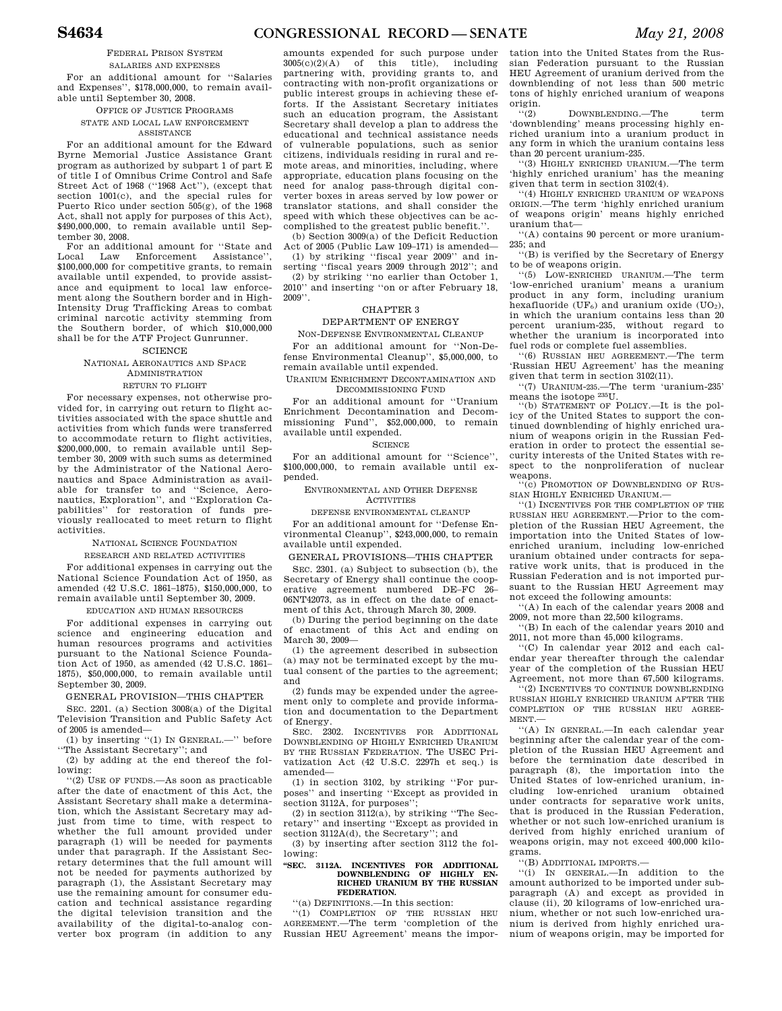## FEDERAL PRISON SYSTEM SALARIES AND EXPENSES

For an additional amount for ''Salaries and Expenses'', \$178,000,000, to remain available until September 30, 2008.

### OFFICE OF JUSTICE PROGRAMS STATE AND LOCAL LAW ENFORCEMENT ASSISTANCE

For an additional amount for the Edward Byrne Memorial Justice Assistance Grant program as authorized by subpart 1 of part E of title I of Omnibus Crime Control and Safe Street Act of 1968 (''1968 Act''), (except that section 1001(c), and the special rules for Puerto Rico under section 505(g), of the 1968 Act, shall not apply for purposes of this Act), \$490,000,000, to remain available until September 30, 2008.

For an additional amount for "State and<br>ocal Law Enforcement Assistance". Local Law Enforcement Assistance' \$100,000,000 for competitive grants, to remain available until expended, to provide assistance and equipment to local law enforcement along the Southern border and in High-Intensity Drug Trafficking Areas to combat criminal narcotic activity stemming from the Southern border, of which \$10,000,000 shall be for the ATF Project Gunrunner.

## **SCIENCE**

### NATIONAL AERONAUTICS AND SPACE ADMINISTRATION RETURN TO FLIGHT

For necessary expenses, not otherwise provided for, in carrying out return to flight activities associated with the space shuttle and activities from which funds were transferred to accommodate return to flight activities, \$200,000,000, to remain available until September 30, 2009 with such sums as determined by the Administrator of the National Aeronautics and Space Administration as available for transfer to and ''Science, Aeronautics, Exploration'', and ''Exploration Capabilities'' for restoration of funds previously reallocated to meet return to flight activities.

## NATIONAL SCIENCE FOUNDATION

## RESEARCH AND RELATED ACTIVITIES

For additional expenses in carrying out the National Science Foundation Act of 1950, as amended (42 U.S.C. 1861–1875), \$150,000,000, to remain available until September 30, 2009.

## EDUCATION AND HUMAN RESOURCES

For additional expenses in carrying out science and engineering education and human resources programs and activities pursuant to the National Science Foundation Act of 1950, as amended (42 U.S.C. 1861– 1875), \$50,000,000, to remain available until September 30, 2009.

## GENERAL PROVISION—THIS CHAPTER

SEC. 2201. (a) Section 3008(a) of the Digital Television Transition and Public Safety Act of 2005 is amended—

(1) by inserting ''(1) IN GENERAL.—'' before ''The Assistant Secretary''; and

(2) by adding at the end thereof the following:

''(2) USE OF FUNDS.—As soon as practicable after the date of enactment of this Act, the Assistant Secretary shall make a determination, which the Assistant Secretary may adjust from time to time, with respect to whether the full amount provided under paragraph (1) will be needed for payments under that paragraph. If the Assistant Secretary determines that the full amount will not be needed for payments authorized by paragraph (1), the Assistant Secretary may use the remaining amount for consumer education and technical assistance regarding the digital television transition and the availability of the digital-to-analog converter box program (in addition to any

amounts expended for such purpose under 3005(c)(2)(A) of this title), including partnering with, providing grants to, and contracting with non-profit organizations or public interest groups in achieving these efforts. If the Assistant Secretary initiates such an education program, the Assistant Secretary shall develop a plan to address the educational and technical assistance needs of vulnerable populations, such as senior citizens, individuals residing in rural and remote areas, and minorities, including, where appropriate, education plans focusing on the need for analog pass-through digital converter boxes in areas served by low power or translator stations, and shall consider the speed with which these objectives can be accomplished to the greatest public benefit.'

(b) Section 3009(a) of the Deficit Reduction Act of 2005 (Public Law 109–171) is amended—<br>(1) by striking "fiscal year 2009" and in- $(1)$  by striking "fiscal year 2009"

serting ''fiscal years 2009 through 2012''; and (2) by striking ''no earlier than October 1, 2010'' and inserting ''on or after February 18,  $2009$ 

## CHAPTER 3

## DEPARTMENT OF ENERGY

NON-DEFENSE ENVIRONMENTAL CLEANUP For an additional amount for ''Non-De-

fense Environmental Cleanup'', \$5,000,000, to remain available until expended. URANIUM ENRICHMENT DECONTAMINATION AND

# DECOMMISSIONING FUND

For an additional amount for ''Uranium Enrichment Decontamination and Decommissioning Fund'', \$52,000,000, to remain available until expended.

#### **SCIENCE**

For an additional amount for ''Science'', \$100,000,000, to remain available until expended.

### ENVIRONMENTAL AND OTHER DEFENSE **ACTIVITIES**

DEFENSE ENVIRONMENTAL CLEANUP

For an additional amount for ''Defense Environmental Cleanup'', \$243,000,000, to remain available until expended.

## GENERAL PROVISIONS—THIS CHAPTER

SEC. 2301. (a) Subject to subsection (b), the Secretary of Energy shall continue the cooperative agreement numbered DE–FC 26– 06NT42073, as in effect on the date of enactment of this Act, through March 30, 2009.

(b) During the period beginning on the date of enactment of this Act and ending on March 30, 2009—

(1) the agreement described in subsection (a) may not be terminated except by the mutual consent of the parties to the agreement; and

(2) funds may be expended under the agreement only to complete and provide information and documentation to the Department of Energy.

SEC. 2302. INCENTIVES FOR ADDITIONAL DOWNBLENDING OF HIGHLY ENRICHED URANIUM BY THE RUSSIAN FEDERATION. The USEC Privatization Act (42 U.S.C. 2297h et seq.) is amended—

(1) in section 3102, by striking ''For purposes'' and inserting ''Except as provided in section 3112A, for purposes":

(2) in section 3112(a), by striking ''The Secretary'' and inserting ''Except as provided in section 3112A(d), the Secretary''; and

(3) by inserting after section 3112 the following:<br>"SEC. 3112A.

## **''SEC. 3112A. INCENTIVES FOR ADDITIONAL DOWNBLENDING OF HIGHLY EN-RICHED URANIUM BY THE RUSSIAN FEDERATION.**

''(a) DEFINITIONS.—In this section:

''(1) COMPLETION OF THE RUSSIAN HEU AGREEMENT.—The term 'completion of the Russian HEU Agreement' means the impor-

tation into the United States from the Russian Federation pursuant to the Russian HEU Agreement of uranium derived from the downblending of not less than 500 metric tons of highly enriched uranium of weapons origin.

''(2) DOWNBLENDING.—The term 'downblending' means processing highly enriched uranium into a uranium product in any form in which the uranium contains less than 20 percent uranium-235.

''(3) HIGHLY ENRICHED URANIUM.—The term 'highly enriched uranium' has the meaning given that term in section 3102(4).

''(4) HIGHLY ENRICHED URANIUM OF WEAPONS ORIGIN.—The term 'highly enriched uranium of weapons origin' means highly enriched uranium that—

''(A) contains 90 percent or more uranium-235; and

''(B) is verified by the Secretary of Energy to be of weapons origin.

''(5) LOW-ENRICHED URANIUM.—The term 'low-enriched uranium' means a uranium product in any form, including uranium hexafluoride (UF<sub>6</sub>) and uranium oxide (UO<sub>2</sub>), in which the uranium contains less than 20 percent uranium-235, without regard to whether the uranium is incorporated into fuel rods or complete fuel assemblies.

''(6) RUSSIAN HEU AGREEMENT.—The term 'Russian HEU Agreement' has the meaning given that term in section 3102(11).

''(7) URANIUM-235.—The term 'uranium-235' means the isotope 235U.

''(b) STATEMENT OF POLICY.—It is the policy of the United States to support the continued downblending of highly enriched uranium of weapons origin in the Russian Federation in order to protect the essential security interests of the United States with respect to the nonproliferation of nuclear weapons.

''(c) PROMOTION OF DOWNBLENDING OF RUS-SIAN HIGHLY ENRICHED URANIUM.—

''(1) INCENTIVES FOR THE COMPLETION OF THE RUSSIAN HEU AGREEMENT.—Prior to the completion of the Russian HEU Agreement, the importation into the United States of lowenriched uranium, including low-enriched uranium obtained under contracts for separative work units, that is produced in the Russian Federation and is not imported pursuant to the Russian HEU Agreement may not exceed the following amounts:

'(A) In each of the calendar years 2008 and 2009, not more than 22,500 kilograms.

''(B) In each of the calendar years 2010 and 2011, not more than 45,000 kilograms.

''(C) In calendar year 2012 and each calendar year thereafter through the calendar year of the completion of the Russian HEU Agreement, not more than 67,500 kilograms.

''(2) INCENTIVES TO CONTINUE DOWNBLENDING RUSSIAN HIGHLY ENRICHED URANIUM AFTER THE COMPLETION OF THE RUSSIAN HEU AGREE-MENT.—

''(A) IN GENERAL.—In each calendar year beginning after the calendar year of the completion of the Russian HEU Agreement and before the termination date described in paragraph (8), the importation into the United States of low-enriched uranium, including low-enriched uranium obtained under contracts for separative work units, that is produced in the Russian Federation, whether or not such low-enriched uranium is derived from highly enriched uranium of weapons origin, may not exceed 400,000 kilograms.

''(B) ADDITIONAL IMPORTS.—

''(i) IN GENERAL.—In addition to the amount authorized to be imported under subparagraph (A) and except as provided in clause (ii), 20 kilograms of low-enriched uranium, whether or not such low-enriched uranium is derived from highly enriched uranium of weapons origin, may be imported for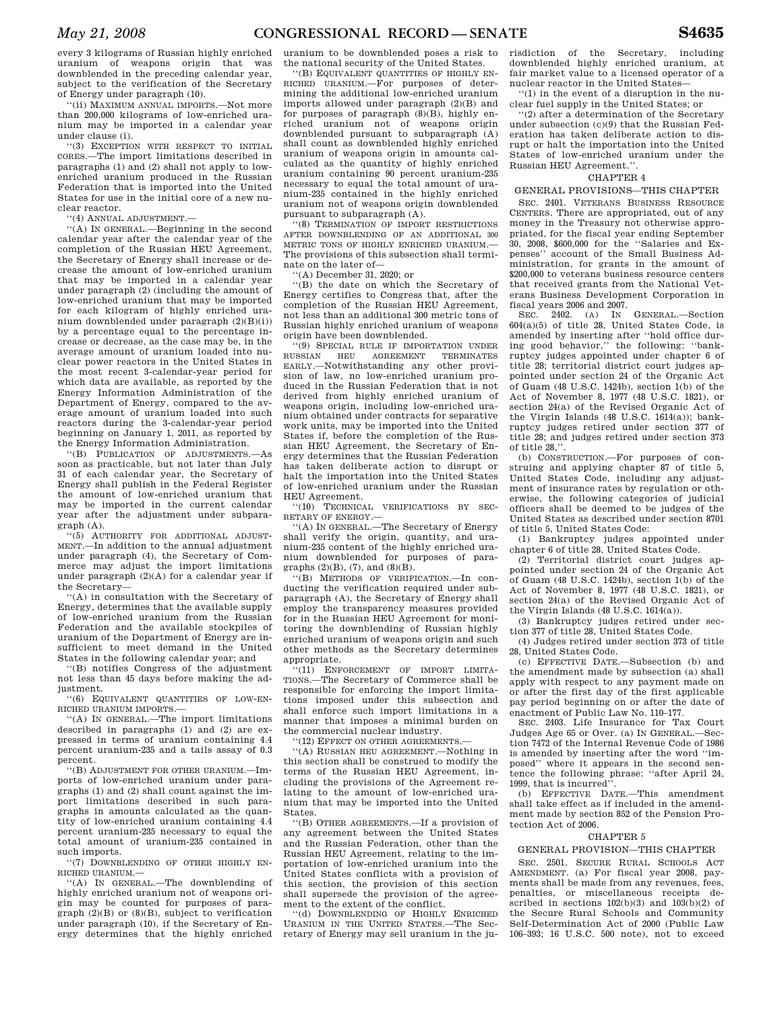every 3 kilograms of Russian highly enriched uranium of weapons origin that was downblended in the preceding calendar year, subject to the verification of the Secretary of Energy under paragraph (10).

'(ii) MAXIMUM ANNUAL IMPORTS.-Not more than 200,000 kilograms of low-enriched uranium may be imported in a calendar year under clause (i).

''(3) EXCEPTION WITH RESPECT TO INITIAL CORES.—The import limitations described in paragraphs  $(1)$  and  $(2)$  shall not apply to lowenriched uranium produced in the Russian Federation that is imported into the United States for use in the initial core of a new nuclear reactor.

''(4) ANNUAL ADJUSTMENT.—

''(A) IN GENERAL.—Beginning in the second calendar year after the calendar year of the completion of the Russian HEU Agreement, the Secretary of Energy shall increase or decrease the amount of low-enriched uranium that may be imported in a calendar year under paragraph (2) (including the amount of low-enriched uranium that may be imported for each kilogram of highly enriched uranium downblended under paragraph (2)(B)(i)) by a percentage equal to the percentage increase or decrease, as the case may be, in the average amount of uranium loaded into nuclear power reactors in the United States in the most recent 3-calendar-year period for which data are available, as reported by the Energy Information Administration of the Department of Energy, compared to the average amount of uranium loaded into such reactors during the 3-calendar-year period beginning on January 1, 2011, as reported by the Energy Information Administration.

''(B) PUBLICATION OF ADJUSTMENTS.—As soon as practicable, but not later than July 31 of each calendar year, the Secretary of Energy shall publish in the Federal Register the amount of low-enriched uranium that may be imported in the current calendar year after the adjustment under subparagraph (A).

''(5) AUTHORITY FOR ADDITIONAL ADJUST-MENT.—In addition to the annual adjustment under paragraph (4), the Secretary of Commerce may adjust the import limitations under paragraph (2)(A) for a calendar year if the Secretary—

''(A) in consultation with the Secretary of Energy, determines that the available supply of low-enriched uranium from the Russian Federation and the available stockpiles of uranium of the Department of Energy are insufficient to meet demand in the United States in the following calendar year; and

''(B) notifies Congress of the adjustment not less than 45 days before making the adjustment.

''(6) EQUIVALENT QUANTITIES OF LOW-EN-RICHED URANIUM IMPORTS.—

''(A) IN GENERAL.—The import limitations described in paragraphs (1) and (2) are expressed in terms of uranium containing 4.4 percent uranium-235 and a tails assay of 0.3 percent.

''(B) ADJUSTMENT FOR OTHER URANIUM.—Imports of low-enriched uranium under paragraphs (1) and (2) shall count against the import limitations described in such paragraphs in amounts calculated as the quantity of low-enriched uranium containing 4.4 percent uranium-235 necessary to equal the total amount of uranium-235 contained in such imports.

''(7) DOWNBLENDING OF OTHER HIGHLY EN-RICHED URANIUM.—

''(A) IN GENERAL.—The downblending of highly enriched uranium not of weapons origin may be counted for purposes of paragraph  $(2)(B)$  or  $(8)(B)$ , subject to verification under paragraph (10), if the Secretary of Energy determines that the highly enriched uranium to be downblended poses a risk to the national security of the United States.

''(B) EQUIVALENT QUANTITIES OF HIGHLY EN-RICHED URANIUM.—For purposes of determining the additional low-enriched uranium imports allowed under paragraph (2)(B) and for purposes of paragraph (8)(B), highly enriched uranium not of weapons origin downblended pursuant to subparagraph (A) shall count as downblended highly enriched uranium of weapons origin in amounts calculated as the quantity of highly enriched uranium containing 90 percent uranium-235 necessary to equal the total amount of uranium-235 contained in the highly enriched uranium not of weapons origin downblended pursuant to subparagraph (A).

''(8) TERMINATION OF IMPORT RESTRICTIONS AFTER DOWNBLENDING OF AN ADDITIONAL 300 METRIC TONS OF HIGHLY ENRICHED URANIUM.— The provisions of this subsection shall terminate on the later of—

''(A) December 31, 2020; or

''(B) the date on which the Secretary of Energy certifies to Congress that, after the completion of the Russian HEU Agreement, not less than an additional 300 metric tons of Russian highly enriched uranium of weapons origin have been downblended.

''(9) SPECIAL RULE IF IMPORTATION UNDER RUSSIAN HEU AGREEMENT TERMINATES EARLY.—Notwithstanding any other provision of law, no low-enriched uranium produced in the Russian Federation that is not derived from highly enriched uranium of weapons origin, including low-enriched uranium obtained under contracts for separative work units, may be imported into the United States if, before the completion of the Russian HEU Agreement, the Secretary of Energy determines that the Russian Federation has taken deliberate action to disrupt or halt the importation into the United States of low-enriched uranium under the Russian HEU Agreement.

''(10) TECHNICAL VERIFICATIONS BY SEC-RETARY OF ENERGY.—

''(A) IN GENERAL.—The Secretary of Energy shall verify the origin, quantity, and uranium-235 content of the highly enriched uranium downblended for purposes of paragraphs (2)(B), (7), and (8)(B).

''(B) METHODS OF VERIFICATION.—In conducting the verification required under subparagraph (A), the Secretary of Energy shall employ the transparency measures provided for in the Russian HEU Agreement for monitoring the downblending of Russian highly enriched uranium of weapons origin and such other methods as the Secretary determines appropriate.

''(11) ENFORCEMENT OF IMPORT LIMITA-TIONS.—The Secretary of Commerce shall be responsible for enforcing the import limitations imposed under this subsection and shall enforce such import limitations in a manner that imposes a minimal burden on the commercial nuclear industry.

''(12) EFFECT ON OTHER AGREEMENTS.—

''(A) RUSSIAN HEU AGREEMENT.—Nothing in this section shall be construed to modify the terms of the Russian HEU Agreement, including the provisions of the Agreement relating to the amount of low-enriched uranium that may be imported into the United States.

''(B) OTHER AGREEMENTS.—If a provision of any agreement between the United States and the Russian Federation, other than the Russian HEU Agreement, relating to the importation of low-enriched uranium into the United States conflicts with a provision of this section, the provision of this section shall supersede the provision of the agreement to the extent of the conflict.

'(d) DOWNBLENDING OF HIGHLY ENRICHED URANIUM IN THE UNITED STATES.—The Secretary of Energy may sell uranium in the jurisdiction of the Secretary, including downblended highly enriched uranium, at fair market value to a licensed operator of a nuclear reactor in the United States—

''(1) in the event of a disruption in the nuclear fuel supply in the United States; or

''(2) after a determination of the Secretary under subsection (c)(9) that the Russian Federation has taken deliberate action to disrupt or halt the importation into the United States of low-enriched uranium under the Russian HEU Agreement.''.

## CHAPTER 4

## GENERAL PROVISIONS—THIS CHAPTER

SEC. 2401. VETERANS BUSINESS RESOURCE CENTERS. There are appropriated, out of any money in the Treasury not otherwise appropriated, for the fiscal year ending September 30, 2008, \$600,000 for the ''Salaries and Expenses'' account of the Small Business Administration, for grants in the amount of \$200,000 to veterans business resource centers that received grants from the National Veterans Business Development Corporation in fiscal years 2006 and 2007.

SEC. 2402. (A) IN GENERAL.—Section 604(a)(5) of title 28, United States Code, is amended by inserting after ''hold office dur-ing good behavior,'' the following: ''bankruptcy judges appointed under chapter 6 of title 28; territorial district court judges appointed under section 24 of the Organic Act of Guam (48 U.S.C. 1424b), section 1(b) of the Act of November 8, 1977 (48 U.S.C. 1821), or section 24(a) of the Revised Organic Act of the Virgin Islands (48 U.S.C. 1614(a)); bankruptcy judges retired under section 377 of title 28; and judges retired under section 373 of title 28,''.

(b) CONSTRUCTION.—For purposes of construing and applying chapter 87 of title 5, United States Code, including any adjustment of insurance rates by regulation or otherwise, the following categories of judicial officers shall be deemed to be judges of the United States as described under section 8701 of title 5, United States Code:

(1) Bankruptcy judges appointed under chapter 6 of title 28, United States Code.

(2) Territorial district court judges appointed under section 24 of the Organic Act of Guam (48 U.S.C. 1424b), section 1(b) of the Act of November 8, 1977 (48 U.S.C. 1821), or section 24(a) of the Revised Organic Act of the Virgin Islands (48 U.S.C.  $1614(a)$ ).

(3) Bankruptcy judges retired under section 377 of title 28, United States Code.

(4) Judges retired under section 373 of title 28, United States Code.

(c) EFFECTIVE DATE.—Subsection (b) and the amendment made by subsection (a) shall apply with respect to any payment made on or after the first day of the first applicable pay period beginning on or after the date of enactment of Public Law No. 110–177.

SEC. 2403. Life Insurance for Tax Court Judges Age 65 or Over. (a) IN GENERAL.—Section 7472 of the Internal Revenue Code of 1986 is amended by inserting after the word ''imposed'' where it appears in the second sentence the following phrase: ''after April 24, 1999, that is incurred''.

(b) EFFECTIVE DATE.—This amendment shall take effect as if included in the amendment made by section 852 of the Pension Protection Act of 2006.

## CHAPTER 5

## GENERAL PROVISION—THIS CHAPTER

SEC. 2501. SECURE RURAL SCHOOLS ACT AMENDMENT. (a) For fiscal year 2008, payments shall be made from any revenues, fees, penalties, or miscellaneous receipts described in sections  $102(b)(3)$  and  $103(b)(2)$  of the Secure Rural Schools and Community Self-Determination Act of 2000 (Public Law 106–393; 16 U.S.C. 500 note), not to exceed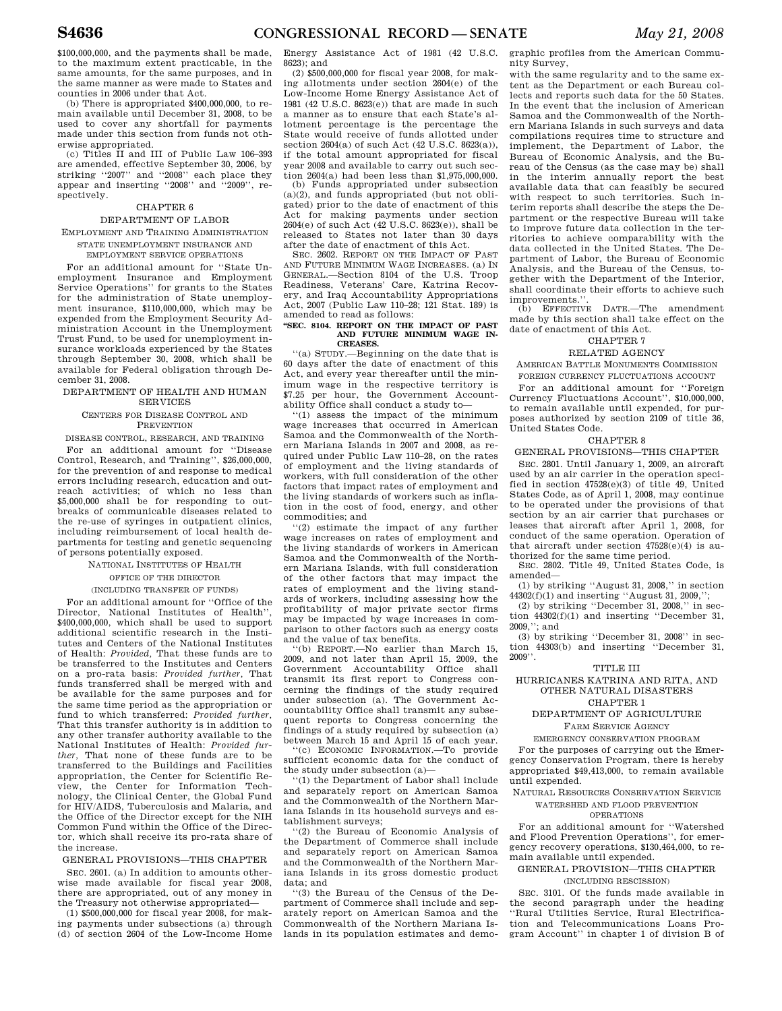\$100,000,000, and the payments shall be made, to the maximum extent practicable, in the same amounts, for the same purposes, and in the same manner as were made to States and counties in 2006 under that Act.

(b) There is appropriated  $$400,000,000$ , to remain available until December 31, 2008, to be used to cover any shortfall for payments made under this section from funds not otherwise appropriated.

(c) Titles II and III of Public Law 106–393 are amended, effective September 30, 2006, by striking ''2007'' and ''2008'' each place they appear and inserting ''2008'' and ''2009'', respectively.

#### CHAPTER 6

## DEPARTMENT OF LABOR

## EMPLOYMENT AND TRAINING ADMINISTRATION STATE UNEMPLOYMENT INSURANCE AND

EMPLOYMENT SERVICE OPERATIONS

For an additional amount for ''State Unemployment Insurance and Employment Service Operations'' for grants to the States for the administration of State unemployment insurance, \$110,000,000, which may be expended from the Employment Security Administration Account in the Unemployment Trust Fund, to be used for unemployment insurance workloads experienced by the States through September 30, 2008, which shall be available for Federal obligation through December 31, 2008.

### DEPARTMENT OF HEALTH AND HUMAN SERVICES

### CENTERS FOR DISEASE CONTROL AND PREVENTION

DISEASE CONTROL, RESEARCH, AND TRAINING For an additional amount for ''Disease Control, Research, and Training'', \$26,000,000, for the prevention of and response to medical errors including research, education and outreach activities; of which no less than \$5,000,000 shall be for responding to outbreaks of communicable diseases related to the re-use of syringes in outpatient clinics, including reimbursement of local health departments for testing and genetic sequencing of persons potentially exposed.

### NATIONAL INSTITUTES OF HEALTH

OFFICE OF THE DIRECTOR

#### (INCLUDING TRANSFER OF FUNDS)

For an additional amount for ''Office of the Director, National Institutes of Health'', \$400,000,000, which shall be used to support additional scientific research in the Institutes and Centers of the National Institutes of Health: *Provided,* That these funds are to be transferred to the Institutes and Centers on a pro-rata basis: *Provided further,* That funds transferred shall be merged with and be available for the same purposes and for the same time period as the appropriation or fund to which transferred: *Provided further,*  That this transfer authority is in addition to any other transfer authority available to the National Institutes of Health: *Provided further,* That none of these funds are to be transferred to the Buildings and Facilities appropriation, the Center for Scientific Review, the Center for Information Technology, the Clinical Center, the Global Fund for HIV/AIDS, Tuberculosis and Malaria, and the Office of the Director except for the NIH Common Fund within the Office of the Director, which shall receive its pro-rata share of the increase.

### GENERAL PROVISIONS—THIS CHAPTER

SEC. 2601. (a) In addition to amounts otherwise made available for fiscal year 2008, there are appropriated, out of any money in the Treasury not otherwise appropriated—

(1) \$500,000,000 for fiscal year 2008, for making payments under subsections (a) through (d) of section 2604 of the Low-Income Home Energy Assistance Act of 1981 (42 U.S.C. 8623); and

(2) \$500,000,000 for fiscal year 2008, for making allotments under section 2604(e) of the Low-Income Home Energy Assistance Act of 1981 (42 U.S.C. 8623(e)) that are made in such a manner as to ensure that each State's allotment percentage is the percentage the State would receive of funds allotted under section 2604(a) of such Act (42 U.S.C. 8623(a)), if the total amount appropriated for fiscal year 2008 and available to carry out such section 2604(a) had been less than \$1,975,000,000.

(b) Funds appropriated under subsection (a)(2), and funds appropriated (but not obligated) prior to the date of enactment of this Act for making payments under section 2604(e) of such Act (42 U.S.C. 8623(e)), shall be released to States not later than 30 days after the date of enactment of this Act.

SEC. 2602. REPORT ON THE IMPACT OF PAST AND FUTURE MINIMUM WAGE INCREASES. (a) IN GENERAL.—Section 8104 of the U.S. Troop Readiness, Veterans' Care, Katrina Recovery, and Iraq Accountability Appropriations Act, 2007 (Public Law 110–28; 121 Stat. 189) is amended to read as follows:

#### **''SEC. 8104. REPORT ON THE IMPACT OF PAST AND FUTURE MINIMUM WAGE IN-CREASES.**

''(a) STUDY.—Beginning on the date that is 60 days after the date of enactment of this Act, and every year thereafter until the minimum wage in the respective territory is \$7.25 per hour, the Government Accountability Office shall conduct a study to—

''(1) assess the impact of the minimum wage increases that occurred in American Samoa and the Commonwealth of the Northern Mariana Islands in 2007 and 2008, as required under Public Law 110–28, on the rates of employment and the living standards of workers, with full consideration of the other factors that impact rates of employment and the living standards of workers such as inflation in the cost of food, energy, and other commodities; and

''(2) estimate the impact of any further wage increases on rates of employment and the living standards of workers in American Samoa and the Commonwealth of the Northern Mariana Islands, with full consideration of the other factors that may impact the rates of employment and the living standards of workers, including assessing how the profitability of major private sector firms may be impacted by wage increases in comparison to other factors such as energy costs and the value of tax benefits.

''(b) REPORT.—No earlier than March 15, 2009, and not later than April 15, 2009, the Government Accountability Office shall transmit its first report to Congress concerning the findings of the study required under subsection (a). The Government Accountability Office shall transmit any subsequent reports to Congress concerning the findings of a study required by subsection (a) between March 15 and April 15 of each year.

''(c) ECONOMIC INFORMATION.—To provide sufficient economic data for the conduct of the study under subsection (a)—

''(1) the Department of Labor shall include and separately report on American Samoa and the Commonwealth of the Northern Mariana Islands in its household surveys and establishment surveys;

''(2) the Bureau of Economic Analysis of the Department of Commerce shall include and separately report on American Samoa and the Commonwealth of the Northern Mariana Islands in its gross domestic product data; and

''(3) the Bureau of the Census of the Department of Commerce shall include and separately report on American Samoa and the Commonwealth of the Northern Mariana Islands in its population estimates and demographic profiles from the American Community Survey, with the same regularity and to the same ex-

tent as the Department or each Bureau collects and reports such data for the 50 States. In the event that the inclusion of American Samoa and the Commonwealth of the Northern Mariana Islands in such surveys and data compilations requires time to structure and implement, the Department of Labor, the Bureau of Economic Analysis, and the Bureau of the Census (as the case may be) shall in the interim annually report the best available data that can feasibly be secured with respect to such territories. Such interim reports shall describe the steps the Department or the respective Bureau will take to improve future data collection in the territories to achieve comparability with the data collected in the United States. The Department of Labor, the Bureau of Economic Analysis, and the Bureau of the Census, together with the Department of the Interior, shall coordinate their efforts to achieve such improvements.''.

(b) EFFECTIVE DATE.—The amendment made by this section shall take effect on the date of enactment of this Act. CHAPTER 7

## RELATED AGENCY

AMERICAN BATTLE MONUMENTS COMMISSION FOREIGN CURRENCY FLUCTUATIONS ACCOUNT

For an additional amount for ''Foreign Currency Fluctuations Account'', \$10,000,000, to remain available until expended, for purposes authorized by section 2109 of title 36, United States Code.

## CHAPTER 8

GENERAL PROVISIONS—THIS CHAPTER

SEC. 2801. Until January 1, 2009, an aircraft used by an air carrier in the operation specified in section 47528(e)(3) of title 49, United States Code, as of April 1, 2008, may continue to be operated under the provisions of that section by an air carrier that purchases or leases that aircraft after April 1, 2008, for conduct of the same operation. Operation of that aircraft under section 47528(e)(4) is authorized for the same time period.

SEC. 2802. Title 49, United States Code, is amended—

(1) by striking ''August 31, 2008,'' in section 44302(f)(1) and inserting ''August 31, 2009,'';

(2) by striking ''December 31, 2008,'' in section 44302(f)(1) and inserting ''December 31, 2009,''; and

(3) by striking ''December 31, 2008'' in section 44303(b) and inserting ''December 31, 2009''.

### TITLE III

### HURRICANES KATRINA AND RITA, AND OTHER NATURAL DISASTERS CHAPTER 1

## DEPARTMENT OF AGRICULTURE

FARM SERVICE AGENCY

### EMERGENCY CONSERVATION PROGRAM

For the purposes of carrying out the Emergency Conservation Program, there is hereby appropriated \$49,413,000, to remain available until expended.

NATURAL RESOURCES CONSERVATION SERVICE WATERSHED AND FLOOD PREVENTION

## OPERATIONS

For an additional amount for ''Watershed and Flood Prevention Operations'', for emergency recovery operations, \$130,464,000, to remain available until expended.

## GENERAL PROVISION—THIS CHAPTER (INCLUDING RESCISSION)

SEC. 3101. Of the funds made available in the second paragraph under the heading ''Rural Utilities Service, Rural Electrification and Telecommunications Loans Program Account'' in chapter 1 of division B of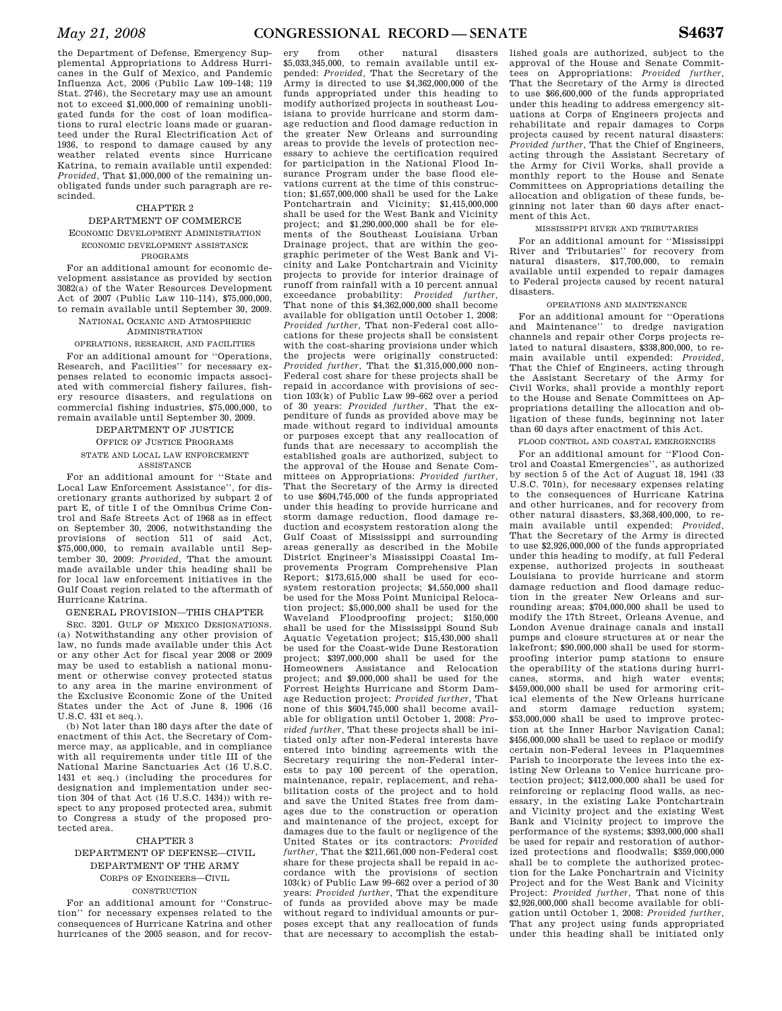the Department of Defense, Emergency Supplemental Appropriations to Address Hurricanes in the Gulf of Mexico, and Pandemic Influenza Act, 2006 (Public Law 109–148; 119 Stat. 2746), the Secretary may use an amount not to exceed \$1,000,000 of remaining unobligated funds for the cost of loan modifications to rural electric loans made or guaranteed under the Rural Electrification Act of 1936, to respond to damage caused by any weather related events since Hurricane Katrina, to remain available until expended: *Provided,* That \$1,000,000 of the remaining unobligated funds under such paragraph are rescinded.

## CHAPTER 2

## DEPARTMENT OF COMMERCE

## ECONOMIC DEVELOPMENT ADMINISTRATION ECONOMIC DEVELOPMENT ASSISTANCE PROGRAMS

For an additional amount for economic development assistance as provided by section 3082(a) of the Water Resources Development Act of 2007 (Public Law 110–114), \$75,000,000, to remain available until September 30, 2009. NATIONAL OCEANIC AND ATMOSPHERIC

## ADMINISTRATION

### OPERATIONS, RESEARCH, AND FACILITIES For an additional amount for ''Operations, Research, and Facilities'' for necessary expenses related to economic impacts associated with commercial fishery failures, fishery resource disasters, and regulations on commercial fishing industries, \$75,000,000, to remain available until September 30, 2009.

## DEPARTMENT OF JUSTICE OFFICE OF JUSTICE PROGRAMS

## STATE AND LOCAL LAW ENFORCEMENT ASSISTANCE

For an additional amount for ''State and Local Law Enforcement Assistance'', for discretionary grants authorized by subpart 2 of part E, of title I of the Omnibus Crime Control and Safe Streets Act of 1968 as in effect on September 30, 2006, notwithstanding the provisions of section 511 of said Act, \$75,000,000, to remain available until September 30, 2009: *Provided,* That the amount made available under this heading shall be for local law enforcement initiatives in the Gulf Coast region related to the aftermath of Hurricane Katrina.

## GENERAL PROVISION—THIS CHAPTER

SEC. 3201. GULF OF MEXICO DESIGNATIONS. (a) Notwithstanding any other provision of law, no funds made available under this Act or any other Act for fiscal year 2008 or 2009 may be used to establish a national monument or otherwise convey protected status to any area in the marine environment of the Exclusive Economic Zone of the United States under the Act of June 8, 1906 (16 U.S.C. 431 et seq.).

(b) Not later than 180 days after the date of enactment of this Act, the Secretary of Commerce may, as applicable, and in compliance with all requirements under title III of the National Marine Sanctuaries Act (16 U.S.C. 1431 et seq.) (including the procedures for designation and implementation under section 304 of that Act (16 U.S.C. 1434)) with respect to any proposed protected area, submit to Congress a study of the proposed protected area.

### CHAPTER 3

## DEPARTMENT OF DEFENSE—CIVIL DEPARTMENT OF THE ARMY CORPS OF ENGINEERS—CIVIL **CONSTRUCTION**

For an additional amount for ''Construction'' for necessary expenses related to the consequences of Hurricane Katrina and other hurricanes of the 2005 season, and for recovfrom other natural disasters

\$5,033,345,000, to remain available until expended: *Provided,* That the Secretary of the Army is directed to use \$4,362,000,000 of the funds appropriated under this heading to modify authorized projects in southeast Louisiana to provide hurricane and storm damage reduction and flood damage reduction in the greater New Orleans and surrounding areas to provide the levels of protection necessary to achieve the certification required for participation in the National Flood Insurance Program under the base flood elevations current at the time of this construction; \$1,657,000,000 shall be used for the Lake Pontchartrain and Vicinity; \$1,415,000,000 shall be used for the West Bank and Vicinity project; and \$1,290,000,000 shall be for elements of the Southeast Louisiana Urban Drainage project, that are within the geographic perimeter of the West Bank and Vicinity and Lake Pontchartrain and Vicinity projects to provide for interior drainage of runoff from rainfall with a 10 percent annual exceedance probability: *Provided further,*  That none of this \$4,362,000,000 shall become available for obligation until October 1, 2008: *Provided further,* That non-Federal cost allocations for these projects shall be consistent with the cost-sharing provisions under which the projects were originally constructed: *Provided further,* That the \$1,315,000,000 non-Federal cost share for these projects shall be repaid in accordance with provisions of section 103(k) of Public Law 99–662 over a period of 30 years: *Provided further,* That the expenditure of funds as provided above may be made without regard to individual amounts or purposes except that any reallocation of funds that are necessary to accomplish the established goals are authorized, subject to the approval of the House and Senate Committees on Appropriations: *Provided further,*  That the Secretary of the Army is directed to use \$604,745,000 of the funds appropriated under this heading to provide hurricane and storm damage reduction, flood damage reduction and ecosystem restoration along the Gulf Coast of Mississippi and surrounding areas generally as described in the Mobile District Engineer's Mississippi Coastal Improvements Program Comprehensive Plan Report; \$173,615,000 shall be used for ecosystem restoration projects; \$4,550,000 shall be used for the Moss Point Municipal Relocation project; \$5,000,000 shall be used for the Waveland Floodproofing project; \$150,000 shall be used for the Mississippi Sound Sub Aquatic Vegetation project; \$15,430,000 shall be used for the Coast-wide Dune Restoration project; \$397,000,000 shall be used for the Homeowners Assistance and Relocation project; and \$9,000,000 shall be used for the Forrest Heights Hurricane and Storm Damage Reduction project: *Provided further,* That none of this \$604,745,000 shall become available for obligation until October 1, 2008: *Provided further,* That these projects shall be initiated only after non-Federal interests have entered into binding agreements with the Secretary requiring the non-Federal interests to pay 100 percent of the operation, maintenance, repair, replacement, and rehabilitation costs of the project and to hold and save the United States free from damages due to the construction or operation and maintenance of the project, except for damages due to the fault or negligence of the United States or its contractors: *Provided further,* That the \$211,661,000 non-Federal cost share for these projects shall be repaid in accordance with the provisions of section  $103(k)$  of Public Law  $99-662$  over a period of 30 years: *Provided further,* That the expenditure of funds as provided above may be made without regard to individual amounts or purposes except that any reallocation of funds that are necessary to accomplish the estab-

lished goals are authorized, subject to the approval of the House and Senate Committees on Appropriations: *Provided further,*  That the Secretary of the Army is directed to use \$66,600,000 of the funds appropriated under this heading to address emergency situations at Corps of Engineers projects and rehabilitate and repair damages to Corps projects caused by recent natural disasters: *Provided further,* That the Chief of Engineers, acting through the Assistant Secretary of the Army for Civil Works, shall provide a monthly report to the House and Senate Committees on Appropriations detailing the allocation and obligation of these funds, beginning not later than 60 days after enactment of this Act.

### MISSISSIPPI RIVER AND TRIBUTARIES

For an additional amount for ''Mississippi River and Tributaries'' for recovery from natural disasters, \$17,700,000, to remain available until expended to repair damages to Federal projects caused by recent natural disasters.

## OPERATIONS AND MAINTENANCE

For an additional amount for ''Operations and Maintenance'' to dredge navigation channels and repair other Corps projects related to natural disasters, \$338,800,000, to remain available until expended: *Provided,*  That the Chief of Engineers, acting through the Assistant Secretary of the Army for Civil Works, shall provide a monthly report to the House and Senate Committees on Appropriations detailing the allocation and obligation of these funds, beginning not later than 60 days after enactment of this Act.

FLOOD CONTROL AND COASTAL EMERGENCIES

For an additional amount for ''Flood Control and Coastal Emergencies'', as authorized by section 5 of the Act of August 18, 1941 (33 U.S.C. 701n), for necessary expenses relating to the consequences of Hurricane Katrina and other hurricanes, and for recovery from other natural disasters, \$3,368,400,000, to remain available until expended: *Provided,*  That the Secretary of the Army is directed to use \$2,926,000,000 of the funds appropriated under this heading to modify, at full Federal expense, authorized projects in southeast Louisiana to provide hurricane and storm damage reduction and flood damage reduction in the greater New Orleans and surrounding areas; \$704,000,000 shall be used to modify the 17th Street, Orleans Avenue, and London Avenue drainage canals and install pumps and closure structures at or near the lakefront; \$90,000,000 shall be used for stormproofing interior pump stations to ensure the operability of the stations during hurricanes, storms, and high water events; \$459,000,000 shall be used for armoring critical elements of the New Orleans hurricane and storm damage reduction system; \$53,000,000 shall be used to improve protection at the Inner Harbor Navigation Canal; \$456,000,000 shall be used to replace or modify certain non-Federal levees in Plaquemines Parish to incorporate the levees into the existing New Orleans to Venice hurricane protection project; \$412,000,000 shall be used for reinforcing or replacing flood walls, as necessary, in the existing Lake Pontchartrain and Vicinity project and the existing West Bank and Vicinity project to improve the performance of the systems; \$393,000,000 shall be used for repair and restoration of authorized protections and floodwalls; \$359,000,000 shall be to complete the authorized protection for the Lake Ponchartrain and Vicinity Project and for the West Bank and Vicinity Project: *Provided further,* That none of this \$2,926,000,000 shall become available for obligation until October 1, 2008: *Provided further,*  That any project using funds appropriated under this heading shall be initiated only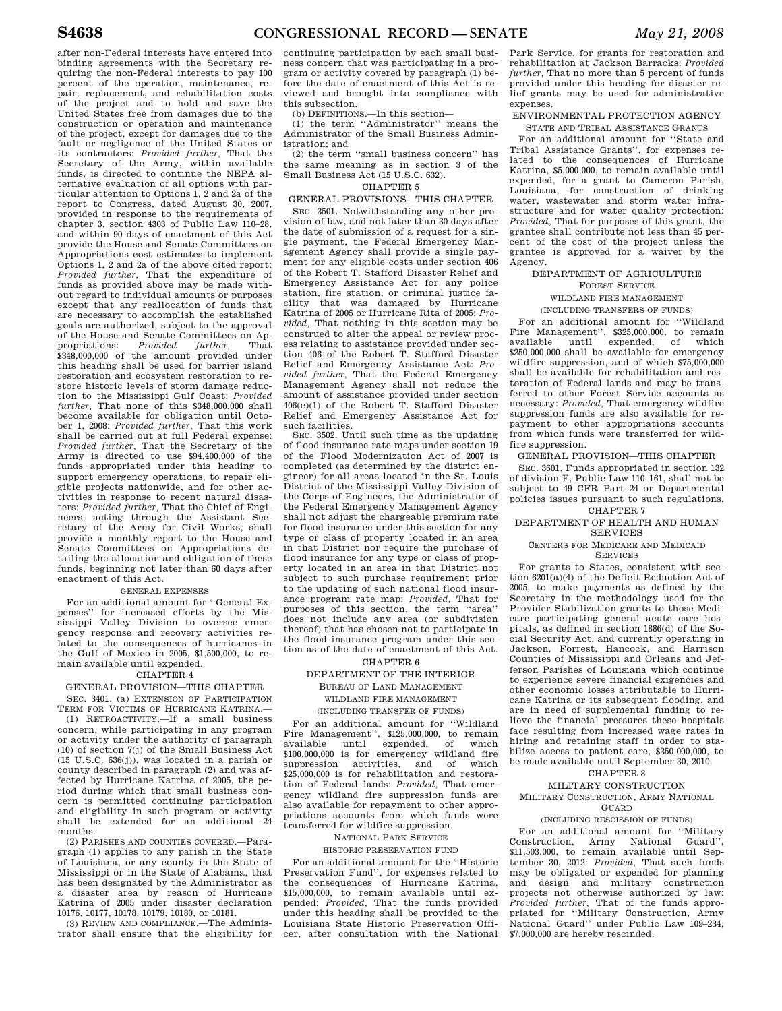after non-Federal interests have entered into binding agreements with the Secretary requiring the non-Federal interests to pay 100 percent of the operation, maintenance, repair, replacement, and rehabilitation costs of the project and to hold and save the United States free from damages due to the construction or operation and maintenance of the project, except for damages due to the fault or negligence of the United States or its contractors: *Provided further,* That the Secretary of the Army, within available funds, is directed to continue the NEPA alternative evaluation of all options with particular attention to Options 1, 2 and 2a of the report to Congress, dated August 30, 2007, provided in response to the requirements of chapter 3, section 4303 of Public Law 110–28, and within 90 days of enactment of this Act provide the House and Senate Committees on Appropriations cost estimates to implement Options 1, 2 and 2a of the above cited report: *Provided further,* That the expenditure of funds as provided above may be made without regard to individual amounts or purposes except that any reallocation of funds that are necessary to accomplish the established goals are authorized, subject to the approval % of the House and Senate Committees on Appropriations:  $\quad \, Provided \quad \, further, \quad \, \, \texttt{That}$ propriations: *Provided further,* That \$348,000,000 of the amount provided under this heading shall be used for barrier island restoration and ecosystem restoration to restore historic levels of storm damage reduction to the Mississippi Gulf Coast: *Provided further* That none of this \$348,000,000 shall become available for obligation until October 1, 2008: *Provided further,* That this work shall be carried out at full Federal expense: *Provided further,* That the Secretary of the Army is directed to use \$94,400,000 of the funds appropriated under this heading to support emergency operations, to repair eligible projects nationwide, and for other activities in response to recent natural disasters: *Provided further,* That the Chief of Engineers, acting through the Assistant Secretary of the Army for Civil Works, shall provide a monthly report to the House and Senate Committees on Appropriations detailing the allocation and obligation of these funds, beginning not later than 60 days after enactment of this Act.

## GENERAL EXPENSES

For an additional amount for ''General Expenses'' for increased efforts by the Mississippi Valley Division to oversee emergency response and recovery activities related to the consequences of hurricanes in the Gulf of Mexico in 2005, \$1,500,000, to remain available until expended.

#### CHAPTER 4

GENERAL PROVISION—THIS CHAPTER SEC. 3401. (a) EXTENSION OF PARTICIPATION

TERM FOR VICTIMS OF HURRICANE KATRINA -(1) RETROACTIVITY.—If a small business concern, while participating in any program or activity under the authority of paragraph (10) of section 7(j) of the Small Business Act (15 U.S.C. 636(j)), was located in a parish or county described in paragraph (2) and was affected by Hurricane Katrina of 2005, the period during which that small business concern is permitted continuing participation and eligibility in such program or activity shall be extended for an additional 24 months.

(2) PARISHES AND COUNTIES COVERED.—Paragraph (1) applies to any parish in the State of Louisiana, or any county in the State of Mississippi or in the State of Alabama, that has been designated by the Administrator as a disaster area by reason of Hurricane Katrina of 2005 under disaster declaration 10176, 10177, 10178, 10179, 10180, or 10181.

(3) REVIEW AND COMPLIANCE.—The Administrator shall ensure that the eligibility for

continuing participation by each small business concern that was participating in a program or activity covered by paragraph (1) before the date of enactment of this Act is reviewed and brought into compliance with this subsection.

(b) DEFINITIONS.—In this section—

(1) the term ''Administrator'' means the Administrator of the Small Business Administration; and

(2) the term ''small business concern'' has the same meaning as in section 3 of the Small Business Act (15 U.S.C. 632).

## CHAPTER 5

GENERAL PROVISIONS—THIS CHAPTER

SEC. 3501. Notwithstanding any other provision of law, and not later than 30 days after the date of submission of a request for a single payment, the Federal Emergency Management Agency shall provide a single payment for any eligible costs under section 406 of the Robert T. Stafford Disaster Relief and Emergency Assistance Act for any police station, fire station, or criminal justice facility that was damaged by Hurricane Katrina of 2005 or Hurricane Rita of 2005: *Provided,* That nothing in this section may be construed to alter the appeal or review process relating to assistance provided under section 406 of the Robert T. Stafford Disaster Relief and Emergency Assistance Act: *Provided further,* That the Federal Emergency Management Agency shall not reduce the amount of assistance provided under section 406(c)(1) of the Robert T. Stafford Disaster Relief and Emergency Assistance Act for such facilities.

SEC. 3502. Until such time as the updating of flood insurance rate maps under section 19 of the Flood Modernization Act of 2007 is completed (as determined by the district engineer) for all areas located in the St. Louis District of the Mississippi Valley Division of the Corps of Engineers, the Administrator of the Federal Emergency Management Agency shall not adjust the chargeable premium rate for flood insurance under this section for any type or class of property located in an area in that District nor require the purchase of flood insurance for any type or class of property located in an area in that District not subject to such purchase requirement prior to the updating of such national flood insurance program rate map: *Provided,* That for purposes of this section, the term ''area'' does not include any area (or subdivision thereof) that has chosen not to participate in the flood insurance program under this section as of the date of enactment of this Act.

## CHAPTER 6

DEPARTMENT OF THE INTERIOR

BUREAU OF LAND MANAGEMENT

WILDLAND FIRE MANAGEMENT (INCLUDING TRANSFER OF FUNDS)

For an additional amount for ''Wildland Fire Management'', \$125,000,000, to remain<br>available until expended of which until expended, of which \$100,000,000 is for emergency wildland fire<br>suppression activities, and of which suppression activities, \$25,000,000 is for rehabilitation and restoration of Federal lands: *Provided,* That emergency wildland fire suppression funds are also available for repayment to other appropriations accounts from which funds were transferred for wildfire suppression.

NATIONAL PARK SERVICE

HISTORIC PRESERVATION FUND

For an additional amount for the ''Historic Preservation Fund'', for expenses related to the consequences of Hurricane Katrina, \$15,000,000, to remain available until expended: *Provided,* That the funds provided under this heading shall be provided to the Louisiana State Historic Preservation Officer, after consultation with the National Park Service, for grants for restoration and rehabilitation at Jackson Barracks: *Provided further,* That no more than 5 percent of funds provided under this heading for disaster relief grants may be used for administrative expenses.

## ENVIRONMENTAL PROTECTION AGENCY

STATE AND TRIBAL ASSISTANCE GRANTS

For an additional amount for ''State and Tribal Assistance Grants'', for expenses related to the consequences of Hurricane Katrina, \$5,000,000, to remain available until expended, for a grant to Cameron Parish, Louisiana, for construction of drinking water, wastewater and storm water infrastructure and for water quality protection: *Provided,* That for purposes of this grant, the grantee shall contribute not less than 45 percent of the cost of the project unless the grantee is approved for a waiver by the Agency.

## DEPARTMENT OF AGRICULTURE FOREST SERVICE

WILDLAND FIRE MANAGEMENT

(INCLUDING TRANSFERS OF FUNDS) For an additional amount for ''Wildland Fire Management", \$325,000,000, to remain available until expended, of which \$250,000,000 shall be available for emergency wildfire suppression, and of which \$75,000,000 shall be available for rehabilitation and restoration of Federal lands and may be transferred to other Forest Service accounts as necessary: *Provided,* That emergency wildfire suppression funds are also available for repayment to other appropriations accounts from which funds were transferred for wildfire suppression.

GENERAL PROVISION—THIS CHAPTER

SEC. 3601. Funds appropriated in section 132 of division F, Public Law 110–161, shall not be subject to 49 CFR Part 24 or Departmental policies issues pursuant to such regulations. CHAPTER 7

### DEPARTMENT OF HEALTH AND HUMAN SERVICES

### CENTERS FOR MEDICARE AND MEDICAID **SERVICES**

For grants to States, consistent with section 6201(a)(4) of the Deficit Reduction Act of 2005, to make payments as defined by the Secretary in the methodology used for the Provider Stabilization grants to those Medicare participating general acute care hospitals, as defined in section 1886(d) of the Social Security Act, and currently operating in Jackson, Forrest, Hancock, and Harrison Counties of Mississippi and Orleans and Jefferson Parishes of Louisiana which continue to experience severe financial exigencies and other economic losses attributable to Hurricane Katrina or its subsequent flooding, and are in need of supplemental funding to relieve the financial pressures these hospitals face resulting from increased wage rates in hiring and retaining staff in order to stabilize access to patient care, \$350,000,000, to be made available until September 30, 2010.

## CHAPTER 8

## MILITARY CONSTRUCTION MILITARY CONSTRUCTION, ARMY NATIONAL GUARD

## (INCLUDING RESCISSION OF FUNDS)

For an additional amount for ''Military Construction, Army National Guard'', \$11,503,000, to remain available until September 30, 2012: *Provided,* That such funds may be obligated or expended for planning<br>and design and military construction and design and military construction projects not otherwise authorized by law: *Provided further,* That of the funds appropriated for ''Military Construction, Army National Guard'' under Public Law 109–234, \$7,000,000 are hereby rescinded.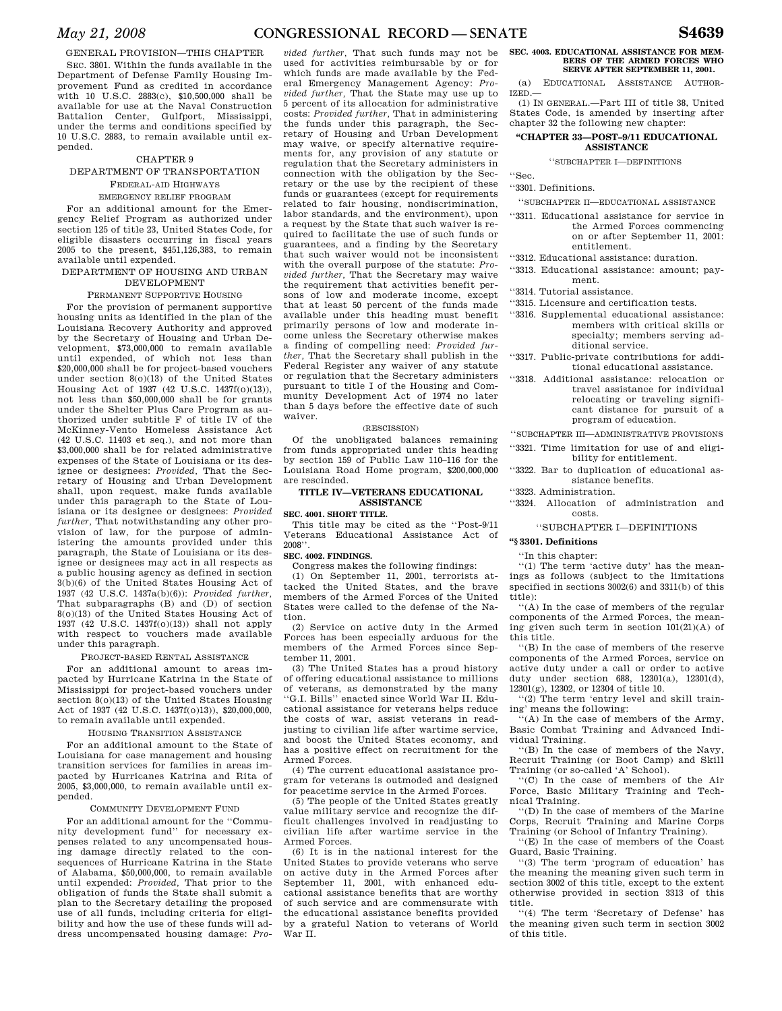## GENERAL PROVISION—THIS CHAPTER

SEC. 3801. Within the funds available in the Department of Defense Family Housing Improvement Fund as credited in accordance with 10 U.S.C. 2883(c), \$10,500,000 shall be available for use at the Naval Construction Battalion Center, Gulfport, Mississippi, under the terms and conditions specified by 10 U.S.C. 2883, to remain available until expended.

### CHAPTER 9

## DEPARTMENT OF TRANSPORTATION

## FEDERAL-AID HIGHWAYS

## EMERGENCY RELIEF PROGRAM

For an additional amount for the Emergency Relief Program as authorized under section 125 of title 23, United States Code, for eligible disasters occurring in fiscal years 2005 to the present, \$451,126,383, to remain available until expended.

## DEPARTMENT OF HOUSING AND URBAN DEVELOPMENT

### PERMANENT SUPPORTIVE HOUSING

For the provision of permanent supportive housing units as identified in the plan of the Louisiana Recovery Authority and approved by the Secretary of Housing and Urban Development, \$73,000,000 to remain available until expended, of which not less than \$20,000,000 shall be for project-based vouchers under section  $8(0)(13)$  of the United States Housing Act of 1937 (42 U.S.C. 1437f(o)(13)), not less than \$50,000,000 shall be for grants under the Shelter Plus Care Program as authorized under subtitle F of title IV of the McKinney-Vento Homeless Assistance Act (42 U.S.C. 11403 et seq.), and not more than \$3,000,000 shall be for related administrative expenses of the State of Louisiana or its designee or designees: *Provided,* That the Secretary of Housing and Urban Development shall, upon request, make funds available under this paragraph to the State of Louisiana or its designee or designees: *Provided further,* That notwithstanding any other provision of law, for the purpose of administering the amounts provided under this paragraph, the State of Louisiana or its designee or designees may act in all respects as a public housing agency as defined in section 3(b)(6) of the United States Housing Act of 1937 (42 U.S.C. 1437a(b)(6)): *Provided further,*  That subparagraphs (B) and (D) of section 8(o)(13) of the United States Housing Act of 1937 (42 U.S.C. 1437f(o)(13)) shall not apply with respect to vouchers made available under this paragraph.

### PROJECT-BASED RENTAL ASSISTANCE

For an additional amount to areas impacted by Hurricane Katrina in the State of Mississippi for project-based vouchers under section 8(o)(13) of the United States Housing Act of 1937 (42 U.S.C. 1437f(o)13)), \$20,000,000, to remain available until expended.

#### HOUSING TRANSITION ASSISTANCE

For an additional amount to the State of Louisiana for case management and housing transition services for families in areas impacted by Hurricanes Katrina and Rita of 2005, \$3,000,000, to remain available until expended.

### COMMUNITY DEVELOPMENT FUND

For an additional amount for the ''Community development fund'' for necessary expenses related to any uncompensated housing damage directly related to the consequences of Hurricane Katrina in the State of Alabama, \$50,000,000, to remain available until expended: *Provided,* That prior to the obligation of funds the State shall submit a plan to the Secretary detailing the proposed use of all funds, including criteria for eligibility and how the use of these funds will address uncompensated housing damage: *Pro-*

*vided further,* That such funds may not be used for activities reimbursable by or for which funds are made available by the Federal Emergency Management Agency: *Provided further,* That the State may use up to 5 percent of its allocation for administrative costs: *Provided further,* That in administering the funds under this paragraph, the Secretary of Housing and Urban Development may waive, or specify alternative requirements for, any provision of any statute or regulation that the Secretary administers in connection with the obligation by the Secretary or the use by the recipient of these funds or guarantees (except for requirements related to fair housing, nondiscrimination, labor standards, and the environment), upon a request by the State that such waiver is required to facilitate the use of such funds or guarantees, and a finding by the Secretary that such waiver would not be inconsistent with the overall purpose of the statute: *Provided further,* That the Secretary may waive the requirement that activities benefit persons of low and moderate income, except that at least 50 percent of the funds made available under this heading must benefit primarily persons of low and moderate income unless the Secretary otherwise makes a finding of compelling need: *Provided further,* That the Secretary shall publish in the Federal Register any waiver of any statute or regulation that the Secretary administers pursuant to title I of the Housing and Community Development Act of 1974 no later than 5 days before the effective date of such waiver.

### (RESCISSION)

Of the unobligated balances remaining from funds appropriated under this heading by section 159 of Public Law 110–116 for the Louisiana Road Home program, \$200,000,000 are rescinded.

## **TITLE IV—VETERANS EDUCATIONAL ASSISTANCE**

#### **SEC. 4001. SHORT TITLE.**

This title may be cited as the ''Post-9/11 Veterans Educational Assistance Act of 2008''.

### **SEC. 4002. FINDINGS.**

Congress makes the following findings:

(1) On September 11, 2001, terrorists attacked the United States, and the brave members of the Armed Forces of the United States were called to the defense of the Nation.

(2) Service on active duty in the Armed Forces has been especially arduous for the members of the Armed Forces since September 11, 2001.

(3) The United States has a proud history of offering educational assistance to millions of veterans, as demonstrated by the many ''G.I. Bills'' enacted since World War II. Educational assistance for veterans helps reduce the costs of war, assist veterans in readjusting to civilian life after wartime service, and boost the United States economy, and has a positive effect on recruitment for the Armed Forces.

(4) The current educational assistance program for veterans is outmoded and designed for peacetime service in the Armed Forces.

(5) The people of the United States greatly value military service and recognize the difficult challenges involved in readjusting to civilian life after wartime service in the Armed Forces.

(6) It is in the national interest for the United States to provide veterans who serve on active duty in the Armed Forces after September 11, 2001, with enhanced educational assistance benefits that are worthy of such service and are commensurate with the educational assistance benefits provided by a grateful Nation to veterans of World War II.

#### **SEC. 4003. EDUCATIONAL ASSISTANCE FOR MEM-BERS OF THE ARMED FORCES WHO SERVE AFTER SEPTEMBER 11, 2001.**

(a) EDUCATIONAL ASSISTANCE AUTHOR-IZED.—

(1) IN GENERAL.—Part III of title 38, United States Code, is amended by inserting after chapter 32 the following new chapter:

### **''CHAPTER 33—POST–9/11 EDUCATIONAL ASSISTANCE**

#### ''SUBCHAPTER I—DEFINITIONS

''3301. Definitions.

''Sec.

## ''SUBCHAPTER II—EDUCATIONAL ASSISTANCE

- ''3311. Educational assistance for service in the Armed Forces commencing on or after September 11, 2001: entitlement.
- ''3312. Educational assistance: duration.
- ''3313. Educational assistance: amount; payment.
- ''3314. Tutorial assistance.
- ''3315. Licensure and certification tests.
- ''3316. Supplemental educational assistance: members with critical skills or specialty; members serving additional service.
- ''3317. Public-private contributions for additional educational assistance.
- ''3318. Additional assistance: relocation or travel assistance for individual relocating or traveling significant distance for pursuit of a program of education.

''SUBCHAPTER III—ADMINISTRATIVE PROVISIONS

- ''3321. Time limitation for use of and eligibility for entitlement.
- ''3322. Bar to duplication of educational assistance benefits.
- ''3323. Administration.
- ''3324. Allocation of administration and costs.

## ''SUBCHAPTER I—DEFINITIONS

## **''§ 3301. Definitions**

''In this chapter:

''(1) The term 'active duty' has the meanings as follows (subject to the limitations specified in sections 3002(6) and 3311(b) of this title):

''(A) In the case of members of the regular components of the Armed Forces, the meaning given such term in section 101(21)(A) of this title.

''(B) In the case of members of the reserve components of the Armed Forces, service on active duty under a call or order to active duty under section 688, 12301(a), 12301(d), 12301(g), 12302, or 12304 of title 10.

''(2) The term 'entry level and skill training' means the following:

''(A) In the case of members of the Army, Basic Combat Training and Advanced Individual Training.

''(B) In the case of members of the Navy, Recruit Training (or Boot Camp) and Skill Training (or so-called 'A' School).

''(C) In the case of members of the Air Force, Basic Military Training and Technical Training.

''(D) In the case of members of the Marine Corps, Recruit Training and Marine Corps Training (or School of Infantry Training).

''(E) In the case of members of the Coast Guard, Basic Training.

''(3) The term 'program of education' has the meaning the meaning given such term in section 3002 of this title, except to the extent otherwise provided in section 3313 of this title.

''(4) The term 'Secretary of Defense' has the meaning given such term in section 3002 of this title.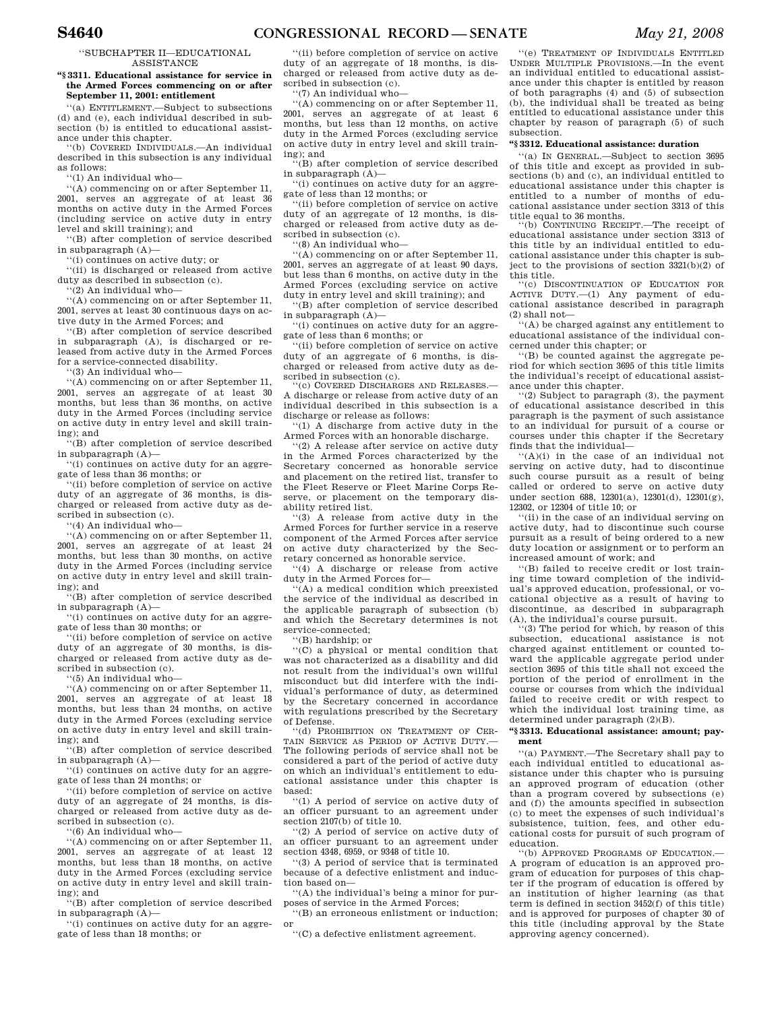#### ''SUBCHAPTER II—EDUCATIONAL **ASSISTANCE**

## **''§ 3311. Educational assistance for service in the Armed Forces commencing on or after September 11, 2001: entitlement**

''(a) ENTITLEMENT.—Subject to subsections (d) and (e), each individual described in subsection (b) is entitled to educational assistance under this chapter.

''(b) COVERED INDIVIDUALS.—An individual described in this subsection is any individual as follows:

''(1) An individual who—

''(A) commencing on or after September 11, 2001, serves an aggregate of at least 36 months on active duty in the Armed Forces (including service on active duty in entry level and skill training); and

''(B) after completion of service described in subparagraph (A)—

''(i) continues on active duty; or

''(ii) is discharged or released from active duty as described in subsection (c).

'(2) An individual who-

''(A) commencing on or after September 11, 2001, serves at least 30 continuous days on active duty in the Armed Forces; and

'(B) after completion of service described in subparagraph (A), is discharged or released from active duty in the Armed Forces for a service-connected disability.

''(3) An individual who—

''(A) commencing on or after September 11, 2001, serves an aggregate of at least 30 months, but less than 36 months, on active duty in the Armed Forces (including service on active duty in entry level and skill training); and

''(B) after completion of service described in subparagraph (A)—

''(i) continues on active duty for an aggregate of less than 36 months; or

''(ii) before completion of service on active duty of an aggregate of 36 months, is discharged or released from active duty as described in subsection (c).

''(4) An individual who—

''(A) commencing on or after September 11, 2001, serves an aggregate of at least 24 months, but less than 30 months, on active duty in the Armed Forces (including service on active duty in entry level and skill training); and

''(B) after completion of service described in subparagraph (A)—

''(i) continues on active duty for an aggregate of less than 30 months; or

''(ii) before completion of service on active duty of an aggregate of 30 months, is discharged or released from active duty as described in subsection (c).

''(5) An individual who—

 $(A)$  commencing on or after September 11. 2001, serves an aggregate of at least 18 months, but less than 24 months, on active duty in the Armed Forces (excluding service on active duty in entry level and skill training); and

''(B) after completion of service described in subparagraph (A)—

''(i) continues on active duty for an aggregate of less than 24 months; or

''(ii) before completion of service on active duty of an aggregate of 24 months, is discharged or released from active duty as described in subsection (c).

''(6) An individual who—

''(A) commencing on or after September 11, 2001, serves an aggregate of at least 12 months, but less than 18 months, on active duty in the Armed Forces (excluding service on active duty in entry level and skill training); and

''(B) after completion of service described in subparagraph (A)—

''(i) continues on active duty for an aggregate of less than 18 months; or

''(ii) before completion of service on active duty of an aggregate of 18 months, is discharged or released from active duty as described in subsection (c).

''(7) An individual who—

''(A) commencing on or after September 11, 2001, serves an aggregate of at least 6 months, but less than 12 months, on active duty in the Armed Forces (excluding service on active duty in entry level and skill training); and

''(B) after completion of service described in subparagraph (A)—

''(i) continues on active duty for an aggregate of less than 12 months; or

''(ii) before completion of service on active duty of an aggregate of 12 months, is discharged or released from active duty as described in subsection (c).

''(8) An individual who—

"(A) commencing on or after September 11, 2001, serves an aggregate of at least 90 days, but less than 6 months, on active duty in the Armed Forces (excluding service on active duty in entry level and skill training); and

''(B) after completion of service described in subparagraph (A)—

''(i) continues on active duty for an aggregate of less than 6 months; or

''(ii) before completion of service on active duty of an aggregate of 6 months, is discharged or released from active duty as described in subsection (c).

'(c) COVERED DISCHARGES AND RELEASES. A discharge or release from active duty of an individual described in this subsection is a discharge or release as follows:

''(1) A discharge from active duty in the Armed Forces with an honorable discharge.

'(2) A release after service on active duty in the Armed Forces characterized by the Secretary concerned as honorable service and placement on the retired list, transfer to the Fleet Reserve or Fleet Marine Corps Reserve, or placement on the temporary disability retired list.

''(3) A release from active duty in the Armed Forces for further service in a reserve component of the Armed Forces after service on active duty characterized by the Secretary concerned as honorable service.

''(4) A discharge or release from active duty in the Armed Forces for—

''(A) a medical condition which preexisted the service of the individual as described in the applicable paragraph of subsection (b) and which the Secretary determines is not service-connected;

''(B) hardship; or

''(C) a physical or mental condition that was not characterized as a disability and did not result from the individual's own willful misconduct but did interfere with the individual's performance of duty, as determined by the Secretary concerned in accordance with regulations prescribed by the Secretary of Defense.

''(d) PROHIBITION ON TREATMENT OF CER-TAIN SERVICE AS PERIOD OF ACTIVE DUTY. The following periods of service shall not be considered a part of the period of active duty on which an individual's entitlement to educational assistance under this chapter is based:

''(1) A period of service on active duty of an officer pursuant to an agreement under section 2107(b) of title 10.

''(2) A period of service on active duty of an officer pursuant to an agreement under section 4348, 6959, or 9348 of title 10.

''(3) A period of service that is terminated because of a defective enlistment and induction based on—

''(A) the individual's being a minor for purposes of service in the Armed Forces;

''(B) an erroneous enlistment or induction; or

''(C) a defective enlistment agreement.

''(e) TREATMENT OF INDIVIDUALS ENTITLED UNDER MULTIPLE PROVISIONS.—In the event an individual entitled to educational assistance under this chapter is entitled by reason of both paragraphs (4) and (5) of subsection (b), the individual shall be treated as being entitled to educational assistance under this chapter by reason of paragraph (5) of such subsection.

### **''§ 3312. Educational assistance: duration**

''(a) IN GENERAL.—Subject to section 3695 of this title and except as provided in subsections (b) and (c), an individual entitled to educational assistance under this chapter is entitled to a number of months of educational assistance under section 3313 of this title equal to 36 months.

''(b) CONTINUING RECEIPT.—The receipt of educational assistance under section 3313 of this title by an individual entitled to educational assistance under this chapter is subject to the provisions of section 3321(b)(2) of this title.

''(c) DISCONTINUATION OF EDUCATION FOR ACTIVE DUTY.—(1) Any payment of educational assistance described in paragraph  $(2)$  shall not—

''(A) be charged against any entitlement to educational assistance of the individual concerned under this chapter; or

''(B) be counted against the aggregate period for which section 3695 of this title limits the individual's receipt of educational assistance under this chapter.

 $(2)$  Subject to paragraph  $(3)$ , the payment of educational assistance described in this paragraph is the payment of such assistance to an individual for pursuit of a course or courses under this chapter if the Secretary finds that the individual—

''(A)(i) in the case of an individual not serving on active duty, had to discontinue such course pursuit as a result of being called or ordered to serve on active duty under section 688, 12301(a), 12301(d), 12301(g), 12302, or 12304 of title 10; or

''(ii) in the case of an individual serving on active duty, had to discontinue such course pursuit as a result of being ordered to a new duty location or assignment or to perform an increased amount of work; and

''(B) failed to receive credit or lost training time toward completion of the individual's approved education, professional, or vocational objective as a result of having to discontinue, as described in subparagraph (A), the individual's course pursuit.

 $''(3)$  The period for which, by reason of this subsection, educational assistance is not charged against entitlement or counted toward the applicable aggregate period under section 3695 of this title shall not exceed the portion of the period of enrollment in the course or courses from which the individual failed to receive credit or with respect to which the individual lost training time, as determined under paragraph (2)(B).

## **''§ 3313. Educational assistance: amount; payment**

''(a) PAYMENT.—The Secretary shall pay to each individual entitled to educational assistance under this chapter who is pursuing an approved program of education (other than a program covered by subsections (e) and (f)) the amounts specified in subsection (c) to meet the expenses of such individual's subsistence, tuition, fees, and other educational costs for pursuit of such program of education.

(b) APPROVED PROGRAMS OF EDUCATION. A program of education is an approved program of education for purposes of this chapter if the program of education is offered by an institution of higher learning (as that term is defined in section 3452(f) of this title) and is approved for purposes of chapter 30 of this title (including approval by the State approving agency concerned).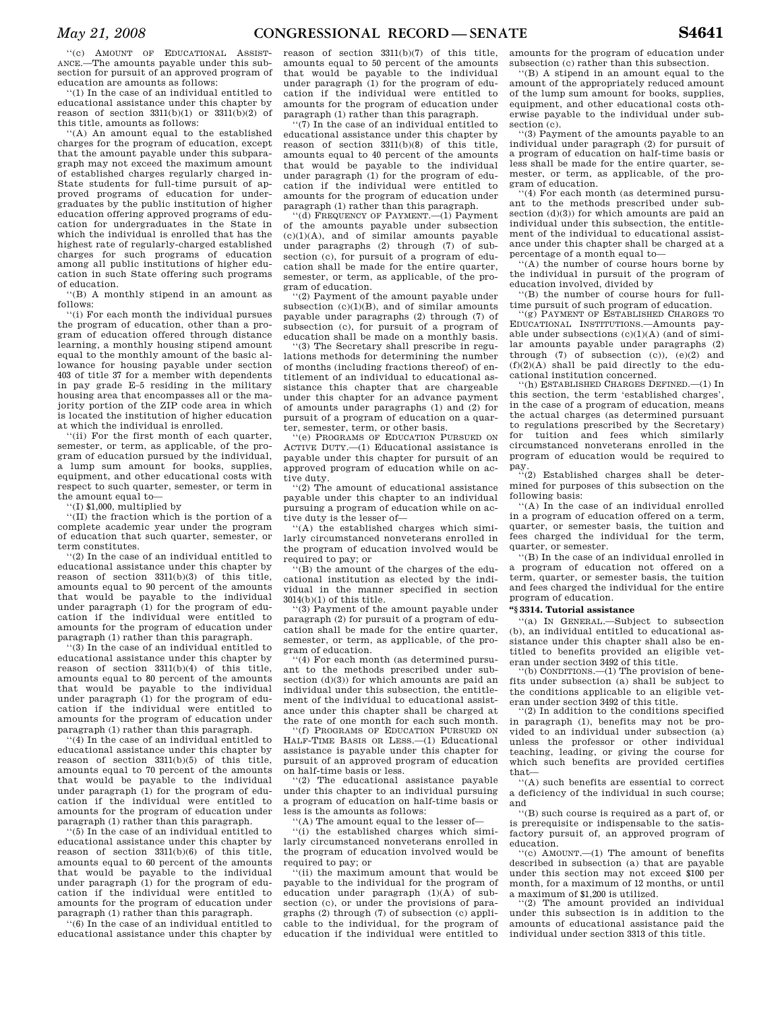''(c) AMOUNT OF EDUCATIONAL ASSIST-ANCE.—The amounts payable under this subsection for pursuit of an approved program of education are amounts as follows:

''(1) In the case of an individual entitled to educational assistance under this chapter by reason of section 3311(b)(1) or 3311(b)(2) of this title, amounts as follows:

''(A) An amount equal to the established charges for the program of education, except that the amount payable under this subparagraph may not exceed the maximum amount of established charges regularly charged in-State students for full-time pursuit of approved programs of education for undergraduates by the public institution of higher education offering approved programs of education for undergraduates in the State in which the individual is enrolled that has the highest rate of regularly-charged established charges for such programs of education among all public institutions of higher education in such State offering such programs of education.

''(B) A monthly stipend in an amount as follows:

''(i) For each month the individual pursues the program of education, other than a program of education offered through distance learning, a monthly housing stipend amount equal to the monthly amount of the basic allowance for housing payable under section 403 of title 37 for a member with dependents in pay grade E–5 residing in the military housing area that encompasses all or the majority portion of the ZIP code area in which is located the institution of higher education at which the individual is enrolled.

''(ii) For the first month of each quarter, semester, or term, as applicable, of the program of education pursued by the individual, a lump sum amount for books, supplies, equipment, and other educational costs with respect to such quarter, semester, or term in the amount equal to—

 $(1)$  \$1,000, multiplied by

''(II) the fraction which is the portion of a complete academic year under the program of education that such quarter, semester, or term constitutes.

''(2) In the case of an individual entitled to educational assistance under this chapter by reason of section 3311(b)(3) of this title, amounts equal to 90 percent of the amounts that would be payable to the individual under paragraph (1) for the program of education if the individual were entitled to amounts for the program of education under paragraph (1) rather than this paragraph.

''(3) In the case of an individual entitled to educational assistance under this chapter by reason of section 3311(b)(4) of this title, amounts equal to 80 percent of the amounts that would be payable to the individual under paragraph (1) for the program of education if the individual were entitled to amounts for the program of education under paragraph (1) rather than this paragraph.

''(4) In the case of an individual entitled to educational assistance under this chapter by reason of section 3311(b)(5) of this title, amounts equal to 70 percent of the amounts that would be payable to the individual under paragraph (1) for the program of education if the individual were entitled to amounts for the program of education under paragraph (1) rather than this paragraph.

''(5) In the case of an individual entitled to educational assistance under this chapter by reason of section 3311(b)(6) of this title, amounts equal to 60 percent of the amounts that would be payable to the individual under paragraph (1) for the program of education if the individual were entitled to amounts for the program of education under paragraph (1) rather than this paragraph.

''(6) In the case of an individual entitled to educational assistance under this chapter by

reason of section 3311(b)(7) of this title, amounts equal to 50 percent of the amounts that would be payable to the individual under paragraph (1) for the program of education if the individual were entitled to amounts for the program of education under paragraph (1) rather than this paragraph.

''(7) In the case of an individual entitled to educational assistance under this chapter by reason of section 3311(b)(8) of this title, amounts equal to 40 percent of the amounts that would be payable to the individual under paragraph (1) for the program of education if the individual were entitled to amounts for the program of education under paragraph (1) rather than this paragraph.

 $\vec{r}$ (d) FREQUENCY OF PAYMENT.—(1) Payment of the amounts payable under subsection  $(c)(1)(A)$ , and of similar amounts payable under paragraphs (2) through (7) of subsection (c), for pursuit of a program of education shall be made for the entire quarter, semester, or term, as applicable, of the program of education.

''(2) Payment of the amount payable under subsection (c)(1)(B), and of similar amounts payable under paragraphs (2) through (7) of subsection (c), for pursuit of a program of education shall be made on a monthly basis.

''(3) The Secretary shall prescribe in regulations methods for determining the number of months (including fractions thereof) of entitlement of an individual to educational assistance this chapter that are chargeable under this chapter for an advance payment of amounts under paragraphs (1) and (2) for pursuit of a program of education on a quarter, semester, term, or other basis.

(e) PROGRAMS OF EDUCATION PURSUED ON ACTIVE DUTY.—(1) Educational assistance is payable under this chapter for pursuit of an approved program of education while on active duty.

''(2) The amount of educational assistance payable under this chapter to an individual pursuing a program of education while on active duty is the lesser of—

''(A) the established charges which similarly circumstanced nonveterans enrolled in the program of education involved would be required to pay; or

''(B) the amount of the charges of the educational institution as elected by the individual in the manner specified in section 3014(b)(1) of this title.

''(3) Payment of the amount payable under paragraph (2) for pursuit of a program of education shall be made for the entire quarter, semester, or term, as applicable, of the program of education.

''(4) For each month (as determined pursuant to the methods prescribed under subsection (d)(3)) for which amounts are paid an individual under this subsection, the entitlement of the individual to educational assistance under this chapter shall be charged at the rate of one month for each such month.

''(f) PROGRAMS OF EDUCATION PURSUED ON HALF-TIME BASIS OR LESS.—(1) Educational assistance is payable under this chapter for pursuit of an approved program of education on half-time basis or less.

''(2) The educational assistance payable under this chapter to an individual pursuing a program of education on half-time basis or less is the amounts as follows:

''(A) The amount equal to the lesser of—

''(i) the established charges which similarly circumstanced nonveterans enrolled in the program of education involved would be required to pay; or

''(ii) the maximum amount that would be payable to the individual for the program of education under paragraph (1)(A) of subsection (c), or under the provisions of paragraphs (2) through (7) of subsection (c) applicable to the individual, for the program of education if the individual were entitled to amounts for the program of education under subsection (c) rather than this subsection.

''(B) A stipend in an amount equal to the amount of the appropriately reduced amount of the lump sum amount for books, supplies, equipment, and other educational costs otherwise payable to the individual under subsection  $(c)$ .

''(3) Payment of the amounts payable to an individual under paragraph (2) for pursuit of a program of education on half-time basis or less shall be made for the entire quarter, semester, or term, as applicable, of the program of education.

''(4) For each month (as determined pursuant to the methods prescribed under subsection (d)(3)) for which amounts are paid an individual under this subsection, the entitlement of the individual to educational assistance under this chapter shall be charged at a percentage of a month equal to—

''(A) the number of course hours borne by the individual in pursuit of the program of education involved, divided by

''(B) the number of course hours for full-

time pursuit of such program of education.<br>
"(g) PAYMENT OF ESTABLISHED CHARGES TO" EDUCATIONAL INSTITUTIONS.—Amounts payable under subsections (c)(1)(A) (and of similar amounts payable under paragraphs (2) through  $(7)$  of subsection  $(c)$ ),  $(e)(2)$  and  $(f)(2)(A)$  shall be paid directly to the educational institution concerned.

''(h) ESTABLISHED CHARGES DEFINED.—(1) In this section, the term 'established charges', in the case of a program of education, means the actual charges (as determined pursuant to regulations prescribed by the Secretary) for tuition and fees which similarly circumstanced nonveterans enrolled in the program of education would be required to pay.

 $(2)$  Established charges shall be determined for purposes of this subsection on the following basis:

''(A) In the case of an individual enrolled in a program of education offered on a term, quarter, or semester basis, the tuition and fees charged the individual for the term, quarter, or semester.

''(B) In the case of an individual enrolled in a program of education not offered on a term, quarter, or semester basis, the tuition and fees charged the individual for the entire program of education.

## **''§ 3314. Tutorial assistance**

''(a) IN GENERAL.—Subject to subsection (b), an individual entitled to educational assistance under this chapter shall also be entitled to benefits provided an eligible veteran under section 3492 of this title.

''(b) CONDITIONS.—(1) The provision of benefits under subsection (a) shall be subject to the conditions applicable to an eligible veteran under section 3492 of this title.

'(2) In addition to the conditions specified in paragraph (1), benefits may not be provided to an individual under subsection (a) unless the professor or other individual teaching, leading, or giving the course for which such benefits are provided certifies that—

''(A) such benefits are essential to correct a deficiency of the individual in such course; and

''(B) such course is required as a part of, or is prerequisite or indispensable to the satisfactory pursuit of, an approved program of education.

 $f(c)$  AMOUNT.—(1) The amount of benefits described in subsection (a) that are payable under this section may not exceed \$100 per month, for a maximum of 12 months, or until a maximum of \$1,200 is utilized.

'(2) The amount provided an individual under this subsection is in addition to the amounts of educational assistance paid the individual under section 3313 of this title.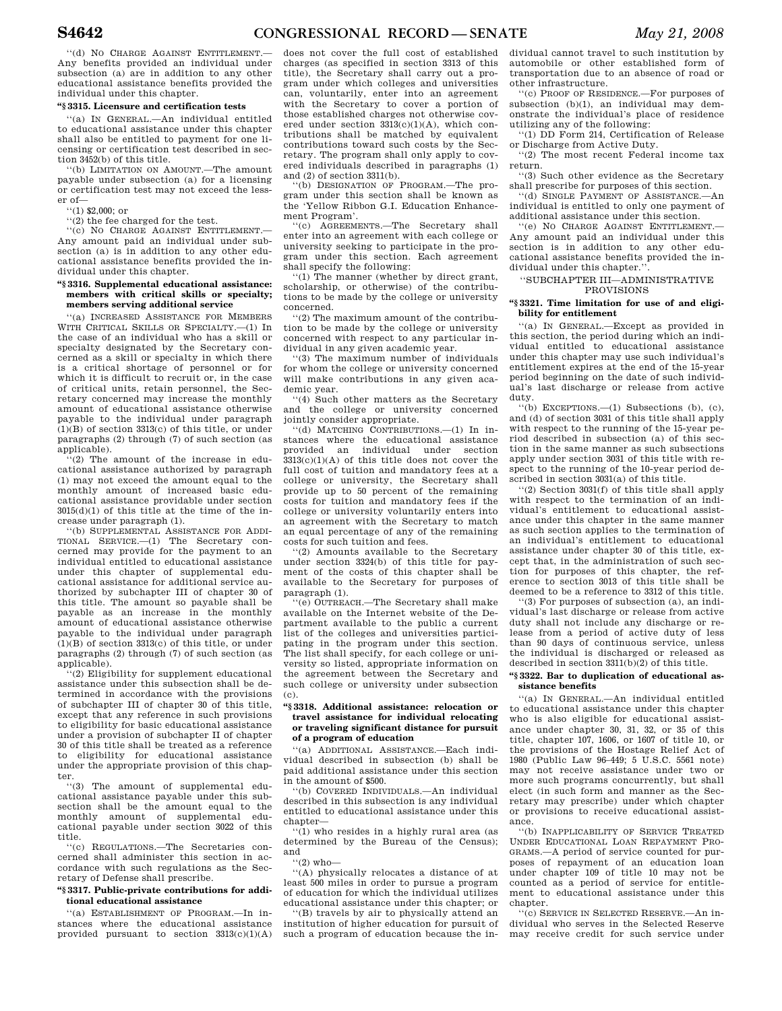''(d) NO CHARGE AGAINST ENTITLEMENT.— Any benefits provided an individual under subsection (a) are in addition to any other educational assistance benefits provided the individual under this chapter.

## **''§ 3315. Licensure and certification tests**

''(a) IN GENERAL.—An individual entitled to educational assistance under this chapter shall also be entitled to payment for one licensing or certification test described in section 3452(b) of this title.

''(b) LIMITATION ON AMOUNT.—The amount payable under subsection (a) for a licensing or certification test may not exceed the lesser of—

 $(1)$  \$2,000; or

''(2) the fee charged for the test.

''(c) NO CHARGE AGAINST ENTITLEMENT.— Any amount paid an individual under subsection (a) is in addition to any other educational assistance benefits provided the individual under this chapter.

### **''§ 3316. Supplemental educational assistance: members with critical skills or specialty; members serving additional service**

''(a) INCREASED ASSISTANCE FOR MEMBERS WITH CRITICAL SKILLS OR SPECIALTY.—(1) In the case of an individual who has a skill or specialty designated by the Secretary concerned as a skill or specialty in which there is a critical shortage of personnel or for which it is difficult to recruit or, in the case of critical units, retain personnel, the Secretary concerned may increase the monthly amount of educational assistance otherwise payable to the individual under paragraph (1)(B) of section 3313(c) of this title, or under paragraphs (2) through (7) of such section (as applicable).

 $(2)$  The amount of the increase in educational assistance authorized by paragraph (1) may not exceed the amount equal to the monthly amount of increased basic educational assistance providable under section 3015(d)(1) of this title at the time of the increase under paragraph (1).

''(b) SUPPLEMENTAL ASSISTANCE FOR ADDI-TIONAL SERVICE.—(1) The Secretary concerned may provide for the payment to an individual entitled to educational assistance under this chapter of supplemental educational assistance for additional service authorized by subchapter III of chapter 30 of this title. The amount so payable shall be payable as an increase in the monthly amount of educational assistance otherwise payable to the individual under paragraph (1)(B) of section 3313(c) of this title, or under paragraphs (2) through (7) of such section (as applicable).

(2) Eligibility for supplement educational assistance under this subsection shall be determined in accordance with the provisions of subchapter III of chapter 30 of this title, except that any reference in such provisions to eligibility for basic educational assistance under a provision of subchapter II of chapter 30 of this title shall be treated as a reference to eligibility for educational assistance under the appropriate provision of this chapter.

''(3) The amount of supplemental educational assistance payable under this subsection shall be the amount equal to the monthly amount of supplemental educational payable under section 3022 of this title.

''(c) REGULATIONS.—The Secretaries concerned shall administer this section in accordance with such regulations as the Secretary of Defense shall prescribe.

## **''§ 3317. Public-private contributions for additional educational assistance**

''(a) ESTABLISHMENT OF PROGRAM.—In instances where the educational assistance provided pursuant to section 3313(c)(1)(A)

does not cover the full cost of established charges (as specified in section 3313 of this title), the Secretary shall carry out a program under which colleges and universities can, voluntarily, enter into an agreement with the Secretary to cover a portion of those established charges not otherwise covered under section  $3313(c)(1)(A)$ , which contributions shall be matched by equivalent contributions toward such costs by the Secretary. The program shall only apply to covered individuals described in paragraphs (1) and (2) of section 3311(b).

''(b) DESIGNATION OF PROGRAM.—The program under this section shall be known as the 'Yellow Ribbon G.I. Education Enhancement Program'.

''(c) AGREEMENTS.—The Secretary shall enter into an agreement with each college or university seeking to participate in the program under this section. Each agreement shall specify the following:

''(1) The manner (whether by direct grant, scholarship, or otherwise) of the contributions to be made by the college or university concerned.

 $(2)$  The maximum amount of the contribution to be made by the college or university concerned with respect to any particular individual in any given academic year.

''(3) The maximum number of individuals for whom the college or university concerned will make contributions in any given academic year.

''(4) Such other matters as the Secretary and the college or university concerned jointly consider appropriate.

''(d) MATCHING CONTRIBUTIONS.—(1) In instances where the educational assistance provided an individual under section 3313(c)(1)(A) of this title does not cover the full cost of tuition and mandatory fees at a college or university, the Secretary shall provide up to 50 percent of the remaining costs for tuition and mandatory fees if the college or university voluntarily enters into an agreement with the Secretary to match an equal percentage of any of the remaining costs for such tuition and fees.

''(2) Amounts available to the Secretary under section 3324(b) of this title for payment of the costs of this chapter shall be available to the Secretary for purposes of paragraph (1).

''(e) OUTREACH.—The Secretary shall make available on the Internet website of the Department available to the public a current list of the colleges and universities participating in the program under this section. The list shall specify, for each college or university so listed, appropriate information on the agreement between the Secretary and such college or university under subsection  $(c)$ .

## **''§ 3318. Additional assistance: relocation or travel assistance for individual relocating or traveling significant distance for pursuit of a program of education**

''(a) ADDITIONAL ASSISTANCE.—Each individual described in subsection (b) shall be paid additional assistance under this section in the amount of \$500.

''(b) COVERED INDIVIDUALS.—An individual described in this subsection is any individual entitled to educational assistance under this chapter—

''(1) who resides in a highly rural area (as determined by the Bureau of the Census); and

## $\cdot$  (2) who-

''(A) physically relocates a distance of at least 500 miles in order to pursue a program of education for which the individual utilizes educational assistance under this chapter; or

''(B) travels by air to physically attend an institution of higher education for pursuit of such a program of education because the in-

dividual cannot travel to such institution by automobile or other established form of transportation due to an absence of road or other infrastructure.

''(c) PROOF OF RESIDENCE.—For purposes of subsection (b)(1), an individual may demonstrate the individual's place of residence utilizing any of the following:

''(1) DD Form 214, Certification of Release or Discharge from Active Duty.

''(2) The most recent Federal income tax return.

''(3) Such other evidence as the Secretary shall prescribe for purposes of this section.

''(d) SINGLE PAYMENT OF ASSISTANCE.—An individual is entitled to only one payment of additional assistance under this section.

''(e) NO CHARGE AGAINST ENTITLEMENT.— Any amount paid an individual under this section is in addition to any other educational assistance benefits provided the individual under this chapter."

## ''SUBCHAPTER III—ADMINISTRATIVE PROVISIONS

## **''§ 3321. Time limitation for use of and eligibility for entitlement**

''(a) IN GENERAL.—Except as provided in this section, the period during which an individual entitled to educational assistance under this chapter may use such individual's entitlement expires at the end of the 15-year period beginning on the date of such individual's last discharge or release from active duty.

 $\cdot$ <sup>''(b)</sup> EXCEPTIONS.—(1) Subsections (b), (c), and (d) of section 3031 of this title shall apply with respect to the running of the 15-year period described in subsection (a) of this section in the same manner as such subsections apply under section 3031 of this title with respect to the running of the 10-year period described in section 3031(a) of this title.

''(2) Section 3031(f) of this title shall apply with respect to the termination of an individual's entitlement to educational assistance under this chapter in the same manner as such section applies to the termination of an individual's entitlement to educational assistance under chapter 30 of this title, except that, in the administration of such section for purposes of this chapter, the reference to section 3013 of this title shall be deemed to be a reference to 3312 of this title.

''(3) For purposes of subsection (a), an individual's last discharge or release from active duty shall not include any discharge or release from a period of active duty of less than 90 days of continuous service, unless the individual is discharged or released as described in section 3311(b)(2) of this title.

## **''§ 3322. Bar to duplication of educational assistance benefits**

''(a) IN GENERAL.—An individual entitled to educational assistance under this chapter who is also eligible for educational assistance under chapter 30, 31, 32, or 35 of this title, chapter 107, 1606, or 1607 of title 10, or the provisions of the Hostage Relief Act of 1980 (Public Law 96–449; 5 U.S.C. 5561 note) may not receive assistance under two or more such programs concurrently, but shall elect (in such form and manner as the Secretary may prescribe) under which chapter or provisions to receive educational assistance.

''(b) INAPPLICABILITY OF SERVICE TREATED UNDER EDUCATIONAL LOAN REPAYMENT PRO-GRAMS.—A period of service counted for purposes of repayment of an education loan under chapter 109 of title 10 may not be counted as a period of service for entitlement to educational assistance under this chapter.

''(c) SERVICE IN SELECTED RESERVE.—An individual who serves in the Selected Reserve may receive credit for such service under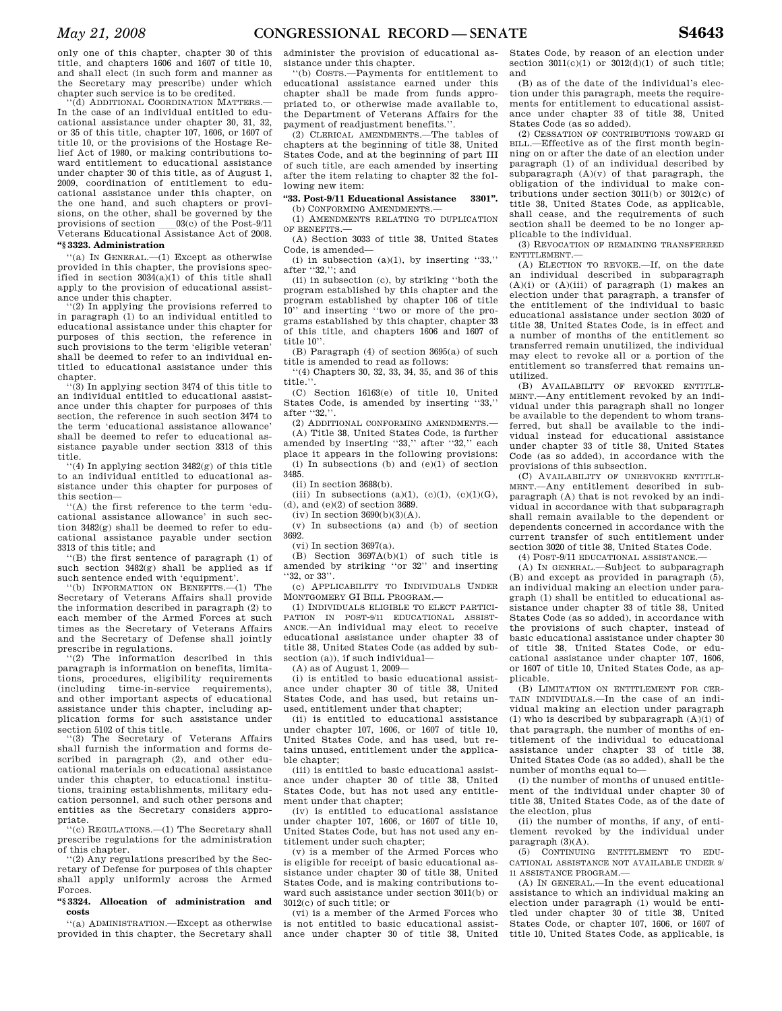only one of this chapter, chapter 30 of this title, and chapters 1606 and 1607 of title 10, and shall elect (in such form and manner as the Secretary may prescribe) under which chapter such service is to be credited.

 $'$ (d) ADDITIONAL COORDINATION MATTERS. In the case of an individual entitled to educational assistance under chapter 30, 31, 32, or 35 of this title, chapter 107, 1606, or 1607 of title 10, or the provisions of the Hostage Relief Act of 1980, or making contributions toward entitlement to educational assistance under chapter 30 of this title, as of August 1, 2009, coordination of entitlement to educational assistance under this chapter, on the one hand, and such chapters or provisions, on the other, shall be governed by the provisions of section  $10(0)$  of the Post-9/11 provisions of section \_\_\_03(c) of the Post-9/11<br>Veterans Educational Assistance Act of 2008.

### **''§ 3323. Administration**

''(a) IN GENERAL.—(1) Except as otherwise provided in this chapter, the provisions specified in section  $303\overline{4}$ (a)(1) of this title shall apply to the provision of educational assistance under this chapter.

''(2) In applying the provisions referred to in paragraph (1) to an individual entitled to educational assistance under this chapter for purposes of this section, the reference in such provisions to the term 'eligible veteran' shall be deemed to refer to an individual entitled to educational assistance under this chapter.

''(3) In applying section 3474 of this title to an individual entitled to educational assistance under this chapter for purposes of this section, the reference in such section 3474 to the term 'educational assistance allowance' shall be deemed to refer to educational assistance payable under section 3313 of this title.

 $(4)$  In applying section 3482 $(g)$  of this title to an individual entitled to educational assistance under this chapter for purposes of this section—

''(A) the first reference to the term 'educational assistance allowance' in such section 3482(g) shall be deemed to refer to educational assistance payable under section 3313 of this title; and

''(B) the first sentence of paragraph (1) of such section 3482(g) shall be applied as if such sentence ended with 'equipment'.

''(b) INFORMATION ON BENEFITS.—(1) The Secretary of Veterans Affairs shall provide the information described in paragraph (2) to each member of the Armed Forces at such times as the Secretary of Veterans Affairs and the Secretary of Defense shall jointly prescribe in regulations.

''(2) The information described in this paragraph is information on benefits, limitations, procedures, eligibility requirements (including time-in-service requirements), and other important aspects of educational assistance under this chapter, including application forms for such assistance under section 5102 of this title.

(3) The Secretary of Veterans Affairs shall furnish the information and forms described in paragraph (2), and other educational materials on educational assistance under this chapter, to educational institutions, training establishments, military education personnel, and such other persons and entities as the Secretary considers appropriate.

''(c) REGULATIONS.—(1) The Secretary shall prescribe regulations for the administration of this chapter.

 $(2)$  Any regulations prescribed by the Secretary of Defense for purposes of this chapter shall apply uniformly across the Armed Forces.

### **''§ 3324. Allocation of administration and costs**

''(a) ADMINISTRATION.—Except as otherwise provided in this chapter, the Secretary shall administer the provision of educational assistance under this chapter.

''(b) COSTS.—Payments for entitlement to educational assistance earned under this chapter shall be made from funds appropriated to, or otherwise made available to, the Department of Veterans Affairs for the payment of readjustment benefits.''.

(2) CLERICAL AMENDMENTS.—The tables of chapters at the beginning of title 38, United States Code, and at the beginning of part III of such title, are each amended by inserting after the item relating to chapter 32 the following new item:

## **''33. Post-9/11 Educational Assistance 3301''.**

(b) CONFORMING AMENDMENTS. (1) AMENDMENTS RELATING TO DUPLICATION OF BENEFITS.—

(A) Section 3033 of title 38, United States Code, is amended—

(i) in subsection  $(a)(1)$ , by inserting "33," after ''32,''; and

(ii) in subsection (c), by striking ''both the program established by this chapter and the program established by chapter 106 of title 10'' and inserting ''two or more of the programs established by this chapter, chapter 33 of this title, and chapters 1606 and 1607 of title 10''.

(B) Paragraph (4) of section 3695(a) of such title is amended to read as follows:

''(4) Chapters 30, 32, 33, 34, 35, and 36 of this title.

(C) Section 16163(e) of title 10, United States Code, is amended by inserting ''33,'' after ''32,''.

(2) ADDITIONAL CONFORMING AMENDMENTS.—

(A) Title 38, United States Code, is further amended by inserting ''33,'' after ''32,'' each place it appears in the following provisions: (i) In subsections (b) and (e)(1) of section

3485.

(ii) In section 3688(b).

(iii) In subsections (a)(1),  $(c)(1)$ ,  $(c)(1)(G)$ , (d), and (e)(2) of section 3689.

(iv) In section  $3690(b)(3)(A)$ .

(v) In subsections (a) and (b) of section 3692.

 $(vi)$  In section 3697 $(a)$ .

(B) Section 3697A(b)(1) of such title is amended by striking ''or 32'' and inserting '32, or 33".

(c) APPLICABILITY TO INDIVIDUALS UNDER MONTGOMERY GI BILL PROGRAM.—

(1) INDIVIDUALS ELIGIBLE TO ELECT PARTICI-PATION IN POST-9/11 EDUCATIONAL ASSIST-ANCE.—An individual may elect to receive educational assistance under chapter 33 of title 38, United States Code (as added by subsection (a)), if such individual—

(A) as of August 1, 2009—

(i) is entitled to basic educational assistance under chapter 30 of title 38, United States Code, and has used, but retains unused, entitlement under that chapter;

(ii) is entitled to educational assistance under chapter 107, 1606, or 1607 of title 10, United States Code, and has used, but retains unused, entitlement under the applicable chapter;

(iii) is entitled to basic educational assistance under chapter 30 of title 38, United States Code, but has not used any entitlement under that chapter;

(iv) is entitled to educational assistance under chapter 107, 1606, or 1607 of title 10, United States Code, but has not used any entitlement under such chapter;

(v) is a member of the Armed Forces who is eligible for receipt of basic educational assistance under chapter 30 of title 38, United States Code, and is making contributions toward such assistance under section 3011(b) or 3012(c) of such title; or

(vi) is a member of the Armed Forces who is not entitled to basic educational assistance under chapter 30 of title 38, United States Code, by reason of an election under section  $3011(c)(1)$  or  $3012(d)(1)$  of such title; and

(B) as of the date of the individual's election under this paragraph, meets the requirements for entitlement to educational assistance under chapter 33 of title 38, United States Code (as so added).

(2) CESSATION OF CONTRIBUTIONS TOWARD GI BILL.—Effective as of the first month beginning on or after the date of an election under paragraph (1) of an individual described by subparagraph (A)(v) of that paragraph, the obligation of the individual to make contributions under section 3011(b) or 3012(c) of title 38, United States Code, as applicable, shall cease, and the requirements of such section shall be deemed to be no longer applicable to the individual.

(3) REVOCATION OF REMAINING TRANSFERRED ENTITLEMENT

(A) ELECTION TO REVOKE.—If, on the date an individual described in subparagraph (A)(i) or (A)(iii) of paragraph (1) makes an election under that paragraph, a transfer of the entitlement of the individual to basic educational assistance under section 3020 of title 38, United States Code, is in effect and a number of months of the entitlement so transferred remain unutilized, the individual may elect to revoke all or a portion of the entitlement so transferred that remains unutilized.

(B) AVAILABILITY OF REVOKED ENTITLE-MENT.—Any entitlement revoked by an individual under this paragraph shall no longer be available to the dependent to whom transferred, but shall be available to the individual instead for educational assistance under chapter 33 of title 38, United States Code (as so added), in accordance with the provisions of this subsection.

(C) AVAILABILITY OF UNREVOKED ENTITLE-MENT.—Any entitlement described in subparagraph (A) that is not revoked by an individual in accordance with that subparagraph shall remain available to the dependent or dependents concerned in accordance with the current transfer of such entitlement under section 3020 of title 38, United States Code.

(4) POST-9/11 EDUCATIONAL ASSISTANCE.—  $(A)$  IN GENERAL.—Subject to subparagraph

(B) and except as provided in paragraph (5), an individual making an election under paragraph (1) shall be entitled to educational assistance under chapter 33 of title 38, United States Code (as so added), in accordance with the provisions of such chapter, instead of basic educational assistance under chapter 30 of title 38, United States Code, or educational assistance under chapter 107, 1606, or 1607 of title 10, United States Code, as applicable.

(B) LIMITATION ON ENTITLEMENT FOR CER-TAIN INDIVIDUALS.—In the case of an individual making an election under paragraph (1) who is described by subparagraph (A)(i) of that paragraph, the number of months of entitlement of the individual to educational assistance under chapter 33 of title 38, United States Code (as so added), shall be the number of months equal to—

(i) the number of months of unused entitlement of the individual under chapter 30 of title 38, United States Code, as of the date of the election, plus

(ii) the number of months, if any, of entitlement revoked by the individual under paragraph  $(3)(A)$ .

(5) CONTINUING ENTITLEMENT TO EDU-CATIONAL ASSISTANCE NOT AVAILABLE UNDER 9/ 11 ASSISTANCE PROGRAM.—

(A) IN GENERAL.—In the event educational assistance to which an individual making an election under paragraph (1) would be entitled under chapter 30 of title 38, United States Code, or chapter 107, 1606, or 1607 of title 10, United States Code, as applicable, is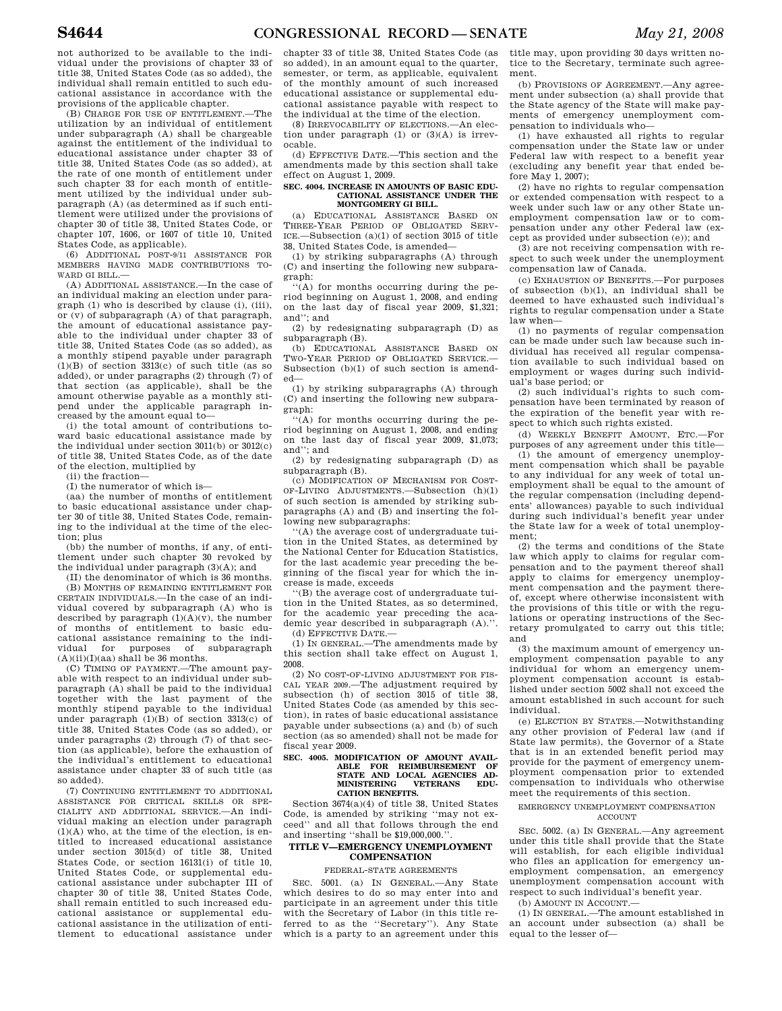not authorized to be available to the individual under the provisions of chapter 33 of title 38, United States Code (as so added), the individual shall remain entitled to such educational assistance in accordance with the provisions of the applicable chapter.

(B) CHARGE FOR USE OF ENTITLEMENT.—The utilization by an individual of entitlement under subparagraph (A) shall be chargeable against the entitlement of the individual to educational assistance under chapter 33 of title 38, United States Code (as so added), at the rate of one month of entitlement under such chapter 33 for each month of entitlement utilized by the individual under subparagraph (A) (as determined as if such entitlement were utilized under the provisions of chapter 30 of title 38, United States Code, or chapter 107, 1606, or 1607 of title 10, United States Code, as applicable).

(6) ADDITIONAL POST-9/11 ASSISTANCE FOR MEMBERS HAVING MADE CONTRIBUTIONS TO-WARD GI BILL.—

(A) ADDITIONAL ASSISTANCE.—In the case of an individual making an election under paragraph (1) who is described by clause (i), (iii), or (v) of subparagraph (A) of that paragraph, the amount of educational assistance payable to the individual under chapter 33 of title 38, United States Code (as so added), as a monthly stipend payable under paragraph (1)(B) of section 3313(c) of such title (as so added), or under paragraphs (2) through (7) of that section (as applicable), shall be the amount otherwise payable as a monthly stipend under the applicable paragraph increased by the amount equal to—

(i) the total amount of contributions toward basic educational assistance made by the individual under section 3011(b) or 3012(c) of title 38, United States Code, as of the date of the election, multiplied by

(ii) the fraction—

(I) the numerator of which is—

(aa) the number of months of entitlement to basic educational assistance under chapter 30 of title 38, United States Code, remaining to the individual at the time of the election; plus

(bb) the number of months, if any, of entitlement under such chapter 30 revoked by the individual under paragraph  $(3)(A)$ ; and

(II) the denominator of which is 36 months. (B) MONTHS OF REMAINING ENTITLEMENT FOR CERTAIN INDIVIDUALS.—In the case of an individual covered by subparagraph (A) who is described by paragraph  $(1)(A)(v)$ , the number of months of entitlement to basic educational assistance remaining to the individual for purposes of subparagraph

 $(A)(ii)(I)(aa)$  shall be 36 months. (C) TIMING OF PAYMENT.—The amount payable with respect to an individual under subparagraph (A) shall be paid to the individual together with the last payment of the monthly stipend payable to the individual under paragraph (1)(B) of section 3313(c) of title 38, United States Code (as so added), or under paragraphs (2) through (7) of that section (as applicable), before the exhaustion of the individual's entitlement to educational assistance under chapter 33 of such title (as so added).

(7) CONTINUING ENTITLEMENT TO ADDITIONAL ASSISTANCE FOR CRITICAL SKILLS OR SPE-CIALITY AND ADDITIONAL SERVICE.—An individual making an election under paragraph  $(1)(A)$  who, at the time of the election, is entitled to increased educational assistance under section 3015(d) of title 38, United States Code, or section 16131(i) of title 10, United States Code, or supplemental educational assistance under subchapter III of chapter 30 of title 38, United States Code, shall remain entitled to such increased educational assistance or supplemental educational assistance in the utilization of entitlement to educational assistance under

chapter 33 of title 38, United States Code (as so added), in an amount equal to the quarter, semester, or term, as applicable, equivalent of the monthly amount of such increased educational assistance or supplemental educational assistance payable with respect to the individual at the time of the election.

(8) IRREVOCABILITY OF ELECTIONS.—An election under paragraph (1) or (3)(A) is irrevocable.

(d) EFFECTIVE DATE.—This section and the amendments made by this section shall take effect on August 1, 2009.

### **SEC. 4004. INCREASE IN AMOUNTS OF BASIC EDU-CATIONAL ASSISTANCE UNDER THE MONTGOMERY GI BILL.**

(a) EDUCATIONAL ASSISTANCE BASED ON THREE-YEAR PERIOD OF OBLIGATED SERV-ICE.—Subsection (a)(1) of section 3015 of title 38, United States Code, is amended—

(1) by striking subparagraphs (A) through (C) and inserting the following new subparagraph:

''(A) for months occurring during the period beginning on August 1, 2008, and ending on the last day of fiscal year 2009, \$1,321; and''; and

(2) by redesignating subparagraph (D) as subparagraph (B).

(b) EDUCATIONAL ASSISTANCE BASED ON TWO-YEAR PERIOD OF OBLIGATED SERVICE.— Subsection (b)(1) of such section is amended—

(1) by striking subparagraphs (A) through (C) and inserting the following new subparagraph:

''(A) for months occurring during the period beginning on August 1, 2008, and ending on the last day of fiscal year 2009, \$1,073; and''; and

(2) by redesignating subparagraph (D) as subparagraph (B).

(c) MODIFICATION OF MECHANISM FOR COST-OF-LIVING ADJUSTMENTS.—Subsection (h)(1) of such section is amended by striking subparagraphs (A) and (B) and inserting the following new subparagraphs:

''(A) the average cost of undergraduate tuition in the United States, as determined by the National Center for Education Statistics, for the last academic year preceding the beginning of the fiscal year for which the increase is made, exceeds

''(B) the average cost of undergraduate tuition in the United States, as so determined, for the academic year preceding the academic year described in subparagraph (A).''. (d) EFFECTIVE DATE.—

(1) IN GENERAL.—The amendments made by this section shall take effect on August 1, 2008.

(2) NO COST-OF-LIVING ADJUSTMENT FOR FIS-CAL YEAR 2009.—The adjustment required by subsection (h) of section 3015 of title 38, United States Code (as amended by this section), in rates of basic educational assistance payable under subsections (a) and (b) of such section (as so amended) shall not be made for fiscal year 2009.

## **SEC. 4005. MODIFICATION OF AMOUNT AVAIL-ABLE FOR REIMBURSEMENT OF STATE AND LOCAL AGENCIES AD-<br>MINISTERING VETERANS EDU-MINISTERING VETERANS EDU-CATION BENEFITS.**

Section 3674(a)(4) of title 38, United States Code, is amended by striking ''may not exceed'' and all that follows through the end and inserting "shall be \$19,000,000."

## **TITLE V—EMERGENCY UNEMPLOYMENT COMPENSATION**

FEDERAL-STATE AGREEMENTS

SEC. 5001. (a) IN GENERAL.—Any State which desires to do so may enter into and participate in an agreement under this title with the Secretary of Labor (in this title referred to as the ''Secretary''). Any State which is a party to an agreement under this title may, upon providing 30 days written notice to the Secretary, terminate such agreement.

(b) PROVISIONS OF AGREEMENT.—Any agreement under subsection (a) shall provide that the State agency of the State will make payments of emergency unemployment compensation to individuals who—

(1) have exhausted all rights to regular compensation under the State law or under Federal law with respect to a benefit year (excluding any benefit year that ended before May 1, 2007);

(2) have no rights to regular compensation or extended compensation with respect to a week under such law or any other State unemployment compensation law or to compensation under any other Federal law (except as provided under subsection (e)); and

(3) are not receiving compensation with respect to such week under the unemployment compensation law of Canada.

(c) EXHAUSTION OF BENEFITS.—For purposes of subsection (b)(1), an individual shall be deemed to have exhausted such individual's rights to regular compensation under a State law when—

(1) no payments of regular compensation can be made under such law because such individual has received all regular compensation available to such individual based on employment or wages during such individual's base period; or

(2) such individual's rights to such compensation have been terminated by reason of the expiration of the benefit year with respect to which such rights existed.

(d) WEEKLY BENEFIT AMOUNT, ETC.—For purposes of any agreement under this title—

(1) the amount of emergency unemployment compensation which shall be payable to any individual for any week of total unemployment shall be equal to the amount of the regular compensation (including dependents' allowances) payable to such individual during such individual's benefit year under the State law for a week of total unemployment;

(2) the terms and conditions of the State law which apply to claims for regular compensation and to the payment thereof shall apply to claims for emergency unemployment compensation and the payment thereof, except where otherwise inconsistent with the provisions of this title or with the regulations or operating instructions of the Secretary promulgated to carry out this title; and

(3) the maximum amount of emergency unemployment compensation payable to any individual for whom an emergency unemployment compensation account is established under section 5002 shall not exceed the amount established in such account for such individual.

(e) ELECTION BY STATES.—Notwithstanding any other provision of Federal law (and if State law permits), the Governor of a State that is in an extended benefit period may provide for the payment of emergency unemployment compensation prior to extended compensation to individuals who otherwise meet the requirements of this section.

## EMERGENCY UNEMPLOYMENT COMPENSATION

## ACCOUNT

SEC. 5002. (a) IN GENERAL.—Any agreement under this title shall provide that the State will establish, for each eligible individual who files an application for emergency unemployment compensation, an emergency unemployment compensation account with respect to such individual's benefit year. (b) AMOUNT IN ACCOUNT.—

(1) IN GENERAL.—The amount established in an account under subsection (a) shall be equal to the lesser of—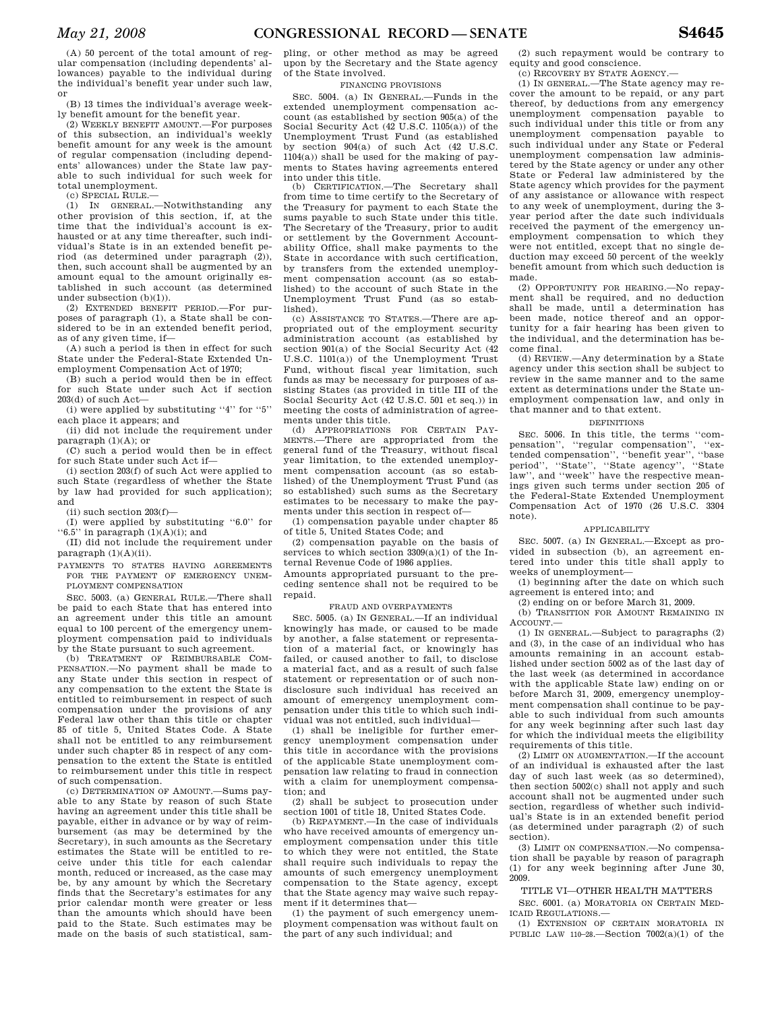(A) 50 percent of the total amount of regular compensation (including dependents' allowances) payable to the individual during the individual's benefit year under such law, or

(B) 13 times the individual's average weekly benefit amount for the benefit year.

(2) WEEKLY BENEFIT AMOUNT.—For purposes of this subsection, an individual's weekly benefit amount for any week is the amount of regular compensation (including dependents' allowances) under the State law payable to such individual for such week for total unemployment.

(c) SPECIAL RULE.—

(1) IN GENERAL.—Notwithstanding any other provision of this section, if, at the time that the individual's account is exhausted or at any time thereafter, such individual's State is in an extended benefit period (as determined under paragraph  $(2)$ ), then, such account shall be augmented by an amount equal to the amount originally established in such account (as determined under subsection (b)(1)).

(2) EXTENDED BENEFIT PERIOD.—For purposes of paragraph (1), a State shall be considered to be in an extended benefit period, as of any given time, if—

(A) such a period is then in effect for such State under the Federal-State Extended Unemployment Compensation Act of 1970;

(B) such a period would then be in effect for such State under such Act if section 203(d) of such Act—

(i) were applied by substituting ''4'' for ''5'' each place it appears; and

(ii) did not include the requirement under paragraph (1)(A); or

(C) such a period would then be in effect for such State under such Act if—

(i) section 203(f) of such Act were applied to such State (regardless of whether the State by law had provided for such application); and

(ii) such section 203(f)—

(I) were applied by substituting ''6.0'' for  $``6.5"$  in paragraph  $(1)(A)(i)$ ; and

(II) did not include the requirement under paragraph  $(1)(A)(ii)$ .

PAYMENTS TO STATES HAVING AGREEMENTS FOR THE PAYMENT OF EMERGENCY UNEM-PLOYMENT COMPENSATION

SEC. 5003. (a) GENERAL RULE.—There shall be paid to each State that has entered into an agreement under this title an amount equal to 100 percent of the emergency unemployment compensation paid to individuals by the State pursuant to such agreement.

(b) TREATMENT OF REIMBURSABLE COM-PENSATION.—No payment shall be made to any State under this section in respect of any compensation to the extent the State is entitled to reimbursement in respect of such compensation under the provisions of any Federal law other than this title or chapter 85 of title 5, United States Code. A State shall not be entitled to any reimbursement under such chapter 85 in respect of any compensation to the extent the State is entitled to reimbursement under this title in respect of such compensation.

(c) DETERMINATION OF AMOUNT.—Sums payable to any State by reason of such State having an agreement under this title shall be payable, either in advance or by way of reimbursement (as may be determined by the Secretary), in such amounts as the Secretary estimates the State will be entitled to receive under this title for each calendar month, reduced or increased, as the case may be, by any amount by which the Secretary finds that the Secretary's estimates for any prior calendar month were greater or less than the amounts which should have been paid to the State. Such estimates may be made on the basis of such statistical, sam-

pling, or other method as may be agreed upon by the Secretary and the State agency of the State involved.

## FINANCING PROVISIONS

SEC. 5004. (a) IN GENERAL.—Funds in the extended unemployment compensation account (as established by section 905(a) of the Social Security Act (42 U.S.C. 1105(a)) of the Unemployment Trust Fund (as established by section 904(a) of such Act (42 U.S.C.  $1104(a)$ ) shall be used for the making of payments to States having agreements entered into under this title.

(b) CERTIFICATION.—The Secretary shall from time to time certify to the Secretary of the Treasury for payment to each State the sums payable to such State under this title. The Secretary of the Treasury, prior to audit or settlement by the Government Accountability Office, shall make payments to the State in accordance with such certification, by transfers from the extended unemployment compensation account (as so established) to the account of such State in the Unemployment Trust Fund (as so established).

(c) ASSISTANCE TO STATES.—There are appropriated out of the employment security administration account (as established by section 901(a) of the Social Security Act (42 U.S.C. 1101(a)) of the Unemployment Trust Fund, without fiscal year limitation, such funds as may be necessary for purposes of assisting States (as provided in title III of the Social Security Act (42 U.S.C. 501 et seq.)) in meeting the costs of administration of agreements under this title.

(d) APPROPRIATIONS FOR CERTAIN PAY-MENTS.—There are appropriated from the general fund of the Treasury, without fiscal year limitation, to the extended unemployment compensation account (as so established) of the Unemployment Trust Fund (as so established) such sums as the Secretary estimates to be necessary to make the payments under this section in respect of—

(1) compensation payable under chapter 85 of title 5, United States Code; and

(2) compensation payable on the basis of services to which section  $3309(a)(1)$  of the Internal Revenue Code of 1986 applies.

Amounts appropriated pursuant to the preceding sentence shall not be required to be repaid.

### FRAUD AND OVERPAYMENTS

SEC. 5005. (a) IN GENERAL.—If an individual knowingly has made, or caused to be made by another, a false statement or representation of a material fact, or knowingly has failed, or caused another to fail, to disclose a material fact, and as a result of such false statement or representation or of such nondisclosure such individual has received an amount of emergency unemployment compensation under this title to which such individual was not entitled, such individual—

(1) shall be ineligible for further emergency unemployment compensation under this title in accordance with the provisions of the applicable State unemployment compensation law relating to fraud in connection with a claim for unemployment compensation; and

(2) shall be subject to prosecution under section 1001 of title 18, United States Code.

(b) REPAYMENT.—In the case of individuals who have received amounts of emergency unemployment compensation under this title to which they were not entitled, the State shall require such individuals to repay the amounts of such emergency unemployment compensation to the State agency, except that the State agency may waive such repayment if it determines that—

(1) the payment of such emergency unemployment compensation was without fault on the part of any such individual; and

(2) such repayment would be contrary to equity and good conscience.

(c) RECOVERY BY STATE AGENCY.—

(1) IN GENERAL.—The State agency may recover the amount to be repaid, or any part thereof, by deductions from any emergency unemployment compensation payable to such individual under this title or from any unemployment compensation payable to such individual under any State or Federal unemployment compensation law administered by the State agency or under any other State or Federal law administered by the State agency which provides for the payment of any assistance or allowance with respect to any week of unemployment, during the 3 year period after the date such individuals received the payment of the emergency unemployment compensation to which they were not entitled, except that no single deduction may exceed 50 percent of the weekly benefit amount from which such deduction is made.

(2) OPPORTUNITY FOR HEARING.—No repayment shall be required, and no deduction shall be made, until a determination has been made, notice thereof and an opportunity for a fair hearing has been given to the individual, and the determination has become final.

(d) REVIEW.—Any determination by a State agency under this section shall be subject to review in the same manner and to the same extent as determinations under the State unemployment compensation law, and only in that manner and to that extent.

## DEFINITIONS

SEC. 5006. In this title, the terms ''compensation'', "regular compensation", "extended compensation'', ''benefit year'', ''base period'', ''State'', ''State agency'', ''State benia component of the respective mean-<br>period", "State", "State agency", "State<br>law", and "week" have the respective meanings given such terms under section 205 of the Federal-State Extended Unemployment Compensation Act of 1970 (26 U.S.C. 3304 note).

### APPLICABILITY

SEC. 5007. (a) IN GENERAL.—Except as provided in subsection (b), an agreement entered into under this title shall apply to weeks of unemployment—

(1) beginning after the date on which such agreement is entered into; and

(2) ending on or before March 31, 2009.

(b) TRANSITION FOR AMOUNT REMAINING IN ACCOUNT.—

(1) IN GENERAL.—Subject to paragraphs (2) and (3), in the case of an individual who has amounts remaining in an account established under section 5002 as of the last day of the last week (as determined in accordance with the applicable State law) ending on or before March 31, 2009, emergency unemployment compensation shall continue to be payable to such individual from such amounts for any week beginning after such last day for which the individual meets the eligibility requirements of this title.

(2) LIMIT ON AUGMENTATION.—If the account of an individual is exhausted after the last day of such last week (as so determined), then section 5002(c) shall not apply and such account shall not be augmented under such section, regardless of whether such individual's State is in an extended benefit period (as determined under paragraph (2) of such section).

(3) LIMIT ON COMPENSATION.—No compensation shall be payable by reason of paragraph (1) for any week beginning after June 30, 2009.

## TITLE VI—OTHER HEALTH MATTERS

SEC. 6001. (a) MORATORIA ON CERTAIN MED-ICAID REGULATIONS.—

(1) EXTENSION OF CERTAIN MORATORIA IN PUBLIC LAW 110–28.—Section 7002(a)(1) of the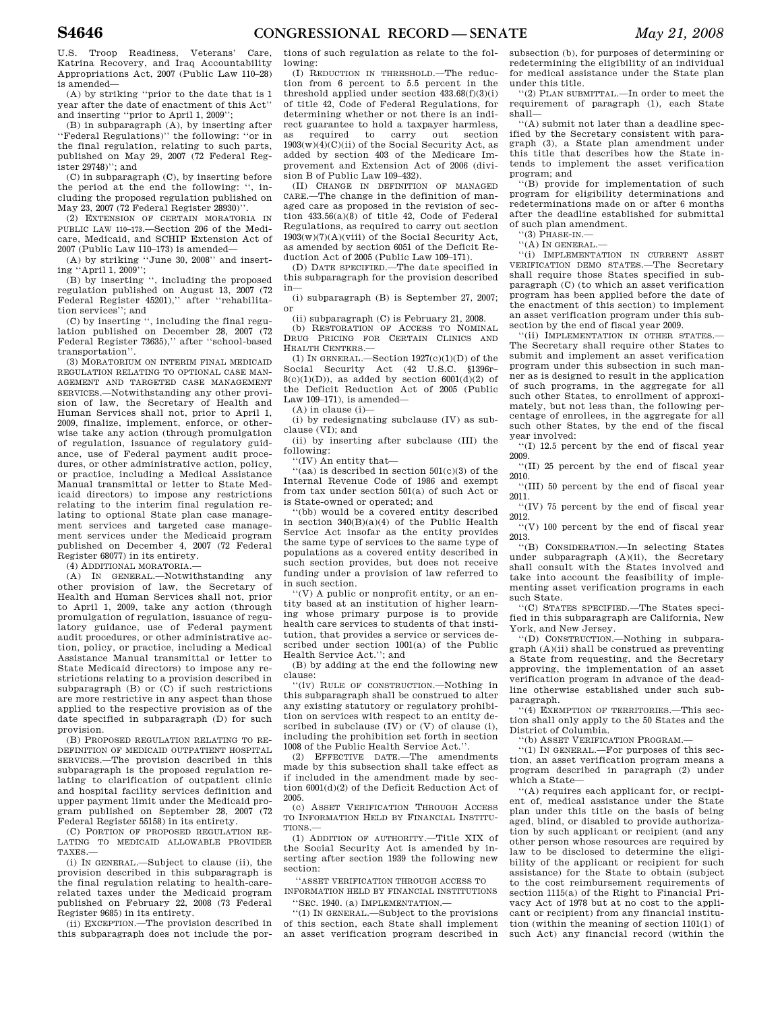U.S. Troop Readiness, Veterans' Care, Katrina Recovery, and Iraq Accountability Appropriations Act, 2007 (Public Law 110–28) is amended—

(A) by striking ''prior to the date that is 1 year after the date of enactment of this Act'' and inserting "prior to April 1, 2009"

(B) in subparagraph (A), by inserting after ''Federal Regulations)'' the following: ''or in the final regulation, relating to such parts, published on May 29, 2007 (72 Federal Register 29748)''; and

(C) in subparagraph (C), by inserting before the period at the end the following: '', including the proposed regulation published on May 23, 2007 (72 Federal Register 28930)''.

(2) EXTENSION OF CERTAIN MORATORIA IN PUBLIC LAW 110–173.—Section 206 of the Medicare, Medicaid, and SCHIP Extension Act of 2007 (Public Law 110–173) is amended—

(A) by striking ''June 30, 2008'' and inserting ''April 1, 2009'';

(B) by inserting '', including the proposed regulation published on August 13, 2007 (72 Federal Register 45201),'' after ''rehabilitation services''; and

(C) by inserting '', including the final regulation published on December 28, 2007 (72 Federal Register 73635),'' after ''school-based transportation''.

(3) MORATORIUM ON INTERIM FINAL MEDICAID REGULATION RELATING TO OPTIONAL CASE MAN-AGEMENT AND TARGETED CASE MANAGEMENT SERVICES.—Notwithstanding any other provision of law, the Secretary of Health and Human Services shall not, prior to April 1, 2009, finalize, implement, enforce, or otherwise take any action (through promulgation of regulation, issuance of regulatory guidance, use of Federal payment audit procedures, or other administrative action, policy, or practice, including a Medical Assistance Manual transmittal or letter to State Medicaid directors) to impose any restrictions relating to the interim final regulation relating to optional State plan case management services and targeted case management services under the Medicaid program published on December 4, 2007 (72 Federal Register 68077) in its entirety.

(4) ADDITIONAL MORATORIA.—

(A) IN GENERAL.—Notwithstanding any other provision of law, the Secretary of Health and Human Services shall not, prior to April 1, 2009, take any action (through promulgation of regulation, issuance of regulatory guidance, use of Federal payment audit procedures, or other administrative action, policy, or practice, including a Medical Assistance Manual transmittal or letter to State Medicaid directors) to impose any restrictions relating to a provision described in subparagraph (B) or (C) if such restrictions are more restrictive in any aspect than those applied to the respective provision as of the date specified in subparagraph (D) for such provision.

(B) PROPOSED REGULATION RELATING TO RE-DEFINITION OF MEDICAID OUTPATIENT HOSPITAL SERVICES.—The provision described in this subparagraph is the proposed regulation relating to clarification of outpatient clinic and hospital facility services definition and upper payment limit under the Medicaid program published on September 28, 2007 (72 Federal Register 55158) in its entirety.

(C) PORTION OF PROPOSED REGULATION RE-LATING TO MEDICAID ALLOWABLE PROVIDER TAXES.—

(i) IN GENERAL.—Subject to clause (ii), the provision described in this subparagraph is the final regulation relating to health-carerelated taxes under the Medicaid program published on February 22, 2008 (73 Federal Register 9685) in its entirety.

(ii) EXCEPTION.—The provision described in this subparagraph does not include the por-

tions of such regulation as relate to the following:

(I) REDUCTION IN THRESHOLD.—The reduction from 6 percent to 5.5 percent in the threshold applied under section  $433.68(f)(3)(i)$ of title 42, Code of Federal Regulations, for determining whether or not there is an indirect guarantee to hold a taxpayer harmless, as required to carry out section  $1903(w)(4)(C)(ii)$  of the Social Security Act, as added by section 403 of the Medicare Improvement and Extension Act of 2006 (division B of Public Law 109–432).

(II) CHANGE IN DEFINITION OF MANAGED CARE.—The change in the definition of managed care as proposed in the revision of section  $433.56(a)(8)$  of title 42, Code of Federal Regulations, as required to carry out section  $1903(w)(7)(A)(viii)$  of the Social Security Act. as amended by section 6051 of the Deficit Reduction Act of 2005 (Public Law 109–171).

(D) DATE SPECIFIED.—The date specified in this subparagraph for the provision described in—

(i) subparagraph (B) is September 27, 2007; or

(ii) subparagraph (C) is February 21, 2008.

(b) RESTORATION OF ACCESS TO NOMINAL DRUG PRICING FOR CERTAIN CLINICS AND HEALTH CENTERS.—

 $(1)$  IN GENERAL. Section  $1927(c)(1)(D)$  of the Social Security Act (42 U.S.C. §1396r–  $8(c)(1)(D)$ , as added by section  $6001(d)(2)$  of the Deficit Reduction Act of 2005 (Public Law 109–171), is amended—

(A) in clause (i)—

(i) by redesignating subclause (IV) as subclause (VI); and

(ii) by inserting after subclause (III) the following:

''(IV) An entity that—

''(aa) is described in section 501(c)(3) of the Internal Revenue Code of 1986 and exempt from tax under section 501(a) of such Act or is State-owned or operated; and

''(bb) would be a covered entity described in section 340(B)(a)(4) of the Public Health Service Act insofar as the entity provides the same type of services to the same type of populations as a covered entity described in such section provides, but does not receive funding under a provision of law referred to in such section.

 $'(V)$  A public or nonprofit entity, or an entity based at an institution of higher learning whose primary purpose is to provide health care services to students of that institution, that provides a service or services described under section 1001(a) of the Public Health Service Act.''; and

(B) by adding at the end the following new clause:

''(iv) RULE OF CONSTRUCTION.—Nothing in this subparagraph shall be construed to alter any existing statutory or regulatory prohibition on services with respect to an entity described in subclause (IV) or (V) of clause (i), including the prohibition set forth in section 1008 of the Public Health Service Act.

(2) EFFECTIVE DATE.—The amendments made by this subsection shall take effect as if included in the amendment made by section 6001(d)(2) of the Deficit Reduction Act of 2005.

(c) ASSET VERIFICATION THROUGH ACCESS TO INFORMATION HELD BY FINANCIAL INSTITU-TIONS.

(1) ADDITION OF AUTHORITY.—Title XIX of the Social Security Act is amended by inserting after section 1939 the following new section:

''ASSET VERIFICATION THROUGH ACCESS TO INFORMATION HELD BY FINANCIAL INSTITUTIONS ''SEC. 1940. (a) IMPLEMENTATION.—

''(1) IN GENERAL.—Subject to the provisions of this section, each State shall implement an asset verification program described in subsection (b), for purposes of determining or redetermining the eligibility of an individual for medical assistance under the State plan under this title.

''(2) PLAN SUBMITTAL.—In order to meet the requirement of paragraph (1), each State shall—

''(A) submit not later than a deadline specified by the Secretary consistent with paragraph (3), a State plan amendment under this title that describes how the State intends to implement the asset verification program; and

''(B) provide for implementation of such program for eligibility determinations and redeterminations made on or after 6 months after the deadline established for submittal of such plan amendment.

 $''(3)$  PHASE-IN  $-$ 

 $``(A)$  In GENERAL.

''(i) IMPLEMENTATION IN CURRENT ASSET VERIFICATION DEMO STATES.—The Secretary shall require those States specified in subparagraph (C) (to which an asset verification program has been applied before the date of the enactment of this section) to implement an asset verification program under this subsection by the end of fiscal year 2009.

''(ii) IMPLEMENTATION IN OTHER STATES.— The Secretary shall require other States to submit and implement an asset verification program under this subsection in such manner as is designed to result in the application of such programs, in the aggregate for all such other States, to enrollment of approximately, but not less than, the following percentage of enrollees, in the aggregate for all such other States, by the end of the fiscal year involved:

''(I) 12.5 percent by the end of fiscal year 2009.

''(II) 25 percent by the end of fiscal year 2010.

''(III) 50 percent by the end of fiscal year 2011.

''(IV) 75 percent by the end of fiscal year 2012.

''(V) 100 percent by the end of fiscal year 2013.

''(B) CONSIDERATION.—In selecting States under subparagraph (A)(ii), the Secretary shall consult with the States involved and take into account the feasibility of implementing asset verification programs in each such State.

''(C) STATES SPECIFIED.—The States specified in this subparagraph are California, New York, and New Jersey.

''(D) CONSTRUCTION.—Nothing in subparagraph (A)(ii) shall be construed as preventing a State from requesting, and the Secretary approving, the implementation of an asset verification program in advance of the deadline otherwise established under such subparagraph.

''(4) EXEMPTION OF TERRITORIES.—This section shall only apply to the 50 States and the District of Columbia.

''(b) ASSET VERIFICATION PROGRAM.—

''(1) IN GENERAL.—For purposes of this section, an asset verification program means a program described in paragraph (2) under which a State—

''(A) requires each applicant for, or recipient of, medical assistance under the State plan under this title on the basis of being aged, blind, or disabled to provide authorization by such applicant or recipient (and any other person whose resources are required by law to be disclosed to determine the eligibility of the applicant or recipient for such assistance) for the State to obtain (subject to the cost reimbursement requirements of section 1115(a) of the Right to Financial Privacy Act of 1978 but at no cost to the applicant or recipient) from any financial institution (within the meaning of section 1101(1) of such Act) any financial record (within the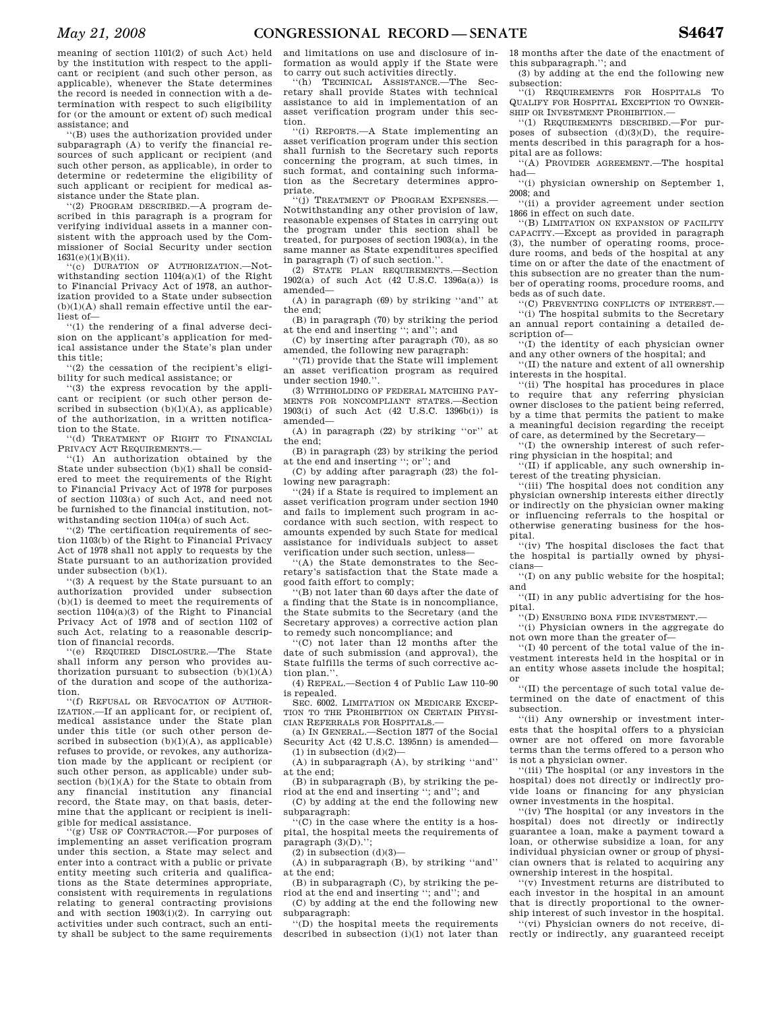meaning of section 1101(2) of such Act) held by the institution with respect to the applicant or recipient (and such other person, as applicable), whenever the State determines the record is needed in connection with a determination with respect to such eligibility for (or the amount or extent of) such medical assistance; and

''(B) uses the authorization provided under subparagraph (A) to verify the financial resources of such applicant or recipient (and such other person, as applicable), in order to determine or redetermine the eligibility of such applicant or recipient for medical assistance under the State plan.

''(2) PROGRAM DESCRIBED.—A program described in this paragraph is a program for verifying individual assets in a manner consistent with the approach used by the Commissioner of Social Security under section 1631(e)(1)(B)(ii).

'(c) DURATION OF AUTHORIZATION.-Notwithstanding section  $1104(a)(1)$  of the Right to Financial Privacy Act of 1978, an authorization provided to a State under subsection  $(b)(1)(A)$  shall remain effective until the earliest of—

''(1) the rendering of a final adverse decision on the applicant's application for medical assistance under the State's plan under this title;

''(2) the cessation of the recipient's eligibility for such medical assistance; or

''(3) the express revocation by the applicant or recipient (or such other person described in subsection  $(b)(1)(A)$ , as applicable) of the authorization, in a written notification to the State.

'(d) TREATMENT OF RIGHT TO FINANCIAL PRIVACY ACT REQUIREMENTS.—

''(1) An authorization obtained by the State under subsection (b)(1) shall be considered to meet the requirements of the Right to Financial Privacy Act of 1978 for purposes of section 1103(a) of such Act, and need not be furnished to the financial institution, notwithstanding section 1104(a) of such Act.

''(2) The certification requirements of section 1103(b) of the Right to Financial Privacy Act of 1978 shall not apply to requests by the State pursuant to an authorization provided under subsection (b)(1).

''(3) A request by the State pursuant to an authorization provided under subsection (b)(1) is deemed to meet the requirements of section 1104(a)(3) of the Right to Financial Privacy Act of 1978 and of section 1102 of such Act, relating to a reasonable description of financial records.

''(e) REQUIRED DISCLOSURE.—The State shall inform any person who provides authorization pursuant to subsection (b)(1)(A) of the duration and scope of the authorization.

''(f) REFUSAL OR REVOCATION OF AUTHOR-IZATION.—If an applicant for, or recipient of, medical assistance under the State plan under this title (or such other person described in subsection  $(b)(1)(A)$ , as applicable) refuses to provide, or revokes, any authorization made by the applicant or recipient (or such other person, as applicable) under subsection  $(b)(1)(A)$  for the State to obtain from any financial institution any financial record, the State may, on that basis, determine that the applicant or recipient is ineligible for medical assistance.

''(g) USE OF CONTRACTOR.—For purposes of implementing an asset verification program under this section, a State may select and enter into a contract with a public or private entity meeting such criteria and qualifications as the State determines appropriate, consistent with requirements in regulations relating to general contracting provisions and with section 1903(i)(2). In carrying out activities under such contract, such an entity shall be subject to the same requirements

and limitations on use and disclosure of information as would apply if the State were to carry out such activities directly.<br>
"(h) TECHNICAL ASSISTANCE —T

TECHNICAL ASSISTANCE.—The Secretary shall provide States with technical assistance to aid in implementation of an asset verification program under this section.

''(i) REPORTS.—A State implementing an asset verification program under this section shall furnish to the Secretary such reports concerning the program, at such times, in such format, and containing such information as the Secretary determines appro-

priate. ''(j) TREATMENT OF PROGRAM EXPENSES.— Notwithstanding any other provision of law, reasonable expenses of States in carrying out the program under this section shall be treated, for purposes of section 1903(a), in the same manner as State expenditures specified in paragraph (7) of such section.''.

(2) STATE PLAN REQUIREMENTS.—Section 1902(a) of such Act (42 U.S.C. 1396a(a)) is amended—

(A) in paragraph (69) by striking ''and'' at the end;

(B) in paragraph (70) by striking the period at the end and inserting ''; and''; and

(C) by inserting after paragraph (70), as so amended, the following new paragraph:

''(71) provide that the State will implement an asset verification program as required under section 1940.''.

(3) WITHHOLDING OF FEDERAL MATCHING PAY-MENTS FOR NONCOMPLIANT STATES.—Section 1903(i) of such Act (42 U.S.C. 1396b(i)) is amended—

(A) in paragraph (22) by striking ''or'' at the end;

(B) in paragraph (23) by striking the period at the end and inserting ''; or''; and

(C) by adding after paragraph (23) the following new paragraph:

''(24) if a State is required to implement an asset verification program under section 1940 and fails to implement such program in accordance with such section, with respect to amounts expended by such State for medical assistance for individuals subject to asset verification under such section, unless—

''(A) the State demonstrates to the Secretary's satisfaction that the State made a good faith effort to comply;

''(B) not later than 60 days after the date of a finding that the State is in noncompliance, the State submits to the Secretary (and the Secretary approves) a corrective action plan to remedy such noncompliance; and

''(C) not later than 12 months after the date of such submission (and approval), the State fulfills the terms of such corrective action plan.''.

(4) REPEAL.—Section 4 of Public Law 110–90 is repealed.

SEC. 6002. LIMITATION ON MEDICARE EXCEP-TION TO THE PROHIBITION ON CERTAIN PHYSI-CIAN REFERRALS FOR HOSPITALS.—

(a) IN GENERAL.—Section 1877 of the Social Security Act (42 U.S.C. 1395nn) is amended— (1) in subsection  $(d)(2)$ 

(A) in subparagraph (A), by striking ''and'' at the end;

(B) in subparagraph (B), by striking the period at the end and inserting ''; and''; and

(C) by adding at the end the following new subparagraph:

''(C) in the case where the entity is a hospital, the hospital meets the requirements of paragraph  $(3)(D)$ .";

 $(2)$  in subsection  $(d)(3)$ -

(A) in subparagraph (B), by striking ''and'' at the end;

(B) in subparagraph (C), by striking the period at the end and inserting ''; and''; and

(C) by adding at the end the following new subparagraph:

''(D) the hospital meets the requirements described in subsection (i)(1) not later than 18 months after the date of the enactment of this subparagraph.''; and

(3) by adding at the end the following new subsection:

''(i) REQUIREMENTS FOR HOSPITALS TO QUALIFY FOR HOSPITAL EXCEPTION TO OWNER-SHIP OR INVESTMENT PROHIBITION.

''(1) REQUIREMENTS DESCRIBED.—For purposes of subsection  $(d)(3)(D)$ , the requirements described in this paragraph for a hospital are as follows:

'(A) PROVIDER AGREEMENT.—The hospital had—

''(i) physician ownership on September 1, 2008; and

''(ii) a provider agreement under section 1866 in effect on such date.

''(B) LIMITATION ON EXPANSION OF FACILITY CAPACITY.—Except as provided in paragraph (3), the number of operating rooms, procedure rooms, and beds of the hospital at any time on or after the date of the enactment of this subsection are no greater than the number of operating rooms, procedure rooms, and beds as of such date.

''(C) PREVENTING CONFLICTS OF INTEREST.— ''(i) The hospital submits to the Secretary an annual report containing a detailed de-

scription of— ''(I) the identity of each physician owner

and any other owners of the hospital; and ''(II) the nature and extent of all ownership interests in the hospital.

''(ii) The hospital has procedures in place to require that any referring physician owner discloses to the patient being referred, by a time that permits the patient to make a meaningful decision regarding the receipt of care, as determined by the Secretary—

''(I) the ownership interest of such referring physician in the hospital; and

''(II) if applicable, any such ownership interest of the treating physician.

''(iii) The hospital does not condition any physician ownership interests either directly or indirectly on the physician owner making or influencing referrals to the hospital or otherwise generating business for the hospital.

''(iv) The hospital discloses the fact that the hospital is partially owned by physicians—

''(I) on any public website for the hospital; and

''(II) in any public advertising for the hospital.

''(D) ENSURING BONA FIDE INVESTMENT.—

''(i) Physician owners in the aggregate do not own more than the greater of—

''(I) 40 percent of the total value of the investment interests held in the hospital or in an entity whose assets include the hospital; or

''(II) the percentage of such total value determined on the date of enactment of this subsection.

''(ii) Any ownership or investment interests that the hospital offers to a physician owner are not offered on more favorable terms than the terms offered to a person who is not a physician owner.

''(iii) The hospital (or any investors in the hospital) does not directly or indirectly provide loans or financing for any physician owner investments in the hospital.

''(iv) The hospital (or any investors in the hospital) does not directly or indirectly guarantee a loan, make a payment toward a loan, or otherwise subsidize a loan, for any individual physician owner or group of physician owners that is related to acquiring any ownership interest in the hospital.

''(v) Investment returns are distributed to each investor in the hospital in an amount that is directly proportional to the ownership interest of such investor in the hospital.

''(vi) Physician owners do not receive, directly or indirectly, any guaranteed receipt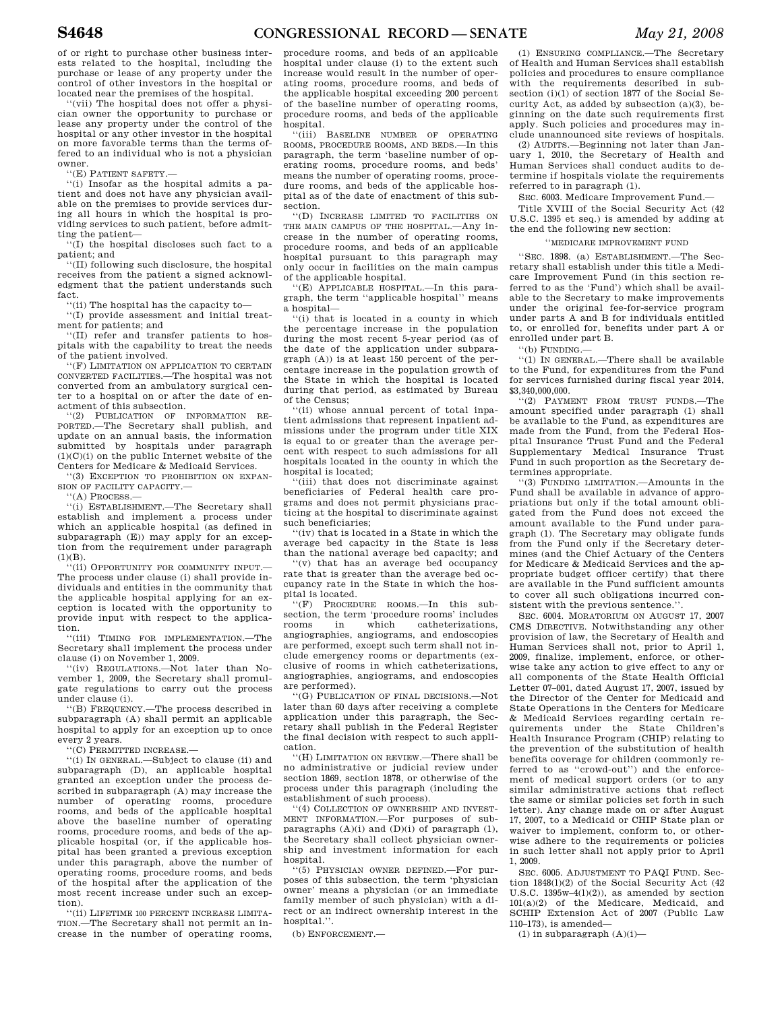of or right to purchase other business interests related to the hospital, including the purchase or lease of any property under the control of other investors in the hospital or located near the premises of the hospital.

''(vii) The hospital does not offer a physician owner the opportunity to purchase or lease any property under the control of the hospital or any other investor in the hospital on more favorable terms than the terms offered to an individual who is not a physician owner.

''(E) PATIENT SAFETY.—

''(i) Insofar as the hospital admits a patient and does not have any physician available on the premises to provide services during all hours in which the hospital is providing services to such patient, before admitting the patient—

''(I) the hospital discloses such fact to a patient; and

''(II) following such disclosure, the hospital receives from the patient a signed acknowledgment that the patient understands such fact.

''(ii) The hospital has the capacity to—

''(I) provide assessment and initial treatment for patients; and

''(II) refer and transfer patients to hospitals with the capability to treat the needs of the patient involved.

'(F) LIMITATION ON APPLICATION TO CERTAIN CONVERTED FACILITIES.—The hospital was not converted from an ambulatory surgical center to a hospital on or after the date of enactment of this subsection.

''(2) PUBLICATION OF INFORMATION RE-PORTED.—The Secretary shall publish, and update on an annual basis, the information submitted by hospitals under paragraph  $(1)(C)(i)$  on the public Internet website of the Centers for Medicare & Medicaid Services.

''(3) EXCEPTION TO PROHIBITION ON EXPAN-SION OF FACILITY CAPACITY.—

''(A) PROCESS.—

'(i) ESTABLISHMENT.—The Secretary shall establish and implement a process under which an applicable hospital (as defined in subparagraph (E)) may apply for an exception from the requirement under paragraph  $(1)(B)$ .

''(ii) OPPORTUNITY FOR COMMUNITY INPUT.— The process under clause (i) shall provide individuals and entities in the community that the applicable hospital applying for an exception is located with the opportunity to provide input with respect to the application.

''(iii) TIMING FOR IMPLEMENTATION.—The Secretary shall implement the process under clause (i) on November 1, 2009.

''(iv) REGULATIONS.—Not later than November 1, 2009, the Secretary shall promulgate regulations to carry out the process under clause (i).

''(B) FREQUENCY.—The process described in subparagraph (A) shall permit an applicable hospital to apply for an exception up to once every 2 years.

''(C) PERMITTED INCREASE.—

''(i) IN GENERAL.—Subject to clause (ii) and subparagraph (D), an applicable hospital granted an exception under the process described in subparagraph (A) may increase the number of operating rooms, procedure rooms, and beds of the applicable hospital above the baseline number of operating rooms, procedure rooms, and beds of the applicable hospital (or, if the applicable hospital has been granted a previous exception under this paragraph, above the number of operating rooms, procedure rooms, and beds of the hospital after the application of the most recent increase under such an exception).

''(ii) LIFETIME 100 PERCENT INCREASE LIMITA-TION.—The Secretary shall not permit an increase in the number of operating rooms,

procedure rooms, and beds of an applicable hospital under clause (i) to the extent such increase would result in the number of operating rooms, procedure rooms, and beds of the applicable hospital exceeding 200 percent of the baseline number of operating rooms, procedure rooms, and beds of the applicable hospital.

''(iii) BASELINE NUMBER OF OPERATING ROOMS, PROCEDURE ROOMS, AND BEDS.—In this paragraph, the term 'baseline number of operating rooms, procedure rooms, and beds' means the number of operating rooms, procedure rooms, and beds of the applicable hospital as of the date of enactment of this subsection.

''(D) INCREASE LIMITED TO FACILITIES ON THE MAIN CAMPUS OF THE HOSPITAL.—Any increase in the number of operating rooms, procedure rooms, and beds of an applicable hospital pursuant to this paragraph may only occur in facilities on the main campus of the applicable hospital.

''(E) APPLICABLE HOSPITAL.—In this paragraph, the term ''applicable hospital'' means a hospital—

''(i) that is located in a county in which the percentage increase in the population during the most recent 5-year period (as of the date of the application under subparagraph (A)) is at least 150 percent of the percentage increase in the population growth of the State in which the hospital is located during that period, as estimated by Bureau of the Census;

''(ii) whose annual percent of total inpatient admissions that represent inpatient admissions under the program under title XIX is equal to or greater than the average percent with respect to such admissions for all hospitals located in the county in which the hospital is located;

''(iii) that does not discriminate against beneficiaries of Federal health care programs and does not permit physicians practicing at the hospital to discriminate against such beneficiaries;

''(iv) that is located in a State in which the average bed capacity in the State is less than the national average bed capacity; and

''(v) that has an average bed occupancy rate that is greater than the average bed occupancy rate in the State in which the hospital is located.

''(F) PROCEDURE ROOMS.—In this subsection, the term 'procedure rooms' includes rooms in which catheterizations, angiographies, angiograms, and endoscopies are performed, except such term shall not include emergency rooms or departments (exclusive of rooms in which catheterizations, angiographies, angiograms, and endoscopies are performed).

''(G) PUBLICATION OF FINAL DECISIONS.—Not later than 60 days after receiving a complete application under this paragraph, the Secretary shall publish in the Federal Register the final decision with respect to such application.

''(H) LIMITATION ON REVIEW.—There shall be no administrative or judicial review under section 1869, section 1878, or otherwise of the process under this paragraph (including the establishment of such process).

''(4) COLLECTION OF OWNERSHIP AND INVEST-MENT INFORMATION.—For purposes of subparagraphs  $(A)(i)$  and  $(D)(i)$  of paragraph  $(1)$ , the Secretary shall collect physician ownership and investment information for each hospital.

''(5) PHYSICIAN OWNER DEFINED.—For purposes of this subsection, the term 'physician owner' means a physician (or an immediate family member of such physician) with a direct or an indirect ownership interest in the hospital.''.

(b) ENFORCEMENT.—

(1) ENSURING COMPLIANCE.—The Secretary of Health and Human Services shall establish policies and procedures to ensure compliance with the requirements described in subsection (i)(1) of section 1877 of the Social Security Act, as added by subsection (a)(3), beginning on the date such requirements first apply. Such policies and procedures may include unannounced site reviews of hospitals.

(2) AUDITS.—Beginning not later than January 1, 2010, the Secretary of Health and Human Services shall conduct audits to determine if hospitals violate the requirements referred to in paragraph (1).

SEC. 6003. Medicare Improvement Fund.—

Title XVIII of the Social Security Act (42 U.S.C. 1395 et seq.) is amended by adding at the end the following new section:

### ''MEDICARE IMPROVEMENT FUND

''SEC. 1898. (a) ESTABLISHMENT.—The Secretary shall establish under this title a Medicare Improvement Fund (in this section referred to as the 'Fund') which shall be available to the Secretary to make improvements under the original fee-for-service program under parts A and B for individuals entitled to, or enrolled for, benefits under part A or enrolled under part B.

''(b) FUNDING.—

''(1) IN GENERAL.—There shall be available to the Fund, for expenditures from the Fund for services furnished during fiscal year 2014, \$3,340,000,000.

''(2) PAYMENT FROM TRUST FUNDS.—The amount specified under paragraph (1) shall be available to the Fund, as expenditures are made from the Fund, from the Federal Hospital Insurance Trust Fund and the Federal Supplementary Medical Insurance Trust Fund in such proportion as the Secretary determines appropriate.

''(3) FUNDING LIMITATION.—Amounts in the Fund shall be available in advance of appropriations but only if the total amount obligated from the Fund does not exceed the amount available to the Fund under paragraph (1). The Secretary may obligate funds from the Fund only if the Secretary determines (and the Chief Actuary of the Centers for Medicare & Medicaid Services and the appropriate budget officer certify) that there are available in the Fund sufficient amounts to cover all such obligations incurred consistent with the previous sentence."

SEC. 6004. MORATORIUM ON AUGUST 17, 2007 CMS DIRECTIVE. Notwithstanding any other provision of law, the Secretary of Health and Human Services shall not, prior to April 1, 2009, finalize, implement, enforce, or otherwise take any action to give effect to any or all components of the State Health Official Letter 07–001, dated August 17, 2007, issued by the Director of the Center for Medicaid and State Operations in the Centers for Medicare & Medicaid Services regarding certain requirements under the State Children's Health Insurance Program (CHIP) relating to the prevention of the substitution of health benefits coverage for children (commonly referred to as ''crowd-out'') and the enforcement of medical support orders (or to any similar administrative actions that reflect the same or similar policies set forth in such letter). Any change made on or after August 17, 2007, to a Medicaid or CHIP State plan or waiver to implement, conform to, or otherwise adhere to the requirements or policies in such letter shall not apply prior to April 1, 2009.

SEC. 6005. ADJUSTMENT TO PAQI FUND. Section 1848(l)(2) of the Social Security Act (42 U.S.C.  $1395w-4(1)(2)$ , as amended by section 101(a)(2) of the Medicare, Medicaid, and SCHIP Extension Act of 2007 (Public Law 110–173), is amended—

 $(1)$  in subparagraph  $(A)(i)$ —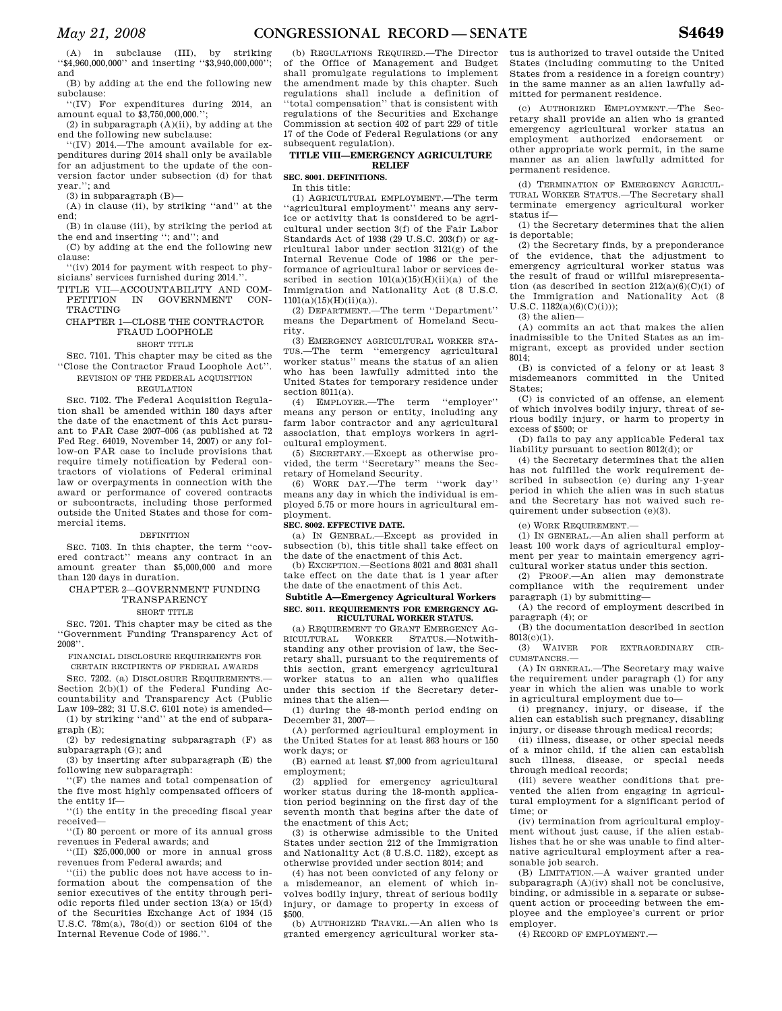(A) in subclause (III), by striking ''\$4,960,000,000'' and inserting ''\$3,940,000,000''; and

(B) by adding at the end the following new subclause:

''(IV) For expenditures during 2014, an amount equal to \$3,750,000,000.'';

(2) in subparagraph (A)(ii), by adding at the end the following new subclause:

''(IV) 2014.—The amount available for expenditures during 2014 shall only be available for an adjustment to the update of the conversion factor under subsection (d) for that year.''; and

(3) in subparagraph (B)—

(A) in clause (ii), by striking ''and'' at the end;

(B) in clause (iii), by striking the period at the end and inserting ''; and''; and (C) by adding at the end the following new

clause:

''(iv) 2014 for payment with respect to physicians' services furnished during 2014.''

TITLE VII—ACCOUNTABILITY AND COM-<br>PETITION IN GOVERNMENT CON-GOVERNMENT TRACTING

## CHAPTER 1—CLOSE THE CONTRACTOR FRAUD LOOPHOLE SHORT TITLE

SEC. 7101. This chapter may be cited as the

''Close the Contractor Fraud Loophole Act''. REVISION OF THE FEDERAL ACQUISITION

### REGULATION

SEC. 7102. The Federal Acquisition Regulation shall be amended within 180 days after the date of the enactment of this Act pursuant to FAR Case 2007–006 (as published at 72 Fed Reg. 64019, November 14, 2007) or any follow-on FAR case to include provisions that require timely notification by Federal contractors of violations of Federal criminal law or overpayments in connection with the award or performance of covered contracts or subcontracts, including those performed outside the United States and those for commercial items.

### DEFINITION

SEC. 7103. In this chapter, the term ''covered contract'' means any contract in an amount greater than \$5,000,000 and more than 120 days in duration.

### CHAPTER 2—GOVERNMENT FUNDING TRANSPARENCY SHORT TITLE

SEC. 7201. This chapter may be cited as the ''Government Funding Transparency Act of 2008''.

FINANCIAL DISCLOSURE REQUIREMENTS FOR CERTAIN RECIPIENTS OF FEDERAL AWARDS

SEC. 7202. (a) DISCLOSURE REQUIREMENTS.— Section  $2(b)(1)$  of the Federal Funding Accountability and Transparency Act (Public Law 109–282; 31 U.S.C. 6101 note) is amended— (1) by striking ''and'' at the end of subpara-

graph (E);

(2) by redesignating subparagraph (F) as subparagraph (G); and

(3) by inserting after subparagraph (E) the following new subparagraph:

''(F) the names and total compensation of the five most highly compensated officers of the entity if—

''(i) the entity in the preceding fiscal year received—

''(I) 80 percent or more of its annual gross revenues in Federal awards; and

''(II) \$25,000,000 or more in annual gross revenues from Federal awards; and

''(ii) the public does not have access to information about the compensation of the senior executives of the entity through periodic reports filed under section 13(a) or 15(d) of the Securities Exchange Act of 1934 (15 U.S.C. 78m(a), 78o(d)) or section 6104 of the Internal Revenue Code of 1986.''.

(b) REGULATIONS REQUIRED.—The Director of the Office of Management and Budget shall promulgate regulations to implement the amendment made by this chapter. Such regulations shall include a definition of ''total compensation'' that is consistent with regulations of the Securities and Exchange Commission at section 402 of part 229 of title 17 of the Code of Federal Regulations (or any subsequent regulation).

### **TITLE VIII—EMERGENCY AGRICULTURE RELIEF**

## **SEC. 8001. DEFINITIONS.**

In this title:

(1) AGRICULTURAL EMPLOYMENT.—The term ''agricultural employment'' means any service or activity that is considered to be agricultural under section 3(f) of the Fair Labor Standards Act of 1938 (29 U.S.C. 203(f)) or agricultural labor under section 3121(g) of the Internal Revenue Code of 1986 or the performance of agricultural labor or services described in section  $101(a)(15)(H)(ii)(a)$  of the Immigration and Nationality Act (8 U.S.C.  $1101(a)(15)(H)(ii)(a)$ ).

(2) DEPARTMENT.—The term ''Department'' means the Department of Homeland Security.

(3) EMERGENCY AGRICULTURAL WORKER STA-TUS.—The term ''emergency agricultural worker status'' means the status of an alien who has been lawfully admitted into the United States for temporary residence under section 8011(a).

(4) EMPLOYER.—The term ''employer'' means any person or entity, including any farm labor contractor and any agricultural association, that employs workers in agricultural employment.

(5) SECRETARY.—Except as otherwise provided, the term ''Secretary'' means the Secretary of Homeland Security.

(6) WORK DAY.—The term ''work day'' means any day in which the individual is employed 5.75 or more hours in agricultural employment.

### **SEC. 8002. EFFECTIVE DATE.**

(a) IN GENERAL.—Except as provided in subsection (b), this title shall take effect on the date of the enactment of this Act.

(b) EXCEPTION.—Sections 8021 and 8031 shall take effect on the date that is 1 year after the date of the enactment of this Act.

### **Subtitle A—Emergency Agricultural Workers SEC. 8011. REQUIREMENTS FOR EMERGENCY AG-RICULTURAL WORKER STATUS.**

(a) REQUIREMENT TO GRANT EMERGENCY AG-<br>
RICIU TURAL WORKER STATUS —Notwith-WORKER STATUS.—Notwithstanding any other provision of law, the Secretary shall, pursuant to the requirements of this section, grant emergency agricultural worker status to an alien who qualifies under this section if the Secretary determines that the alien—

(1) during the 48-month period ending on December 31, 2007—

(A) performed agricultural employment in the United States for at least 863 hours or 150 work days; or

(B) earned at least \$7,000 from agricultural employment;

(2) applied for emergency agricultural worker status during the 18-month application period beginning on the first day of the seventh month that begins after the date of the enactment of this Act;

(3) is otherwise admissible to the United States under section 212 of the Immigration and Nationality Act (8 U.S.C. 1182), except as otherwise provided under section 8014; and

(4) has not been convicted of any felony or a misdemeanor, an element of which involves bodily injury, threat of serious bodily injury, or damage to property in excess of \$500.

(b) AUTHORIZED TRAVEL.—An alien who is granted emergency agricultural worker sta-

tus is authorized to travel outside the United States (including commuting to the United States from a residence in a foreign country) in the same manner as an alien lawfully admitted for permanent residence.

(c) AUTHORIZED EMPLOYMENT.—The Secretary shall provide an alien who is granted emergency agricultural worker status an employment authorized endorsement or other appropriate work permit, in the same manner as an alien lawfully admitted for permanent residence.

(d) TERMINATION OF EMERGENCY AGRICUL-TURAL WORKER STATUS.—The Secretary shall terminate emergency agricultural worker status if—

(1) the Secretary determines that the alien is deportable;

(2) the Secretary finds, by a preponderance of the evidence, that the adjustment to emergency agricultural worker status was the result of fraud or willful misrepresentation (as described in section  $212(a)(6)(C)(i)$  of the Immigration and Nationality Act (8 U.S.C.  $1182(a)(6)(C)(i))$ ;

(3) the alien—

(A) commits an act that makes the alien inadmissible to the United States as an immigrant, except as provided under section 8014;

(B) is convicted of a felony or at least 3 misdemeanors committed in the United States;

(C) is convicted of an offense, an element of which involves bodily injury, threat of serious bodily injury, or harm to property in excess of \$500; or

(D) fails to pay any applicable Federal tax liability pursuant to section 8012(d); or

(4) the Secretary determines that the alien has not fulfilled the work requirement described in subsection (e) during any 1-year period in which the alien was in such status and the Secretary has not waived such requirement under subsection (e)(3).

(e) WORK REQUIREMENT.—

(1) IN GENERAL.—An alien shall perform at least 100 work days of agricultural employment per year to maintain emergency agricultural worker status under this section.

(2) PROOF.—An alien may demonstrate compliance with the requirement under paragraph (1) by submitting—

(A) the record of employment described in paragraph (4); or

(B) the documentation described in section 8013(c)(1).

(3) WAIVER FOR EXTRAORDINARY CIR-CUMSTANCES.—

(A) IN GENERAL.—The Secretary may waive the requirement under paragraph (1) for any year in which the alien was unable to work in agricultural employment due to—

(i) pregnancy, injury, or disease, if the alien can establish such pregnancy, disabling injury, or disease through medical records;

(ii) illness, disease, or other special needs of a minor child, if the alien can establish such illness, disease, or special needs through medical records;

(iii) severe weather conditions that prevented the alien from engaging in agricultural employment for a significant period of time; or

(iv) termination from agricultural employment without just cause, if the alien establishes that he or she was unable to find alternative agricultural employment after a reasonable job search.

(B) LIMITATION.—A waiver granted under subparagraph (A)(iv) shall not be conclusive, binding, or admissible in a separate or subsequent action or proceeding between the employee and the employee's current or prior employer.

(4) RECORD OF EMPLOYMENT.—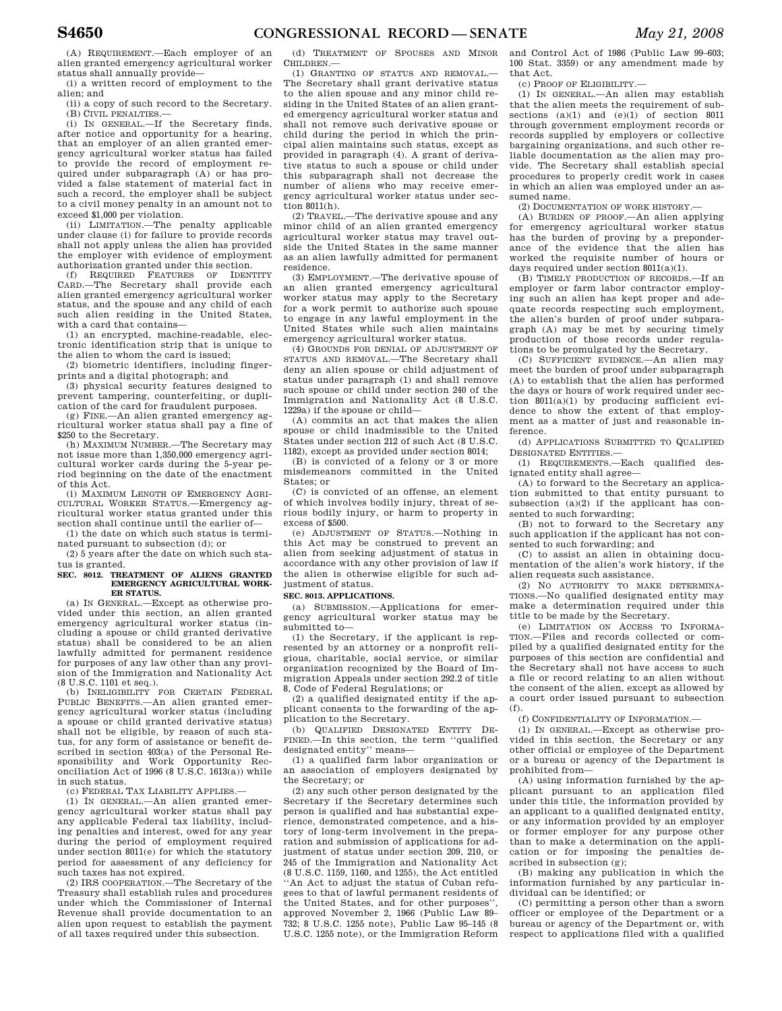(A) REQUIREMENT.—Each employer of an alien granted emergency agricultural worker status shall annually provide—

(i) a written record of employment to the alien; and

(ii) a copy of such record to the Secretary. (B) CIVIL PENALTIES.—

(i) IN GENERAL.—If the Secretary finds, after notice and opportunity for a hearing, that an employer of an alien granted emergency agricultural worker status has failed to provide the record of employment required under subparagraph (A) or has provided a false statement of material fact in such a record, the employer shall be subject to a civil money penalty in an amount not to exceed \$1,000 per violation.

(ii) LIMITATION.—The penalty applicable under clause (i) for failure to provide records shall not apply unless the alien has provided the employer with evidence of employment authorization granted under this section.

(f) REQUIRED FEATURES OF IDENTITY CARD.—The Secretary shall provide each alien granted emergency agricultural worker status, and the spouse and any child of each such alien residing in the United States, with a card that contains—

(1) an encrypted, machine-readable, electronic identification strip that is unique to the alien to whom the card is issued;

(2) biometric identifiers, including fingerprints and a digital photograph; and

(3) physical security features designed to prevent tampering, counterfeiting, or duplication of the card for fraudulent purposes.

(g) FINE.—An alien granted emergency agricultural worker status shall pay a fine of \$250 to the Secretary.

(h) MAXIMUM NUMBER.—The Secretary may not issue more than 1,350,000 emergency agricultural worker cards during the 5-year period beginning on the date of the enactment of this Act.

(i) MAXIMUM LENGTH OF EMERGENCY AGRI-CULTURAL WORKER STATUS. Emergency agricultural worker status granted under this section shall continue until the earlier of—

(1) the date on which such status is terminated pursuant to subsection (d); or

(2) 5 years after the date on which such status is granted.

#### **SEC. 8012. TREATMENT OF ALIENS GRANTED EMERGENCY AGRICULTURAL WORK-ER STATUS.**

(a) IN GENERAL.—Except as otherwise provided under this section, an alien granted emergency agricultural worker status (including a spouse or child granted derivative status) shall be considered to be an alien lawfully admitted for permanent residence for purposes of any law other than any provision of the Immigration and Nationality Act

(8 U.S.C. 1101 et seq.). (b) INELIGIBILITY FOR CERTAIN FEDERAL PUBLIC BENEFITS.—An alien granted emergency agricultural worker status (including a spouse or child granted derivative status) shall not be eligible, by reason of such status, for any form of assistance or benefit described in section 403(a) of the Personal Responsibility and Work Opportunity Reconciliation Act of 1996 (8 U.S.C. 1613(a)) while in such status.

(c) FEDERAL TAX LIABILITY APPLIES.—

(1) IN GENERAL.—An alien granted emergency agricultural worker status shall pay any applicable Federal tax liability, including penalties and interest, owed for any year during the period of employment required under section 8011(e) for which the statutory period for assessment of any deficiency for such taxes has not expired.

(2) IRS COOPERATION.—The Secretary of the Treasury shall establish rules and procedures under which the Commissioner of Internal Revenue shall provide documentation to an alien upon request to establish the payment of all taxes required under this subsection.

(d) TREATMENT OF SPOUSES AND MINOR CHILDREN.—

(1) GRANTING OF STATUS AND REMOVAL. The Secretary shall grant derivative status to the alien spouse and any minor child residing in the United States of an alien granted emergency agricultural worker status and shall not remove such derivative spouse or child during the period in which the principal alien maintains such status, except as provided in paragraph (4). A grant of derivative status to such a spouse or child under this subparagraph shall not decrease the number of aliens who may receive emergency agricultural worker status under section 8011(h).

(2) TRAVEL.—The derivative spouse and any minor child of an alien granted emergency agricultural worker status may travel outside the United States in the same manner as an alien lawfully admitted for permanent residence.

(3) EMPLOYMENT.—The derivative spouse of an alien granted emergency agricultural worker status may apply to the Secretary for a work permit to authorize such spouse to engage in any lawful employment in the United States while such alien maintains emergency agricultural worker status.

(4) GROUNDS FOR DENIAL OF ADJUSTMENT OF STATUS AND REMOVAL.—The Secretary shall deny an alien spouse or child adjustment of status under paragraph (1) and shall remove such spouse or child under section 240 of the Immigration and Nationality Act (8 U.S.C. 1229a) if the spouse or child—

(A) commits an act that makes the alien spouse or child inadmissible to the United States under section 212 of such Act (8 U.S.C. 1182), except as provided under section 8014;

(B) is convicted of a felony or 3 or more misdemeanors committed in the United States; or

(C) is convicted of an offense, an element of which involves bodily injury, threat of serious bodily injury, or harm to property in excess of \$500.

(e) ADJUSTMENT OF STATUS.—Nothing in this Act may be construed to prevent an alien from seeking adjustment of status in accordance with any other provision of law if the alien is otherwise eligible for such adjustment of status.

#### **SEC. 8013. APPLICATIONS.**

(a) SUBMISSION.—Applications for emergency agricultural worker status may be submitted to—

(1) the Secretary, if the applicant is represented by an attorney or a nonprofit religious, charitable, social service, or similar organization recognized by the Board of Immigration Appeals under section 292.2 of title 8, Code of Federal Regulations; or

(2) a qualified designated entity if the applicant consents to the forwarding of the application to the Secretary.

(b) QUALIFIED DESIGNATED ENTITY DE-FINED.—In this section, the term ''qualified designated entity'' means—

(1) a qualified farm labor organization or an association of employers designated by the Secretary; or

(2) any such other person designated by the Secretary if the Secretary determines such person is qualified and has substantial experience, demonstrated competence, and a history of long-term involvement in the preparation and submission of applications for adjustment of status under section 209, 210, or 245 of the Immigration and Nationality Act (8 U.S.C. 1159, 1160, and 1255), the Act entitled ''An Act to adjust the status of Cuban refugees to that of lawful permanent residents of the United States, and for other purposes'', approved November 2, 1966 (Public Law 89– 732; 8 U.S.C. 1255 note), Public Law 95–145 (8 U.S.C. 1255 note), or the Immigration Reform and Control Act of 1986 (Public Law 99–603; 100 Stat. 3359) or any amendment made by that Act.

(c) PROOF OF ELIGIBILITY.—

(1) IN GENERAL.—An alien may establish that the alien meets the requirement of subsections  $(a)(1)$  and  $(e)(1)$  of section 8011 through government employment records or records supplied by employers or collective bargaining organizations, and such other reliable documentation as the alien may provide. The Secretary shall establish special procedures to properly credit work in cases in which an alien was employed under an assumed name.

(2) DOCUMENTATION OF WORK HISTORY.—

 $(A)$  BURDEN OF PROOF  $-$ An alien applying for emergency agricultural worker status has the burden of proving by a preponderance of the evidence that the alien has worked the requisite number of hours or days required under section 8011(a)(1).

(B) TIMELY PRODUCTION OF RECORDS.—If an employer or farm labor contractor employing such an alien has kept proper and adequate records respecting such employment, the alien's burden of proof under subparagraph (A) may be met by securing timely production of those records under regulations to be promulgated by the Secretary.

(C) SUFFICIENT EVIDENCE.—An alien may meet the burden of proof under subparagraph (A) to establish that the alien has performed the days or hours of work required under section 8011(a)(1) by producing sufficient evidence to show the extent of that employment as a matter of just and reasonable inference.

(d) APPLICATIONS SUBMITTED TO QUALIFIED DESIGNATED ENTITIES.—

(1) REQUIREMENTS.—Each qualified designated entity shall agree—

(A) to forward to the Secretary an application submitted to that entity pursuant to subsection (a)(2) if the applicant has consented to such forwarding;

(B) not to forward to the Secretary any such application if the applicant has not consented to such forwarding; and

(C) to assist an alien in obtaining documentation of the alien's work history, if the alien requests such assistance.

(2) NO AUTHORITY TO MAKE DETERMINA-TIONS.—No qualified designated entity may make a determination required under this title to be made by the Secretary.

(e) LIMITATION ON ACCESS TO INFORMA-TION.—Files and records collected or compiled by a qualified designated entity for the purposes of this section are confidential and the Secretary shall not have access to such a file or record relating to an alien without the consent of the alien, except as allowed by a court order issued pursuant to subsection (f).

(f) CONFIDENTIALITY OF INFORMATION.—

(1) IN GENERAL.—Except as otherwise provided in this section, the Secretary or any other official or employee of the Department or a bureau or agency of the Department is prohibited from—

(A) using information furnished by the applicant pursuant to an application filed under this title, the information provided by an applicant to a qualified designated entity, or any information provided by an employer or former employer for any purpose other than to make a determination on the application or for imposing the penalties described in subsection (g);

(B) making any publication in which the information furnished by any particular individual can be identified; or

(C) permitting a person other than a sworn officer or employee of the Department or a bureau or agency of the Department or, with respect to applications filed with a qualified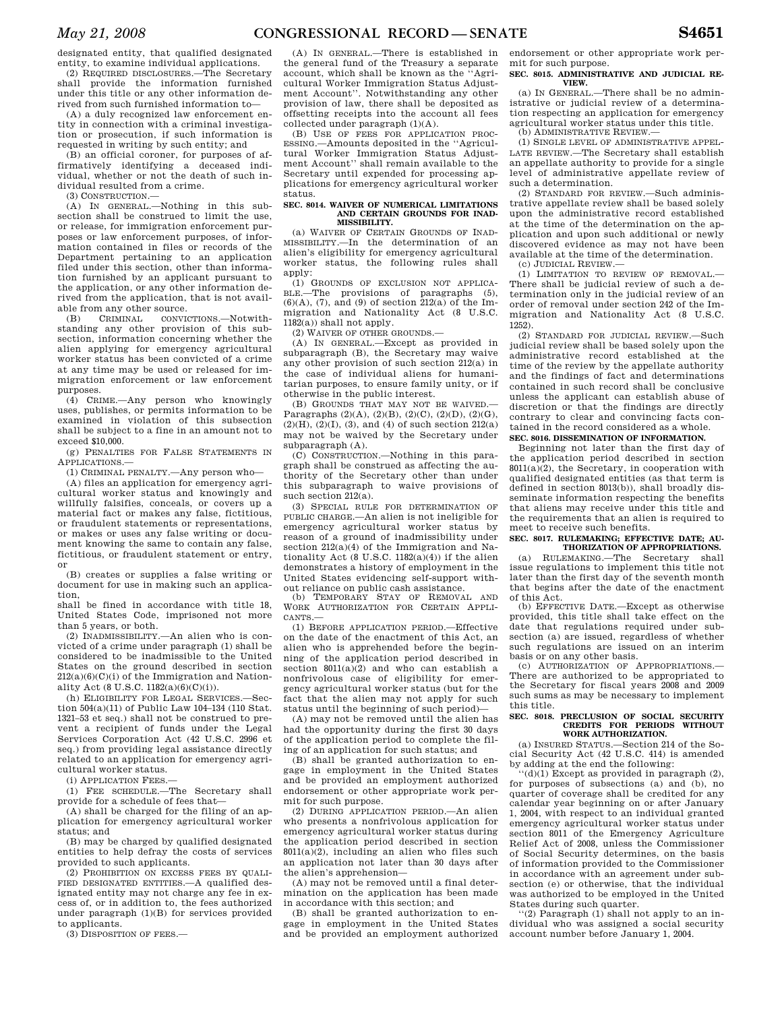designated entity, that qualified designated entity, to examine individual applications.

(2) REQUIRED DISCLOSURES.—The Secretary shall provide the information furnished under this title or any other information derived from such furnished information to—

(A) a duly recognized law enforcement entity in connection with a criminal investigation or prosecution, if such information is requested in writing by such entity; and

(B) an official coroner, for purposes of affirmatively identifying a deceased individual, whether or not the death of such individual resulted from a crime.

(3) CONSTRUCTION.—

(A) IN GENERAL.—Nothing in this subsection shall be construed to limit the use, or release, for immigration enforcement purposes or law enforcement purposes, of information contained in files or records of the Department pertaining to an application filed under this section, other than information furnished by an applicant pursuant to the application, or any other information derived from the application, that is not available from any other source.

(B) CRIMINAL CONVICTIONS.—Notwithstanding any other provision of this subsection, information concerning whether the alien applying for emergency agricultural worker status has been convicted of a crime at any time may be used or released for immigration enforcement or law enforcement purposes.

(4) CRIME.—Any person who knowingly uses, publishes, or permits information to be examined in violation of this subsection shall be subject to a fine in an amount not to exceed \$10,000.

(g) PENALTIES FOR FALSE STATEMENTS IN APPLICATIONS.—

(1) CRIMINAL PENALTY.—Any person who—

(A) files an application for emergency agricultural worker status and knowingly and willfully falsifies, conceals, or covers up a material fact or makes any false, fictitious, or fraudulent statements or representations, or makes or uses any false writing or document knowing the same to contain any false, fictitious, or fraudulent statement or entry, or

(B) creates or supplies a false writing or document for use in making such an application,

shall be fined in accordance with title 18, United States Code, imprisoned not more than 5 years, or both.

(2) INADMISSIBILITY.—An alien who is convicted of a crime under paragraph (1) shall be considered to be inadmissible to the United States on the ground described in section  $212(a)(6)(C)(i)$  of the Immigration and Nationality Act  $(8 \text{ U.S.C. } 1182(a)(6)(C)(i)).$ 

(h) ELIGIBILITY FOR LEGAL SERVICES.—Section 504(a)(11) of Public Law 104–134 (110 Stat. 1321–53 et seq.) shall not be construed to prevent a recipient of funds under the Legal Services Corporation Act (42 U.S.C. 2996 et seq.) from providing legal assistance directly related to an application for emergency agricultural worker status.

(i) APPLICATION FEES.—

(1) FEE SCHEDULE.—The Secretary shall provide for a schedule of fees that—

(A) shall be charged for the filing of an application for emergency agricultural worker status; and

(B) may be charged by qualified designated entities to help defray the costs of services provided to such applicants.

(2) PROHIBITION ON EXCESS FEES BY QUALI-FIED DESIGNATED ENTITIES.—A qualified designated entity may not charge any fee in excess of, or in addition to, the fees authorized under paragraph (1)(B) for services provided to applicants.

(3) DISPOSITION OF FEES.—

(A) IN GENERAL.—There is established in the general fund of the Treasury a separate account, which shall be known as the ''Agricultural Worker Immigration Status Adjustment Account''. Notwithstanding any other provision of law, there shall be deposited as offsetting receipts into the account all fees collected under paragraph (1)(A).

(B) USE OF FEES FOR APPLICATION PROC-ESSING.—Amounts deposited in the ''Agricultural Worker Immigration Status Adjustment Account'' shall remain available to the Secretary until expended for processing applications for emergency agricultural worker status.

#### **SEC. 8014. WAIVER OF NUMERICAL LIMITATIONS AND CERTAIN GROUNDS FOR INAD-MISSIBILITY.**

(a) WAIVER OF CERTAIN GROUNDS OF INAD-MISSIBILITY.—In the determination of an alien's eligibility for emergency agricultural worker status, the following rules shall apply:

(1) GROUNDS OF EXCLUSION NOT APPLICA-BLE.—The provisions of paragraphs (5),  $(6)(A)$ ,  $(7)$ , and  $(9)$  of section  $212(a)$  of the Immigration and Nationality Act (8 U.S.C. 1182(a)) shall not apply.

(2) WAIVER OF OTHER GROUNDS.

(A) IN GENERAL.—Except as provided in subparagraph (B), the Secretary may waive any other provision of such section 212(a) in the case of individual aliens for humanitarian purposes, to ensure family unity, or if otherwise in the public interest.

(B) GROUNDS THAT MAY NOT BE WAIVED. Paragraphs (2)(A), (2)(B), (2)(C), (2)(D), (2)(G),  $(2)(H)$ ,  $(2)(I)$ ,  $(3)$ , and  $(4)$  of such section  $212(a)$ may not be waived by the Secretary under subparagraph (A).

(C) CONSTRUCTION.—Nothing in this paragraph shall be construed as affecting the authority of the Secretary other than under this subparagraph to waive provisions of such section 212(a).

(3) SPECIAL RULE FOR DETERMINATION OF PUBLIC CHARGE.—An alien is not ineligible for emergency agricultural worker status by reason of a ground of inadmissibility under section  $212(a)(4)$  of the Immigration and Nationality Act  $(8 \text{ U.S.C. } 1182(a)(4))$  if the alien demonstrates a history of employment in the United States evidencing self-support without reliance on public cash assistance.

(b) TEMPORARY STAY OF REMOVAL AND WORK AUTHORIZATION FOR CERTAIN APPLI-CANTS.—

(1) BEFORE APPLICATION PERIOD.—Effective on the date of the enactment of this Act, an alien who is apprehended before the beginning of the application period described in section  $8011(a)(2)$  and who can establish a nonfrivolous case of eligibility for emergency agricultural worker status (but for the fact that the alien may not apply for such status until the beginning of such period)—

(A) may not be removed until the alien has had the opportunity during the first 30 days of the application period to complete the filing of an application for such status; and

(B) shall be granted authorization to engage in employment in the United States and be provided an employment authorized endorsement or other appropriate work permit for such purpose.

(2) DURING APPLICATION PERIOD.—An alien who presents a nonfrivolous application for emergency agricultural worker status during the application period described in section  $8011(a)(2)$ , including an alien who files such an application not later than 30 days after the alien's apprehension—

(A) may not be removed until a final determination on the application has been made in accordance with this section; and

(B) shall be granted authorization to engage in employment in the United States and be provided an employment authorized

endorsement or other appropriate work permit for such purpose.

## **SEC. 8015. ADMINISTRATIVE AND JUDICIAL RE-VIEW.**

(a) IN GENERAL.—There shall be no administrative or judicial review of a determination respecting an application for emergency agricultural worker status under this title. (b) ADMINISTRATIVE REVIEW.—

(1) SINGLE LEVEL OF ADMINISTRATIVE APPEL-LATE REVIEW.—The Secretary shall establish an appellate authority to provide for a single level of administrative appellate review of such a determination.

(2) STANDARD FOR REVIEW.—Such administrative appellate review shall be based solely upon the administrative record established at the time of the determination on the application and upon such additional or newly discovered evidence as may not have been available at the time of the determination.

(c) JUDICIAL REVIEW.—

(1) LIMITATION TO REVIEW OF REMOVAL.— There shall be judicial review of such a determination only in the judicial review of an order of removal under section 242 of the Immigration and Nationality Act (8 U.S.C. 1252).

(2) STANDARD FOR JUDICIAL REVIEW.—Such judicial review shall be based solely upon the administrative record established at the time of the review by the appellate authority and the findings of fact and determinations contained in such record shall be conclusive unless the applicant can establish abuse of discretion or that the findings are directly contrary to clear and convincing facts contained in the record considered as a whole.

## **SEC. 8016. DISSEMINATION OF INFORMATION.**

Beginning not later than the first day of the application period described in section 8011(a)(2), the Secretary, in cooperation with qualified designated entities (as that term is defined in section 8013(b)), shall broadly disseminate information respecting the benefits that aliens may receive under this title and the requirements that an alien is required to meet to receive such benefits.

### **SEC. 8017. RULEMAKING; EFFECTIVE DATE; AU-THORIZATION OF APPROPRIATIONS.**

(a) RULEMAKING.—The Secretary shall issue regulations to implement this title not later than the first day of the seventh month that begins after the date of the enactment of this Act.

(b) EFFECTIVE DATE.—Except as otherwise provided, this title shall take effect on the date that regulations required under subsection (a) are issued, regardless of whether such regulations are issued on an interim basis or on any other basis.

(c) AUTHORIZATION OF APPROPRIATIONS.— There are authorized to be appropriated to the Secretary for fiscal years 2008 and 2009 such sums as may be necessary to implement this title.

#### **SEC. 8018. PRECLUSION OF SOCIAL SECURITY CREDITS FOR PERIODS WITHOUT WORK AUTHORIZATION.**

(a) INSURED STATUS.—Section 214 of the Social Security Act (42 U.S.C. 414) is amended by adding at the end the following:

 $'(d)(1)$  Except as provided in paragraph  $(2)$ , for purposes of subsections (a) and (b), no quarter of coverage shall be credited for any calendar year beginning on or after January 1, 2004, with respect to an individual granted emergency agricultural worker status under section 8011 of the Emergency Agriculture Relief Act of 2008, unless the Commissioner of Social Security determines, on the basis of information provided to the Commissioner in accordance with an agreement under subsection (e) or otherwise, that the individual was authorized to be employed in the United States during such quarter.

 $(2)$  Paragraph (1) shall not apply to an individual who was assigned a social security account number before January 1, 2004.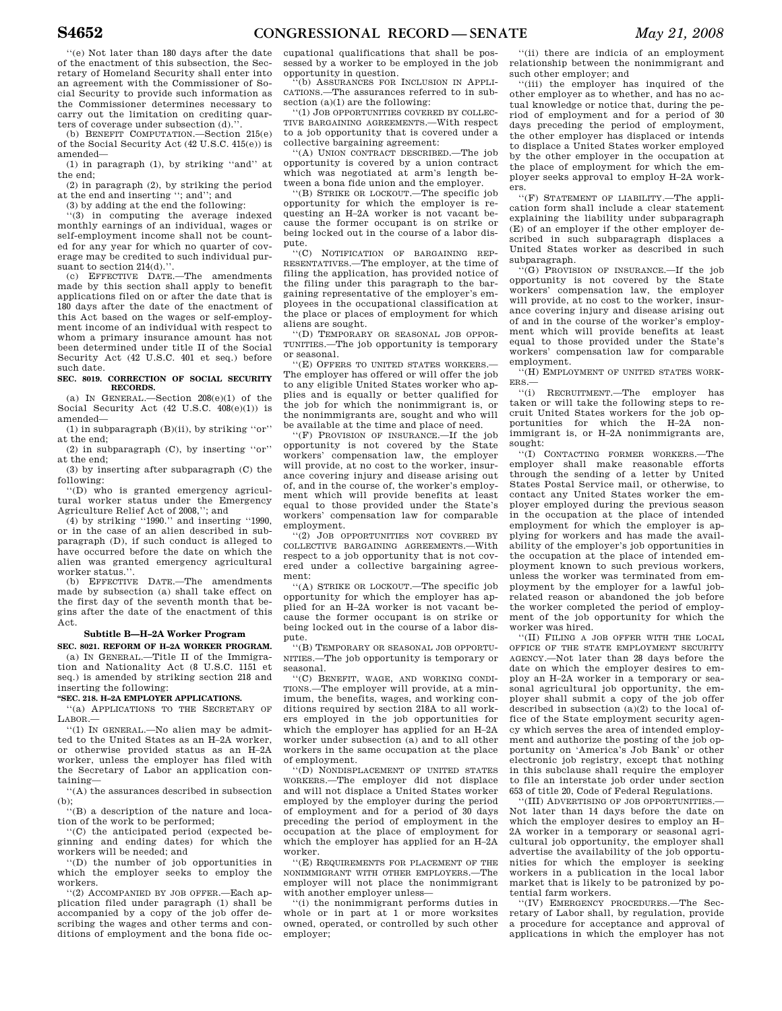'(e) Not later than 180 days after the date of the enactment of this subsection, the Secretary of Homeland Security shall enter into an agreement with the Commissioner of Social Security to provide such information as the Commissioner determines necessary to carry out the limitation on crediting quarters of coverage under subsection (d).'

(b) BENEFIT COMPUTATION.—Section 215(e) of the Social Security Act (42 U.S.C. 415(e)) is amended—

(1) in paragraph (1), by striking ''and'' at the end;

(2) in paragraph (2), by striking the period at the end and inserting ''; and''; and

(3) by adding at the end the following:

''(3) in computing the average indexed monthly earnings of an individual, wages or self-employment income shall not be counted for any year for which no quarter of coverage may be credited to such individual pursuant to section 214(d).''.

(c) EFFECTIVE DATE.—The amendments made by this section shall apply to benefit applications filed on or after the date that is 180 days after the date of the enactment of this Act based on the wages or self-employment income of an individual with respect to whom a primary insurance amount has not been determined under title II of the Social Security Act (42 U.S.C. 401 et seq.) before such date.

### **SEC. 8019. CORRECTION OF SOCIAL SECURITY RECORDS.**

(a) IN GENERAL.—Section 208(e)(1) of the Social Security Act  $(42 \text{ U.S.C. } 408(e)(1))$  is amended—

(1) in subparagraph (B)(ii), by striking ''or'' at the end;

(2) in subparagraph (C), by inserting ''or'' at the end;

(3) by inserting after subparagraph (C) the following:

''(D) who is granted emergency agricultural worker status under the Emergency Agriculture Relief Act of 2008,''; and

(4) by striking ''1990.'' and inserting ''1990, or in the case of an alien described in subparagraph (D), if such conduct is alleged to have occurred before the date on which the alien was granted emergency agricultural worker status.''.

(b) EFFECTIVE DATE.—The amendments made by subsection (a) shall take effect on the first day of the seventh month that begins after the date of the enactment of this Act.

## **Subtitle B—H–2A Worker Program**

**SEC. 8021. REFORM OF H–2A WORKER PROGRAM.**  (a) IN GENERAL.—Title II of the Immigration and Nationality Act (8 U.S.C. 1151 et seq.) is amended by striking section 218 and inserting the following:

### **''SEC. 218. H–2A EMPLOYER APPLICATIONS.**

''(a) APPLICATIONS TO THE SECRETARY OF LABOR.—

 $(1)$  IN GENERAL.  $\Box$ No alien may be admitted to the United States as an H–2A worker, or otherwise provided status as an H–2A worker, unless the employer has filed with the Secretary of Labor an application containing—

''(A) the assurances described in subsection (b);

''(B) a description of the nature and location of the work to be performed;

''(C) the anticipated period (expected beginning and ending dates) for which the workers will be needed; and

''(D) the number of job opportunities in which the employer seeks to employ the workers.

''(2) ACCOMPANIED BY JOB OFFER.—Each application filed under paragraph (1) shall be accompanied by a copy of the job offer describing the wages and other terms and conditions of employment and the bona fide occupational qualifications that shall be possessed by a worker to be employed in the job opportunity in question.

''(b) ASSURANCES FOR INCLUSION IN APPLI-CATIONS.—The assurances referred to in subsection (a)(1) are the following:

''(1) JOB OPPORTUNITIES COVERED BY COLLEC-TIVE BARGAINING AGREEMENTS.—With respect to a job opportunity that is covered under a collective bargaining agreement:

''(A) UNION CONTRACT DESCRIBED.—The job opportunity is covered by a union contract which was negotiated at arm's length between a bona fide union and the employer.

''(B) STRIKE OR LOCKOUT.—The specific job opportunity for which the employer is requesting an H–2A worker is not vacant because the former occupant is on strike or being locked out in the course of a labor dispute.

''(C) NOTIFICATION OF BARGAINING REP-RESENTATIVES.—The employer, at the time of filing the application, has provided notice of the filing under this paragraph to the bargaining representative of the employer's employees in the occupational classification at the place or places of employment for which aliens are sought.

''(D) TEMPORARY OR SEASONAL JOB OPPOR-TUNITIES.—The job opportunity is temporary or seasonal.

''(E) OFFERS TO UNITED STATES WORKERS.— The employer has offered or will offer the job to any eligible United States worker who applies and is equally or better qualified for the job for which the nonimmigrant is, or the nonimmigrants are, sought and who will be available at the time and place of need.

''(F) PROVISION OF INSURANCE.—If the job opportunity is not covered by the State workers' compensation law, the employer will provide, at no cost to the worker, insurance covering injury and disease arising out of, and in the course of, the worker's employment which will provide benefits at least equal to those provided under the State's workers' compensation law for comparable employment.

(2) JOB OPPORTUNITIES NOT COVERED BY COLLECTIVE BARGAINING AGREEMENTS.—With respect to a job opportunity that is not covered under a collective bargaining agreement:

''(A) STRIKE OR LOCKOUT.—The specific job opportunity for which the employer has applied for an H–2A worker is not vacant because the former occupant is on strike or being locked out in the course of a labor dispute.

''(B) TEMPORARY OR SEASONAL JOB OPPORTU-NITIES.—The job opportunity is temporary or seasonal.

''(C) BENEFIT, WAGE, AND WORKING CONDI-TIONS.—The employer will provide, at a minimum, the benefits, wages, and working conditions required by section 218A to all workers employed in the job opportunities for which the employer has applied for an H–2A worker under subsection (a) and to all other workers in the same occupation at the place of employment.

''(D) NONDISPLACEMENT OF UNITED STATES WORKERS.—The employer did not displace and will not displace a United States worker employed by the employer during the period of employment and for a period of 30 days preceding the period of employment in the occupation at the place of employment for which the employer has applied for an H–2A worker.

''(E) REQUIREMENTS FOR PLACEMENT OF THE NONIMMIGRANT WITH OTHER EMPLOYERS.—The employer will not place the nonimmigrant with another employer unless—

''(i) the nonimmigrant performs duties in whole or in part at 1 or more worksites owned, operated, or controlled by such other employer;

''(ii) there are indicia of an employment relationship between the nonimmigrant and such other employer; and

''(iii) the employer has inquired of the other employer as to whether, and has no actual knowledge or notice that, during the period of employment and for a period of 30 days preceding the period of employment, the other employer has displaced or intends to displace a United States worker employed by the other employer in the occupation at the place of employment for which the employer seeks approval to employ H–2A workers.

''(F) STATEMENT OF LIABILITY.—The application form shall include a clear statement explaining the liability under subparagraph (E) of an employer if the other employer described in such subparagraph displaces a United States worker as described in such subparagraph.

''(G) PROVISION OF INSURANCE.—If the job opportunity is not covered by the State workers' compensation law, the employer will provide, at no cost to the worker, insurance covering injury and disease arising out of and in the course of the worker's employment which will provide benefits at least equal to those provided under the State's workers' compensation law for comparable employment.

''(H) EMPLOYMENT OF UNITED STATES WORK-ERS.—

''(i) RECRUITMENT.—The employer has taken or will take the following steps to recruit United States workers for the job opportunities for which the H–2A nonimmigrant is, or H–2A nonimmigrants are, sought:

''(I) CONTACTING FORMER WORKERS.—The employer shall make reasonable efforts through the sending of a letter by United States Postal Service mail, or otherwise, to contact any United States worker the employer employed during the previous season in the occupation at the place of intended employment for which the employer is applying for workers and has made the availability of the employer's job opportunities in the occupation at the place of intended employment known to such previous workers, unless the worker was terminated from employment by the employer for a lawful jobrelated reason or abandoned the job before the worker completed the period of employment of the job opportunity for which the worker was hired.

''(II) FILING A JOB OFFER WITH THE LOCAL OFFICE OF THE STATE EMPLOYMENT SECURITY AGENCY.—Not later than 28 days before the date on which the employer desires to employ an H–2A worker in a temporary or seasonal agricultural job opportunity, the employer shall submit a copy of the job offer described in subsection (a)(2) to the local office of the State employment security agency which serves the area of intended employment and authorize the posting of the job opportunity on 'America's Job Bank' or other electronic job registry, except that nothing in this subclause shall require the employer to file an interstate job order under section 653 of title 20, Code of Federal Regulations.

''(III) ADVERTISING OF JOB OPPORTUNITIES.— Not later than 14 days before the date on which the employer desires to employ an H– 2A worker in a temporary or seasonal agricultural job opportunity, the employer shall advertise the availability of the job opportunities for which the employer is seeking workers in a publication in the local labor market that is likely to be patronized by potential farm workers.

''(IV) EMERGENCY PROCEDURES.—The Secretary of Labor shall, by regulation, provide a procedure for acceptance and approval of applications in which the employer has not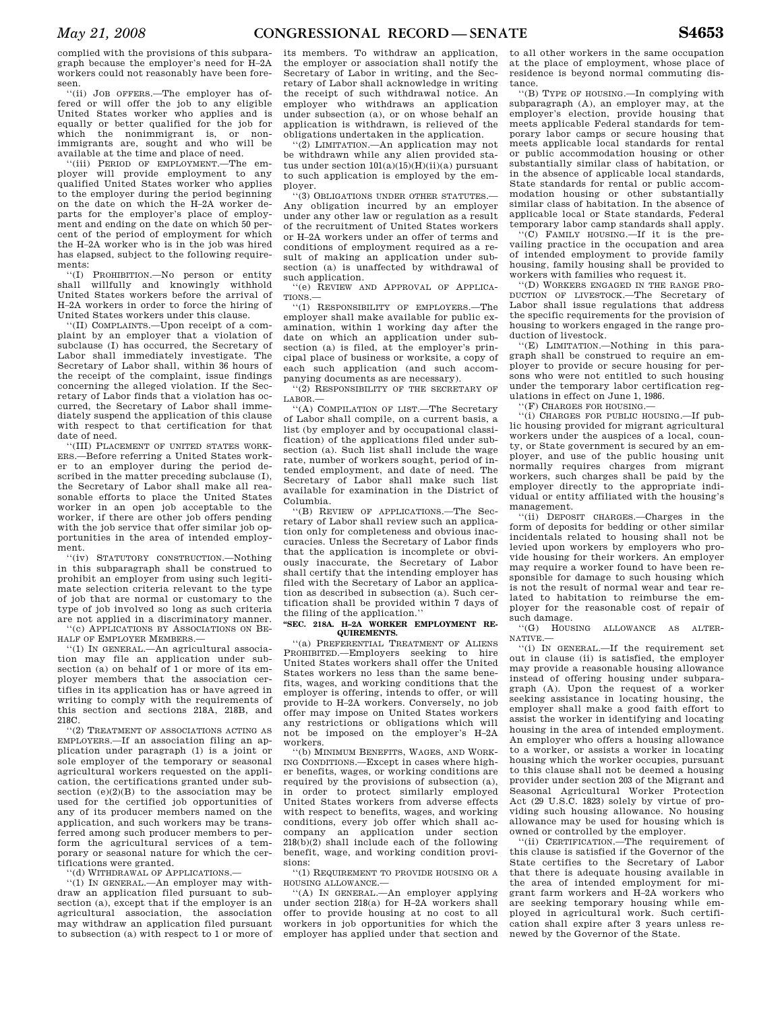complied with the provisions of this subparagraph because the employer's need for H–2A workers could not reasonably have been foreseen.

''(ii) JOB OFFERS.—The employer has offered or will offer the job to any eligible United States worker who applies and is equally or better qualified for the job for which the nonimmigrant is, or nonimmigrants are, sought and who will be available at the time and place of need.

''(iii) PERIOD OF EMPLOYMENT.—The employer will provide employment to any qualified United States worker who applies to the employer during the period beginning on the date on which the H–2A worker departs for the employer's place of employment and ending on the date on which 50 percent of the period of employment for which the H–2A worker who is in the job was hired has elapsed, subject to the following requirements:

''(I) PROHIBITION.—No person or entity shall willfully and knowingly withhold United States workers before the arrival of H–2A workers in order to force the hiring of United States workers under this clause.

''(II) COMPLAINTS.—Upon receipt of a complaint by an employer that a violation of subclause (I) has occurred, the Secretary of Labor shall immediately investigate. The Secretary of Labor shall, within 36 hours of the receipt of the complaint, issue findings concerning the alleged violation. If the Secretary of Labor finds that a violation has occurred, the Secretary of Labor shall immediately suspend the application of this clause with respect to that certification for that date of need.

''(III) PLACEMENT OF UNITED STATES WORK-ERS.—Before referring a United States worker to an employer during the period described in the matter preceding subclause (I), the Secretary of Labor shall make all reasonable efforts to place the United States worker in an open job acceptable to the worker, if there are other job offers pending with the job service that offer similar job opportunities in the area of intended employment.

''(iv) STATUTORY CONSTRUCTION.—Nothing in this subparagraph shall be construed to prohibit an employer from using such legitimate selection criteria relevant to the type of job that are normal or customary to the type of job involved so long as such criteria are not applied in a discriminatory manner. ''(c) APPLICATIONS BY ASSOCIATIONS ON BE-HALF OF EMPLOYER MEMBERS.—

''(1) IN GENERAL.—An agricultural association may file an application under subsection (a) on behalf of 1 or more of its employer members that the association certifies in its application has or have agreed in writing to comply with the requirements of this section and sections 218A, 218B, and 218C.

''(2) TREATMENT OF ASSOCIATIONS ACTING AS EMPLOYERS.—If an association filing an application under paragraph (1) is a joint or sole employer of the temporary or seasonal agricultural workers requested on the application, the certifications granted under subsection  $(e)(2)(B)$  to the association may be used for the certified job opportunities of any of its producer members named on the application, and such workers may be transferred among such producer members to perform the agricultural services of a temporary or seasonal nature for which the certifications were granted.

''(d) WITHDRAWAL OF APPLICATIONS.—

''(1) IN GENERAL.—An employer may withdraw an application filed pursuant to subsection (a), except that if the employer is an agricultural association, the association may withdraw an application filed pursuant to subsection (a) with respect to 1 or more of

its members. To withdraw an application, the employer or association shall notify the Secretary of Labor in writing, and the Secretary of Labor shall acknowledge in writing the receipt of such withdrawal notice. An employer who withdraws an application under subsection (a), or on whose behalf an application is withdrawn, is relieved of the obligations undertaken in the application.

''(2) LIMITATION.—An application may not be withdrawn while any alien provided status under section  $101(a)(15)(H)(ii)(a)$  pursuant to such application is employed by the employer.

''(3) OBLIGATIONS UNDER OTHER STATUTES.— Any obligation incurred by an employer under any other law or regulation as a result of the recruitment of United States workers or H–2A workers under an offer of terms and conditions of employment required as a result of making an application under subsection (a) is unaffected by withdrawal of such application.

''(e) REVIEW AND APPROVAL OF APPLICA-TIONS.—

''(1) RESPONSIBILITY OF EMPLOYERS.—The employer shall make available for public examination, within 1 working day after the date on which an application under subsection (a) is filed, at the employer's principal place of business or worksite, a copy of each such application (and such accompanying documents as are necessary).

''(2) RESPONSIBILITY OF THE SECRETARY OF  $LAPOR =$ 

''(A) COMPILATION OF LIST.—The Secretary of Labor shall compile, on a current basis, a list (by employer and by occupational classification) of the applications filed under subsection (a). Such list shall include the wage rate, number of workers sought, period of intended employment, and date of need. The Secretary of Labor shall make such list available for examination in the District of Columbia.

''(B) REVIEW OF APPLICATIONS.—The Secretary of Labor shall review such an application only for completeness and obvious inaccuracies. Unless the Secretary of Labor finds that the application is incomplete or obviously inaccurate, the Secretary of Labor shall certify that the intending employer has filed with the Secretary of Labor an application as described in subsection (a). Such certification shall be provided within 7 days of the filing of the application.''

## **''SEC. 218A. H–2A WORKER EMPLOYMENT RE-QUIREMENTS.**

''(a) PREFERENTIAL TREATMENT OF ALIENS PROHIBITED.—Employers seeking to hire United States workers shall offer the United States workers no less than the same benefits, wages, and working conditions that the employer is offering, intends to offer, or will provide to H–2A workers. Conversely, no job offer may impose on United States workers any restrictions or obligations which will not be imposed on the employer's H–2A workers.

''(b) MINIMUM BENEFITS, WAGES, AND WORK-ING CONDITIONS.—Except in cases where higher benefits, wages, or working conditions are required by the provisions of subsection (a), in order to protect similarly employed United States workers from adverse effects with respect to benefits, wages, and working conditions, every job offer which shall accompany an application under section  $218(b)(2)$  shall include each of the following benefit, wage, and working condition provisions:

''(1) REQUIREMENT TO PROVIDE HOUSING OR A HOUSING ALLOWANCE.—

''(A) IN GENERAL.—An employer applying under section 218(a) for H–2A workers shall offer to provide housing at no cost to all workers in job opportunities for which the employer has applied under that section and

to all other workers in the same occupation at the place of employment, whose place of residence is beyond normal commuting distance.

''(B) TYPE OF HOUSING.—In complying with subparagraph (A), an employer may, at the employer's election, provide housing that meets applicable Federal standards for temporary labor camps or secure housing that meets applicable local standards for rental or public accommodation housing or other substantially similar class of habitation, or in the absence of applicable local standards, State standards for rental or public accommodation housing or other substantially similar class of habitation. In the absence of applicable local or State standards, Federal temporary labor camp standards shall apply.

''(C) FAMILY HOUSING.—If it is the prevailing practice in the occupation and area of intended employment to provide family housing, family housing shall be provided to workers with families who request it.

''(D) WORKERS ENGAGED IN THE RANGE PRO-DUCTION OF LIVESTOCK -The Secretary of Labor shall issue regulations that address the specific requirements for the provision of housing to workers engaged in the range production of livestock.

''(E) LIMITATION.—Nothing in this paragraph shall be construed to require an employer to provide or secure housing for persons who were not entitled to such housing under the temporary labor certification regulations in effect on June 1, 1986.

''(F) CHARGES FOR HOUSING.—

''(i) CHARGES FOR PUBLIC HOUSING.—If public housing provided for migrant agricultural workers under the auspices of a local, county, or State government is secured by an employer, and use of the public housing unit normally requires charges from migrant workers, such charges shall be paid by the employer directly to the appropriate individual or entity affiliated with the housing's management.

''(ii) DEPOSIT CHARGES.—Charges in the form of deposits for bedding or other similar incidentals related to housing shall not be levied upon workers by employers who provide housing for their workers. An employer may require a worker found to have been responsible for damage to such housing which is not the result of normal wear and tear related to habitation to reimburse the employer for the reasonable cost of repair of such damage.

''(G) HOUSING ALLOWANCE AS ALTER-NATIVE.—

''(i) IN GENERAL.—If the requirement set out in clause (ii) is satisfied, the employer may provide a reasonable housing allowance instead of offering housing under subparagraph (A). Upon the request of a worker seeking assistance in locating housing, the employer shall make a good faith effort to assist the worker in identifying and locating housing in the area of intended employment. An employer who offers a housing allowance to a worker, or assists a worker in locating housing which the worker occupies, pursuant to this clause shall not be deemed a housing provider under section 203 of the Migrant and Seasonal Agricultural Worker Protection Act (29 U.S.C. 1823) solely by virtue of providing such housing allowance. No housing allowance may be used for housing which is owned or controlled by the employer.

''(ii) CERTIFICATION.—The requirement of this clause is satisfied if the Governor of the State certifies to the Secretary of Labor that there is adequate housing available in the area of intended employment for migrant farm workers and H–2A workers who are seeking temporary housing while employed in agricultural work. Such certification shall expire after 3 years unless renewed by the Governor of the State.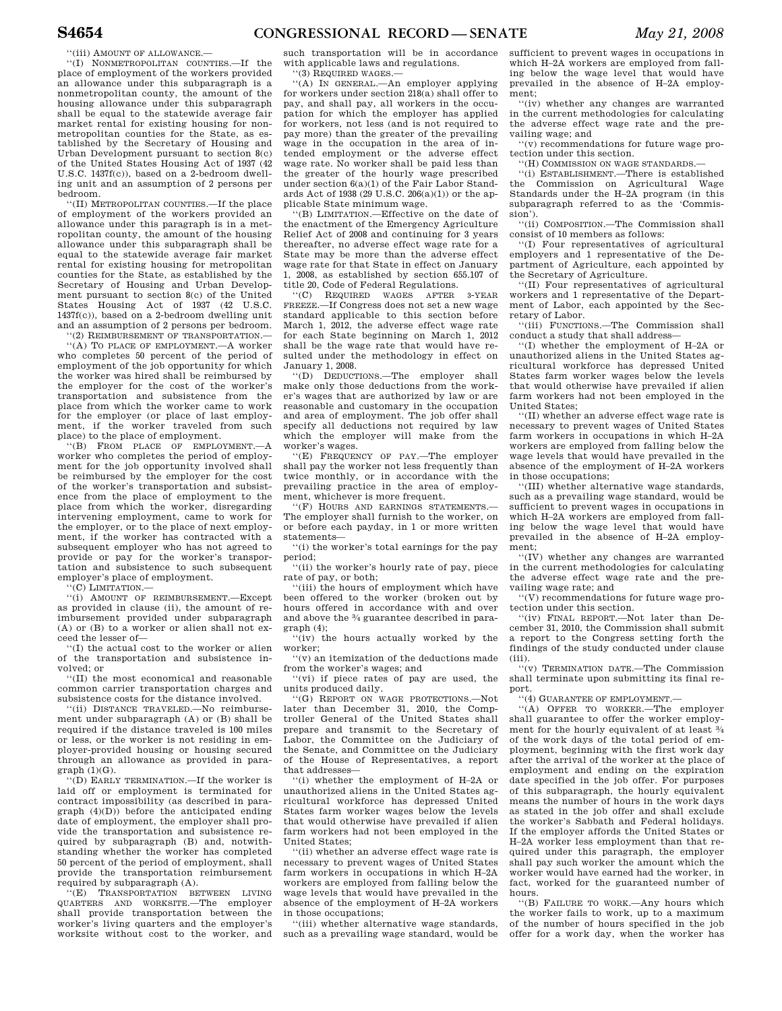''(iii) AMOUNT OF ALLOWANCE.—

''(I) NONMETROPOLITAN COUNTIES.—If the place of employment of the workers provided an allowance under this subparagraph is a nonmetropolitan county, the amount of the housing allowance under this subparagraph shall be equal to the statewide average fair market rental for existing housing for nonmetropolitan counties for the State, as established by the Secretary of Housing and Urban Development pursuant to section 8(c) of the United States Housing Act of 1937 (42 U.S.C. 1437f(c)), based on a 2-bedroom dwelling unit and an assumption of 2 persons per bedroom.

''(II) METROPOLITAN COUNTIES.—If the place of employment of the workers provided an allowance under this paragraph is in a metropolitan county, the amount of the housing allowance under this subparagraph shall be equal to the statewide average fair market rental for existing housing for metropolitan counties for the State, as established by the Secretary of Housing and Urban Development pursuant to section 8(c) of the United States Housing Act of 1937 (42 U.S.C. 1437f(c)), based on a 2-bedroom dwelling unit and an assumption of 2 persons per bedroom. ''(2) REIMBURSEMENT OF TRANSPORTATION.—

''(A) TO PLACE OF EMPLOYMENT.—A worker who completes 50 percent of the period of employment of the job opportunity for which the worker was hired shall be reimbursed by the employer for the cost of the worker's transportation and subsistence from the place from which the worker came to work for the employer (or place of last employment, if the worker traveled from such place) to the place of employment.

''(B) FROM PLACE OF EMPLOYMENT.—A worker who completes the period of employment for the job opportunity involved shall be reimbursed by the employer for the cost of the worker's transportation and subsistence from the place of employment to the place from which the worker, disregarding intervening employment, came to work for the employer, or to the place of next employment, if the worker has contracted with a subsequent employer who has not agreed to provide or pay for the worker's transportation and subsistence to such subsequent employer's place of employment.

 $\overline{C}$  $\overline{C}$  $\overline{C}$  $\overline{C}$  $\overline{C}$  $\overline{C}$  $\overline{C}$  $\overline{C}$  $\overline{C}$  $\overline{C}$  $\overline{C}$  $\overline{C}$  $\overline{C}$  $\overline{C}$  $\overline{C}$  $\overline{C}$  $\overline{C}$  $\overline{C}$  $\overline{C}$  $\overline{C}$  $\overline{C}$  $\overline{C}$  $\overline{C}$  $\overline{C}$  $\overline{C}$  $\overline{C}$  $\overline{C}$  $\overline{$ 

''(i) AMOUNT OF REIMBURSEMENT.—Except as provided in clause (ii), the amount of reimbursement provided under subparagraph (A) or (B) to a worker or alien shall not exceed the lesser of—

''(I) the actual cost to the worker or alien of the transportation and subsistence involved; or

''(II) the most economical and reasonable common carrier transportation charges and subsistence costs for the distance involved.

''(ii) DISTANCE TRAVELED.—No reimbursement under subparagraph (A) or (B) shall be required if the distance traveled is 100 miles or less, or the worker is not residing in employer-provided housing or housing secured through an allowance as provided in para $graph (1)(G)$ .

''(D) EARLY TERMINATION.—If the worker is laid off or employment is terminated for contract impossibility (as described in paragraph (4)(D)) before the anticipated ending date of employment, the employer shall provide the transportation and subsistence required by subparagraph (B) and, notwithstanding whether the worker has completed 50 percent of the period of employment, shall provide the transportation reimbursement required by subparagraph (A).

''(E) TRANSPORTATION BETWEEN LIVING QUARTERS AND WORKSITE.—The employer shall provide transportation between the worker's living quarters and the employer's worksite without cost to the worker, and such transportation will be in accordance with applicable laws and regulations.

''(3) REQUIRED WAGES.—

''(A) IN GENERAL.—An employer applying for workers under section 218(a) shall offer to pay, and shall pay, all workers in the occupation for which the employer has applied for workers, not less (and is not required to pay more) than the greater of the prevailing wage in the occupation in the area of intended employment or the adverse effect wage rate. No worker shall be paid less than the greater of the hourly wage prescribed under section 6(a)(1) of the Fair Labor Standards Act of 1938 (29 U.S.C. 206(a)(1)) or the applicable State minimum wage.

''(B) LIMITATION.—Effective on the date of the enactment of the Emergency Agriculture Relief Act of 2008 and continuing for 3 years thereafter, no adverse effect wage rate for a State may be more than the adverse effect wage rate for that State in effect on January 1, 2008, as established by section 655.107 of title 20, Code of Federal Regulations.

''(C) REQUIRED WAGES AFTER 3-YEAR FREEZE.—If Congress does not set a new wage standard applicable to this section before March 1, 2012, the adverse effect wage rate for each State beginning on March 1, 2012 shall be the wage rate that would have resulted under the methodology in effect on January 1, 2008.

''(D) DEDUCTIONS.—The employer shall make only those deductions from the worker's wages that are authorized by law or are reasonable and customary in the occupation and area of employment. The job offer shall specify all deductions not required by law which the employer will make from the worker's wages.

''(E) FREQUENCY OF PAY.—The employer shall pay the worker not less frequently than twice monthly, or in accordance with the prevailing practice in the area of employment, whichever is more frequent.

''(F) HOURS AND EARNINGS STATEMENTS.— The employer shall furnish to the worker, on or before each payday, in 1 or more written statements—

''(i) the worker's total earnings for the pay period;

''(ii) the worker's hourly rate of pay, piece rate of pay, or both;

''(iii) the hours of employment which have been offered to the worker (broken out by hours offered in accordance with and over and above the 3⁄4 guarantee described in paragraph (4);

''(iv) the hours actually worked by the worker;

''(v) an itemization of the deductions made from the worker's wages; and

''(vi) if piece rates of pay are used, the units produced daily.

''(G) REPORT ON WAGE PROTECTIONS.—Not later than December 31, 2010, the Comptroller General of the United States shall prepare and transmit to the Secretary of Labor, the Committee on the Judiciary of the Senate, and Committee on the Judiciary of the House of Representatives, a report that addresses—

''(i) whether the employment of H–2A or unauthorized aliens in the United States agricultural workforce has depressed United States farm worker wages below the levels that would otherwise have prevailed if alien farm workers had not been employed in the United States;

''(ii) whether an adverse effect wage rate is necessary to prevent wages of United States farm workers in occupations in which H–2A workers are employed from falling below the wage levels that would have prevailed in the absence of the employment of H–2A workers in those occupations;

''(iii) whether alternative wage standards, such as a prevailing wage standard, would be

sufficient to prevent wages in occupations in which H–2A workers are employed from falling below the wage level that would have prevailed in the absence of H–2A employment;

''(iv) whether any changes are warranted in the current methodologies for calculating the adverse effect wage rate and the prevailing wage; and

''(v) recommendations for future wage protection under this section.

''(H) COMMISSION ON WAGE STANDARDS.—

''(i) ESTABLISHMENT.—There is established Commission on Agricultural Wage Standards under the H–2A program (in this subparagraph referred to as the 'Commission').

''(ii) COMPOSITION.—The Commission shall consist of 10 members as follows:

''(I) Four representatives of agricultural employers and 1 representative of the Department of Agriculture, each appointed by the Secretary of Agriculture.

''(II) Four representatives of agricultural workers and 1 representative of the Department of Labor, each appointed by the Secretary of Labor.

''(iii) FUNCTIONS.—The Commission shall conduct a study that shall address—

''(I) whether the employment of H–2A or unauthorized aliens in the United States agricultural workforce has depressed United States farm worker wages below the levels that would otherwise have prevailed if alien farm workers had not been employed in the United States;

''(II) whether an adverse effect wage rate is necessary to prevent wages of United States farm workers in occupations in which H–2A workers are employed from falling below the wage levels that would have prevailed in the absence of the employment of H–2A workers in those occupations;

''(III) whether alternative wage standards, such as a prevailing wage standard, would be sufficient to prevent wages in occupations in which H–2A workers are employed from falling below the wage level that would have prevailed in the absence of H–2A employment;

''(IV) whether any changes are warranted in the current methodologies for calculating the adverse effect wage rate and the prevailing wage rate; and

''(V) recommendations for future wage protection under this section.

''(iv) FINAL REPORT.—Not later than December 31, 2010, the Commission shall submit a report to the Congress setting forth the findings of the study conducted under clause (iii).

 $\cdot$ (v) TERMINATION DATE.—The Commission shall terminate upon submitting its final report.

''(4) GUARANTEE OF EMPLOYMENT.—

''(A) OFFER TO WORKER.—The employer shall guarantee to offer the worker employment for the hourly equivalent of at least  $\frac{3}{4}$ of the work days of the total period of employment, beginning with the first work day after the arrival of the worker at the place of employment and ending on the expiration date specified in the job offer. For purposes of this subparagraph, the hourly equivalent means the number of hours in the work days as stated in the job offer and shall exclude the worker's Sabbath and Federal holidays. If the employer affords the United States or H–2A worker less employment than that required under this paragraph, the employer shall pay such worker the amount which the worker would have earned had the worker, in fact, worked for the guaranteed number of hours.

''(B) FAILURE TO WORK.—Any hours which the worker fails to work, up to a maximum of the number of hours specified in the job offer for a work day, when the worker has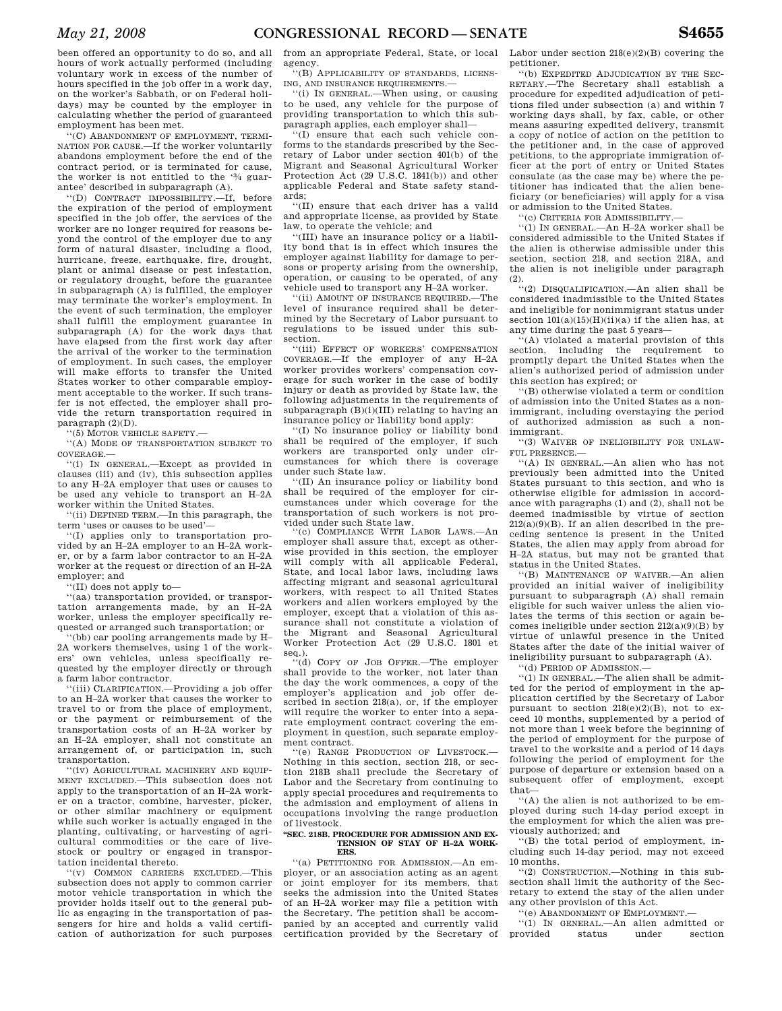been offered an opportunity to do so, and all hours of work actually performed (including voluntary work in excess of the number of hours specified in the job offer in a work day, on the worker's Sabbath, or on Federal holidays) may be counted by the employer in calculating whether the period of guaranteed employment has been met.

''(C) ABANDONMENT OF EMPLOYMENT, TERMI-NATION FOR CAUSE.—If the worker voluntarily abandons employment before the end of the contract period, or is terminated for cause, the worker is not entitled to the '3/4 guarantee' described in subparagraph (A).

''(D) CONTRACT IMPOSSIBILITY.—If, before the expiration of the period of employment specified in the job offer, the services of the worker are no longer required for reasons beyond the control of the employer due to any form of natural disaster, including a flood, hurricane, freeze, earthquake, fire, drought, plant or animal disease or pest infestation, or regulatory drought, before the guarantee in subparagraph (A) is fulfilled, the employer may terminate the worker's employment. In the event of such termination, the employer shall fulfill the employment guarantee in subparagraph (A) for the work days that have elapsed from the first work day after the arrival of the worker to the termination of employment. In such cases, the employer will make efforts to transfer the United States worker to other comparable employment acceptable to the worker. If such transfer is not effected, the employer shall provide the return transportation required in paragraph (2)(D).

''(5) MOTOR VEHICLE SAFETY.—

''(A) MODE OF TRANSPORTATION SUBJECT TO COVERAGE.—

''(i) IN GENERAL.—Except as provided in clauses (iii) and (iv), this subsection applies to any H–2A employer that uses or causes to be used any vehicle to transport an H–2A worker within the United States.

''(ii) DEFINED TERM.—In this paragraph, the term 'uses or causes to be used'—

''(I) applies only to transportation provided by an H–2A employer to an H–2A worker, or by a farm labor contractor to an H–2A worker at the request or direction of an H–2A employer; and

''(II) does not apply to—

''(aa) transportation provided, or transportation arrangements made, by an H–2A worker, unless the employer specifically requested or arranged such transportation; or

 $\dot{b}$  (bb) car pooling arrangements made by H– 2A workers themselves, using 1 of the workers' own vehicles, unless specifically requested by the employer directly or through a farm labor contractor.

''(iii) CLARIFICATION.—Providing a job offer to an H–2A worker that causes the worker to travel to or from the place of employment, or the payment or reimbursement of the transportation costs of an H–2A worker by an H–2A employer, shall not constitute an arrangement of, or participation in, such transportation.

''(iv) AGRICULTURAL MACHINERY AND EQUIP-MENT EXCLUDED.—This subsection does not apply to the transportation of an H–2A worker on a tractor, combine, harvester, picker, or other similar machinery or equipment while such worker is actually engaged in the planting, cultivating, or harvesting of agricultural commodities or the care of livestock or poultry or engaged in transportation incidental thereto.

''(v) COMMON CARRIERS EXCLUDED.—This subsection does not apply to common carrier motor vehicle transportation in which the provider holds itself out to the general public as engaging in the transportation of passengers for hire and holds a valid certification of authorization for such purposes

from an appropriate Federal, State, or local agency.

''(B) APPLICABILITY OF STANDARDS, LICENS-ING, AND INSURANCE REQUIREMENTS.

''(i) IN GENERAL.—When using, or causing to be used, any vehicle for the purpose of providing transportation to which this subparagraph applies, each employer shall—

''(I) ensure that each such vehicle conforms to the standards prescribed by the Secretary of Labor under section 401(b) of the Migrant and Seasonal Agricultural Worker Protection Act (29 U.S.C. 1841(b)) and other applicable Federal and State safety standards;

''(II) ensure that each driver has a valid and appropriate license, as provided by State law, to operate the vehicle; and

''(III) have an insurance policy or a liability bond that is in effect which insures the employer against liability for damage to persons or property arising from the ownership, operation, or causing to be operated, of any vehicle used to transport any H–2A worker.

''(ii) AMOUNT OF INSURANCE REQUIRED.—The level of insurance required shall be determined by the Secretary of Labor pursuant to regulations to be issued under this subsection.

''(iii) EFFECT OF WORKERS' COMPENSATION COVERAGE.—If the employer of any H–2A worker provides workers' compensation coverage for such worker in the case of bodily injury or death as provided by State law, the following adjustments in the requirements of subparagraph (B)(i)(III) relating to having an insurance policy or liability bond apply:

''(I) No insurance policy or liability bond shall be required of the employer, if such workers are transported only under circumstances for which there is coverage under such State law.

''(II) An insurance policy or liability bond shall be required of the employer for circumstances under which coverage for the transportation of such workers is not provided under such State law.

''(c) COMPLIANCE WITH LABOR LAWS.—An employer shall assure that, except as otherwise provided in this section, the employer will comply with all applicable Federal, State, and local labor laws, including laws affecting migrant and seasonal agricultural workers, with respect to all United States workers and alien workers employed by the employer, except that a violation of this assurance shall not constitute a violation of the Migrant and Seasonal Agricultural Worker Protection Act (29 U.S.C. 1801 et seq.).

 $\cdot$ (d) COPY OF JOB OFFER.—The employer shall provide to the worker, not later than the day the work commences, a copy of the employer's application and job offer described in section 218(a), or, if the employer will require the worker to enter into a separate employment contract covering the employment in question, such separate employ-

ment contract. ''(e) RANGE PRODUCTION OF LIVESTOCK.— Nothing in this section, section 218, or section 218B shall preclude the Secretary of Labor and the Secretary from continuing to apply special procedures and requirements to the admission and employment of aliens in occupations involving the range production of livestock.

#### **''SEC. 218B. PROCEDURE FOR ADMISSION AND EX-TENSION OF STAY OF H–2A WORK-ERS.**

''(a) PETITIONING FOR ADMISSION.—An employer, or an association acting as an agent or joint employer for its members, that seeks the admission into the United States of an H–2A worker may file a petition with the Secretary. The petition shall be accompanied by an accepted and currently valid certification provided by the Secretary of Labor under section  $218(e)(2)(B)$  covering the petitioner.

''(b) EXPEDITED ADJUDICATION BY THE SEC-RETARY.—The Secretary shall establish a procedure for expedited adjudication of petitions filed under subsection (a) and within 7 working days shall, by fax, cable, or other means assuring expedited delivery, transmit a copy of notice of action on the petition to the petitioner and, in the case of approved petitions, to the appropriate immigration officer at the port of entry or United States consulate (as the case may be) where the petitioner has indicated that the alien beneficiary (or beneficiaries) will apply for a visa or admission to the United States.

''(c) CRITERIA FOR ADMISSIBILITY.—

''(1) IN GENERAL.—An H–2A worker shall be considered admissible to the United States if the alien is otherwise admissible under this section, section 218, and section 218A, and the alien is not ineligible under paragraph (2).

''(2) DISQUALIFICATION.—An alien shall be considered inadmissible to the United States and ineligible for nonimmigrant status under section  $101(a)(15)(H)(ii)(a)$  if the alien has, at any time during the past 5 years—

''(A) violated a material provision of this section, including the requirement to promptly depart the United States when the alien's authorized period of admission under this section has expired; or

''(B) otherwise violated a term or condition of admission into the United States as a nonimmigrant, including overstaying the period of authorized admission as such a nonimmigrant.

''(3) WAIVER OF INELIGIBILITY FOR UNLAW-FUL PRESENCE.—

''(A) IN GENERAL.—An alien who has not previously been admitted into the United States pursuant to this section, and who is otherwise eligible for admission in accordance with paragraphs (1) and (2), shall not be deemed inadmissible by virtue of section  $212(a)(9)(B)$ . If an alien described in the preceding sentence is present in the United States, the alien may apply from abroad for H–2A status, but may not be granted that status in the United States.

''(B) MAINTENANCE OF WAIVER.—An alien provided an initial waiver of ineligibility pursuant to subparagraph (A) shall remain eligible for such waiver unless the alien violates the terms of this section or again becomes ineligible under section 212(a)(9)(B) by virtue of unlawful presence in the United States after the date of the initial waiver of ineligibility pursuant to subparagraph (A).

''(d) PERIOD OF ADMISSION.—

''(1) IN GENERAL.—The alien shall be admitted for the period of employment in the application certified by the Secretary of Labor pursuant to section  $218(e)(2)(B)$ , not to exceed 10 months, supplemented by a period of not more than 1 week before the beginning of the period of employment for the purpose of travel to the worksite and a period of 14 days following the period of employment for the purpose of departure or extension based on a subsequent offer of employment, except that—

''(A) the alien is not authorized to be employed during such 14-day period except in the employment for which the alien was previously authorized; and

''(B) the total period of employment, including such 14-day period, may not exceed 10 months.

''(2) CONSTRUCTION.—Nothing in this subsection shall limit the authority of the Secretary to extend the stay of the alien under any other provision of this Act.

''(e) ABANDONMENT OF EMPLOYMENT.—

''(1) IN GENERAL.—An alien admitted or provided status under section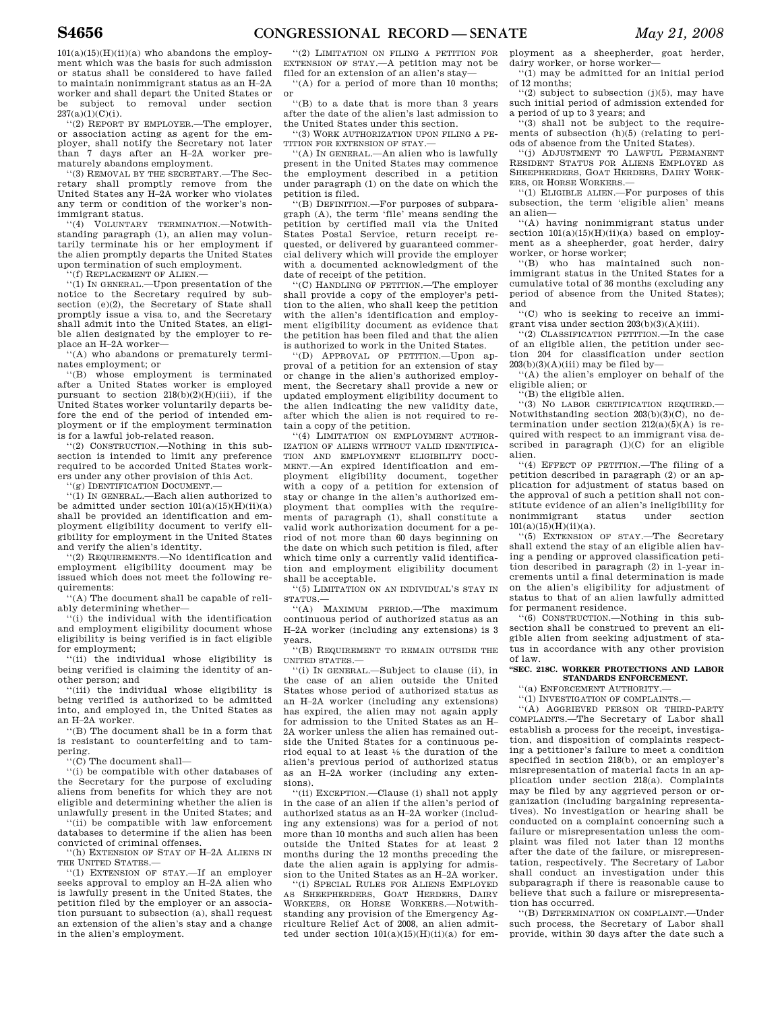$101(a)(15)(H)(ii)(a)$  who abandons the employment which was the basis for such admission or status shall be considered to have failed to maintain nonimmigrant status as an H–2A worker and shall depart the United States or be subject to removal under section  $237(a)(1)(C)(i)$ .

''(2) REPORT BY EMPLOYER.—The employer, or association acting as agent for the employer, shall notify the Secretary not later than 7 days after an H–2A worker prematurely abandons employment.

''(3) REMOVAL BY THE SECRETARY.—The Secretary shall promptly remove from the United States any H–2A worker who violates any term or condition of the worker's nonimmigrant status.

''(4) VOLUNTARY TERMINATION.—Notwithstanding paragraph (1), an alien may voluntarily terminate his or her employment if the alien promptly departs the United States upon termination of such employment.

(f) REPLACEMENT OF ALIEN.

''(1) IN GENERAL.—Upon presentation of the notice to the Secretary required by subsection (e)(2), the Secretary of State shall promptly issue a visa to, and the Secretary shall admit into the United States, an eligible alien designated by the employer to replace an H–2A worker—

''(A) who abandons or prematurely terminates employment; or

''(B) whose employment is terminated after a United States worker is employed pursuant to section  $218(b)(2)(H)(iii)$ , if the United States worker voluntarily departs before the end of the period of intended employment or if the employment termination is for a lawful job-related reason.

''(2) CONSTRUCTION.—Nothing in this subsection is intended to limit any preference required to be accorded United States workers under any other provision of this Act.

'(g) IDENTIFICATION DOCUMENT.-

''(1) IN GENERAL.—Each alien authorized to be admitted under section  $101(a)(15)(H)(ii)(a)$ shall be provided an identification and employment eligibility document to verify eligibility for employment in the United States and verify the alien's identity.

'(2) REQUIREMENTS.-No identification and employment eligibility document may be issued which does not meet the following requirements:

''(A) The document shall be capable of reliably determining whether—

''(i) the individual with the identification and employment eligibility document whose eligibility is being verified is in fact eligible for employment;

''(ii) the individual whose eligibility is being verified is claiming the identity of another person; and

''(iii) the individual whose eligibility is being verified is authorized to be admitted into, and employed in, the United States as an H–2A worker.

''(B) The document shall be in a form that is resistant to counterfeiting and to tampering.

''(C) The document shall—

''(i) be compatible with other databases of the Secretary for the purpose of excluding aliens from benefits for which they are not eligible and determining whether the alien is unlawfully present in the United States; and

''(ii) be compatible with law enforcement databases to determine if the alien has been convicted of criminal offenses.

''(h) EXTENSION OF STAY OF H–2A ALIENS IN THE UNITED STATES.—

''(1) EXTENSION OF STAY.—If an employer seeks approval to employ an H–2A alien who is lawfully present in the United States, the petition filed by the employer or an association pursuant to subsection (a), shall request an extension of the alien's stay and a change in the alien's employment.

''(2) LIMITATION ON FILING A PETITION FOR EXTENSION OF STAY.—A petition may not be filed for an extension of an alien's stay—

''(A) for a period of more than 10 months; or

''(B) to a date that is more than 3 years after the date of the alien's last admission to the United States under this section.

''(3) WORK AUTHORIZATION UPON FILING A PE-TITION FOR EXTENSION OF STAY.-

''(A) IN GENERAL.—An alien who is lawfully present in the United States may commence the employment described in a petition under paragraph (1) on the date on which the petition is filed.

''(B) DEFINITION.—For purposes of subpara-graph (A), the term 'file' means sending the petition by certified mail via the United States Postal Service, return receipt requested, or delivered by guaranteed commercial delivery which will provide the employer with a documented acknowledgment of the date of receipt of the petition.

''(C) HANDLING OF PETITION.—The employer shall provide a copy of the employer's petition to the alien, who shall keep the petition with the alien's identification and employment eligibility document as evidence that the petition has been filed and that the alien is authorized to work in the United States.

''(D) APPROVAL OF PETITION.—Upon approval of a petition for an extension of stay or change in the alien's authorized employment, the Secretary shall provide a new or updated employment eligibility document to the alien indicating the new validity date, after which the alien is not required to retain a copy of the petition.

''(4) LIMITATION ON EMPLOYMENT AUTHOR-IZATION OF ALIENS WITHOUT VALID IDENTIFICA-TION AND EMPLOYMENT ELIGIBILITY DOCU-MENT.—An expired identification and employment eligibility document, together with a copy of a petition for extension of stay or change in the alien's authorized employment that complies with the requirements of paragraph (1), shall constitute a valid work authorization document for a period of not more than 60 days beginning on the date on which such petition is filed, after which time only a currently valid identification and employment eligibility document shall be acceptable.

''(5) LIMITATION ON AN INDIVIDUAL'S STAY IN STATUS.—

''(A) MAXIMUM PERIOD.—The maximum continuous period of authorized status as an H–2A worker (including any extensions) is 3 years.

''(B) REQUIREMENT TO REMAIN OUTSIDE THE UNITED STATES.—

''(i) IN GENERAL.—Subject to clause (ii), in the case of an alien outside the United States whose period of authorized status as an H–2A worker (including any extensions) has expired, the alien may not again apply for admission to the United States as an H– 2A worker unless the alien has remained outside the United States for a continuous period equal to at least 1⁄5 the duration of the alien's previous period of authorized status as an H–2A worker (including any extensions).

''(ii) EXCEPTION.—Clause (i) shall not apply in the case of an alien if the alien's period of authorized status as an H–2A worker (including any extensions) was for a period of not more than 10 months and such alien has been outside the United States for at least 2 months during the 12 months preceding the date the alien again is applying for admission to the United States as an H–2A worker.

''(i) SPECIAL RULES FOR ALIENS EMPLOYED AS SHEEPHERDERS, GOAT HERDERS, DAIRY WORKERS, OR HORSE WORKERS.—Notwithstanding any provision of the Emergency Agriculture Relief Act of 2008, an alien admitted under section  $101(a)(15)(H)(ii)(a)$  for employment as a sheepherder, goat herder, dairy worker, or horse worker—

''(1) may be admitted for an initial period of 12 months;

 $''(2)$  subject to subsection (j)(5), may have such initial period of admission extended for a period of up to 3 years; and

'(3) shall not be subject to the requirements of subsection (h)(5) (relating to periods of absence from the United States).

''(j) ADJUSTMENT TO LAWFUL PERMANENT RESIDENT STATUS FOR ALIENS EMPLOYED AS SHEEPHERDERS, GOAT HERDERS, DAIRY WORK-ERS, OR HORSE WORKERS.—

''(1) ELIGIBLE ALIEN.—For purposes of this subsection, the term 'eligible alien' means an alien—

''(A) having nonimmigrant status under section  $101(a)(15)(H)(ii)(a)$  based on employment as a sheepherder, goat herder, dairy worker, or horse worker;

''(B) who has maintained such nonimmigrant status in the United States for a cumulative total of 36 months (excluding any period of absence from the United States); and

''(C) who is seeking to receive an immigrant visa under section 203(b)(3)(A)(iii).

''(2) CLASSIFICATION PETITION.—In the case of an eligible alien, the petition under section 204 for classification under section  $203(b)(3)(A)(iii)$  may be filed by-

''(A) the alien's employer on behalf of the eligible alien; or

''(B) the eligible alien.

''(3) NO LABOR CERTIFICATION REQUIRED.— Notwithstanding section 203(b)(3)(C), no determination under section  $212(a)(5)(A)$  is required with respect to an immigrant visa described in paragraph (1)(C) for an eligible alien.

''(4) EFFECT OF PETITION.—The filing of a petition described in paragraph (2) or an application for adjustment of status based on the approval of such a petition shall not constitute evidence of an alien's ineligibility for nonimmigrant  $101(a)(15)(H)(ii)(a)$ .

''(5) EXTENSION OF STAY.—The Secretary shall extend the stay of an eligible alien having a pending or approved classification petition described in paragraph (2) in 1-year increments until a final determination is made on the alien's eligibility for adjustment of status to that of an alien lawfully admitted for permanent residence.

''(6) CONSTRUCTION.—Nothing in this subsection shall be construed to prevent an eligible alien from seeking adjustment of status in accordance with any other provision of law.

#### **''SEC. 218C. WORKER PROTECTIONS AND LABOR STANDARDS ENFORCEMENT.**

'(a) ENFORCEMENT AUTHORITY.

''(1) INVESTIGATION OF COMPLAINTS.—

''(A) AGGRIEVED PERSON OR THIRD-PARTY COMPLAINTS.—The Secretary of Labor shall establish a process for the receipt, investigation, and disposition of complaints respecting a petitioner's failure to meet a condition specified in section 218(b), or an employer's misrepresentation of material facts in an application under section 218(a). Complaints may be filed by any aggrieved person or organization (including bargaining representatives). No investigation or hearing shall be conducted on a complaint concerning such a failure or misrepresentation unless the complaint was filed not later than 12 months after the date of the failure, or misrepresentation, respectively. The Secretary of Labor shall conduct an investigation under this subparagraph if there is reasonable cause to believe that such a failure or misrepresentation has occurred.

''(B) DETERMINATION ON COMPLAINT.—Under such process, the Secretary of Labor shall provide, within 30 days after the date such a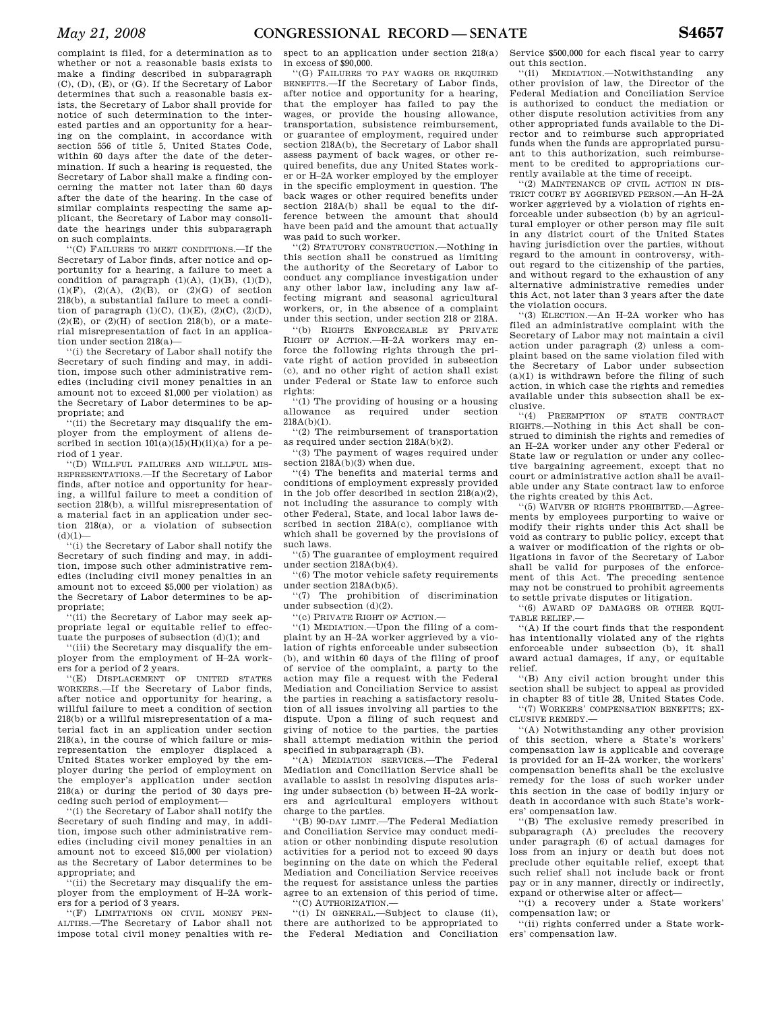complaint is filed, for a determination as to whether or not a reasonable basis exists to make a finding described in subparagraph (C), (D), (E), or (G). If the Secretary of Labor determines that such a reasonable basis exists, the Secretary of Labor shall provide for notice of such determination to the interested parties and an opportunity for a hearing on the complaint, in accordance with section 556 of title 5, United States Code, within 60 days after the date of the determination. If such a hearing is requested, the Secretary of Labor shall make a finding concerning the matter not later than 60 days after the date of the hearing. In the case of similar complaints respecting the same applicant, the Secretary of Labor may consolidate the hearings under this subparagraph on such complaints.

''(C) FAILURES TO MEET CONDITIONS.—If the Secretary of Labor finds, after notice and opportunity for a hearing, a failure to meet a condition of paragraph (1)(A), (1)(B), (1)(D),  $(1)(F)$ ,  $(2)(A)$ ,  $(2)(B)$ , or  $(2)(G)$  of section 218(b), a substantial failure to meet a condition of paragraph  $(1)(C)$ ,  $(1)(E)$ ,  $(2)(C)$ ,  $(2)(D)$ ,  $(2)(E)$ , or  $(2)(H)$  of section 218(b), or a material misrepresentation of fact in an application under section 218(a)—

''(i) the Secretary of Labor shall notify the Secretary of such finding and may, in addition, impose such other administrative remedies (including civil money penalties in an amount not to exceed \$1,000 per violation) as the Secretary of Labor determines to be appropriate; and

''(ii) the Secretary may disqualify the employer from the employment of aliens described in section  $101(a)(15)(H)(ii)(a)$  for a period of 1 year.

''(D) WILLFUL FAILURES AND WILLFUL MIS-REPRESENTATIONS.—If the Secretary of Labor finds, after notice and opportunity for hearing, a willful failure to meet a condition of section 218(b), a willful misrepresentation of a material fact in an application under section 218(a), or a violation of subsection  $(d)(1)$ 

''(i) the Secretary of Labor shall notify the Secretary of such finding and may, in addition, impose such other administrative remedies (including civil money penalties in an amount not to exceed \$5,000 per violation) as the Secretary of Labor determines to be appropriate;

''(ii) the Secretary of Labor may seek appropriate legal or equitable relief to effectuate the purposes of subsection  $(d)(1)$ ; and

''(iii) the Secretary may disqualify the employer from the employment of H–2A workers for a period of 2 years.

''(E) DISPLACEMENT OF UNITED STATES WORKERS.—If the Secretary of Labor finds, after notice and opportunity for hearing, a willful failure to meet a condition of section 218(b) or a willful misrepresentation of a material fact in an application under section 218(a), in the course of which failure or misrepresentation the employer displaced a United States worker employed by the employer during the period of employment on the employer's application under section 218(a) or during the period of 30 days preceding such period of employment—

''(i) the Secretary of Labor shall notify the Secretary of such finding and may, in addition, impose such other administrative remedies (including civil money penalties in an amount not to exceed \$15,000 per violation) as the Secretary of Labor determines to be appropriate; and

(ii) the Secretary may disqualify the employer from the employment of H–2A workers for a period of 3 years.

''(F) LIMITATIONS ON CIVIL MONEY PEN-ALTIES.—The Secretary of Labor shall not impose total civil money penalties with re-

spect to an application under section 218(a) in excess of \$90,000.

''(G) FAILURES TO PAY WAGES OR REQUIRED BENEFITS.—If the Secretary of Labor finds, after notice and opportunity for a hearing, that the employer has failed to pay the wages, or provide the housing allowance, transportation, subsistence reimbursement, or guarantee of employment, required under section 218A(b), the Secretary of Labor shall assess payment of back wages, or other required benefits, due any United States worker or H–2A worker employed by the employer in the specific employment in question. The back wages or other required benefits under section 218A(b) shall be equal to the difference between the amount that should have been paid and the amount that actually was paid to such worker.

'(2) STATUTORY CONSTRUCTION.—Nothing in this section shall be construed as limiting the authority of the Secretary of Labor to conduct any compliance investigation under any other labor law, including any law affecting migrant and seasonal agricultural workers, or, in the absence of a complaint under this section, under section 218 or 218A.

''(b) RIGHTS ENFORCEABLE BY PRIVATE RIGHT OF ACTION.—H–2A workers may enforce the following rights through the private right of action provided in subsection (c), and no other right of action shall exist under Federal or State law to enforce such rights:

 $\frac{N(t)}{t}$  The providing of housing or a housing allowance as required under section as required under 218A(b)(1).

''(2) The reimbursement of transportation as required under section 218A(b)(2).

''(3) The payment of wages required under section 218A(b)(3) when due.

''(4) The benefits and material terms and conditions of employment expressly provided in the job offer described in section  $218(a)(2)$ , not including the assurance to comply with other Federal, State, and local labor laws described in section 218A(c), compliance with which shall be governed by the provisions of such laws.

''(5) The guarantee of employment required under section 218A(b)(4).

''(6) The motor vehicle safety requirements under section 218A(b)(5).

''(7) The prohibition of discrimination under subsection (d)(2).

''(c) PRIVATE RIGHT OF ACTION.—

''(1) MEDIATION.—Upon the filing of a complaint by an H–2A worker aggrieved by a violation of rights enforceable under subsection (b), and within 60 days of the filing of proof of service of the complaint, a party to the action may file a request with the Federal Mediation and Conciliation Service to assist the parties in reaching a satisfactory resolution of all issues involving all parties to the dispute. Upon a filing of such request and giving of notice to the parties, the parties shall attempt mediation within the period specified in subparagraph (B).

''(A) MEDIATION SERVICES.—The Federal Mediation and Conciliation Service shall be available to assist in resolving disputes arising under subsection (b) between H–2A workers and agricultural employers without charge to the parties.

''(B) 90-DAY LIMIT.—The Federal Mediation and Conciliation Service may conduct mediation or other nonbinding dispute resolution activities for a period not to exceed 90 days beginning on the date on which the Federal Mediation and Conciliation Service receives the request for assistance unless the parties agree to an extension of this period of time. ''(C) AUTHORIZATION.—

''(i) IN GENERAL.—Subject to clause (ii), there are authorized to be appropriated to the Federal Mediation and Conciliation Service \$500,000 for each fiscal year to carry out this section.

''(ii) MEDIATION.—Notwithstanding any other provision of law, the Director of the Federal Mediation and Conciliation Service is authorized to conduct the mediation or other dispute resolution activities from any other appropriated funds available to the Director and to reimburse such appropriated funds when the funds are appropriated pursuant to this authorization, such reimbursement to be credited to appropriations currently available at the time of receipt.

''(2) MAINTENANCE OF CIVIL ACTION IN DIS-TRICT COURT BY AGGRIEVED PERSON.—An H–2A worker aggrieved by a violation of rights enforceable under subsection (b) by an agricultural employer or other person may file suit in any district court of the United States having jurisdiction over the parties, without regard to the amount in controversy, without regard to the citizenship of the parties, and without regard to the exhaustion of any alternative administrative remedies under this Act, not later than 3 years after the date the violation occurs.

''(3) ELECTION.—An H–2A worker who has filed an administrative complaint with the Secretary of Labor may not maintain a civil action under paragraph (2) unless a complaint based on the same violation filed with the Secretary of Labor under subsection  $(a)(1)$  is withdrawn before the filing of such action, in which case the rights and remedies available under this subsection shall be exclusive.

''(4) PREEMPTION OF STATE CONTRACT RIGHTS.—Nothing in this Act shall be construed to diminish the rights and remedies of an H–2A worker under any other Federal or State law or regulation or under any collective bargaining agreement, except that no court or administrative action shall be available under any State contract law to enforce the rights created by this Act.

''(5) WAIVER OF RIGHTS PROHIBITED.—Agreements by employees purporting to waive or modify their rights under this Act shall be void as contrary to public policy, except that a waiver or modification of the rights or obligations in favor of the Secretary of Labor shall be valid for purposes of the enforce-ment of this Act. The preceding sentence may not be construed to prohibit agreements to settle private disputes or litigation.

''(6) AWARD OF DAMAGES OR OTHER EQUI-TABLE RELIEF.—

''(A) If the court finds that the respondent has intentionally violated any of the rights enforceable under subsection (b), it shall award actual damages, if any, or equitable relief.

''(B) Any civil action brought under this section shall be subject to appeal as provided in chapter 83 of title 28, United States Code.

''(7) WORKERS' COMPENSATION BENEFITS; EX-CLUSIVE REMEDY.—

''(A) Notwithstanding any other provision of this section, where a State's workers' compensation law is applicable and coverage is provided for an H–2A worker, the workers' compensation benefits shall be the exclusive remedy for the loss of such worker under this section in the case of bodily injury or death in accordance with such State's workers' compensation law.

''(B) The exclusive remedy prescribed in subparagraph (A) precludes the recovery under paragraph (6) of actual damages for loss from an injury or death but does not preclude other equitable relief, except that such relief shall not include back or front pay or in any manner, directly or indirectly, expand or otherwise alter or affect—

''(i) a recovery under a State workers' compensation law; or

''(ii) rights conferred under a State workers' compensation law.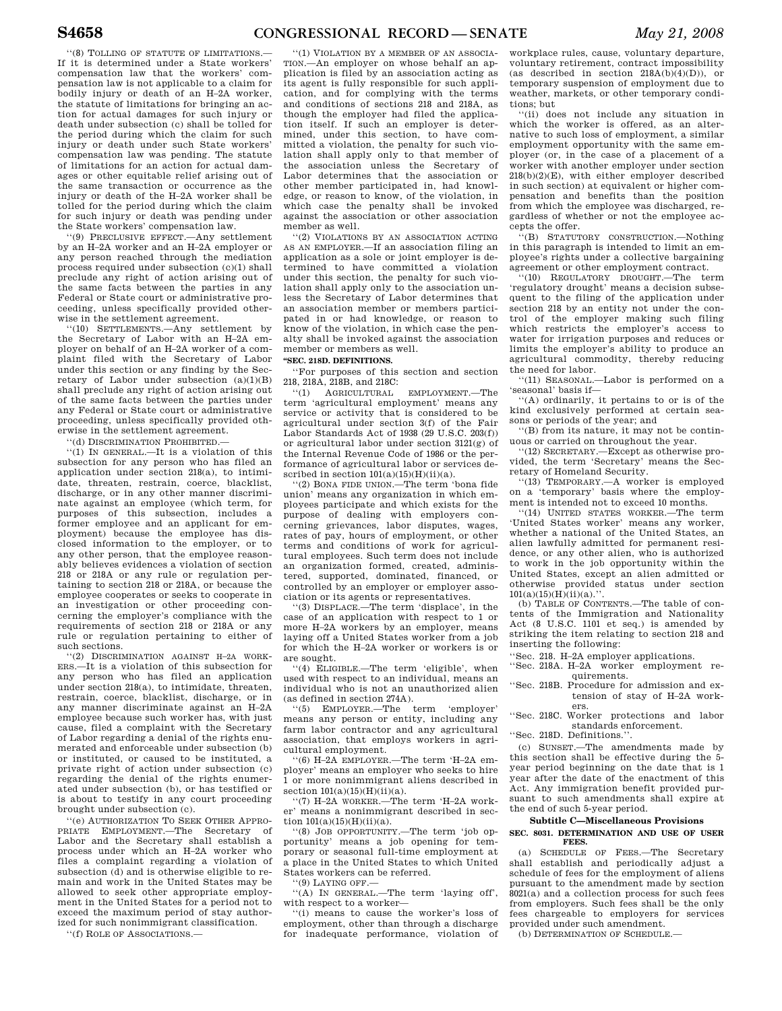''(8) TOLLING OF STATUTE OF LIMITATIONS.— If it is determined under a State workers' compensation law that the workers' compensation law is not applicable to a claim for bodily injury or death of an H–2A worker, the statute of limitations for bringing an action for actual damages for such injury or death under subsection (c) shall be tolled for the period during which the claim for such injury or death under such State workers' compensation law was pending. The statute of limitations for an action for actual damages or other equitable relief arising out of the same transaction or occurrence as the injury or death of the H–2A worker shall be tolled for the period during which the claim for such injury or death was pending under the State workers' compensation law.

''(9) PRECLUSIVE EFFECT.—Any settlement by an H–2A worker and an H–2A employer or any person reached through the mediation process required under subsection (c)(1) shall preclude any right of action arising out of the same facts between the parties in any Federal or State court or administrative proceeding, unless specifically provided otherwise in the settlement agreement.

''(10) SETTLEMENTS.—Any settlement by the Secretary of Labor with an H–2A employer on behalf of an H–2A worker of a complaint filed with the Secretary of Labor under this section or any finding by the Secretary of Labor under subsection (a)(1)(B) shall preclude any right of action arising out of the same facts between the parties under any Federal or State court or administrative proceeding, unless specifically provided otherwise in the settlement agreement.

''(d) DISCRIMINATION PROHIBITED.—

''(1) IN GENERAL.—It is a violation of this subsection for any person who has filed an application under section 218(a), to intimidate, threaten, restrain, coerce, blacklist, discharge, or in any other manner discriminate against an employee (which term, for purposes of this subsection, includes a former employee and an applicant for employment) because the employee has disclosed information to the employer, or to any other person, that the employee reasonably believes evidences a violation of section 218 or 218A or any rule or regulation pertaining to section 218 or 218A, or because the employee cooperates or seeks to cooperate in an investigation or other proceeding concerning the employer's compliance with the requirements of section 218 or 218A or any rule or regulation pertaining to either of such sections.

''(2) DISCRIMINATION AGAINST H–2A WORK-ERS.—It is a violation of this subsection for any person who has filed an application under section 218(a), to intimidate, threaten, restrain, coerce, blacklist, discharge, or in any manner discriminate against an H–2A employee because such worker has, with just cause, filed a complaint with the Secretary of Labor regarding a denial of the rights enumerated and enforceable under subsection (b) or instituted, or caused to be instituted, a private right of action under subsection (c) regarding the denial of the rights enumerated under subsection (b), or has testified or is about to testify in any court proceeding brought under subsection (c).

''(e) AUTHORIZATION TO SEEK OTHER APPRO-PRIATE EMPLOYMENT.—The Secretary of Labor and the Secretary shall establish a process under which an H–2A worker who files a complaint regarding a violation of subsection (d) and is otherwise eligible to remain and work in the United States may be allowed to seek other appropriate employment in the United States for a period not to exceed the maximum period of stay authorized for such nonimmigrant classification.

''(f) ROLE OF ASSOCIATIONS.—

''(1) VIOLATION BY A MEMBER OF AN ASSOCIA-TION.—An employer on whose behalf an application is filed by an association acting as its agent is fully responsible for such application, and for complying with the terms and conditions of sections 218 and 218A, as though the employer had filed the application itself. If such an employer is determined, under this section, to have committed a violation, the penalty for such violation shall apply only to that member of the association unless the Secretary of Labor determines that the association or other member participated in, had knowledge, or reason to know, of the violation, in which case the penalty shall be invoked against the association or other association member as well.

''(2) VIOLATIONS BY AN ASSOCIATION ACTING AS AN EMPLOYER.—If an association filing an application as a sole or joint employer is determined to have committed a violation under this section, the penalty for such violation shall apply only to the association unless the Secretary of Labor determines that an association member or members participated in or had knowledge, or reason to know of the violation, in which case the penalty shall be invoked against the association member or members as well.

## **''SEC. 218D. DEFINITIONS.**

''For purposes of this section and section 218, 218A, 218B, and 218C:

''(1) AGRICULTURAL EMPLOYMENT.—The term 'agricultural employment' means any service or activity that is considered to be agricultural under section 3(f) of the Fair Labor Standards Act of 1938 (29 U.S.C. 203(f)) or agricultural labor under section 3121(g) of the Internal Revenue Code of 1986 or the performance of agricultural labor or services described in section  $101(a)(15)(H)(ii)(a)$ .

''(2) BONA FIDE UNION.—The term 'bona fide union' means any organization in which employees participate and which exists for the purpose of dealing with employers concerning grievances, labor disputes, wages, rates of pay, hours of employment, or other terms and conditions of work for agricultural employees. Such term does not include an organization formed, created, administered, supported, dominated, financed, or controlled by an employer or employer association or its agents or representatives.

''(3) DISPLACE.—The term 'displace', in the case of an application with respect to 1 or more H–2A workers by an employer, means laying off a United States worker from a job for which the H–2A worker or workers is or are sought.

'(4) ELIGIBLE.—The term 'eligible', when used with respect to an individual, means an individual who is not an unauthorized alien (as defined in section 274A).

''(5) EMPLOYER.—The term 'employer' means any person or entity, including any farm labor contractor and any agricultural association, that employs workers in agricultural employment.

''(6) H–2A EMPLOYER.—The term 'H–2A employer' means an employer who seeks to hire 1 or more nonimmigrant aliens described in section  $101(a)(15)(H)(ii)(a)$ .

''(7) H–2A WORKER.—The term 'H–2A worker' means a nonimmigrant described in section  $101(a)(15)(H)(ii)(a)$ .

''(8) JOB OPPORTUNITY.—The term 'job opportunity' means a job opening for temporary or seasonal full-time employment at a place in the United States to which United States workers can be referred.

''(9) LAYING OFF.— ''(A) IN GENERAL.—The term 'laying off',

with respect to a worker—

''(i) means to cause the worker's loss of employment, other than through a discharge for inadequate performance, violation of

workplace rules, cause, voluntary departure, voluntary retirement, contract impossibility (as described in section  $218A(b)(4)(D)$ ), or temporary suspension of employment due to weather, markets, or other temporary conditions; but

''(ii) does not include any situation in which the worker is offered, as an alternative to such loss of employment, a similar employment opportunity with the same employer (or, in the case of a placement of a worker with another employer under section 218(b)(2)(E), with either employer described in such section) at equivalent or higher compensation and benefits than the position from which the employee was discharged, regardless of whether or not the employee accepts the offer.

''(B) STATUTORY CONSTRUCTION.—Nothing in this paragraph is intended to limit an employee's rights under a collective bargaining agreement or other employment contract.

''(10) REGULATORY DROUGHT.—The term 'regulatory drought' means a decision subsequent to the filing of the application under section 218 by an entity not under the control of the employer making such filing which restricts the employer's access to water for irrigation purposes and reduces or limits the employer's ability to produce an agricultural commodity, thereby reducing the need for labor.

''(11) SEASONAL.—Labor is performed on a 'seasonal' basis if—

''(A) ordinarily, it pertains to or is of the kind exclusively performed at certain seasons or periods of the year; and

''(B) from its nature, it may not be continuous or carried on throughout the year.

''(12) SECRETARY.—Except as otherwise provided, the term 'Secretary' means the Secretary of Homeland Security.

''(13) TEMPORARY.—A worker is employed on a 'temporary' basis where the employment is intended not to exceed 10 months.

''(14) UNITED STATES WORKER.—The term 'United States worker' means any worker, whether a national of the United States, an alien lawfully admitted for permanent residence, or any other alien, who is authorized to work in the job opportunity within the United States, except an alien admitted or otherwise provided status under section  $101(a)(15)(H)(ii)(a)$ .".

(b) TABLE OF CONTENTS.—The table of contents of the Immigration and Nationality Act (8 U.S.C. 1101 et seq.) is amended by striking the item relating to section 218 and inserting the following:

''Sec. 218. H–2A employer applications.

''Sec. 218A. H–2A worker employment requirements.<br>Sec. 218B. Procedure for admission and ex-

tension of stay of H–2A workers.

''Sec. 218C. Worker protections and labor standards enforcement.

''Sec. 218D. Definitions.''.

(c) SUNSET.—The amendments made by this section shall be effective during the 5 year period beginning on the date that is 1 year after the date of the enactment of this Act. Any immigration benefit provided pursuant to such amendments shall expire at the end of such 5-year period.

### **Subtitle C—Miscellaneous Provisions SEC. 8031. DETERMINATION AND USE OF USER FEES.**

(a) SCHEDULE OF FEES.—The Secretary shall establish and periodically adjust a schedule of fees for the employment of aliens pursuant to the amendment made by section 8021(a) and a collection process for such fees from employers. Such fees shall be the only fees chargeable to employers for services provided under such amendment.

(b) DETERMINATION OF SCHEDULE.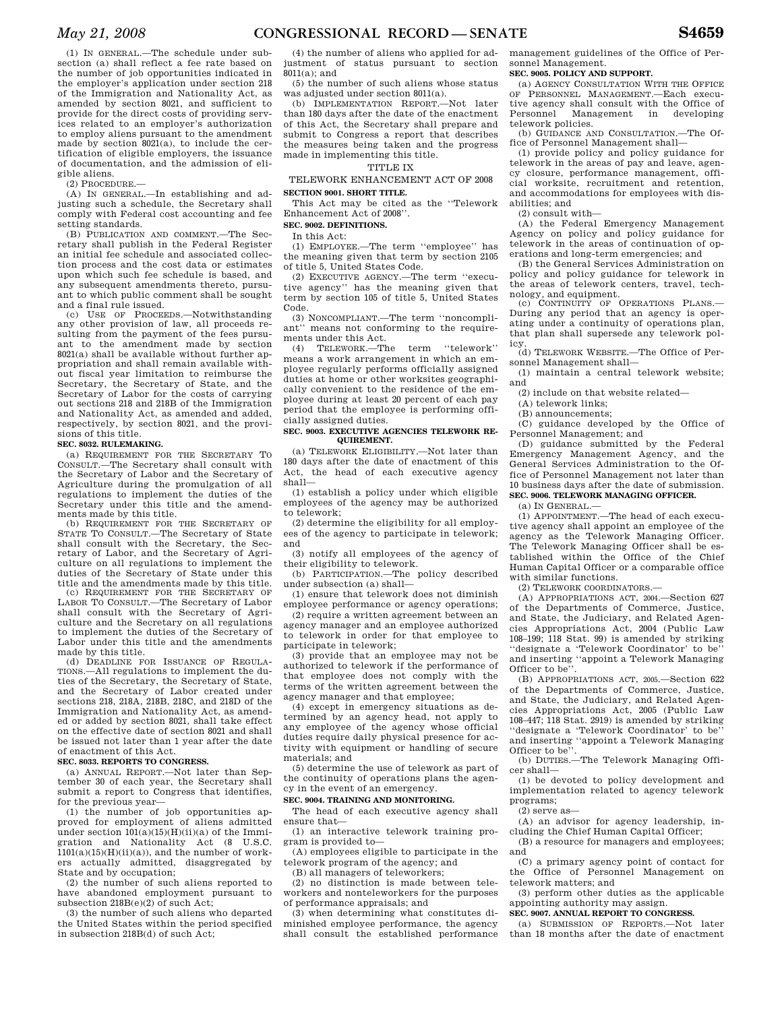(1) IN GENERAL.—The schedule under subsection (a) shall reflect a fee rate based on the number of job opportunities indicated in the employer's application under section 218 of the Immigration and Nationality Act, as amended by section 8021, and sufficient to provide for the direct costs of providing services related to an employer's authorization to employ aliens pursuant to the amendment made by section 8021(a), to include the certification of eligible employers, the issuance of documentation, and the admission of eligible aliens.

(2) PROCEDURE.—

(A) IN GENERAL.—In establishing and adjusting such a schedule, the Secretary shall comply with Federal cost accounting and fee setting standards.

(B) PUBLICATION AND COMMENT.—The Secretary shall publish in the Federal Register an initial fee schedule and associated collection process and the cost data or estimates upon which such fee schedule is based, and any subsequent amendments thereto, pursuant to which public comment shall be sought and a final rule issued.

(c) USE OF PROCEEDS.—Notwithstanding any other provision of law, all proceeds resulting from the payment of the fees pursuant to the amendment made by section 8021(a) shall be available without further appropriation and shall remain available without fiscal year limitation to reimburse the Secretary, the Secretary of State, and the Secretary of Labor for the costs of carrying out sections 218 and 218B of the Immigration and Nationality Act, as amended and added, respectively, by section 8021, and the provisions of this title.

## **SEC. 8032. RULEMAKING.**

(a) REQUIREMENT FOR THE SECRETARY TO CONSULT.—The Secretary shall consult with the Secretary of Labor and the Secretary of Agriculture during the promulgation of all regulations to implement the duties of the Secretary under this title and the amend-

ments made by this title. (b) REQUIREMENT FOR THE SECRETARY OF STATE TO CONSULT.—The Secretary of State shall consult with the Secretary, the Secretary of Labor, and the Secretary of Agriculture on all regulations to implement the duties of the Secretary of State under this title and the amendments made by this title.

REQUIREMENT FOR THE SECRETARY OF LABOR TO CONSULT.—The Secretary of Labor shall consult with the Secretary of Agriculture and the Secretary on all regulations to implement the duties of the Secretary of Labor under this title and the amendments made by this title.

(d) DEADLINE FOR ISSUANCE OF REGULA-TIONS.—All regulations to implement the duties of the Secretary, the Secretary of State, and the Secretary of Labor created under sections 218, 218A, 218B, 218C, and 218D of the Immigration and Nationality Act, as amended or added by section 8021, shall take effect on the effective date of section 8021 and shall be issued not later than 1 year after the date of enactment of this Act.

### **SEC. 8033. REPORTS TO CONGRESS.**

(a) ANNUAL REPORT.—Not later than September 30 of each year, the Secretary shall submit a report to Congress that identifies, for the previous year—

(1) the number of job opportunities approved for employment of aliens admitted under section  $101(a)(15)(H)(ii)(a)$  of the Immigration and Nationality Act (8 U.S.C.  $1101(a)(15)(H)(ii)(a)$ , and the number of workers actually admitted, disaggregated by State and by occupation;

(2) the number of such aliens reported to have abandoned employment pursuant to subsection 218B(e)(2) of such Act;

(3) the number of such aliens who departed the United States within the period specified in subsection 218B(d) of such Act;

(4) the number of aliens who applied for adjustment of status pursuant to section 8011(a); and

(5) the number of such aliens whose status was adjusted under section 8011(a).

(b) IMPLEMENTATION REPORT.—Not later than 180 days after the date of the enactment of this Act, the Secretary shall prepare and submit to Congress a report that describes the measures being taken and the progress made in implementing this title.

TITLE IX

TELEWORK ENHANCEMENT ACT OF 2008 **SECTION 9001. SHORT TITLE.** 

This Act may be cited as the ''Telework

Enhancement Act of 2008''.

## **SEC. 9002. DEFINITIONS.**

In this Act:

(1) EMPLOYEE.—The term ''employee'' has the meaning given that term by section 2105 of title 5, United States Code.

(2) EXECUTIVE AGENCY.—The term ''executive agency'' has the meaning given that term by section 105 of title 5, United States Code.

(3) NONCOMPLIANT.—The term ''noncompliant'' means not conforming to the requirements under this Act.

(4) TELEWORK.—The term ''telework'' means a work arrangement in which an employee regularly performs officially assigned duties at home or other worksites geographically convenient to the residence of the employee during at least 20 percent of each pay period that the employee is performing officially assigned duties.

### **SEC. 9003. EXECUTIVE AGENCIES TELEWORK RE-QUIREMENT.**

(a) TELEWORK ELIGIBILITY.—Not later than 180 days after the date of enactment of this Act, the head of each executive agency shall—

(1) establish a policy under which eligible employees of the agency may be authorized to telework;

(2) determine the eligibility for all employees of the agency to participate in telework; and

(3) notify all employees of the agency of their eligibility to telework.

(b) PARTICIPATION.—The policy described under subsection (a) shall—

(1) ensure that telework does not diminish employee performance or agency operations;

(2) require a written agreement between an agency manager and an employee authorized to telework in order for that employee to participate in telework;

(3) provide that an employee may not be authorized to telework if the performance of that employee does not comply with the terms of the written agreement between the agency manager and that employee;

(4) except in emergency situations as determined by an agency head, not apply to any employee of the agency whose official duties require daily physical presence for activity with equipment or handling of secure materials; and

(5) determine the use of telework as part of the continuity of operations plans the agency in the event of an emergency.

## **SEC. 9004. TRAINING AND MONITORING.**

The head of each executive agency shall ensure that—

(1) an interactive telework training program is provided to—

(A) employees eligible to participate in the telework program of the agency; and

(B) all managers of teleworkers;

(2) no distinction is made between teleworkers and nonteleworkers for the purposes of performance appraisals; and

(3) when determining what constitutes diminished employee performance, the agency shall consult the established performance management guidelines of the Office of Personnel Management.

### **SEC. 9005. POLICY AND SUPPORT.**

(a) AGENCY CONSULTATION WITH THE OFFICE OF PERSONNEL MANAGEMENT.—Each executive agency shall consult with the Office of<br>Personnel Management in developing Management in developing telework policies.

(b) GUIDANCE AND CONSULTATION.—The Office of Personnel Management shall—

(1) provide policy and policy guidance for telework in the areas of pay and leave, agency closure, performance management, official worksite, recruitment and retention, and accommodations for employees with disabilities; and

(2) consult with—

(A) the Federal Emergency Management Agency on policy and policy guidance for telework in the areas of continuation of operations and long-term emergencies; and

(B) the General Services Administration on policy and policy guidance for telework in the areas of telework centers, travel, tech-

nology, and equipment. (c) CONTINUITY OF OPERATIONS PLANS.— During any period that an agency is operating under a continuity of operations plan, that plan shall supersede any telework pol-

icy. (d) TELEWORK WEBSITE.—The Office of Personnel Management shall—

(1) maintain a central telework website; and

(2) include on that website related—

(A) telework links;

(B) announcements;

(C) guidance developed by the Office of Personnel Management; and

(D) guidance submitted by the Federal Emergency Management Agency, and the General Services Administration to the Office of Personnel Management not later than 10 business days after the date of submission. **SEC. 9006. TELEWORK MANAGING OFFICER.** 

(a) IN GENERAL.—

(1) APPOINTMENT.—The head of each executive agency shall appoint an employee of the agency as the Telework Managing Officer. The Telework Managing Officer shall be established within the Office of the Chief Human Capital Officer or a comparable office with similar functions.

(2) TELEWORK COORDINATORS.—

(A) APPROPRIATIONS ACT, 2004.—Section 627 of the Departments of Commerce, Justice, and State, the Judiciary, and Related Agencies Appropriations Act, 2004 (Public Law 108–199; 118 Stat. 99) is amended by striking ''designate a 'Telework Coordinator' to be'' and inserting ''appoint a Telework Managing Officer to be''.

(B) APPROPRIATIONS ACT, 2005.—Section 622 of the Departments of Commerce, Justice, and State, the Judiciary, and Related Agencies Appropriations Act, 2005 (Public Law 108–447; 118 Stat. 2919) is amended by striking ''designate a 'Telework Coordinator' to be'' and inserting ''appoint a Telework Managing Officer to be''.

(b) DUTIES.—The Telework Managing Officer shall—

(1) be devoted to policy development and implementation related to agency telework programs;

(2) serve as—

(A) an advisor for agency leadership, including the Chief Human Capital Officer;

(B) a resource for managers and employees; and

(C) a primary agency point of contact for the Office of Personnel Management on telework matters; and

(3) perform other duties as the applicable appointing authority may assign.

## **SEC. 9007. ANNUAL REPORT TO CONGRESS.**

(a) SUBMISSION OF REPORTS.—Not later than 18 months after the date of enactment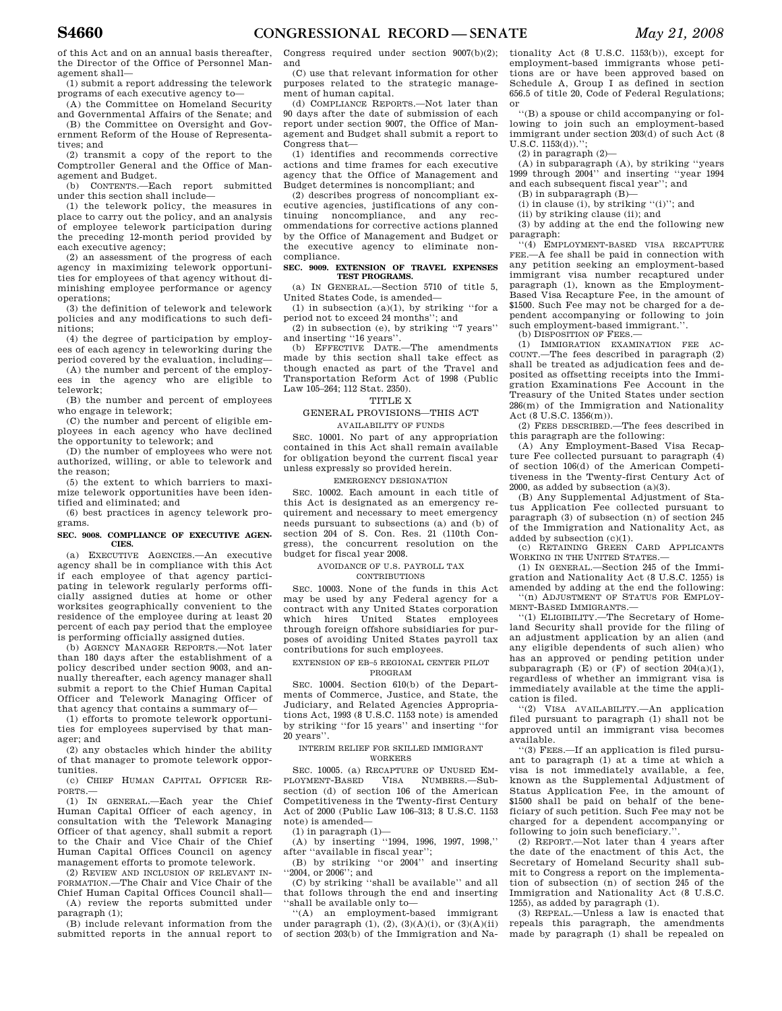of this Act and on an annual basis thereafter, the Director of the Office of Personnel Management shall—

(1) submit a report addressing the telework programs of each executive agency to—

(A) the Committee on Homeland Security and Governmental Affairs of the Senate; and (B) the Committee on Oversight and Government Reform of the House of Representa-

tives; and (2) transmit a copy of the report to the Comptroller General and the Office of Management and Budget.

(b) CONTENTS.—Each report submitted under this section shall include—

(1) the telework policy, the measures in place to carry out the policy, and an analysis of employee telework participation during the preceding 12-month period provided by each executive agency;

(2) an assessment of the progress of each agency in maximizing telework opportunities for employees of that agency without diminishing employee performance or agency operations;

(3) the definition of telework and telework policies and any modifications to such definitions;

(4) the degree of participation by employees of each agency in teleworking during the period covered by the evaluation, including—

(A) the number and percent of the employees in the agency who are eligible to telework;

(B) the number and percent of employees who engage in telework;

(C) the number and percent of eligible employees in each agency who have declined the opportunity to telework; and

(D) the number of employees who were not authorized, willing, or able to telework and the reason;

(5) the extent to which barriers to maximize telework opportunities have been identified and eliminated; and

(6) best practices in agency telework programs.

#### **SEC. 9008. COMPLIANCE OF EXECUTIVE AGEN-CIES.**

(a) EXECUTIVE AGENCIES.—An executive agency shall be in compliance with this Act if each employee of that agency participating in telework regularly performs officially assigned duties at home or other worksites geographically convenient to the residence of the employee during at least 20 percent of each pay period that the employee is performing officially assigned duties.

(b) AGENCY MANAGER REPORTS.—Not later than 180 days after the establishment of a policy described under section 9003, and annually thereafter, each agency manager shall submit a report to the Chief Human Capital Officer and Telework Managing Officer of that agency that contains a summary of—

(1) efforts to promote telework opportunities for employees supervised by that manager; and

(2) any obstacles which hinder the ability of that manager to promote telework opportunities.

(c) CHIEF HUMAN CAPITAL OFFICER RE-PORTS.—

(1) IN GENERAL.—Each year the Chief Human Capital Officer of each agency, in consultation with the Telework Managing Officer of that agency, shall submit a report to the Chair and Vice Chair of the Chief Human Capital Offices Council on agency management efforts to promote telework.

(2) REVIEW AND INCLUSION OF RELEVANT IN-FORMATION.—The Chair and Vice Chair of the Chief Human Capital Offices Council shall— (A) review the reports submitted under

paragraph (1); (B) include relevant information from the submitted reports in the annual report to

Congress required under section 9007(b)(2); and

(C) use that relevant information for other purposes related to the strategic management of human capital.

(d) COMPLIANCE REPORTS.—Not later than 90 days after the date of submission of each report under section 9007, the Office of Management and Budget shall submit a report to Congress that—

(1) identifies and recommends corrective actions and time frames for each executive agency that the Office of Management and Budget determines is noncompliant; and

(2) describes progress of noncompliant executive agencies, justifications of any con-<br>tinuing noncompliance, and any recnoncompliance, and any recommendations for corrective actions planned by the Office of Management and Budget or the executive agency to eliminate noncompliance.

## **SEC. 9009. EXTENSION OF TRAVEL EXPENSES TEST PROGRAMS.**

(a) IN GENERAL.—Section 5710 of title 5, United States Code, is amended—

(1) in subsection (a)(1), by striking ''for a period not to exceed 24 months''; and

(2) in subsection (e), by striking ''7 years'' and inserting ''16 years''.

(b) EFFECTIVE DATE.—The amendments made by this section shall take effect as though enacted as part of the Travel and Transportation Reform Act of 1998 (Public Law 105–264; 112 Stat. 2350).

## TITLE X

## GENERAL PROVISIONS—THIS ACT AVAILABILITY OF FUNDS

SEC. 10001. No part of any appropriation contained in this Act shall remain available for obligation beyond the current fiscal year unless expressly so provided herein.

### EMERGENCY DESIGNATION

SEC. 10002. Each amount in each title of this Act is designated as an emergency requirement and necessary to meet emergency needs pursuant to subsections (a) and (b) of section 204 of S. Con. Res. 21 (110th Congress), the concurrent resolution on the budget for fiscal year 2008.

## AVOIDANCE OF U.S. PAYROLL TAX CONTRIBUTIONS

SEC. 10003. None of the funds in this Act may be used by any Federal agency for a contract with any United States corporation which hires United States employees through foreign offshore subsidiaries for purposes of avoiding United States payroll tax contributions for such employees.

EXTENSION OF EB–5 REGIONAL CENTER PILOT

## PROGRAM

SEC. 10004. Section 610(b) of the Departments of Commerce, Justice, and State, the Judiciary, and Related Agencies Appropriations Act, 1993 (8 U.S.C. 1153 note) is amended by striking ''for 15 years'' and inserting ''for 20 years''.

## INTERIM RELIEF FOR SKILLED IMMIGRANT

## WORKERS

SEC. 10005. (a) RECAPTURE OF UNUSED EM-PLOYMENT-BASED VISA NUMBERS.—Subsection (d) of section 106 of the American Competitiveness in the Twenty-first Century Act of 2000 (Public Law 106–313; 8 U.S.C. 1153 note) is amended—

 $(1)$  in paragraph  $(1)$ —

(A) by inserting ''1994, 1996, 1997, 1998,'' after ''available in fiscal year'';

(B) by striking ''or 2004'' and inserting ''2004, or 2006''; and

(C) by striking ''shall be available'' and all that follows through the end and inserting ''shall be available only to—

''(A) an employment-based immigrant under paragraph  $(1)$ ,  $(2)$ ,  $(3)(A)(i)$ , or  $(3)(A)(ii)$ of section 203(b) of the Immigration and Nationality Act (8 U.S.C. 1153(b)), except for employment-based immigrants whose petitions are or have been approved based on Schedule A, Group I as defined in section 656.5 of title 20, Code of Federal Regulations; or

''(B) a spouse or child accompanying or following to join such an employment-based immigrant under section 203(d) of such Act (8  $U.S.C. 1153(d)$ .''

(2) in paragraph (2)—

(A) in subparagraph (A), by striking ''years 1999 through 2004'' and inserting ''year 1994 and each subsequent fiscal year''; and

(B) in subparagraph (B)—

(i) in clause (i), by striking ''(i)''; and

(ii) by striking clause (ii); and

(3) by adding at the end the following new paragraph:

''(4) EMPLOYMENT-BASED VISA RECAPTURE FEE.—A fee shall be paid in connection with any petition seeking an employment-based immigrant visa number recaptured under paragraph (1), known as the Employment-Based Visa Recapture Fee, in the amount of \$1500. Such Fee may not be charged for a dependent accompanying or following to join such employment-based immigrant.

(b) DISPOSITION OF FEES.

(1) IMMIGRATION EXAMINATION FEE AC-COUNT.—The fees described in paragraph (2) shall be treated as adjudication fees and deposited as offsetting receipts into the Immigration Examinations Fee Account in the Treasury of the United States under section 286(m) of the Immigration and Nationality Act (8 U.S.C. 1356(m)).

(2) FEES DESCRIBED.—The fees described in this paragraph are the following:

(A) Any Employment-Based Visa Recapture Fee collected pursuant to paragraph (4) of section 106(d) of the American Competitiveness in the Twenty-first Century Act of 2000, as added by subsection (a)(3).

(B) Any Supplemental Adjustment of Status Application Fee collected pursuant to paragraph (3) of subsection (n) of section 245 of the Immigration and Nationality Act, as

added by subsection (c)(1). (c) RETAINING GREEN CARD APPLICANTS WORKING IN THE UNITED STATES.—

(1) IN GENERAL.—Section 245 of the Immigration and Nationality Act (8 U.S.C. 1255) is amended by adding at the end the following: ''(n) ADJUSTMENT OF STATUS FOR EMPLOY-MENT-BASED IMMIGRANTS.—

''(1) ELIGIBILITY.—The Secretary of Homeland Security shall provide for the filing of an adjustment application by an alien (and any eligible dependents of such alien) who has an approved or pending petition under subparagraph  $(E)$  or  $(F)$  of section  $204(a)(1)$ , regardless of whether an immigrant visa is immediately available at the time the application is filed.

''(2) VISA AVAILABILITY.—An application filed pursuant to paragraph (1) shall not be approved until an immigrant visa becomes available.

''(3) FEES.—If an application is filed pursuant to paragraph (1) at a time at which a visa is not immediately available, a fee, known as the Supplemental Adjustment of Status Application Fee, in the amount of \$1500 shall be paid on behalf of the beneficiary of such petition. Such Fee may not be charged for a dependent accompanying or following to join such beneficiary.''.

(2) REPORT.—Not later than 4 years after the date of the enactment of this Act, the Secretary of Homeland Security shall submit to Congress a report on the implementation of subsection (n) of section 245 of the Immigration and Nationality Act (8 U.S.C. 1255), as added by paragraph (1).

(3) REPEAL.—Unless a law is enacted that repeals this paragraph, the amendments made by paragraph (1) shall be repealed on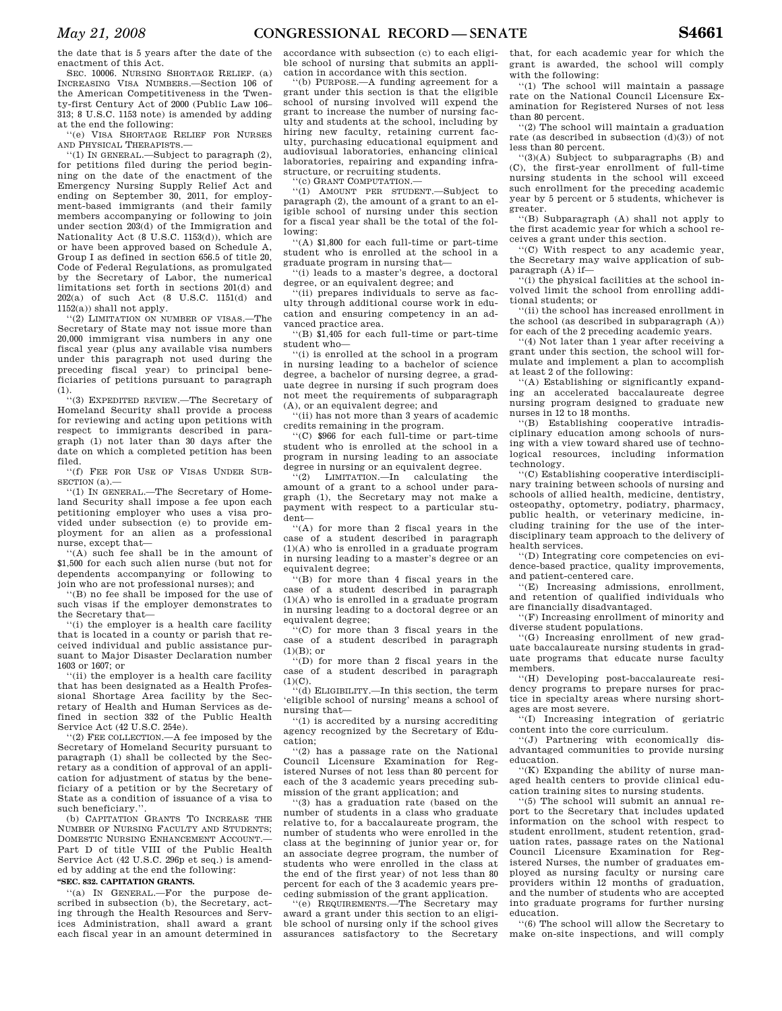the date that is 5 years after the date of the enactment of this Act.

SEC. 10006. NURSING SHORTAGE RELIEF. (a) INCREASING VISA NUMBERS.—Section 106 of the American Competitiveness in the Twenty-first Century Act of 2000 (Public Law 106– 313; 8 U.S.C. 1153 note) is amended by adding at the end the following:

''(e) VISA SHORTAGE RELIEF FOR NURSES AND PHYSICAL THERAPISTS.—

''(1) IN GENERAL.—Subject to paragraph (2), for petitions filed during the period beginning on the date of the enactment of the Emergency Nursing Supply Relief Act and ending on September 30, 2011, for employment-based immigrants (and their family members accompanying or following to join under section 203(d) of the Immigration and Nationality Act (8 U.S.C. 1153(d)), which are or have been approved based on Schedule A, Group I as defined in section 656.5 of title 20, Code of Federal Regulations, as promulgated by the Secretary of Labor, the numerical limitations set forth in sections 201(d) and 202(a) of such Act (8 U.S.C. 1151(d) and  $1152(a)$ ) shall not apply.

''(2) LIMITATION ON NUMBER OF VISAS.—The Secretary of State may not issue more than 20,000 immigrant visa numbers in any one fiscal year (plus any available visa numbers under this paragraph not used during the preceding fiscal year) to principal beneficiaries of petitions pursuant to paragraph (1).

''(3) EXPEDITED REVIEW.—The Secretary of Homeland Security shall provide a process for reviewing and acting upon petitions with respect to immigrants described in paragraph (1) not later than 30 days after the date on which a completed petition has been filed.

''(f) FEE FOR USE OF VISAS UNDER SUB-SECTION (a).—

''(1) IN GENERAL.—The Secretary of Homeland Security shall impose a fee upon each petitioning employer who uses a visa provided under subsection (e) to provide employment for an alien as a professional nurse, except that—

''(A) such fee shall be in the amount of \$1,500 for each such alien nurse (but not for dependents accompanying or following to join who are not professional nurses); and

''(B) no fee shall be imposed for the use of such visas if the employer demonstrates to the Secretary that—

''(i) the employer is a health care facility that is located in a county or parish that received individual and public assistance pursuant to Major Disaster Declaration number 1603 or 1607; or

''(ii) the employer is a health care facility that has been designated as a Health Professional Shortage Area facility by the Secretary of Health and Human Services as defined in section 332 of the Public Health Service Act (42 U.S.C. 254e).

''(2) FEE COLLECTION.—A fee imposed by the Secretary of Homeland Security pursuant to paragraph (1) shall be collected by the Secretary as a condition of approval of an application for adjustment of status by the beneficiary of a petition or by the Secretary of State as a condition of issuance of a visa to such beneficiary.'

(b) CAPITATION GRANTS TO INCREASE THE NUMBER OF NURSING FACULTY AND STUDENTS; DOMESTIC NURSING ENHANCEMENT ACCOUNT.— Part D of title VIII of the Public Health Service Act (42 U.S.C. 296p et seq.) is amended by adding at the end the following:

## **''SEC. 832. CAPITATION GRANTS.**

''(a) IN GENERAL.—For the purpose described in subsection (b), the Secretary, acting through the Health Resources and Services Administration, shall award a grant each fiscal year in an amount determined in

accordance with subsection (c) to each eligible school of nursing that submits an application in accordance with this section.

''(b) PURPOSE.—A funding agreement for a grant under this section is that the eligible school of nursing involved will expend the grant to increase the number of nursing faculty and students at the school, including by hiring new faculty, retaining current faculty, purchasing educational equipment and audiovisual laboratories, enhancing clinical laboratories, repairing and expanding infrastructure, or recruiting students.

(c) GRANT COMPUTATION.

''(1) AMOUNT PER STUDENT.—Subject to paragraph (2), the amount of a grant to an eligible school of nursing under this section for a fiscal year shall be the total of the following:

''(A) \$1,800 for each full-time or part-time student who is enrolled at the school in a graduate program in nursing that—

''(i) leads to a master's degree, a doctoral degree, or an equivalent degree; and

''(ii) prepares individuals to serve as faculty through additional course work in education and ensuring competency in an advanced practice area.

''(B) \$1,405 for each full-time or part-time student who—

''(i) is enrolled at the school in a program in nursing leading to a bachelor of science degree, a bachelor of nursing degree, a graduate degree in nursing if such program does not meet the requirements of subparagraph (A), or an equivalent degree; and

''(ii) has not more than 3 years of academic credits remaining in the program.

''(C) \$966 for each full-time or part-time student who is enrolled at the school in a program in nursing leading to an associate degree in nursing or an equivalent degree.

''(2) LIMITATION.—In calculating the amount of a grant to a school under paragraph (1), the Secretary may not make a payment with respect to a particular student—

''(A) for more than 2 fiscal years in the case of a student described in paragraph (1)(A) who is enrolled in a graduate program in nursing leading to a master's degree or an equivalent degree;

''(B) for more than 4 fiscal years in the case of a student described in paragraph (1)(A) who is enrolled in a graduate program in nursing leading to a doctoral degree or an equivalent degree;

''(C) for more than 3 fiscal years in the case of a student described in paragraph  $(1)(B)$ ; or

''(D) for more than 2 fiscal years in the case of a student described in paragraph  $(1)(C)$ .

''(d) ELIGIBILITY.—In this section, the term 'eligible school of nursing' means a school of nursing that—

''(1) is accredited by a nursing accrediting agency recognized by the Secretary of Education;

''(2) has a passage rate on the National Council Licensure Examination for Registered Nurses of not less than 80 percent for each of the 3 academic years preceding submission of the grant application; and

''(3) has a graduation rate (based on the number of students in a class who graduate relative to, for a baccalaureate program, the number of students who were enrolled in the class at the beginning of junior year or, for an associate degree program, the number of students who were enrolled in the class at the end of the first year) of not less than 80 percent for each of the 3 academic years preceding submission of the grant application.

''(e) REQUIREMENTS.—The Secretary may award a grant under this section to an eligible school of nursing only if the school gives assurances satisfactory to the Secretary

that, for each academic year for which the grant is awarded, the school will comply with the following:

''(1) The school will maintain a passage rate on the National Council Licensure Examination for Registered Nurses of not less than 80 percent.

''(2) The school will maintain a graduation rate (as described in subsection (d)(3)) of not less than 80 percent.

''(3)(A) Subject to subparagraphs (B) and (C), the first-year enrollment of full-time nursing students in the school will exceed such enrollment for the preceding academic year by 5 percent or 5 students, whichever is greater.

''(B) Subparagraph (A) shall not apply to the first academic year for which a school receives a grant under this section.

''(C) With respect to any academic year, the Secretary may waive application of subparagraph (A) if—

''(i) the physical facilities at the school involved limit the school from enrolling additional students; or

''(ii) the school has increased enrollment in the school (as described in subparagraph (A)) for each of the 2 preceding academic years.

''(4) Not later than 1 year after receiving a grant under this section, the school will formulate and implement a plan to accomplish at least 2 of the following:

''(A) Establishing or significantly expanding an accelerated baccalaureate degree nursing program designed to graduate new nurses in 12 to 18 months.

''(B) Establishing cooperative intradisciplinary education among schools of nursing with a view toward shared use of technological resources, including information technology.

''(C) Establishing cooperative interdisciplinary training between schools of nursing and schools of allied health, medicine, dentistry, osteopathy, optometry, podiatry, pharmacy, public health, or veterinary medicine, including training for the use of the interdisciplinary team approach to the delivery of health services.

''(D) Integrating core competencies on evidence-based practice, quality improvements, and patient-centered care.

''(E) Increasing admissions, enrollment, and retention of qualified individuals who are financially disadvantaged.

''(F) Increasing enrollment of minority and diverse student populations.

''(G) Increasing enrollment of new graduate baccalaureate nursing students in graduate programs that educate nurse faculty members.

''(H) Developing post-baccalaureate residency programs to prepare nurses for practice in specialty areas where nursing shortages are most severe.

''(I) Increasing integration of geriatric content into the core curriculum.

''(J) Partnering with economically disadvantaged communities to provide nursing education.

''(K) Expanding the ability of nurse managed health centers to provide clinical education training sites to nursing students.

''(5) The school will submit an annual report to the Secretary that includes updated information on the school with respect to student enrollment, student retention, graduation rates, passage rates on the National Council Licensure Examination for Registered Nurses, the number of graduates employed as nursing faculty or nursing care providers within 12 months of graduation, and the number of students who are accepted into graduate programs for further nursing education.

''(6) The school will allow the Secretary to make on-site inspections, and will comply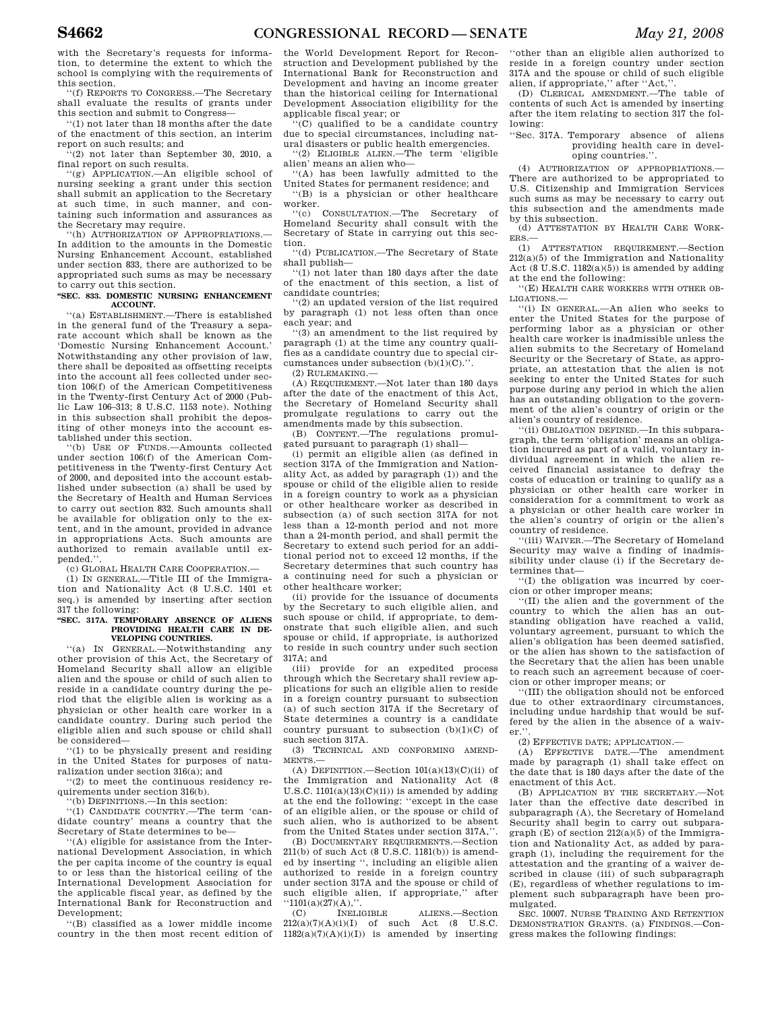with the Secretary's requests for information, to determine the extent to which the school is complying with the requirements of this section.

''(f) REPORTS TO CONGRESS.—The Secretary shall evaluate the results of grants under this section and submit to Congress—

''(1) not later than 18 months after the date of the enactment of this section, an interim report on such results; and

''(2) not later than September 30, 2010, a final report on such results.

''(g) APPLICATION.—An eligible school of nursing seeking a grant under this section shall submit an application to the Secretary at such time, in such manner, and containing such information and assurances as the Secretary may require.

''(h) AUTHORIZATION OF APPROPRIATIONS.— In addition to the amounts in the Domestic Nursing Enhancement Account, established under section 833, there are authorized to be appropriated such sums as may be necessary to carry out this section.

### **''SEC. 833. DOMESTIC NURSING ENHANCEMENT ACCOUNT.**

''(a) ESTABLISHMENT.—There is established in the general fund of the Treasury a separate account which shall be known as the 'Domestic Nursing Enhancement Account.' Notwithstanding any other provision of law, there shall be deposited as offsetting receipts into the account all fees collected under section 106(f) of the American Competitiveness in the Twenty-first Century Act of 2000 (Public Law 106–313; 8 U.S.C. 1153 note). Nothing in this subsection shall prohibit the depositing of other moneys into the account established under this section.

''(b) USE OF FUNDS.—Amounts collected under section 106(f) of the American Competitiveness in the Twenty-first Century Act of 2000, and deposited into the account established under subsection (a) shall be used by the Secretary of Health and Human Services to carry out section 832. Such amounts shall be available for obligation only to the extent, and in the amount, provided in advance in appropriations Acts. Such amounts are authorized to remain available until expended."

(c) GLOBAL HEALTH CARE COOPERATION.—

(1) IN GENERAL.—Title III of the Immigration and Nationality Act (8 U.S.C. 1401 et seq.) is amended by inserting after section 317 the following:

#### **''SEC. 317A. TEMPORARY ABSENCE OF ALIENS PROVIDING HEALTH CARE IN DE-VELOPING COUNTRIES.**

''(a) IN GENERAL.—Notwithstanding any other provision of this Act, the Secretary of Homeland Security shall allow an eligible alien and the spouse or child of such alien to reside in a candidate country during the period that the eligible alien is working as a physician or other health care worker in a candidate country. During such period the eligible alien and such spouse or child shall be considered—

''(1) to be physically present and residing in the United States for purposes of naturalization under section 316(a); and

''(2) to meet the continuous residency requirements under section 316(b).

''(b) DEFINITIONS.—In this section:

''(1) CANDIDATE COUNTRY.—The term 'candidate country' means a country that the Secretary of State determines to be—

''(A) eligible for assistance from the International Development Association, in which the per capita income of the country is equal to or less than the historical ceiling of the International Development Association for the applicable fiscal year, as defined by the International Bank for Reconstruction and Development;

''(B) classified as a lower middle income country in the then most recent edition of

the World Development Report for Reconstruction and Development published by the International Bank for Reconstruction and Development and having an income greater than the historical ceiling for International Development Association eligibility for the applicable fiscal year; or

 $\dot{C}$  qualified to be a candidate country due to special circumstances, including natural disasters or public health emergencies.

''(2) ELIGIBLE ALIEN.—The term 'eligible alien' means an alien who—

''(A) has been lawfully admitted to the United States for permanent residence; and

''(B) is a physician or other healthcare worker. ''(c) CONSULTATION.—The Secretary of

Homeland Security shall consult with the Secretary of State in carrying out this section.

''(d) PUBLICATION.—The Secretary of State shall publish—

''(1) not later than 180 days after the date of the enactment of this section, a list of candidate countries;

''(2) an updated version of the list required by paragraph (1) not less often than once each year; and

''(3) an amendment to the list required by paragraph (1) at the time any country qualifies as a candidate country due to special circumstances under subsection  $(b)(1)(C)$ .".

(2) RULEMAKING.—

(A) REQUIREMENT.—Not later than 180 days after the date of the enactment of this Act, the Secretary of Homeland Security shall promulgate regulations to carry out the amendments made by this subsection.

(B) CONTENT.—The regulations promulgated pursuant to paragraph (1) shall—

(i) permit an eligible alien (as defined in section 317A of the Immigration and Nationality Act, as added by paragraph (1)) and the spouse or child of the eligible alien to reside in a foreign country to work as a physician or other healthcare worker as described in subsection (a) of such section 317A for not less than a 12-month period and not more than a 24-month period, and shall permit the Secretary to extend such period for an additional period not to exceed 12 months, if the Secretary determines that such country has a continuing need for such a physician or other healthcare worker;

(ii) provide for the issuance of documents by the Secretary to such eligible alien, and such spouse or child, if appropriate, to demonstrate that such eligible alien, and such spouse or child, if appropriate, is authorized to reside in such country under such section 317A; and

(iii) provide for an expedited process through which the Secretary shall review applications for such an eligible alien to reside in a foreign country pursuant to subsection (a) of such section 317A if the Secretary of State determines a country is a candidate country pursuant to subsection (b)(1)(C) of such section 317A.

(3) TECHNICAL AND CONFORMING AMEND-MENTS.—

(A) DEFINITION.—Section  $101(a)(13)(C)(ii)$  of the Immigration and Nationality Act (8 U.S.C.  $1101(a)(13)(C)(ii)$  is amended by adding at the end the following: ''except in the case of an eligible alien, or the spouse or child of such alien, who is authorized to be absent from the United States under section 317A,''.

(B) DOCUMENTARY REQUIREMENTS.—Section 211(b) of such Act (8 U.S.C. 1181(b)) is amended by inserting '', including an eligible alien authorized to reside in a foreign country under section 317A and the spouse or child of such eligible alien, if appropriate,'' after  $"1101(a)(27)(A),"$ .<br>(C) INELIGIBLE

(C) INELIGIBLE ALIENS.—Section  $212(a)(7)(A)(i)(I)$  of such Act  $(8$  U.S.C.  $1182(a)(7)(A)(i)(I))$  is amended by inserting

''other than an eligible alien authorized to reside in a foreign country under section 317A and the spouse or child of such eligible alien, if appropriate,'' after ''Act,''.

(D) CLERICAL AMENDMENT.—The table of contents of such Act is amended by inserting after the item relating to section 317 the following:

''Sec. 317A. Temporary absence of aliens providing health care in developing countries.''.

(4) AUTHORIZATION OF APPROPRIATIONS.— There are authorized to be appropriated to U.S. Citizenship and Immigration Services such sums as may be necessary to carry out this subsection and the amendments made by this subsection.

(d) ATTESTATION BY HEALTH CARE WORK-ERS.—

(1) ATTESTATION REQUIREMENT.—Section 212(a)(5) of the Immigration and Nationality Act (8 U.S.C.  $1182(a)(5)$ ) is amended by adding at the end the following:

''(E) HEALTH CARE WORKERS WITH OTHER OB-LIGATIONS.—

''(i) IN GENERAL.—An alien who seeks to enter the United States for the purpose of performing labor as a physician or other health care worker is inadmissible unless the alien submits to the Secretary of Homeland Security or the Secretary of State, as appropriate, an attestation that the alien is not seeking to enter the United States for such purpose during any period in which the alien has an outstanding obligation to the government of the alien's country of origin or the alien's country of residence.

''(ii) OBLIGATION DEFINED.—In this subparagraph, the term 'obligation' means an obligation incurred as part of a valid, voluntary individual agreement in which the alien received financial assistance to defray the costs of education or training to qualify as a physician or other health care worker in consideration for a commitment to work as a physician or other health care worker in the alien's country of origin or the alien's country of residence.

''(iii) WAIVER.—The Secretary of Homeland Security may waive a finding of inadmissibility under clause (i) if the Secretary determines that—

''(I) the obligation was incurred by coercion or other improper means;

''(II) the alien and the government of the country to which the alien has an outstanding obligation have reached a valid, voluntary agreement, pursuant to which the alien's obligation has been deemed satisfied, or the alien has shown to the satisfaction of the Secretary that the alien has been unable to reach such an agreement because of coercion or other improper means; or

''(III) the obligation should not be enforced due to other extraordinary circumstances, including undue hardship that would be suffered by the alien in the absence of a waiver.''.

(2) EFFECTIVE DATE; APPLICATION.—

(A) EFFECTIVE DATE.—The amendment made by paragraph (1) shall take effect on the date that is 180 days after the date of the enactment of this Act.

(B) APPLICATION BY THE SECRETARY.—Not later than the effective date described in subparagraph (A), the Secretary of Homeland Security shall begin to carry out subparagraph  $(E)$  of section 212(a)(5) of the Immigration and Nationality Act, as added by paragraph (1), including the requirement for the attestation and the granting of a waiver described in clause (iii) of such subparagraph (E), regardless of whether regulations to implement such subparagraph have been promulgated.

SEC. 10007. NURSE TRAINING AND RETENTION DEMONSTRATION GRANTS. (a) FINDINGS.—Congress makes the following findings: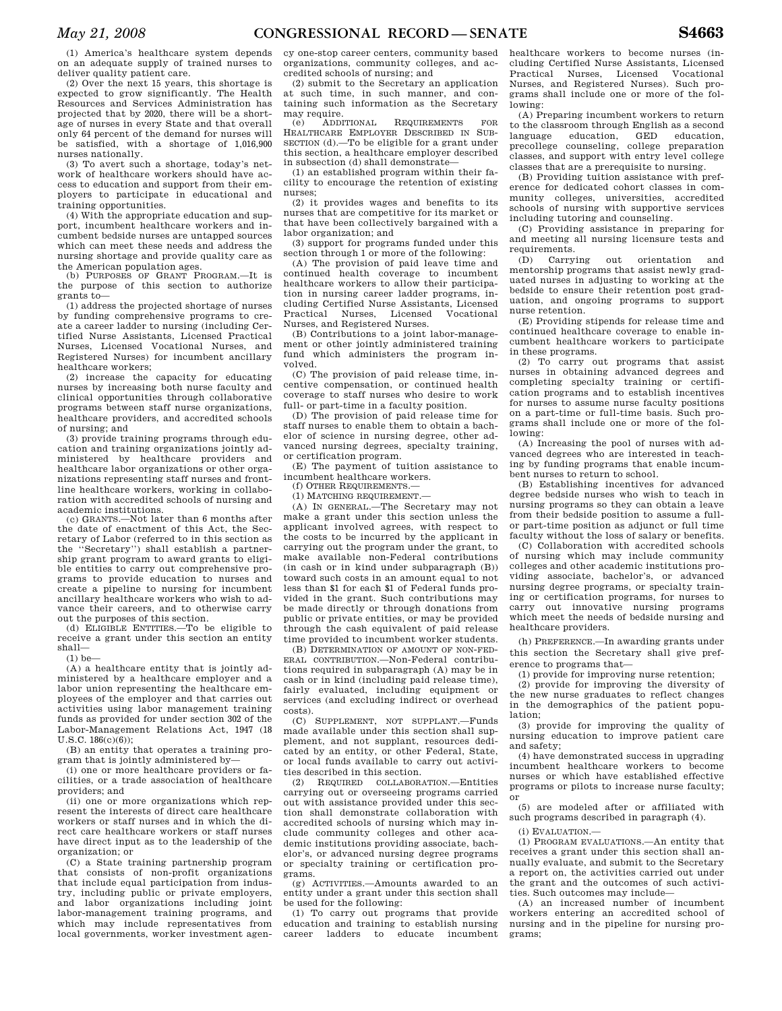(1) America's healthcare system depends on an adequate supply of trained nurses to deliver quality patient care.

(2) Over the next 15 years, this shortage is expected to grow significantly. The Health Resources and Services Administration has projected that by 2020, there will be a shortage of nurses in every State and that overall only 64 percent of the demand for nurses will be satisfied, with a shortage of 1,016,900 nurses nationally.

(3) To avert such a shortage, today's network of healthcare workers should have access to education and support from their employers to participate in educational and training opportunities.

(4) With the appropriate education and support, incumbent healthcare workers and incumbent bedside nurses are untapped sources which can meet these needs and address the nursing shortage and provide quality care as the American population ages.

(b) PURPOSES OF GRANT PROGRAM.—It is the purpose of this section to authorize grants to—

(1) address the projected shortage of nurses by funding comprehensive programs to create a career ladder to nursing (including Certified Nurse Assistants, Licensed Practical Nurses, Licensed Vocational Nurses, and Registered Nurses) for incumbent ancillary healthcare workers;

(2) increase the capacity for educating nurses by increasing both nurse faculty and clinical opportunities through collaborative programs between staff nurse organizations, healthcare providers, and accredited schools of nursing; and

(3) provide training programs through education and training organizations jointly administered by healthcare providers and healthcare labor organizations or other organizations representing staff nurses and frontline healthcare workers, working in collaboration with accredited schools of nursing and academic institutions.

(c) GRANTS.—Not later than 6 months after the date of enactment of this Act, the Secretary of Labor (referred to in this section as the ''Secretary'') shall establish a partnership grant program to award grants to eligible entities to carry out comprehensive programs to provide education to nurses and create a pipeline to nursing for incumbent ancillary healthcare workers who wish to advance their careers, and to otherwise carry out the purposes of this section.

(d) ELIGIBLE ENTITIES.—To be eligible to receive a grant under this section an entity shall—

 $(1)$  be-

 $(A)$  a healthcare entity that is jointly administered by a healthcare employer and a labor union representing the healthcare employees of the employer and that carries out activities using labor management training funds as provided for under section 302 of the Labor-Management Relations Act, 1947 (18 U.S.C. 186(c)(6));

(B) an entity that operates a training program that is jointly administered by—

(i) one or more healthcare providers or facilities, or a trade association of healthcare providers; and

(ii) one or more organizations which represent the interests of direct care healthcare workers or staff nurses and in which the direct care healthcare workers or staff nurses have direct input as to the leadership of the organization; or

(C) a State training partnership program that consists of non-profit organizations that include equal participation from industry, including public or private employers, and labor organizations including joint labor-management training programs, and which may include representatives from local governments, worker investment agen-

cy one-stop career centers, community based organizations, community colleges, and accredited schools of nursing; and

(2) submit to the Secretary an application at such time, in such manner, and containing such information as the Secretary

may require.<br>(e) ADDITIONAL (e) ADDITIONAL REQUIREMENTS FOR HEALTHCARE EMPLOYER DESCRIBED IN SUB-SECTION (d).—To be eligible for a grant under this section, a healthcare employer described in subsection (d) shall demonstrate—

(1) an established program within their facility to encourage the retention of existing nurses;

(2) it provides wages and benefits to its nurses that are competitive for its market or that have been collectively bargained with a labor organization; and

(3) support for programs funded under this section through 1 or more of the following:

(A) The provision of paid leave time and continued health coverage to incumbent healthcare workers to allow their participation in nursing career ladder programs, including Certified Nurse Assistants, Licensed Practical Nurses, Licensed Nurses, and Registered Nurses.

(B) Contributions to a joint labor-management or other jointly administered training fund which administers the program involved.

(C) The provision of paid release time, incentive compensation, or continued health coverage to staff nurses who desire to work full- or part-time in a faculty position.

(D) The provision of paid release time for staff nurses to enable them to obtain a bachelor of science in nursing degree, other advanced nursing degrees, specialty training, or certification program.

(E) The payment of tuition assistance to incumbent healthcare workers.

(f) OTHER REQUIREMENTS.—

(1) MATCHING REQUIREMENT.—

(A) IN GENERAL.—The Secretary may not make a grant under this section unless the applicant involved agrees, with respect to the costs to be incurred by the applicant in carrying out the program under the grant, to make available non-Federal contributions  $(in$  cash or in kind under subparagraph  $(B)$ ) toward such costs in an amount equal to not less than \$1 for each \$1 of Federal funds provided in the grant. Such contributions may be made directly or through donations from public or private entities, or may be provided through the cash equivalent of paid release time provided to incumbent worker students.

(B) DETERMINATION OF AMOUNT OF NON-FED-ERAL CONTRIBUTION.—Non-Federal contributions required in subparagraph (A) may be in cash or in kind (including paid release time), fairly evaluated, including equipment or services (and excluding indirect or overhead costs).

(C) SUPPLEMENT, NOT SUPPLANT.—Funds made available under this section shall supplement, and not supplant, resources dedicated by an entity, or other Federal, State, or local funds available to carry out activities described in this section.

(2) REQUIRED COLLABORATION.—Entities carrying out or overseeing programs carried out with assistance provided under this section shall demonstrate collaboration with accredited schools of nursing which may include community colleges and other academic institutions providing associate, bachelor's, or advanced nursing degree programs or specialty training or certification programs.

(g) ACTIVITIES.—Amounts awarded to an entity under a grant under this section shall be used for the following:

(1) To carry out programs that provide education and training to establish nursing career ladders to educate incumbent healthcare workers to become nurses (including Certified Nurse Assistants, Licensed Practical Nurses, Licensed Vocational Nurses, and Registered Nurses). Such programs shall include one or more of the following:

(A) Preparing incumbent workers to return to the classroom through English as a second<br>language education, GED education, language education, GED education, precollege counseling, college preparation classes, and support with entry level college classes that are a prerequisite to nursing.

(B) Providing tuition assistance with preference for dedicated cohort classes in community colleges, universities, accredited schools of nursing with supportive services including tutoring and counseling.

(C) Providing assistance in preparing for and meeting all nursing licensure tests and requirements.<br>(D) Carry

Carrying out orientation and mentorship programs that assist newly graduated nurses in adjusting to working at the bedside to ensure their retention post graduation, and ongoing programs to support nurse retention.

(E) Providing stipends for release time and continued healthcare coverage to enable incumbent healthcare workers to participate in these programs.

(2) To carry out programs that assist nurses in obtaining advanced degrees and completing specialty training or certification programs and to establish incentives for nurses to assume nurse faculty positions on a part-time or full-time basis. Such programs shall include one or more of the following:

(A) Increasing the pool of nurses with advanced degrees who are interested in teaching by funding programs that enable incumbent nurses to return to school.

(B) Establishing incentives for advanced degree bedside nurses who wish to teach in nursing programs so they can obtain a leave from their bedside position to assume a fullor part-time position as adjunct or full time faculty without the loss of salary or benefits.

(C) Collaboration with accredited schools of nursing which may include community colleges and other academic institutions providing associate, bachelor's, or advanced nursing degree programs, or specialty training or certification programs, for nurses to carry out innovative nursing programs which meet the needs of bedside nursing and healthcare providers.

(h) PREFERENCE.—In awarding grants under this section the Secretary shall give preference to programs that—

(1) provide for improving nurse retention;

(2) provide for improving the diversity of the new nurse graduates to reflect changes in the demographics of the patient population;

(3) provide for improving the quality of nursing education to improve patient care and safety;

(4) have demonstrated success in upgrading incumbent healthcare workers to become nurses or which have established effective programs or pilots to increase nurse faculty; or

(5) are modeled after or affiliated with such programs described in paragraph (4).

(i) EVALUATION.—

(1) PROGRAM EVALUATIONS.—An entity that receives a grant under this section shall annually evaluate, and submit to the Secretary a report on, the activities carried out under the grant and the outcomes of such activities. Such outcomes may include—

(A) an increased number of incumbent workers entering an accredited school of nursing and in the pipeline for nursing programs;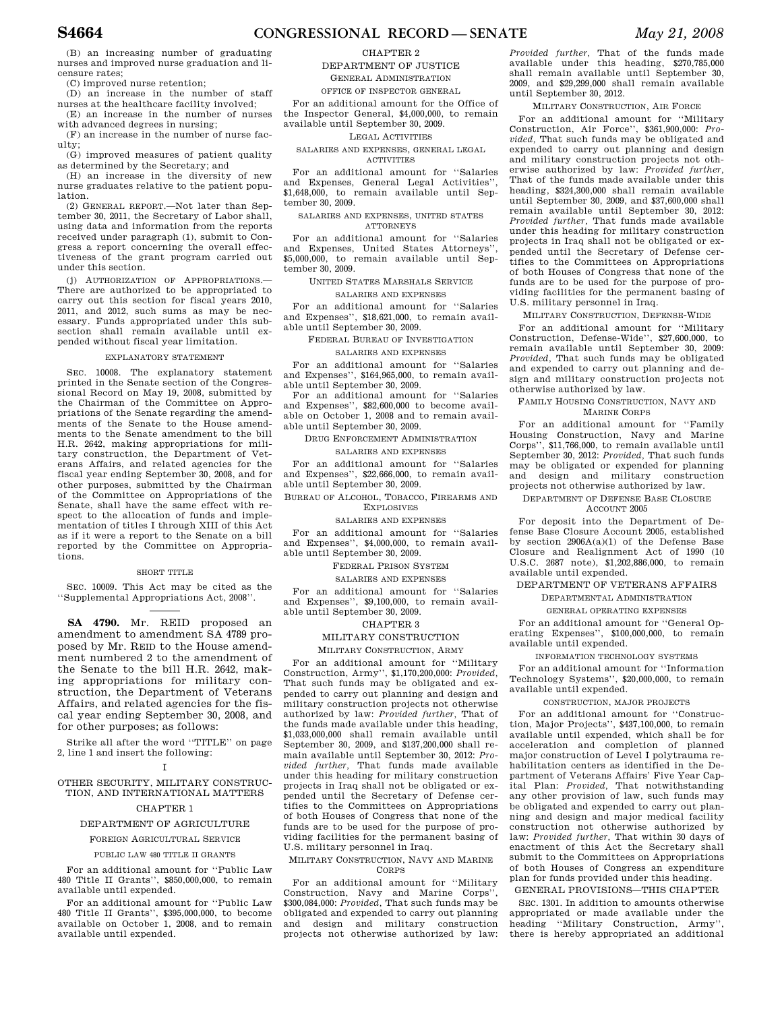(B) an increasing number of graduating nurses and improved nurse graduation and licensure rates;

(C) improved nurse retention;

(D) an increase in the number of staff nurses at the healthcare facility involved;

(E) an increase in the number of nurses with advanced degrees in nursing; (F) an increase in the number of nurse fac-

ulty;

(G) improved measures of patient quality as determined by the Secretary; and

(H) an increase in the diversity of new nurse graduates relative to the patient population.

(2) GENERAL REPORT.—Not later than September 30, 2011, the Secretary of Labor shall, using data and information from the reports received under paragraph (1), submit to Congress a report concerning the overall effectiveness of the grant program carried out under this section.

(j) AUTHORIZATION OF APPROPRIATIONS.— There are authorized to be appropriated to carry out this section for fiscal years 2010, 2011, and 2012, such sums as may be necessary. Funds appropriated under this subsection shall remain available until expended without fiscal year limitation.

## EXPLANATORY STATEMENT

SEC. 10008. The explanatory statement printed in the Senate section of the Congressional Record on May 19, 2008, submitted by the Chairman of the Committee on Appropriations of the Senate regarding the amendments of the Senate to the House amendments to the Senate amendment to the bill H.R. 2642, making appropriations for military construction, the Department of Veterans Affairs, and related agencies for the fiscal year ending September 30, 2008, and for other purposes, submitted by the Chairman of the Committee on Appropriations of the Senate, shall have the same effect with respect to the allocation of funds and implementation of titles I through XIII of this Act as if it were a report to the Senate on a bill reported by the Committee on Appropriations.

#### SHORT TITLE

SEC. 10009. This Act may be cited as the ''Supplemental Appropriations Act, 2008''.

**SA 4790.** Mr. REID proposed an amendment to amendment SA 4789 proposed by Mr. REID to the House amendment numbered 2 to the amendment of the Senate to the bill H.R. 2642, making appropriations for military construction, the Department of Veterans Affairs, and related agencies for the fiscal year ending September 30, 2008, and for other purposes; as follows:

Strike all after the word ''TITLE'' on page 2, line 1 and insert the following: I

OTHER SECURITY, MILITARY CONSTRUC-TION, AND INTERNATIONAL MATTERS

## CHAPTER 1

## DEPARTMENT OF AGRICULTURE

FOREIGN AGRICULTURAL SERVICE PUBLIC LAW 480 TITLE II GRANTS

For an additional amount for ''Public Law 480 Title II Grants'', \$850,000,000, to remain available until expended.

For an additional amount for ''Public Law 480 Title II Grants'', \$395,000,000, to become available on October 1, 2008, and to remain available until expended.

## CHAPTER 2

## DEPARTMENT OF JUSTICE GENERAL ADMINISTRATION OFFICE OF INSPECTOR GENERAL

For an additional amount for the Office of the Inspector General, \$4,000,000, to remain available until September 30, 2009.

LEGAL ACTIVITIES

SALARIES AND EXPENSES, GENERAL LEGAL **ACTIVITIES** 

For an additional amount for ''Salaries and Expenses, General Legal Activities'', \$1,648,000, to remain available until September 30, 2009.

SALARIES AND EXPENSES, UNITED STATES ATTORNEYS

For an additional amount for ''Salaries and Expenses, United States Attorneys'', \$5,000,000, to remain available until September 30, 2009.

### UNITED STATES MARSHALS SERVICE

#### SALARIES AND EXPENSES

For an additional amount for ''Salaries and Expenses'', \$18,621,000, to remain available until September 30, 2009.

> FEDERAL BUREAU OF INVESTIGATION SALARIES AND EXPENSES

For an additional amount for ''Salaries and Expenses'', \$164,965,000, to remain available until September 30, 2009.

For an additional amount for ''Salaries and Expenses'', \$82,600,000 to become available on October 1, 2008 and to remain available until September 30, 2009.

DRUG ENFORCEMENT ADMINISTRATION

#### SALARIES AND EXPENSES

For an additional amount for ''Salaries and Expenses'', \$22,666,000, to remain available until September 30, 2009.

BUREAU OF ALCOHOL, TOBACCO, FIREARMS AND

## EXPLOSIVES

SALARIES AND EXPENSES

For an additional amount for ''Salaries and Expenses'', \$4,000,000, to remain available until September 30, 2009.

FEDERAL PRISON SYSTEM

SALARIES AND EXPENSES

For an additional amount for ''Salaries and Expenses'', \$9,100,000, to remain available until September 30, 2009.

## CHAPTER 3

## MILITARY CONSTRUCTION

MILITARY CONSTRUCTION, ARMY

For an additional amount for ''Military Construction, Army'', \$1,170,200,000: *Provided,*  That such funds may be obligated and expended to carry out planning and design and military construction projects not otherwise authorized by law: *Provided further,* That of the funds made available under this heading, \$1,033,000,000 shall remain available until September 30, 2009, and \$137,200,000 shall remain available until September 30, 2012: *Provided further,* That funds made available under this heading for military construction projects in Iraq shall not be obligated or expended until the Secretary of Defense certifies to the Committees on Appropriations of both Houses of Congress that none of the funds are to be used for the purpose of providing facilities for the permanent basing of U.S. military personnel in Iraq.

## MILITARY CONSTRUCTION, NAVY AND MARINE CORPS

For an additional amount for ''Military Construction, Navy and Marine Corps'', \$300,084,000: *Provided,* That such funds may be obligated and expended to carry out planning and design and military construction projects not otherwise authorized by law:

*Provided further,* That of the funds made available under this heading, \$270,785,000 shall remain available until September 30, 2009, and \$29,299,000 shall remain available until September 30, 2012.

#### MILITARY CONSTRUCTION, AIR FORCE

For an additional amount for ''Military Construction, Air Force'', \$361,900,000: *Provided,* That such funds may be obligated and expended to carry out planning and design and military construction projects not otherwise authorized by law: *Provided further,*  That of the funds made available under this heading, \$324,300,000 shall remain available until September 30, 2009, and \$37,600,000 shall remain available until September 30, 2012: *Provided further,* That funds made available under this heading for military construction projects in Iraq shall not be obligated or expended until the Secretary of Defense certifies to the Committees on Appropriations of both Houses of Congress that none of the funds are to be used for the purpose of providing facilities for the permanent basing of U.S. military personnel in Iraq.

## MILITARY CONSTRUCTION, DEFENSE-WIDE

For an additional amount for ''Military Construction, Defense-Wide'', \$27,600,000, to remain available until September 30, 2009: *Provided,* That such funds may be obligated and expended to carry out planning and design and military construction projects not otherwise authorized by law.

## FAMILY HOUSING CONSTRUCTION, NAVY AND MARINE CORPS

For an additional amount for ''Family Housing Construction, Navy and Marine Corps'', \$11,766,000, to remain available until September 30, 2012: *Provided,* That such funds may be obligated or expended for planning and design and military construction projects not otherwise authorized by law.

DEPARTMENT OF DEFENSE BASE CLOSURE

#### ACCOUNT 2005

For deposit into the Department of Defense Base Closure Account 2005, established by section 2906A(a)(1) of the Defense Base Closure and Realignment Act of 1990 (10 U.S.C. 2687 note), \$1,202,886,000, to remain available until expended.

## DEPARTMENT OF VETERANS AFFAIRS

DEPARTMENTAL ADMINISTRATION

GENERAL OPERATING EXPENSES

For an additional amount for ''General Operating Expenses'', \$100,000,000, to remain available until expended.

#### INFORMATION TECHNOLOGY SYSTEMS

For an additional amount for ''Information Technology Systems'', \$20,000,000, to remain available until expended.

## CONSTRUCTION, MAJOR PROJECTS

For an additional amount for ''Construction, Major Projects'', \$437,100,000, to remain available until expended, which shall be for acceleration and completion of planned major construction of Level I polytrauma rehabilitation centers as identified in the Department of Veterans Affairs' Five Year Capital Plan: *Provided,* That notwithstanding any other provision of law, such funds may be obligated and expended to carry out planning and design and major medical facility construction not otherwise authorized by law: *Provided further,* That within 30 days of enactment of this Act the Secretary shall submit to the Committees on Appropriations of both Houses of Congress an expenditure plan for funds provided under this heading.

## GENERAL PROVISIONS—THIS CHAPTER

SEC. 1301. In addition to amounts otherwise appropriated or made available under the heading ''Military Construction, Army'', there is hereby appropriated an additional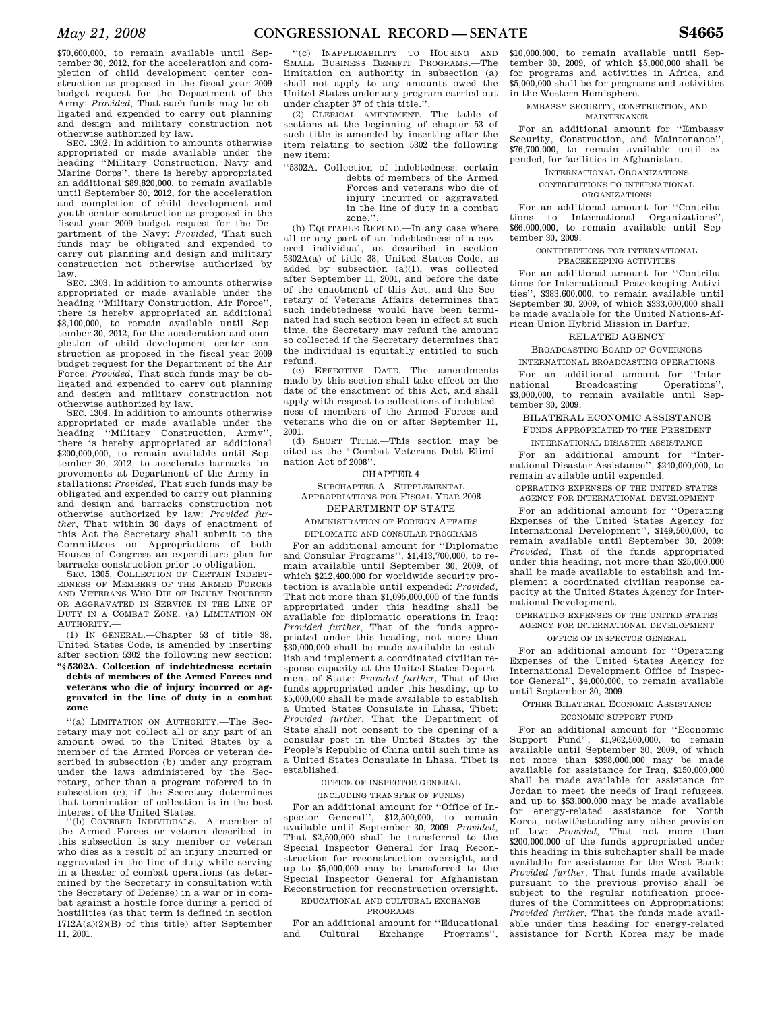\$70,600,000, to remain available until September 30, 2012, for the acceleration and completion of child development center construction as proposed in the fiscal year 2009 budget request for the Department of the Army: *Provided,* That such funds may be obligated and expended to carry out planning and design and military construction not otherwise authorized by law.

SEC. 1302. In addition to amounts otherwise appropriated or made available under the heading ''Military Construction, Navy and Marine Corps'', there is hereby appropriated an additional \$89,820,000, to remain available until September 30, 2012, for the acceleration and completion of child development and youth center construction as proposed in the fiscal year 2009 budget request for the Department of the Navy: *Provided,* That such funds may be obligated and expended to carry out planning and design and military construction not otherwise authorized by law.

SEC. 1303. In addition to amounts otherwise appropriated or made available under the heading ''Military Construction, Air Force'', there is hereby appropriated an additional \$8,100,000, to remain available until September 30, 2012, for the acceleration and completion of child development center construction as proposed in the fiscal year 2009 budget request for the Department of the Air Force: *Provided,* That such funds may be obligated and expended to carry out planning and design and military construction not otherwise authorized by law.

SEC. 1304. In addition to amounts otherwise appropriated or made available under the heading ''Military Construction, Army'', there is hereby appropriated an additional \$200,000,000, to remain available until September 30, 2012, to accelerate barracks improvements at Department of the Army installations: *Provided,* That such funds may be obligated and expended to carry out planning and design and barracks construction not otherwise authorized by law: *Provided further,* That within 30 days of enactment of this Act the Secretary shall submit to the Committees on Appropriations of both Houses of Congress an expenditure plan for barracks construction prior to obligation.

SEC. 1305. COLLECTION OF CERTAIN INDEBT-EDNESS OF MEMBERS OF THE ARMED FORCES AND VETERANS WHO DIE OF INJURY INCURRED OR AGGRAVATED IN SERVICE IN THE LINE OF DUTY IN A COMBAT ZONE. (a) LIMITATION ON AUTHORITY.—

(1) IN GENERAL.—Chapter 53 of title 38, United States Code, is amended by inserting after section 5302 the following new section:

## **''§ 5302A. Collection of indebtedness: certain debts of members of the Armed Forces and veterans who die of injury incurred or aggravated in the line of duty in a combat zone**

''(a) LIMITATION ON AUTHORITY.—The Secretary may not collect all or any part of an amount owed to the United States by a member of the Armed Forces or veteran described in subsection (b) under any program under the laws administered by the Secretary, other than a program referred to in subsection (c), if the Secretary determines that termination of collection is in the best interest of the United States.

'(b) COVERED INDIVIDUALS.--A member of the Armed Forces or veteran described in this subsection is any member or veteran who dies as a result of an injury incurred or aggravated in the line of duty while serving in a theater of combat operations (as determined by the Secretary in consultation with the Secretary of Defense) in a war or in combat against a hostile force during a period of hostilities (as that term is defined in section 1712A(a)(2)(B) of this title) after September 11, 2001.

''(c) INAPPLICABILITY TO HOUSING AND SMALL BUSINESS BENEFIT PROGRAMS.—The limitation on authority in subsection (a) shall not apply to any amounts owed the United States under any program carried out under chapter 37 of this title.''.

(2) CLERICAL AMENDMENT.—The table of sections at the beginning of chapter 53 of such title is amended by inserting after the item relating to section 5302 the following new item:

''5302A. Collection of indebtedness: certain debts of members of the Armed Forces and veterans who die of injury incurred or aggravated

in the line of duty in a combat zone.''

(b) EQUITABLE REFUND.—In any case where all or any part of an indebtedness of a covered individual, as described in section 5302A(a) of title 38, United States Code, as added by subsection (a)(1), was collected after September 11, 2001, and before the date of the enactment of this Act, and the Secretary of Veterans Affairs determines that such indebtedness would have been terminated had such section been in effect at such time, the Secretary may refund the amount so collected if the Secretary determines that the individual is equitably entitled to such refund.

(c) EFFECTIVE DATE.—The amendments made by this section shall take effect on the date of the enactment of this Act, and shall apply with respect to collections of indebtedness of members of the Armed Forces and veterans who die on or after September 11, 2001.

(d) SHORT TITLE.—This section may be cited as the ''Combat Veterans Debt Elimination Act of 2008''.

## CHAPTER 4

SUBCHAPTER A—SUPPLEMENTAL APPROPRIATIONS FOR FISCAL YEAR 2008 DEPARTMENT OF STATE

ADMINISTRATION OF FOREIGN AFFAIRS DIPLOMATIC AND CONSULAR PROGRAMS

For an additional amount for ''Diplomatic and Consular Programs'', \$1,413,700,000, to remain available until September 30, 2009, of which \$212,400,000 for worldwide security protection is available until expended: *Provided,*  That not more than \$1,095,000,000 of the funds appropriated under this heading shall be available for diplomatic operations in Iraq: *Provided further,* That of the funds appropriated under this heading, not more than  $$30,000,000$  shall be made available to establish and implement a coordinated civilian response capacity at the United States Department of State: *Provided further*, That of the funds appropriated under this heading, up to \$5,000,000 shall be made available to establish a United States Consulate in Lhasa, Tibet: *Provided further*, That the Department of State shall not consent to the opening of a consular post in the United States by the People's Republic of China until such time as a United States Consulate in Lhasa, Tibet is established.

OFFICE OF INSPECTOR GENERAL

(INCLUDING TRANSFER OF FUNDS)

For an additional amount for ''Office of Inspector General'', \$12,500,000, to remain available until September 30, 2009: *Provided,*  That \$2,500,000 shall be transferred to the Special Inspector General for Iraq Reconstruction for reconstruction oversight, and up to \$5,000,000 may be transferred to the Special Inspector General for Afghanistan Reconstruction for reconstruction oversight.

### EDUCATIONAL AND CULTURAL EXCHANGE PROGRAMS

For an additional amount for ''Educational and Cultural Exchange Programs'', \$10,000,000, to remain available until September 30, 2009, of which \$5,000,000 shall be for programs and activities in Africa, and \$5,000,000 shall be for programs and activities in the Western Hemisphere.

#### EMBASSY SECURITY, CONSTRUCTION, AND MAINTENANCE

For an additional amount for ''Embassy Security, Construction, and Maintenance'', \$76,700,000, to remain available until expended, for facilities in Afghanistan.

## INTERNATIONAL ORGANIZATIONS CONTRIBUTIONS TO INTERNATIONAL

## ORGANIZATIONS

For an additional amount for ''Contributions to International Organizations'', \$66,000,000, to remain available until September 30, 2009.

CONTRIBUTIONS FOR INTERNATIONAL PEACEKEEPING ACTIVITIES

For an additional amount for ''Contributions for International Peacekeeping Activities'', \$383,600,000, to remain available until September 30, 2009, of which \$333,600,000 shall be made available for the United Nations-African Union Hybrid Mission in Darfur.

## RELATED AGENCY

BROADCASTING BOARD OF GOVERNORS INTERNATIONAL BROADCASTING OPERATIONS For an additional amount for "Inter-<br>national Broadcasting Operations",

national Broadcasting<br>\$3,000,000, to remain avail to remain available until September 30, 2009.

BILATERAL ECONOMIC ASSISTANCE

FUNDS APPROPRIATED TO THE PRESIDENT

INTERNATIONAL DISASTER ASSISTANCE For an additional amount for ''International Disaster Assistance'', \$240,000,000, to remain available until expended.

OPERATING EXPENSES OF THE UNITED STATES AGENCY FOR INTERNATIONAL DEVELOPMENT

For an additional amount for ''Operating Expenses of the United States Agency for International Development'', \$149,500,000, to remain available until September 30, 2009: *Provided,* That of the funds appropriated under this heading, not more than \$25,000,000 shall be made available to establish and implement a coordinated civilian response capacity at the United States Agency for International Development.

OPERATING EXPENSES OF THE UNITED STATES AGENCY FOR INTERNATIONAL DEVELOPMENT

OFFICE OF INSPECTOR GENERAL

For an additional amount for ''Operating Expenses of the United States Agency for International Development Office of Inspector General'', \$4,000,000, to remain available until September 30, 2009.

## OTHER BILATERAL ECONOMIC ASSISTANCE ECONOMIC SUPPORT FUND

For an additional amount for ''Economic Support Fund'', \$1,962,500,000, to remain available until September 30, 2009, of which not more than \$398,000,000 may be made available for assistance for Iraq, \$150,000,000 shall be made available for assistance for Jordan to meet the needs of Iraqi refugees, and up to \$53,000,000 may be made available for energy-related assistance for North Korea, notwithstanding any other provision of law: *Provided,* That not more than \$200,000,000 of the funds appropriated under this heading in this subchapter shall be made available for assistance for the West Bank: *Provided further,* That funds made available pursuant to the previous proviso shall be subject to the regular notification procedures of the Committees on Appropriations: *Provided further,* That the funds made available under this heading for energy-related assistance for North Korea may be made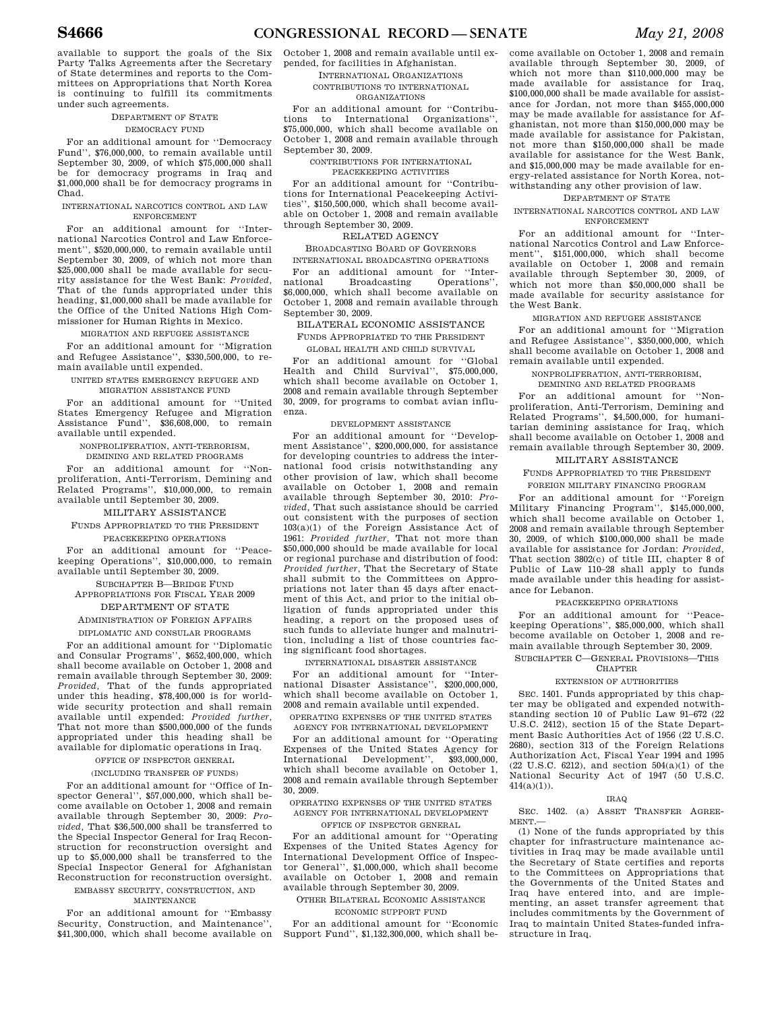available to support the goals of the Six Party Talks Agreements after the Secretary of State determines and reports to the Committees on Appropriations that North Korea is continuing to fulfill its commitments under such agreements.

#### DEPARTMENT OF STATE

#### DEMOCRACY FUND

For an additional amount for ''Democracy Fund'', \$76,000,000, to remain available until September 30, 2009, of which \$75,000,000 shall be for democracy programs in Iraq and \$1,000,000 shall be for democracy programs in Chad.

INTERNATIONAL NARCOTICS CONTROL AND LAW ENFORCEMENT

For an additional amount for ''International Narcotics Control and Law Enforcement'', \$520,000,000, to remain available until September 30, 2009, of which not more than \$25,000,000 shall be made available for security assistance for the West Bank: *Provided,*  That of the funds appropriated under this heading, \$1,000,000 shall be made available for the Office of the United Nations High Commissioner for Human Rights in Mexico.

#### MIGRATION AND REFUGEE ASSISTANCE

For an additional amount for ''Migration and Refugee Assistance'', \$330,500,000, to remain available until expended.

UNITED STATES EMERGENCY REFUGEE AND MIGRATION ASSISTANCE FUND

For an additional amount for ''United States Emergency Refugee and Migration Assistance Fund'', \$36,608,000, to remain available until expended.

NONPROLIFERATION, ANTI-TERRORISM,

DEMINING AND RELATED PROGRAMS For an additional amount for ''Non-

proliferation, Anti-Terrorism, Demining and Related Programs'', \$10,000,000, to remain available until September 30, 2009.

## MILITARY ASSISTANCE

## FUNDS APPROPRIATED TO THE PRESIDENT PEACEKEEPING OPERATIONS

For an additional amount for ''Peacekeeping Operations'', \$10,000,000, to remain available until September 30, 2009.

## SUBCHAPTER B—BRIDGE FUND APPROPRIATIONS FOR FISCAL YEAR 2009 DEPARTMENT OF STATE

ADMINISTRATION OF FOREIGN AFFAIRS

DIPLOMATIC AND CONSULAR PROGRAMS For an additional amount for ''Diplomatic and Consular Programs'', \$652,400,000, which shall become available on October 1, 2008 and remain available through September 30, 2009: *Provided,* That of the funds appropriated under this heading, \$78,400,000 is for worldwide security protection and shall remain available until expended: *Provided further,*  That not more than \$500,000,000 of the funds appropriated under this heading shall be available for diplomatic operations in Iraq.

## OFFICE OF INSPECTOR GENERAL

(INCLUDING TRANSFER OF FUNDS)

For an additional amount for ''Office of Inspector General'', \$57,000,000, which shall become available on October 1, 2008 and remain available through September 30, 2009: *Provided,* That \$36,500,000 shall be transferred to the Special Inspector General for Iraq Reconstruction for reconstruction oversight and up to \$5,000,000 shall be transferred to the Special Inspector General for Afghanistan Reconstruction for reconstruction oversight. EMBASSY SECURITY, CONSTRUCTION, AND

## MAINTENANCE

For an additional amount for ''Embassy Security, Construction, and Maintenance'', \$41,300,000, which shall become available on October 1, 2008 and remain available until expended, for facilities in Afghanistan.

#### INTERNATIONAL ORGANIZATIONS

CONTRIBUTIONS TO INTERNATIONAL ORGANIZATIONS

For an additional amount for ''Contributions to International Organizations'', \$75,000,000, which shall become available on October 1, 2008 and remain available through September 30, 2009.

CONTRIBUTIONS FOR INTERNATIONAL

## PEACEKEEPING ACTIVITIES

For an additional amount for ''Contributions for International Peacekeeping Activities'', \$150,500,000, which shall become available on October 1, 2008 and remain available through September 30, 2009.

## RELATED AGENCY

BROADCASTING BOARD OF GOVERNORS

INTERNATIONAL BROADCASTING OPERATIONS For an additional amount for "Inter-<br>ational Broadcasting Operations", national Broadcasting \$6,000,000, which shall become available on October 1, 2008 and remain available through September 30, 2009.

## BILATERAL ECONOMIC ASSISTANCE

FUNDS APPROPRIATED TO THE PRESIDENT

GLOBAL HEALTH AND CHILD SURVIVAL

For an additional amount for ''Global Health and Child Survival'', \$75,000,000, which shall become available on October 1, 2008 and remain available through September 30, 2009, for programs to combat avian influenza.

### DEVELOPMENT ASSISTANCE

For an additional amount for ''Development Assistance'', \$200,000,000, for assistance for developing countries to address the international food crisis notwithstanding any other provision of law, which shall become available on October 1, 2008 and remain available through September 30, 2010: *Provided,* That such assistance should be carried out consistent with the purposes of section 103(a)(1) of the Foreign Assistance Act of 1961: *Provided further,* That not more than \$50,000,000 should be made available for local or regional purchase and distribution of food: *Provided further,* That the Secretary of State shall submit to the Committees on Appropriations not later than 45 days after enactment of this Act, and prior to the initial obligation of funds appropriated under this heading, a report on the proposed uses of such funds to alleviate hunger and malnutrition, including a list of those countries facing significant food shortages.

INTERNATIONAL DISASTER ASSISTANCE

For an additional amount for ''International Disaster Assistance'', \$200,000,000, which shall become available on October 1, 2008 and remain available until expended.

OPERATING EXPENSES OF THE UNITED STATES AGENCY FOR INTERNATIONAL DEVELOPMENT

For an additional amount for ''Operating Expenses of the United States Agency for International Development'', \$93,000,000, which shall become available on October 1 2008 and remain available through September 30, 2009.

## OPERATING EXPENSES OF THE UNITED STATES AGENCY FOR INTERNATIONAL DEVELOPMENT OFFICE OF INSPECTOR GENERAL

For an additional amount for ''Operating Expenses of the United States Agency for International Development Office of Inspector General'', \$1,000,000, which shall become available on October 1, 2008 and remain available through September 30, 2009.

### OTHER BILATERAL ECONOMIC ASSISTANCE ECONOMIC SUPPORT FUND

For an additional amount for ''Economic Support Fund'', \$1,132,300,000, which shall become available on October 1, 2008 and remain available through September 30, 2009, of which not more than \$110,000,000 may be made available for assistance for Iraq, \$100,000,000 shall be made available for assistance for Jordan, not more than \$455,000,000 may be made available for assistance for Afghanistan, not more than \$150,000,000 may be made available for assistance for Pakistan, not more than \$150,000,000 shall be made available for assistance for the West Bank, and \$15,000,000 may be made available for energy-related assistance for North Korea, notwithstanding any other provision of law.

## DEPARTMENT OF STATE

INTERNATIONAL NARCOTICS CONTROL AND LAW ENFORCEMENT

For an additional amount for ''International Narcotics Control and Law Enforcement'', \$151,000,000, which shall become available on October 1, 2008 and remain available through September 30, 2009, of which not more than \$50,000,000 shall be made available for security assistance for the West Bank.

## MIGRATION AND REFUGEE ASSISTANCE

For an additional amount for ''Migration and Refugee Assistance'', \$350,000,000, which shall become available on October 1, 2008 and remain available until expended.

NONPROLIFERATION, ANTI-TERRORISM,

DEMINING AND RELATED PROGRAMS For an additional amount for ''Nonproliferation, Anti-Terrorism, Demining and Related Programs'', \$4,500,000, for humanitarian demining assistance for Iraq, which shall become available on October 1, 2008 and remain available through September 30, 2009.

### MILITARY ASSISTANCE

FUNDS APPROPRIATED TO THE PRESIDENT FOREIGN MILITARY FINANCING PROGRAM

For an additional amount for ''Foreign Military Financing Program'', \$145,000,000, which shall become available on October 1, 2008 and remain available through September 30, 2009, of which \$100,000,000 shall be made available for assistance for Jordan: *Provided,*  That section 3802(c) of title III, chapter 8 of Public of Law 110–28 shall apply to funds made available under this heading for assistance for Lebanon.

## PEACEKEEPING OPERATIONS

For an additional amount for ''Peacekeeping Operations'', \$85,000,000, which shall become available on October 1, 2008 and remain available through September 30, 2009.

### SUBCHAPTER C—GENERAL PROVISIONS—THIS CHAPTER

#### EXTENSION OF AUTHORITIES

SEC. 1401. Funds appropriated by this chapter may be obligated and expended notwithstanding section 10 of Public Law 91–672 (22 U.S.C. 2412), section 15 of the State Department Basic Authorities Act of 1956 (22 U.S.C. 2680), section 313 of the Foreign Relations Authorization Act, Fiscal Year 1994 and 1995 (22 U.S.C. 6212), and section 504(a)(1) of the National Security Act of 1947 (50 U.S.C.  $414(a)(1)$ ).

## IRAQ

SEC. 1402. (a) ASSET TRANSFER AGREE-MENT.—

(1) None of the funds appropriated by this chapter for infrastructure maintenance activities in Iraq may be made available until the Secretary of State certifies and reports to the Committees on Appropriations that the Governments of the United States and Iraq have entered into, and are implementing, an asset transfer agreement that includes commitments by the Government of Iraq to maintain United States-funded infrastructure in Iraq.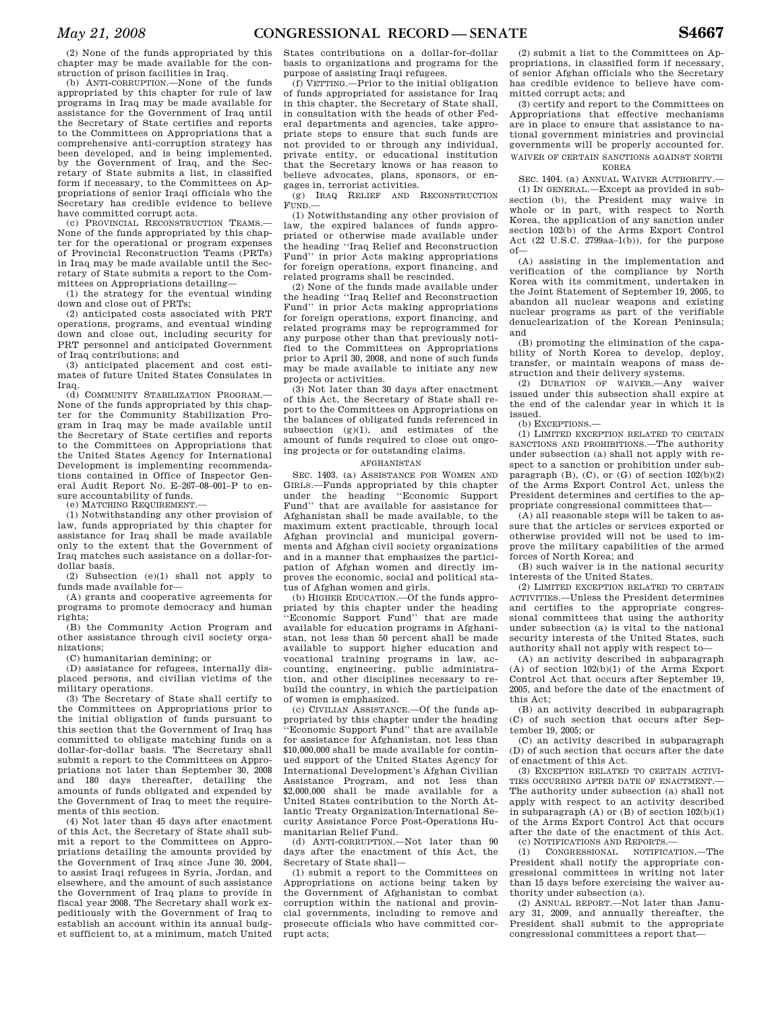(2) None of the funds appropriated by this chapter may be made available for the construction of prison facilities in Iraq.

(b) ANTI-CORRUPTION.—None of the funds appropriated by this chapter for rule of law programs in Iraq may be made available for assistance for the Government of Iraq until the Secretary of State certifies and reports to the Committees on Appropriations that a comprehensive anti-corruption strategy has been developed, and is being implemented, by the Government of Iraq, and the Secretary of State submits a list, in classified form if necessary, to the Committees on Appropriations of senior Iraqi officials who the Secretary has credible evidence to believe have committed corrupt acts.

(c) PROVINCIAL RECONSTRUCTION TEAMS.— None of the funds appropriated by this chapter for the operational or program expenses of Provincial Reconstruction Teams (PRTs) in Iraq may be made available until the Secretary of State submits a report to the Committees on Appropriations detailing—

(1) the strategy for the eventual winding down and close out of PRTs;

(2) anticipated costs associated with PRT operations, programs, and eventual winding down and close out, including security for PRT personnel and anticipated Government of Iraq contributions; and

(3) anticipated placement and cost estimates of future United States Consulates in Iraq.

(d) COMMUNITY STABILIZATION PROGRAM.— None of the funds appropriated by this chapter for the Community Stabilization Program in Iraq may be made available until the Secretary of State certifies and reports to the Committees on Appropriations that the United States Agency for International Development is implementing recommendations contained in Office of Inspector General Audit Report No. E–267–08–001–P to ensure accountability of funds.

(e) MATCHING REQUIREMENT.—

(1) Notwithstanding any other provision of law, funds appropriated by this chapter for assistance for Iraq shall be made available only to the extent that the Government of Iraq matches such assistance on a dollar-fordollar basis.

(2) Subsection (e)(1) shall not apply to funds made available for—

(A) grants and cooperative agreements for programs to promote democracy and human rights;

(B) the Community Action Program and other assistance through civil society organizations;

(C) humanitarian demining; or

(D) assistance for refugees, internally displaced persons, and civilian victims of the military operations.

(3) The Secretary of State shall certify to the Committees on Appropriations prior to the initial obligation of funds pursuant to this section that the Government of Iraq has committed to obligate matching funds on a dollar-for-dollar basis. The Secretary shall submit a report to the Committees on Appropriations not later than September 30, 2008 and 180 days thereafter, detailing the amounts of funds obligated and expended by the Government of Iraq to meet the requirements of this section.

(4) Not later than 45 days after enactment of this Act, the Secretary of State shall submit a report to the Committees on Appropriations detailing the amounts provided by the Government of Iraq since June 30, 2004, to assist Iraqi refugees in Syria, Jordan, and elsewhere, and the amount of such assistance the Government of Iraq plans to provide in fiscal year 2008. The Secretary shall work expeditiously with the Government of Iraq to establish an account within its annual budget sufficient to, at a minimum, match United

States contributions on a dollar-for-dollar basis to organizations and programs for the purpose of assisting Iraqi refugees.

(f) VETTING.—Prior to the initial obligation of funds appropriated for assistance for Iraq in this chapter, the Secretary of State shall, in consultation with the heads of other Federal departments and agencies, take appropriate steps to ensure that such funds are not provided to or through any individual, private entity, or educational institution that the Secretary knows or has reason to believe advocates, plans, sponsors, or engages in, terrorist activities.

(g) IRAQ RELIEF AND RECONSTRUCTION FUND.—

(1) Notwithstanding any other provision of law, the expired balances of funds appropriated or otherwise made available under the heading ''Iraq Relief and Reconstruction Fund'' in prior Acts making appropriations for foreign operations, export financing, and related programs shall be rescinded.

(2) None of the funds made available under the heading ''Iraq Relief and Reconstruction Fund'' in prior Acts making appropriations for foreign operations, export financing, and related programs may be reprogrammed for any purpose other than that previously notified to the Committees on Appropriations prior to April 30, 2008, and none of such funds may be made available to initiate any new projects or activities.

(3) Not later than 30 days after enactment of this Act, the Secretary of State shall report to the Committees on Appropriations on the balances of obligated funds referenced in subsection (g)(1), and estimates of the amount of funds required to close out ongoing projects or for outstanding claims.

## AFGHANISTAN

SEC. 1403. (a) ASSISTANCE FOR WOMEN AND GIRLS.—Funds appropriated by this chapter<br>under the heading "Economic Support the heading "Economic Support Fund'' that are available for assistance for Afghanistan shall be made available, to the maximum extent practicable, through local Afghan provincial and municipal governments and Afghan civil society organizations and in a manner that emphasizes the participation of Afghan women and directly improves the economic, social and political status of Afghan women and girls.

(b) HIGHER EDUCATION.—Of the funds appropriated by this chapter under the heading 'Economic Support Fund" that are made available for education programs in Afghanistan, not less than 50 percent shall be made available to support higher education and vocational training programs in law, accounting, engineering, public administration, and other disciplines necessary to rebuild the country, in which the participation of women is emphasized.

(c) CIVILIAN ASSISTANCE.—Of the funds appropriated by this chapter under the heading 'Economic Support Fund'' that are available for assistance for Afghanistan, not less than \$10,000,000 shall be made available for continued support of the United States Agency for International Development's Afghan Civilian Assistance Program, and not less than \$2,000,000 shall be made available for a United States contribution to the North Atlantic Treaty Organization/International Security Assistance Force Post-Operations Humanitarian Relief Fund.

(d) ANTI-CORRUPTION.—Not later than 90 days after the enactment of this Act, the Secretary of State shall—

(1) submit a report to the Committees on Appropriations on actions being taken by the Government of Afghanistan to combat corruption within the national and provincial governments, including to remove and prosecute officials who have committed corrupt acts;

(2) submit a list to the Committees on Appropriations, in classified form if necessary, of senior Afghan officials who the Secretary has credible evidence to believe have committed corrupt acts; and

(3) certify and report to the Committees on Appropriations that effective mechanisms are in place to ensure that assistance to national government ministries and provincial governments will be properly accounted for. WAIVER OF CERTAIN SANCTIONS AGAINST NORTH KOREA

## SEC. 1404. (a) ANNUAL WAIVER AUTHORITY.—

(1) IN GENERAL.—Except as provided in subsection (b), the President may waive in whole or in part, with respect to North Korea, the application of any sanction under section 102(b) of the Arms Export Control Act (22 U.S.C. 2799aa–1(b)), for the purpose  $of$ 

(A) assisting in the implementation and verification of the compliance by North Korea with its commitment, undertaken in the Joint Statement of September 19, 2005, to abandon all nuclear weapons and existing nuclear programs as part of the verifiable denuclearization of the Korean Peninsula; and

(B) promoting the elimination of the capability of North Korea to develop, deploy, transfer, or maintain weapons of mass destruction and their delivery systems.

(2) DURATION OF WAIVER.—Any waiver issued under this subsection shall expire at the end of the calendar year in which it is issued.

(b) EXCEPTIONS.—

(1) LIMITED EXCEPTION RELATED TO CERTAIN SANCTIONS AND PROHIBITIONS.—The authority under subsection (a) shall not apply with respect to a sanction or prohibition under subparagraph  $(B)$ ,  $(C)$ , or  $(G)$  of section  $102(b)(2)$ of the Arms Export Control Act, unless the President determines and certifies to the appropriate congressional committees that—

(A) all reasonable steps will be taken to assure that the articles or services exported or otherwise provided will not be used to improve the military capabilities of the armed forces of North Korea; and

(B) such waiver is in the national security interests of the United States.

(2) LIMITED EXCEPTION RELATED TO CERTAIN ACTIVITIES.—Unless the President determines and certifies to the appropriate congressional committees that using the authority under subsection (a) is vital to the national security interests of the United States, such authority shall not apply with respect to—

(A) an activity described in subparagraph  $(A)$  of section  $102(b)(1)$  of the Arms Export Control Act that occurs after September 19, 2005, and before the date of the enactment of this Act;

(B) an activity described in subparagraph (C) of such section that occurs after September 19, 2005; or

(C) an activity described in subparagraph (D) of such section that occurs after the date of enactment of this Act.

(3) EXCEPTION RELATED TO CERTAIN ACTIVI-TIES OCCURRING AFTER DATE OF ENACTMENT.— The authority under subsection (a) shall not apply with respect to an activity described in subparagraph  $(A)$  or  $(B)$  of section  $102(b)(1)$ of the Arms Export Control Act that occurs after the date of the enactment of this Act. (c) NOTIFICATIONS AND REPORTS.—

(1) CONGRESSIONAL NOTIFICATION.—The President shall notify the appropriate congressional committees in writing not later than 15 days before exercising the waiver authority under subsection (a).

(2) ANNUAL REPORT.—Not later than January 31, 2009, and annually thereafter, the President shall submit to the appropriate congressional committees a report that—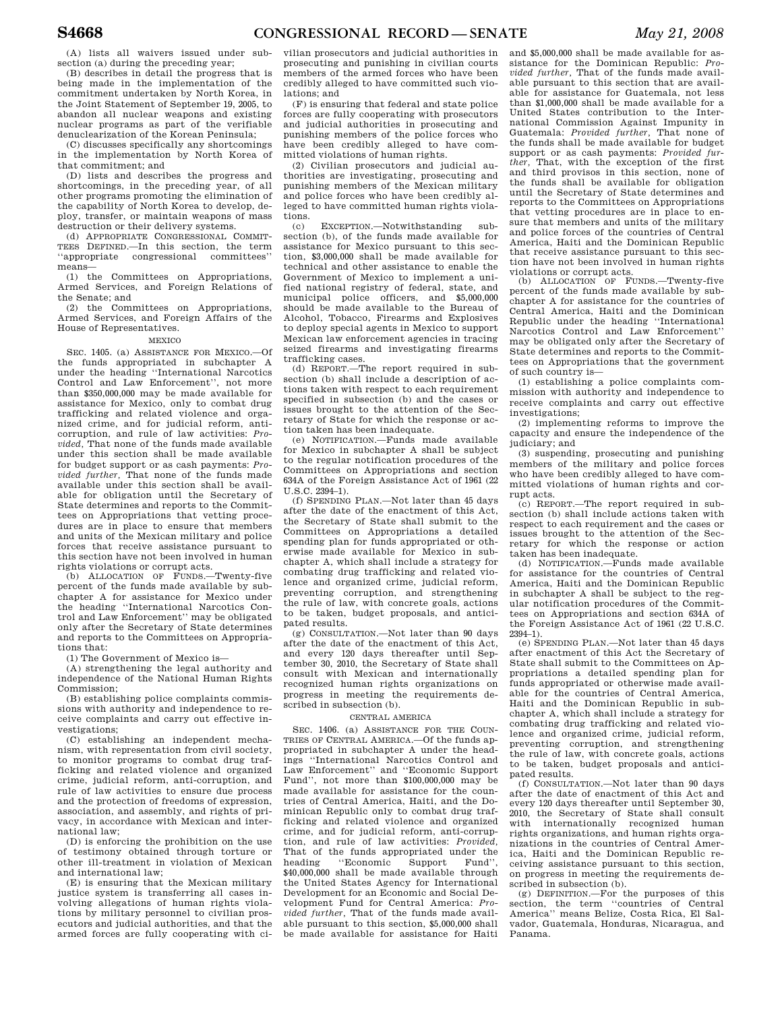(A) lists all waivers issued under subsection (a) during the preceding year;

(B) describes in detail the progress that is being made in the implementation of the commitment undertaken by North Korea, in the Joint Statement of September 19, 2005, to abandon all nuclear weapons and existing nuclear programs as part of the verifiable denuclearization of the Korean Peninsula;

(C) discusses specifically any shortcomings in the implementation by North Korea of that commitment; and

(D) lists and describes the progress and shortcomings, in the preceding year, of all other programs promoting the elimination of the capability of North Korea to develop, deploy, transfer, or maintain weapons of mass destruction or their delivery systems.

(d) APPROPRIATE CONGRESSIONAL COMMIT-TEES DEFINED.—In this section, the term<br>"appropriate congressional committees" 'appropriate congressional means—

(1) the Committees on Appropriations, Armed Services, and Foreign Relations of the Senate; and

(2) the Committees on Appropriations, Armed Services, and Foreign Affairs of the House of Representatives.

#### MEXICO

SEC. 1405. (a) ASSISTANCE FOR MEXICO.—Of the funds appropriated in subchapter A under the heading ''International Narcotics Control and Law Enforcement'', not more than \$350,000,000 may be made available for assistance for Mexico, only to combat drug trafficking and related violence and organized crime, and for judicial reform, anticorruption, and rule of law activities: *Provided,* That none of the funds made available under this section shall be made available for budget support or as cash payments: *Provided further,* That none of the funds made available under this section shall be available for obligation until the Secretary of State determines and reports to the Committees on Appropriations that vetting procedures are in place to ensure that members and units of the Mexican military and police forces that receive assistance pursuant to this section have not been involved in human rights violations or corrupt acts.

(b) ALLOCATION OF FUNDS.—Twenty-five percent of the funds made available by subchapter A for assistance for Mexico under the heading ''International Narcotics Control and Law Enforcement'' may be obligated only after the Secretary of State determines and reports to the Committees on Appropriations that:

(1) The Government of Mexico is—

(A) strengthening the legal authority and independence of the National Human Rights Commission;

(B) establishing police complaints commissions with authority and independence to receive complaints and carry out effective investigations;

(C) establishing an independent mechanism, with representation from civil society, to monitor programs to combat drug trafficking and related violence and organized crime, judicial reform, anti-corruption, and rule of law activities to ensure due process and the protection of freedoms of expression, association, and assembly, and rights of privacy, in accordance with Mexican and international law;

(D) is enforcing the prohibition on the use of testimony obtained through torture or other ill-treatment in violation of Mexican and international law;

(E) is ensuring that the Mexican military justice system is transferring all cases involving allegations of human rights violations by military personnel to civilian prosecutors and judicial authorities, and that the armed forces are fully cooperating with ci-

vilian prosecutors and judicial authorities in prosecuting and punishing in civilian courts members of the armed forces who have been credibly alleged to have committed such violations; and

(F) is ensuring that federal and state police forces are fully cooperating with prosecutors and judicial authorities in prosecuting and punishing members of the police forces who have been credibly alleged to have committed violations of human rights.

(2) Civilian prosecutors and judicial authorities are investigating, prosecuting and punishing members of the Mexican military and police forces who have been credibly alleged to have committed human rights violations.

(c) EXCEPTION.—Notwithstanding subsection (b), of the funds made available for assistance for Mexico pursuant to this section, \$3,000,000 shall be made available for technical and other assistance to enable the Government of Mexico to implement a unified national registry of federal, state, and municipal police officers, and \$5,000,000 should be made available to the Bureau of Alcohol, Tobacco, Firearms and Explosives to deploy special agents in Mexico to support Mexican law enforcement agencies in tracing seized firearms and investigating firearms trafficking cases.

(d) REPORT.—The report required in subsection (b) shall include a description of actions taken with respect to each requirement specified in subsection (b) and the cases or issues brought to the attention of the Secretary of State for which the response or action taken has been inadequate.

(e) NOTIFICATION.—Funds made available for Mexico in subchapter A shall be subject to the regular notification procedures of the Committees on Appropriations and section 634A of the Foreign Assistance Act of 1961 (22 U.S.C. 2394–1).

(f) SPENDING PLAN.—Not later than 45 days after the date of the enactment of this Act, the Secretary of State shall submit to the Committees on Appropriations a detailed spending plan for funds appropriated or otherwise made available for Mexico in subchapter A, which shall include a strategy for combating drug trafficking and related violence and organized crime, judicial reform, preventing corruption, and strengthening the rule of law, with concrete goals, actions to be taken, budget proposals, and anticipated results.

(g) CONSULTATION.—Not later than 90 days after the date of the enactment of this Act, and every 120 days thereafter until September 30, 2010, the Secretary of State shall consult with Mexican and internationally recognized human rights organizations on progress in meeting the requirements described in subsection (b).

## CENTRAL AMERICA

SEC. 1406. (a) ASSISTANCE FOR THE COUN-TRIES OF CENTRAL AMERICA.—Of the funds appropriated in subchapter A under the headings ''International Narcotics Control and Law Enforcement'' and ''Economic Support Fund'', not more than \$100,000,000 may be made available for assistance for the countries of Central America, Haiti, and the Dominican Republic only to combat drug trafficking and related violence and organized crime, and for judicial reform, anti-corruption, and rule of law activities: *Provided,*  That of the funds appropriated under the heading ''Economic Support Fund'', \$40,000,000 shall be made available through the United States Agency for International Development for an Economic and Social Development Fund for Central America: *Provided further,* That of the funds made available pursuant to this section, \$5,000,000 shall be made available for assistance for Haiti

and \$5,000,000 shall be made available for assistance for the Dominican Republic: *Provided further,* That of the funds made available pursuant to this section that are available for assistance for Guatemala, not less than \$1,000,000 shall be made available for a United States contribution to the International Commission Against Impunity in Guatemala: *Provided further,* That none of the funds shall be made available for budget support or as cash payments: *Provided further,* That, with the exception of the first and third provisos in this section, none of the funds shall be available for obligation until the Secretary of State determines and reports to the Committees on Appropriations that vetting procedures are in place to ensure that members and units of the military and police forces of the countries of Central America, Haiti and the Dominican Republic that receive assistance pursuant to this section have not been involved in human rights violations or corrupt acts.

(b) ALLOCATION OF FUNDS.-Twenty-five percent of the funds made available by subchapter A for assistance for the countries of Central America, Haiti and the Dominican Republic under the heading ''International Narcotics Control and Law Enforcement'' may be obligated only after the Secretary of State determines and reports to the Committees on Appropriations that the government of such country is—

(1) establishing a police complaints commission with authority and independence to receive complaints and carry out effective investigations;

(2) implementing reforms to improve the capacity and ensure the independence of the judiciary; and

(3) suspending, prosecuting and punishing members of the military and police forces who have been credibly alleged to have committed violations of human rights and corrupt acts.

(c) REPORT.—The report required in subsection (b) shall include actions taken with respect to each requirement and the cases or issues brought to the attention of the Secretary for which the response or action taken has been inadequate.

(d) NOTIFICATION.—Funds made available for assistance for the countries of Central America, Haiti and the Dominican Republic in subchapter A shall be subject to the regular notification procedures of the Committees on Appropriations and section 634A of the Foreign Assistance Act of 1961 (22 U.S.C. 2394–1).

(e) SPENDING PLAN.—Not later than 45 days after enactment of this Act the Secretary of State shall submit to the Committees on Appropriations a detailed spending plan for funds appropriated or otherwise made available for the countries of Central America, Haiti and the Dominican Republic in subchapter A, which shall include a strategy for combating drug trafficking and related violence and organized crime, judicial reform, preventing corruption, and strengthening the rule of law, with concrete goals, actions to be taken, budget proposals and anticipated results.

(f) CONSULTATION.—Not later than 90 days after the date of enactment of this Act and every 120 days thereafter until September 30, 2010, the Secretary of State shall consult with internationally recognized human rights organizations, and human rights organizations in the countries of Central America, Haiti and the Dominican Republic receiving assistance pursuant to this section, on progress in meeting the requirements described in subsection (b).

(g) DEFINITION.—For the purposes of this section, the term ''countries of Central America'' means Belize, Costa Rica, El Salvador, Guatemala, Honduras, Nicaragua, and Panama.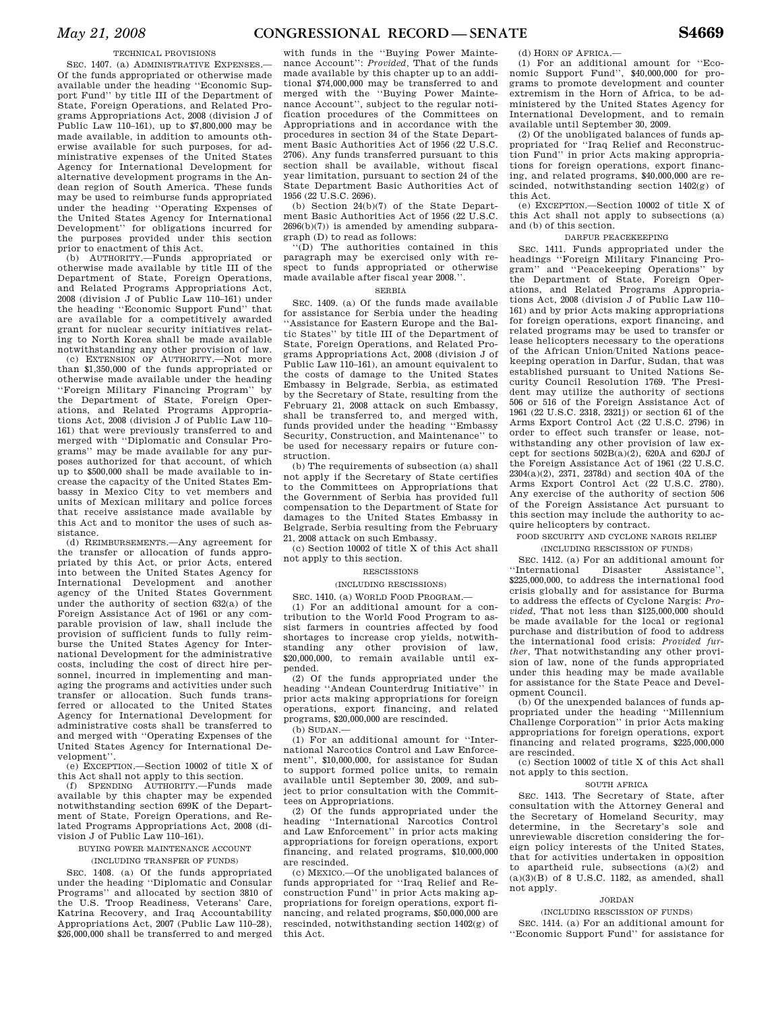## TECHNICAL PROVISIONS

SEC. 1407. (a) ADMINISTRATIVE EXPENSES. Of the funds appropriated or otherwise made available under the heading ''Economic Support Fund'' by title III of the Department of State, Foreign Operations, and Related Programs Appropriations Act, 2008 (division J of Public Law 110–161), up to \$7,800,000 may be made available, in addition to amounts otherwise available for such purposes, for administrative expenses of the United States Agency for International Development for alternative development programs in the Andean region of South America. These funds may be used to reimburse funds appropriated under the heading ''Operating Expenses of the United States Agency for International Development'' for obligations incurred for the purposes provided under this section prior to enactment of this Act.

(b) AUTHORITY.—Funds appropriated or otherwise made available by title III of the Department of State, Foreign Operations, and Related Programs Appropriations Act, 2008 (division J of Public Law 110–161) under the heading ''Economic Support Fund'' that are available for a competitively awarded grant for nuclear security initiatives relating to North Korea shall be made available notwithstanding any other provision of law.

(c) EXTENSION OF AUTHORITY.—Not more than \$1,350,000 of the funds appropriated or otherwise made available under the heading ''Foreign Military Financing Program'' by the Department of State, Foreign Operations, and Related Programs Appropriations Act, 2008 (division J of Public Law 110– 161) that were previously transferred to and merged with ''Diplomatic and Consular Programs'' may be made available for any purposes authorized for that account, of which up to \$500,000 shall be made available to increase the capacity of the United States Embassy in Mexico City to vet members and units of Mexican military and police forces that receive assistance made available by this Act and to monitor the uses of such assistance.

(d) REIMBURSEMENTS.—Any agreement for the transfer or allocation of funds appropriated by this Act, or prior Acts, entered into between the United States Agency for International Development and another agency of the United States Government under the authority of section 632(a) of the Foreign Assistance Act of 1961 or any comparable provision of law, shall include the provision of sufficient funds to fully reimburse the United States Agency for International Development for the administrative costs, including the cost of direct hire personnel, incurred in implementing and managing the programs and activities under such transfer or allocation. Such funds transferred or allocated to the United States Agency for International Development for administrative costs shall be transferred to and merged with ''Operating Expenses of the United States Agency for International Development''.

(e) EXCEPTION.—Section 10002 of title X of this Act shall not apply to this section.

(f) SPENDING AUTHORITY.—Funds made available by this chapter may be expended notwithstanding section 699K of the Department of State, Foreign Operations, and Related Programs Appropriations Act, 2008 (division J of Public Law 110–161).

BUYING POWER MAINTENANCE ACCOUNT (INCLUDING TRANSFER OF FUNDS)

SEC. 1408. (a) Of the funds appropriated under the heading ''Diplomatic and Consular Programs'' and allocated by section 3810 of the U.S. Troop Readiness, Veterans' Care, Katrina Recovery, and Iraq Accountability Appropriations Act, 2007 (Public Law 110–28), \$26,000,000 shall be transferred to and merged

with funds in the ''Buying Power Maintenance Account'': *Provided,* That of the funds made available by this chapter up to an additional \$74,000,000 may be transferred to and merged with the ''Buying Power Maintenance Account'', subject to the regular notification procedures of the Committees on Appropriations and in accordance with the procedures in section 34 of the State Department Basic Authorities Act of 1956 (22 U.S.C. 2706). Any funds transferred pursuant to this section shall be available, without fiscal year limitation, pursuant to section 24 of the State Department Basic Authorities Act of 1956 (22 U.S.C. 2696).

(b) Section 24(b)(7) of the State Department Basic Authorities Act of 1956 (22 U.S.C. 2696(b)(7)) is amended by amending subparagraph (D) to read as follows:

''(D) The authorities contained in this paragraph may be exercised only with respect to funds appropriated or otherwise made available after fiscal year 2008.''.

## SERBIA

SEC. 1409. (a) Of the funds made available for assistance for Serbia under the heading Assistance for Eastern Europe and the Baltic States'' by title III of the Department of State, Foreign Operations, and Related Programs Appropriations Act, 2008 (division J of Public Law 110–161), an amount equivalent to the costs of damage to the United States Embassy in Belgrade, Serbia, as estimated by the Secretary of State, resulting from the February 21, 2008 attack on such Embassy, shall be transferred to, and merged with, funds provided under the heading ''Embassy Security, Construction, and Maintenance'' to be used for necessary repairs or future construction.

(b) The requirements of subsection (a) shall not apply if the Secretary of State certifies to the Committees on Appropriations that the Government of Serbia has provided full compensation to the Department of State for damages to the United States Embassy in Belgrade, Serbia resulting from the February 21, 2008 attack on such Embassy.

(c) Section 10002 of title X of this Act shall not apply to this section.

#### RESCISSIONS

(INCLUDING RESCISSIONS)

SEC. 1410. (a) WORLD FOOD PROGRAM.—

(1) For an additional amount for a contribution to the World Food Program to assist farmers in countries affected by food shortages to increase crop yields, notwithstanding any other provision of law, \$20,000,000, to remain available until expended.

(2) Of the funds appropriated under the heading ''Andean Counterdrug Initiative'' in prior acts making appropriations for foreign operations, export financing, and related programs, \$20,000,000 are rescinded.

 $(h)$  SUDAN  $-$ 

(1) For an additional amount for ''International Narcotics Control and Law Enforcement'', \$10,000,000, for assistance for Sudan to support formed police units, to remain available until September 30, 2009, and subject to prior consultation with the Committees on Appropriations.

(2) Of the funds appropriated under the heading ''International Narcotics Control and Law Enforcement'' in prior acts making appropriations for foreign operations, export financing, and related programs, \$10,000,000 are rescinded.

(c) MEXICO.—Of the unobligated balances of funds appropriated for ''Iraq Relief and Reconstruction Fund'' in prior Acts making appropriations for foreign operations, export financing, and related programs, \$50,000,000 are rescinded, notwithstanding section 1402(g) of this Act.

(d) HORN OF AFRICA.—

(1) For an additional amount for ''Economic Support Fund'', \$40,000,000 for programs to promote development and counter extremism in the Horn of Africa, to be administered by the United States Agency for International Development, and to remain available until September 30, 2009.

(2) Of the unobligated balances of funds appropriated for ''Iraq Relief and Reconstruction Fund'' in prior Acts making appropriations for foreign operations, export financing, and related programs, \$40,000,000 are rescinded, notwithstanding section 1402(g) of this Act.

(e) EXCEPTION.—Section 10002 of title X of this Act shall not apply to subsections (a) and (b) of this section.

## DARFUR PEACEKEEPING

SEC. 1411. Funds appropriated under the headings ''Foreign Military Financing Program'' and ''Peacekeeping Operations'' by the Department of State, Foreign Operations, and Related Programs Appropriations Act, 2008 (division J of Public Law 110– 161) and by prior Acts making appropriations for foreign operations, export financing, and related programs may be used to transfer or lease helicopters necessary to the operations of the African Union/United Nations peacekeeping operation in Darfur, Sudan, that was established pursuant to United Nations Security Council Resolution 1769. The President may utilize the authority of sections 506 or 516 of the Foreign Assistance Act of 1961 (22 U.S.C. 2318, 2321j) or section 61 of the Arms Export Control Act (22 U.S.C. 2796) in order to effect such transfer or lease, notwithstanding any other provision of law except for sections 502B(a)(2), 620A and 620J of the Foreign Assistance Act of 1961 (22 U.S.C. 2304(a)(2), 2371, 2378d) and section 40A of the Arms Export Control Act (22 U.S.C. 2780). Any exercise of the authority of section 506 of the Foreign Assistance Act pursuant to this section may include the authority to acquire helicopters by contract.

FOOD SECURITY AND CYCLONE NARGIS RELIEF

(INCLUDING RESCISSION OF FUNDS)

SEC. 1412. (a) For an additional amount for ''International Disaster Assistance'', \$225,000,000, to address the international food crisis globally and for assistance for Burma to address the effects of Cyclone Nargis: *Provided*, That not less than \$125,000,000 should be made available for the local or regional purchase and distribution of food to address the international food crisis: *Provided further*, That notwithstanding any other provision of law, none of the funds appropriated under this heading may be made available for assistance for the State Peace and Development Council.

(b) Of the unexpended balances of funds appropriated under the heading ''Millennium Challenge Corporation'' in prior Acts making appropriations for foreign operations, export financing and related programs, \$225,000,000 are rescinded.

(c) Section 10002 of title X of this Act shall not apply to this section.

## SOUTH AFRICA

SEC. 1413. The Secretary of State, after consultation with the Attorney General and the Secretary of Homeland Security, may determine, in the Secretary's sole and unreviewable discretion considering the foreign policy interests of the United States, that for activities undertaken in opposition to apartheid rule, subsections (a)(2) and  $(a)(3)(B)$  of 8 U.S.C. 1182, as amended, shall not apply.

## JORDAN

(INCLUDING RESCISSION OF FUNDS)

SEC. 1414. (a) For an additional amount for ''Economic Support Fund'' for assistance for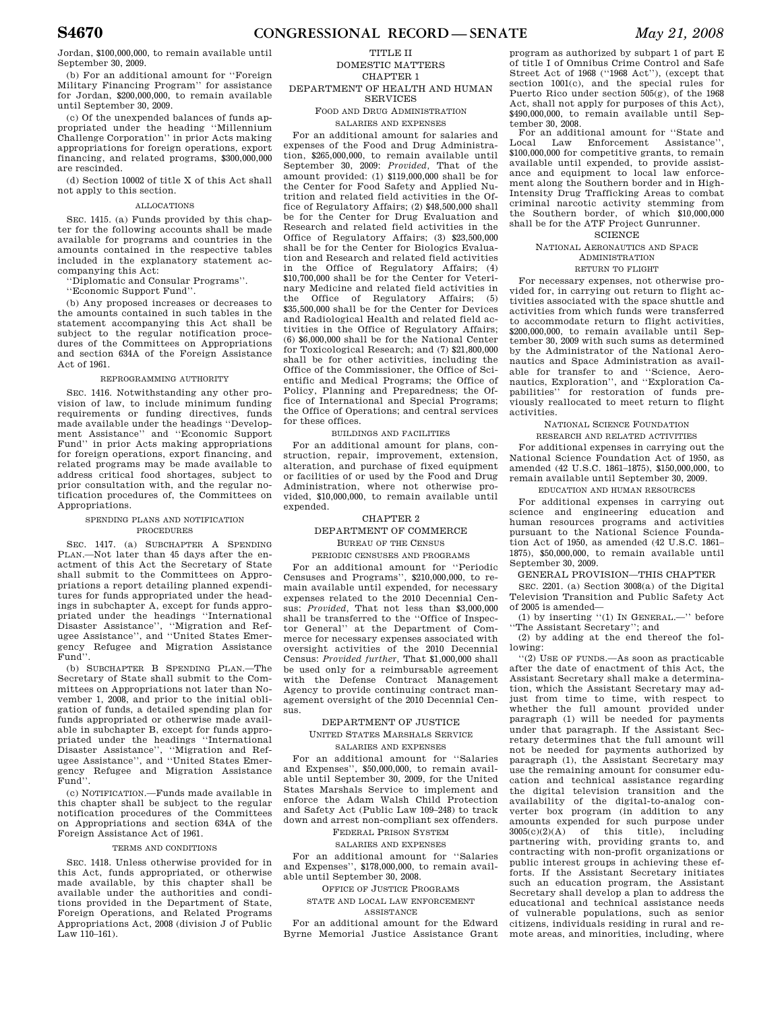Jordan, \$100,000,000, to remain available until September 30, 2009.

(b) For an additional amount for ''Foreign Military Financing Program'' for assistance for Jordan, \$200,000,000, to remain available until September 30, 2009.

(c) Of the unexpended balances of funds appropriated under the heading ''Millennium Challenge Corporation'' in prior Acts making appropriations for foreign operations, export financing, and related programs, \$300,000,000 are rescinded.

(d) Section 10002 of title X of this Act shall not apply to this section.

#### ALLOCATIONS

SEC. 1415. (a) Funds provided by this chapter for the following accounts shall be made available for programs and countries in the amounts contained in the respective tables included in the explanatory statement accompanying this Act:

''Diplomatic and Consular Programs''.

''Economic Support Fund''.

(b) Any proposed increases or decreases to the amounts contained in such tables in the statement accompanying this Act shall be subject to the regular notification procedures of the Committees on Appropriations and section 634A of the Foreign Assistance Act of 1961.

#### REPROGRAMMING AUTHORITY

SEC. 1416. Notwithstanding any other provision of law, to include minimum funding requirements or funding directives, funds made available under the headings ''Development Assistance'' and ''Economic Support Fund'' in prior Acts making appropriations for foreign operations, export financing, and related programs may be made available to address critical food shortages, subject to prior consultation with, and the regular notification procedures of, the Committees on Appropriations.

### SPENDING PLANS AND NOTIFICATION PROCEDURES

SEC. 1417. (a) SUBCHAPTER A SPENDING PLAN.—Not later than 45 days after the enactment of this Act the Secretary of State shall submit to the Committees on Appropriations a report detailing planned expenditures for funds appropriated under the headings in subchapter A, except for funds appropriated under the headings ''International Disaster Assistance'', ''Migration and Refugee Assistance'', and ''United States Emergency Refugee and Migration Assistance Fund''.

(b) SUBCHAPTER B SPENDING PLAN.—The Secretary of State shall submit to the Committees on Appropriations not later than November 1, 2008, and prior to the initial obligation of funds, a detailed spending plan for funds appropriated or otherwise made available in subchapter B, except for funds appropriated under the headings ''International Disaster Assistance'', ''Migration and Refugee Assistance'', and ''United States Emergency Refugee and Migration Assistance Fund''.

(c) NOTIFICATION.—Funds made available in this chapter shall be subject to the regular notification procedures of the Committees on Appropriations and section 634A of the Foreign Assistance Act of 1961.

#### TERMS AND CONDITIONS

SEC. 1418. Unless otherwise provided for in this Act, funds appropriated, or otherwise made available, by this chapter shall be available under the authorities and conditions provided in the Department of State, Foreign Operations, and Related Programs Appropriations Act, 2008 (division J of Public Law 110–161).

## TITLE II DOMESTIC MATTERS CHAPTER 1 DEPARTMENT OF HEALTH AND HUMAN **SERVICES** FOOD AND DRUG ADMINISTRATION

SALARIES AND EXPENSES

For an additional amount for salaries and expenses of the Food and Drug Administration, \$265,000,000, to remain available until September 30, 2009: *Provided,* That of the amount provided: (1) \$119,000,000 shall be for the Center for Food Safety and Applied Nutrition and related field activities in the Office of Regulatory Affairs; (2) \$48,500,000 shall be for the Center for Drug Evaluation and Research and related field activities in the Office of Regulatory Affairs; (3) \$23,500,000 shall be for the Center for Biologics Evaluation and Research and related field activities in the Office of Regulatory Affairs; (4) \$10,700,000 shall be for the Center for Veterinary Medicine and related field activities in the Office of Regulatory Affairs; (5) \$35,500,000 shall be for the Center for Devices and Radiological Health and related field activities in the Office of Regulatory Affairs; (6) \$6,000,000 shall be for the National Center for Toxicological Research; and (7) \$21,800,000 shall be for other activities, including the Office of the Commissioner, the Office of Scientific and Medical Programs; the Office of Policy, Planning and Preparedness; the Office of International and Special Programs; the Office of Operations; and central services for these offices.

### BUILDINGS AND FACILITIES

For an additional amount for plans, construction, repair, improvement, extension, alteration, and purchase of fixed equipment or facilities of or used by the Food and Drug Administration, where not otherwise provided, \$10,000,000, to remain available until expended.

## CHAPTER 2

## DEPARTMENT OF COMMERCE BUREAU OF THE CENSUS

PERIODIC CENSUSES AND PROGRAMS

For an additional amount for ''Periodic Censuses and Programs'', \$210,000,000, to remain available until expended, for necessary expenses related to the 2010 Decennial Census: *Provided,* That not less than \$3,000,000 shall be transferred to the "Office of Inspector General'' at the Department of Commerce for necessary expenses associated with oversight activities of the 2010 Decennial Census: *Provided further,* That \$1,000,000 shall be used only for a reimbursable agreement with the Defense Contract Management Agency to provide continuing contract management oversight of the 2010 Decennial Census.

## DEPARTMENT OF JUSTICE

UNITED STATES MARSHALS SERVICE SALARIES AND EXPENSES

For an additional amount for ''Salaries and Expenses'', \$50,000,000, to remain available until September 30, 2009, for the United States Marshals Service to implement and enforce the Adam Walsh Child Protection and Safety Act (Public Law 109–248) to track down and arrest non-compliant sex offenders.

## FEDERAL PRISON SYSTEM

SALARIES AND EXPENSES

For an additional amount for ''Salaries and Expenses'', \$178,000,000, to remain available until September 30, 2008.

### OFFICE OF JUSTICE PROGRAMS STATE AND LOCAL LAW ENFORCEMENT **ASSISTANCE**

For an additional amount for the Edward Byrne Memorial Justice Assistance Grant

program as authorized by subpart 1 of part E of title I of Omnibus Crime Control and Safe Street Act of 1968 (''1968 Act''), (except that section 1001(c), and the special rules for Puerto Rico under section 505(g), of the 1968 Act, shall not apply for purposes of this Act), \$490,000,000, to remain available until September 30, 2008.

For an additional amount for ''State and Local Law Enforcement Assistance'', \$100,000,000 for competitive grants, to remain available until expended, to provide assist-ance and equipment to local law enforcement along the Southern border and in High-Intensity Drug Trafficking Areas to combat criminal narcotic activity stemming from the Southern border, of which \$10,000,000 shall be for the ATF Project Gunrunner.

#### **SCIENCE**

## NATIONAL AERONAUTICS AND SPACE ADMINISTRATION RETURN TO FLIGHT

For necessary expenses, not otherwise provided for, in carrying out return to flight activities associated with the space shuttle and activities from which funds were transferred to accommodate return to flight activities, \$200,000,000, to remain available until September 30, 2009 with such sums as determined by the Administrator of the National Aeronautics and Space Administration as available for transfer to and ''Science, Aeronautics, Exploration'', and ''Exploration Capabilities'' for restoration of funds previously reallocated to meet return to flight activities.

NATIONAL SCIENCE FOUNDATION

RESEARCH AND RELATED ACTIVITIES For additional expenses in carrying out the National Science Foundation Act of 1950, as amended (42 U.S.C. 1861–1875), \$150,000,000, to remain available until September 30, 2009.

EDUCATION AND HUMAN RESOURCES

For additional expenses in carrying out<br>vience and engineering education and science and engineering education human resources programs and activities pursuant to the National Science Foundation Act of 1950, as amended (42 U.S.C. 1861– 1875), \$50,000,000, to remain available until September 30, 2009.

GENERAL PROVISION—THIS CHAPTER

SEC. 2201. (a) Section 3008(a) of the Digital Television Transition and Public Safety Act of 2005 is amended—

(1) by inserting  $(1)$  IN GENERAL.—" before ''The Assistant Secretary''; and

(2) by adding at the end thereof the following:

''(2) USE OF FUNDS.—As soon as practicable after the date of enactment of this Act, the Assistant Secretary shall make a determination, which the Assistant Secretary may adjust from time to time, with respect to whether the full amount provided under paragraph (1) will be needed for payments under that paragraph. If the Assistant Secretary determines that the full amount will not be needed for payments authorized by paragraph (1), the Assistant Secretary may use the remaining amount for consumer education and technical assistance regarding the digital television transition and the availability of the digital-to-analog converter box program (in addition to any amounts expended for such purpose under  $3005(c)(2)(A)$  of this title), including partnering with, providing grants to, and contracting with non-profit organizations or public interest groups in achieving these efforts. If the Assistant Secretary initiates such an education program, the Assistant Secretary shall develop a plan to address the educational and technical assistance needs of vulnerable populations, such as senior citizens, individuals residing in rural and remote areas, and minorities, including, where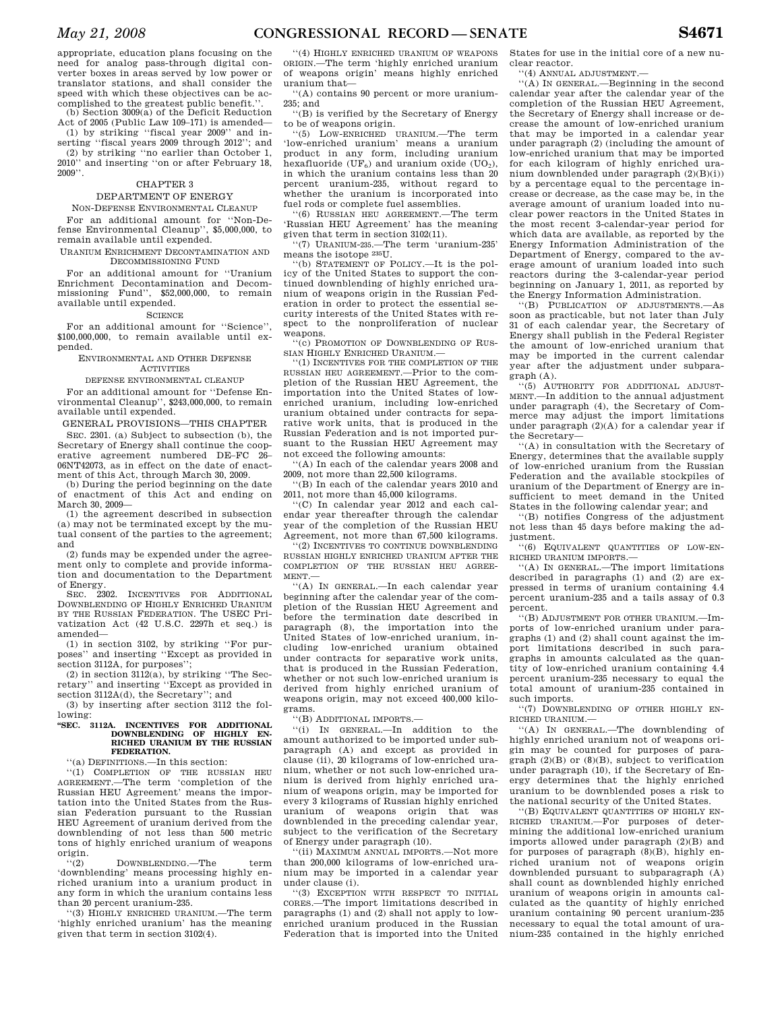appropriate, education plans focusing on the need for analog pass-through digital converter boxes in areas served by low power or translator stations, and shall consider the speed with which these objectives can be accomplished to the greatest public benefit.'

(b) Section 3009(a) of the Deficit Reduction Act of 2005 (Public Law 109–171) is amended—

(1) by striking ''fiscal year 2009'' and inserting ''fiscal years 2009 through 2012''; and (2) by striking ''no earlier than October 1,

2010'' and inserting ''on or after February 18,  $2009$ CHAPTER 3

## DEPARTMENT OF ENERGY

NON-DEFENSE ENVIRONMENTAL CLEANUP

For an additional amount for ''Non-Defense Environmental Cleanup'', \$5,000,000, to remain available until expended.

URANIUM ENRICHMENT DECONTAMINATION AND DECOMMISSIONING FUND

For an additional amount for ''Uranium Enrichment Decontamination and Decommissioning Fund'', \$52,000,000, to remain available until expended.

#### **SCIENCE**

For an additional amount for ''Science'', \$100,000,000, to remain available until expended.

#### ENVIRONMENTAL AND OTHER DEFENSE **ACTIVITIES**

#### DEFENSE ENVIRONMENTAL CLEANUP

For an additional amount for ''Defense Environmental Cleanup'', \$243,000,000, to remain available until expended.

GENERAL PROVISIONS—THIS CHAPTER SEC. 2301. (a) Subject to subsection (b), the Secretary of Energy shall continue the cooperative agreement numbered DE–FC 26– 06NT42073, as in effect on the date of enactment of this Act, through March 30, 2009.

(b) During the period beginning on the date of enactment of this Act and ending on March 30, 2009—

(1) the agreement described in subsection (a) may not be terminated except by the mutual consent of the parties to the agreement; and

(2) funds may be expended under the agreement only to complete and provide information and documentation to the Department of Energy.<br>SEC 23

2302. INCENTIVES FOR ADDITIONAL DOWNBLENDING OF HIGHLY ENRICHED URANIUM BY THE RUSSIAN FEDERATION. The USEC Privatization Act (42 U.S.C. 2297h et seq.) is amended—

(1) in section 3102, by striking ''For purposes'' and inserting ''Except as provided in section 3112A, for purposes'';

(2) in section 3112(a), by striking ''The Sec-retary'' and inserting ''Except as provided in section 3112A(d), the Secretary''; and

(3) by inserting after section 3112 the following:

# **''SEC. 3112A. INCENTIVES FOR ADDITIONAL DOWNBLENDING OF HIGHLY EN-RICHED URANIUM BY THE RUSSIAN FEDERATION.**

''(a) DEFINITIONS.—In this section:

''(1) COMPLETION OF THE RUSSIAN HEU AGREEMENT.—The term 'completion of the Russian HEU Agreement' means the importation into the United States from the Russian Federation pursuant to the Russian HEU Agreement of uranium derived from the downblending of not less than 500 metric tons of highly enriched uranium of weapons origin.<br> $``(2)$ 

 $DownBLENDING.$ -The term 'downblending' means processing highly enriched uranium into a uranium product in any form in which the uranium contains less than 20 percent uranium-235.

''(3) HIGHLY ENRICHED URANIUM.—The term 'highly enriched uranium' has the meaning given that term in section 3102(4).

''(4) HIGHLY ENRICHED URANIUM OF WEAPONS ORIGIN.—The term 'highly enriched uranium of weapons origin' means highly enriched uranium that—

''(A) contains 90 percent or more uranium-235; and

''(B) is verified by the Secretary of Energy to be of weapons origin.

''(5) LOW-ENRICHED URANIUM.—The term 'low-enriched uranium' means a uranium product in any form, including uranium hexafluoride (UF $_6$ ) and uranium oxide (UO<sub>2</sub>), in which the uranium contains less than 20 percent uranium-235, without regard to whether the uranium is incorporated into fuel rods or complete fuel assemblies.

''(6) RUSSIAN HEU AGREEMENT.—The term 'Russian HEU Agreement' has the meaning given that term in section 3102(11).

''(7) URANIUM-235.—The term 'uranium-235' means the isotope  $^{235}$ U.

''(b) STATEMENT OF POLICY.—It is the policy of the United States to support the continued downblending of highly enriched uranium of weapons origin in the Russian Federation in order to protect the essential security interests of the United States with respect to the nonproliferation of nuclear weapons.

''(c) PROMOTION OF DOWNBLENDING OF RUS-SIAN HIGHLY ENRICHED URANIUM.

''(1) INCENTIVES FOR THE COMPLETION OF THE RUSSIAN HEU AGREEMENT.—Prior to the completion of the Russian HEU Agreement, the importation into the United States of lowenriched uranium, including low-enriched uranium obtained under contracts for separative work units, that is produced in the Russian Federation and is not imported pursuant to the Russian HEU Agreement may not exceed the following amounts:

''(A) In each of the calendar years 2008 and 2009, not more than 22,500 kilograms.

''(B) In each of the calendar years 2010 and 2011, not more than 45,000 kilograms.

''(C) In calendar year 2012 and each calendar year thereafter through the calendar year of the completion of the Russian HEU Agreement, not more than 67,500 kilograms.

(2) INCENTIVES TO CONTINUE DOWNBLENDING RUSSIAN HIGHLY ENRICHED URANIUM AFTER THE COMPLETION OF THE RUSSIAN HEU AGREE-MENT.—

''(A) IN GENERAL.—In each calendar year beginning after the calendar year of the completion of the Russian HEU Agreement and before the termination date described in paragraph (8), the importation into the United States of low-enriched uranium, including low-enriched uranium obtained under contracts for separative work units, that is produced in the Russian Federation, whether or not such low-enriched uranium is derived from highly enriched uranium of weapons origin, may not exceed 400,000 kilograms.

''(B) ADDITIONAL IMPORTS.—

''(i) IN GENERAL.—In addition to the amount authorized to be imported under subparagraph (A) and except as provided in clause (ii), 20 kilograms of low-enriched uranium, whether or not such low-enriched uranium is derived from highly enriched uranium of weapons origin, may be imported for every 3 kilograms of Russian highly enriched uranium of weapons origin that was downblended in the preceding calendar year, subject to the verification of the Secretary of Energy under paragraph (10).

''(ii) MAXIMUM ANNUAL IMPORTS.—Not more than 200,000 kilograms of low-enriched uranium may be imported in a calendar year under clause (i).

''(3) EXCEPTION WITH RESPECT TO INITIAL CORES.—The import limitations described in paragraphs (1) and (2) shall not apply to lowenriched uranium produced in the Russian Federation that is imported into the United States for use in the initial core of a new nuclear reactor.

''(4) ANNUAL ADJUSTMENT.—

''(A) IN GENERAL.—Beginning in the second calendar year after the calendar year of the completion of the Russian HEU Agreement, the Secretary of Energy shall increase or decrease the amount of low-enriched uranium that may be imported in a calendar year under paragraph (2) (including the amount of low-enriched uranium that may be imported for each kilogram of highly enriched uranium downblended under paragraph (2)(B)(i)) by a percentage equal to the percentage increase or decrease, as the case may be, in the average amount of uranium loaded into nuclear power reactors in the United States in the most recent 3-calendar-year period for which data are available, as reported by the Energy Information Administration of the Department of Energy, compared to the average amount of uranium loaded into such reactors during the 3-calendar-year period beginning on January 1, 2011, as reported by the Energy Information Administration.

''(B) PUBLICATION OF ADJUSTMENTS.—As soon as practicable, but not later than July 31 of each calendar year, the Secretary of Energy shall publish in the Federal Register the amount of low-enriched uranium that may be imported in the current calendar year after the adjustment under subparagraph (A).

''(5) AUTHORITY FOR ADDITIONAL ADJUST-MENT.—In addition to the annual adjustment under paragraph (4), the Secretary of Commerce may adjust the import limitations under paragraph (2)(A) for a calendar year if the Secretary—

''(A) in consultation with the Secretary of Energy, determines that the available supply of low-enriched uranium from the Russian Federation and the available stockpiles of uranium of the Department of Energy are insufficient to meet demand in the United States in the following calendar year; and

''(B) notifies Congress of the adjustment not less than 45 days before making the adjustment.

''(6) EQUIVALENT QUANTITIES OF LOW-EN-RICHED URANIUM IMPORTS.—

''(A) IN GENERAL.—The import limitations described in paragraphs (1) and (2) are expressed in terms of uranium containing 4.4 percent uranium-235 and a tails assay of 0.3 percent.

''(B) ADJUSTMENT FOR OTHER URANIUM.—Imports of low-enriched uranium under paragraphs (1) and (2) shall count against the import limitations described in such paragraphs in amounts calculated as the quantity of low-enriched uranium containing 4.4 percent uranium-235 necessary to equal the total amount of uranium-235 contained in such imports.

''(7) DOWNBLENDING OF OTHER HIGHLY EN-RICHED URANIUM.—

''(A) IN GENERAL.—The downblending of highly enriched uranium not of weapons origin may be counted for purposes of paragraph  $(2)(B)$  or  $(8)(B)$ , subject to verification under paragraph (10), if the Secretary of Energy determines that the highly enriched uranium to be downblended poses a risk to the national security of the United States.

''(B) EQUIVALENT QUANTITIES OF HIGHLY EN-RICHED URANIUM.—For purposes of determining the additional low-enriched uranium imports allowed under paragraph (2)(B) and for purposes of paragraph (8)(B), highly enriched uranium not of weapons origin downblended pursuant to subparagraph (A) shall count as downblended highly enriched uranium of weapons origin in amounts calculated as the quantity of highly enriched uranium containing 90 percent uranium-235 necessary to equal the total amount of uranium-235 contained in the highly enriched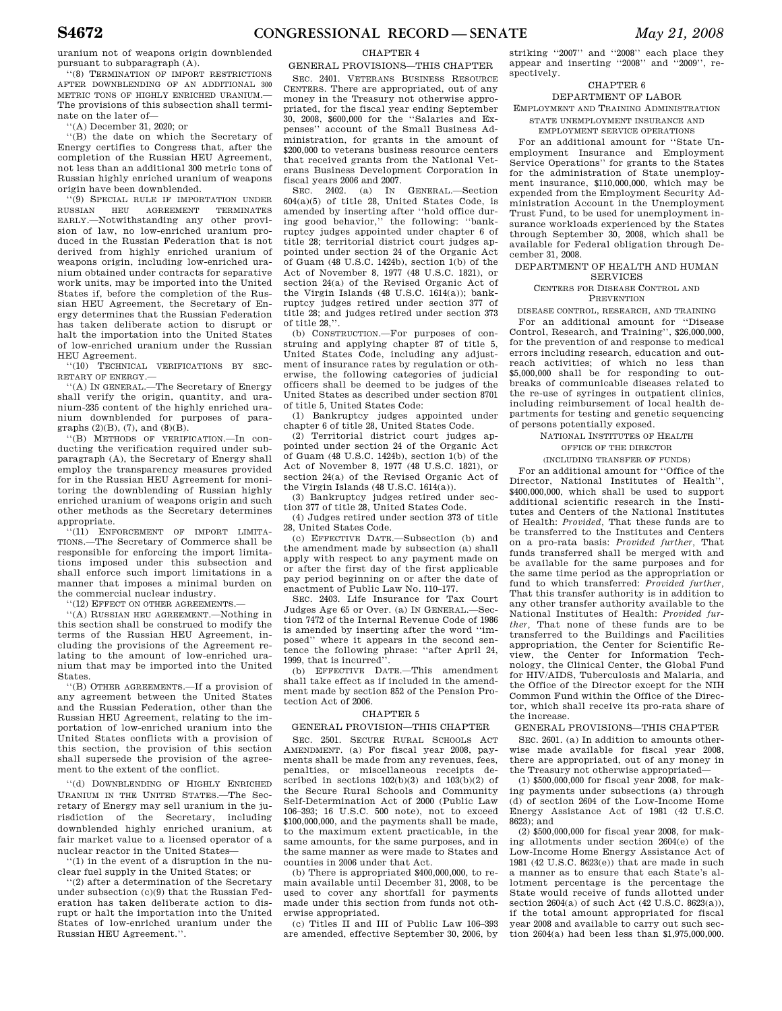uranium not of weapons origin downblended pursuant to subparagraph (A).

''(8) TERMINATION OF IMPORT RESTRICTIONS AFTER DOWNBLENDING OF AN ADDITIONAL 300 METRIC TONS OF HIGHLY ENRICHED URANIUM.— The provisions of this subsection shall terminate on the later of—

 $($ A) December 31, 2020; or

''(B) the date on which the Secretary of Energy certifies to Congress that, after the completion of the Russian HEU Agreement, not less than an additional 300 metric tons of Russian highly enriched uranium of weapons origin have been downblended.

''(9) SPECIAL RULE IF IMPORTATION UNDER RUSSIAN HEU AGREEMENT TERMINATES EARLY.—Notwithstanding any other provision of law, no low-enriched uranium produced in the Russian Federation that is not derived from highly enriched uranium of weapons origin, including low-enriched uranium obtained under contracts for separative work units, may be imported into the United States if, before the completion of the Russian HEU Agreement, the Secretary of Energy determines that the Russian Federation has taken deliberate action to disrupt or halt the importation into the United States of low-enriched uranium under the Russian HEU Agreement.

''(10) TECHNICAL VERIFICATIONS BY SEC-RETARY OF ENERGY.—

''(A) IN GENERAL.—The Secretary of Energy shall verify the origin, quantity, and uranium-235 content of the highly enriched uranium downblended for purposes of paragraphs (2)(B), (7), and (8)(B).

'(B) METHODS OF VERIFICATION.-In conducting the verification required under subparagraph (A), the Secretary of Energy shall employ the transparency measures provided for in the Russian HEU Agreement for monitoring the downblending of Russian highly enriched uranium of weapons origin and such other methods as the Secretary determines appropriate.

''(11) ENFORCEMENT OF IMPORT LIMITA-TIONS.—The Secretary of Commerce shall be responsible for enforcing the import limitations imposed under this subsection and shall enforce such import limitations in a manner that imposes a minimal burden on the commercial nuclear industry.

''(12) EFFECT ON OTHER AGREEMENTS.—

''(A) RUSSIAN HEU AGREEMENT.—Nothing in this section shall be construed to modify the terms of the Russian HEU Agreement, including the provisions of the Agreement relating to the amount of low-enriched uranium that may be imported into the United States.

''(B) OTHER AGREEMENTS.—If a provision of any agreement between the United States and the Russian Federation, other than the Russian HEU Agreement, relating to the importation of low-enriched uranium into the United States conflicts with a provision of this section, the provision of this section shall supersede the provision of the agreement to the extent of the conflict.

''(d) DOWNBLENDING OF HIGHLY ENRICHED URANIUM IN THE UNITED STATES.—The Secretary of Energy may sell uranium in the jurisdiction of the Secretary, including downblended highly enriched uranium, at fair market value to a licensed operator of a nuclear reactor in the United States—

''(1) in the event of a disruption in the nuclear fuel supply in the United States; or

''(2) after a determination of the Secretary under subsection (c)(9) that the Russian Federation has taken deliberate action to disrupt or halt the importation into the United States of low-enriched uranium under the Russian HEU Agreement.''.

#### CHAPTER 4

#### GENERAL PROVISIONS—THIS CHAPTER

SEC. 2401. VETERANS BUSINESS RESOURCE CENTERS. There are appropriated, out of any money in the Treasury not otherwise appropriated, for the fiscal year ending September 30, 2008, \$600,000 for the ''Salaries and Expenses'' account of the Small Business Administration, for grants in the amount of \$200,000 to veterans business resource centers that received grants from the National Veterans Business Development Corporation in fiscal years 2006 and 2007.

SEC. 2402. (a) IN GENERAL.—Section 604(a)(5) of title 28, United States Code, is amended by inserting after ''hold office during good behavior,'' the following: ''bankruptcy judges appointed under chapter 6 of title 28; territorial district court judges appointed under section 24 of the Organic Act of Guam (48 U.S.C. 1424b), section 1(b) of the Act of November 8, 1977 (48 U.S.C. 1821), or section 24(a) of the Revised Organic Act of the Virgin Islands (48 U.S.C. 1614(a)); bankruptcy judges retired under section 377 of title 28; and judges retired under section 373 of title 28,''.

(b) CONSTRUCTION.—For purposes of construing and applying chapter 87 of title 5, United States Code, including any adjustment of insurance rates by regulation or otherwise, the following categories of judicial officers shall be deemed to be judges of the United States as described under section 8701 of title 5, United States Code:

(1) Bankruptcy judges appointed under chapter 6 of title 28, United States Code.

(2) Territorial district court judges appointed under section 24 of the Organic Act of Guam (48 U.S.C. 1424b), section 1(b) of the Act of November 8, 1977 (48 U.S.C. 1821), or section 24(a) of the Revised Organic Act of the Virgin Islands (48 U.S.C. 1614(a)).

(3) Bankruptcy judges retired under section 377 of title 28, United States Code.

(4) Judges retired under section 373 of title 28, United States Code.

(c) EFFECTIVE DATE.—Subsection (b) and the amendment made by subsection (a) shall apply with respect to any payment made on or after the first day of the first applicable pay period beginning on or after the date of enactment of Public Law No. 110–177.

SEC. 2403. Life Insurance for Tax Court Judges Age 65 or Over. (a) IN GENERAL.—Section 7472 of the Internal Revenue Code of 1986 is amended by inserting after the word ''imposed'' where it appears in the second sentence the following phrase: ''after April 24, 1999, that is incurred'

(b) EFFECTIVE DATE.—This amendment shall take effect as if included in the amendment made by section 852 of the Pension Protection Act of 2006.

## CHAPTER 5

## GENERAL PROVISION—THIS CHAPTER

SEC. 2501. SECURE RURAL SCHOOLS ACT AMENDMENT. (a) For fiscal year 2008, payments shall be made from any revenues, fees, penalties, or miscellaneous receipts described in sections 102(b)(3) and 103(b)(2) of the Secure Rural Schools and Community Self-Determination Act of 2000 (Public Law 106–393; 16 U.S.C. 500 note), not to exceed \$100,000,000, and the payments shall be made, to the maximum extent practicable, in the same amounts, for the same purposes, and in the same manner as were made to States and counties in 2006 under that Act.

(b) There is appropriated  $$400,000,000$ , to remain available until December 31, 2008, to be used to cover any shortfall for payments made under this section from funds not otherwise appropriated.

(c) Titles II and III of Public Law 106–393 are amended, effective September 30, 2006, by

striking ''2007'' and ''2008'' each place they appear and inserting ''2008'' and ''2009'', respectively.

## CHAPTER 6 DEPARTMENT OF LABOR

EMPLOYMENT AND TRAINING ADMINISTRATION STATE UNEMPLOYMENT INSURANCE AND

EMPLOYMENT SERVICE OPERATIONS

For an additional amount for ''State Unemployment Insurance and Employment Service Operations'' for grants to the States for the administration of State unemployment insurance, \$110,000,000, which may be expended from the Employment Security Administration Account in the Unemployment Trust Fund, to be used for unemployment insurance workloads experienced by the States through September 30, 2008, which shall be available for Federal obligation through December 31, 2008.

## DEPARTMENT OF HEALTH AND HUMAN SERVICES

#### CENTERS FOR DISEASE CONTROL AND **PREVENTION**

#### DISEASE CONTROL, RESEARCH, AND TRAINING

For an additional amount for ''Disease Control, Research, and Training'', \$26,000,000, for the prevention of and response to medical errors including research, education and outreach activities; of which no less than \$5,000,000 shall be for responding to outbreaks of communicable diseases related to the re-use of syringes in outpatient clinics, including reimbursement of local health departments for testing and genetic sequencing of persons potentially exposed.

> NATIONAL INSTITUTES OF HEALTH OFFICE OF THE DIRECTOR

(INCLUDING TRANSFER OF FUNDS)

For an additional amount for ''Office of the Director, National Institutes of Health'', \$400,000,000, which shall be used to support additional scientific research in the Institutes and Centers of the National Institutes of Health: *Provided,* That these funds are to be transferred to the Institutes and Centers on a pro-rata basis: *Provided further,* That funds transferred shall be merged with and be available for the same purposes and for the same time period as the appropriation or fund to which transferred: *Provided further,*  That this transfer authority is in addition to any other transfer authority available to the National Institutes of Health: *Provided further,* That none of these funds are to be transferred to the Buildings and Facilities appropriation, the Center for Scientific Review, the Center for Information Technology, the Clinical Center, the Global Fund for HIV/AIDS, Tuberculosis and Malaria, and the Office of the Director except for the NIH Common Fund within the Office of the Director, which shall receive its pro-rata share of the increase.

## GENERAL PROVISIONS—THIS CHAPTER

SEC. 2601. (a) In addition to amounts otherwise made available for fiscal year 2008, there are appropriated, out of any money in the Treasury not otherwise appropriated—

(1) \$500,000,000 for fiscal year 2008, for making payments under subsections (a) through (d) of section 2604 of the Low-Income Home Energy Assistance Act of 1981 (42 U.S.C. 8623); and

(2) \$500,000,000 for fiscal year 2008, for making allotments under section 2604(e) of the Low-Income Home Energy Assistance Act of 1981 (42 U.S.C. 8623(e)) that are made in such a manner as to ensure that each State's allotment percentage is the percentage the State would receive of funds allotted under section 2604(a) of such Act (42 U.S.C. 8623(a)), if the total amount appropriated for fiscal year 2008 and available to carry out such section 2604(a) had been less than \$1,975,000,000.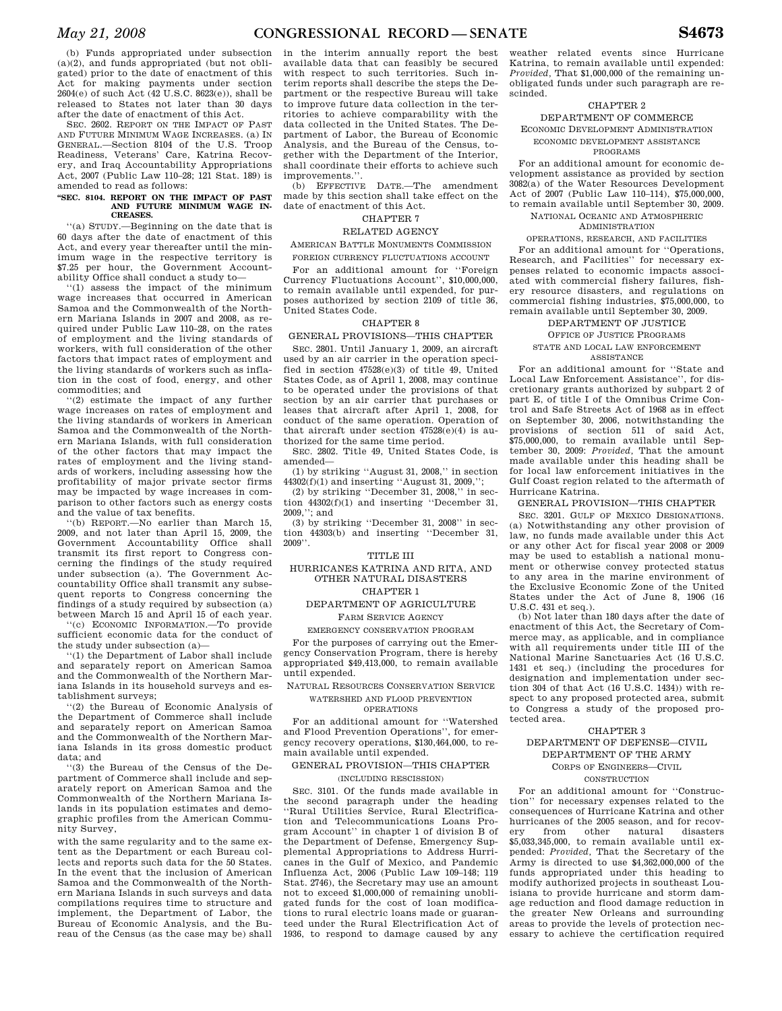(b) Funds appropriated under subsection (a)(2), and funds appropriated (but not obligated) prior to the date of enactment of this Act for making payments under section 2604(e) of such Act (42 U.S.C. 8623(e)), shall be released to States not later than 30 days after the date of enactment of this Act.

SEC. 2602. REPORT ON THE IMPACT OF PAST AND FUTURE MINIMUM WAGE INCREASES. (a) IN GENERAL.—Section 8104 of the U.S. Troop Readiness, Veterans' Care, Katrina Recovery, and Iraq Accountability Appropriations Act, 2007 (Public Law 110–28; 121 Stat. 189) is amended to read as follows:

#### **''SEC. 8104. REPORT ON THE IMPACT OF PAST AND FUTURE MINIMUM WAGE IN-CREASES.**

''(a) STUDY.—Beginning on the date that is 60 days after the date of enactment of this Act, and every year thereafter until the minimum wage in the respective territory is \$7.25 per hour, the Government Accountability Office shall conduct a study to—

''(1) assess the impact of the minimum wage increases that occurred in American Samoa and the Commonwealth of the Northern Mariana Islands in 2007 and 2008, as required under Public Law 110–28, on the rates of employment and the living standards of workers, with full consideration of the other factors that impact rates of employment and the living standards of workers such as inflation in the cost of food, energy, and other commodities; and

''(2) estimate the impact of any further wage increases on rates of employment and the living standards of workers in American Samoa and the Commonwealth of the Northern Mariana Islands, with full consideration of the other factors that may impact the rates of employment and the living standards of workers, including assessing how the profitability of major private sector firms may be impacted by wage increases in comparison to other factors such as energy costs and the value of tax benefits.

''(b) REPORT.—No earlier than March 15, 2009, and not later than April 15, 2009, the Government Accountability Office shall transmit its first report to Congress concerning the findings of the study required under subsection (a). The Government Accountability Office shall transmit any subsequent reports to Congress concerning the findings of a study required by subsection (a) between March 15 and April 15 of each year.

''(c) ECONOMIC INFORMATION.—To provide sufficient economic data for the conduct of the study under subsection (a)—

''(1) the Department of Labor shall include and separately report on American Samoa and the Commonwealth of the Northern Mariana Islands in its household surveys and establishment surveys;

''(2) the Bureau of Economic Analysis of the Department of Commerce shall include and separately report on American Samoa and the Commonwealth of the Northern Mariana Islands in its gross domestic product data; and

''(3) the Bureau of the Census of the Department of Commerce shall include and separately report on American Samoa and the Commonwealth of the Northern Mariana Islands in its population estimates and demographic profiles from the American Community Survey,

with the same regularity and to the same extent as the Department or each Bureau collects and reports such data for the 50 States. In the event that the inclusion of American Samoa and the Commonwealth of the Northern Mariana Islands in such surveys and data compilations requires time to structure and implement, the Department of Labor, the Bureau of Economic Analysis, and the Bureau of the Census (as the case may be) shall in the interim annually report the best available data that can feasibly be secured with respect to such territories. Such interim reports shall describe the steps the Department or the respective Bureau will take to improve future data collection in the territories to achieve comparability with the data collected in the United States. The Department of Labor, the Bureau of Economic Analysis, and the Bureau of the Census, together with the Department of the Interior, shall coordinate their efforts to achieve such improvements."

(b) EFFECTIVE DATE.—The amendment made by this section shall take effect on the date of enactment of this Act.

## CHAPTER 7

## RELATED AGENCY

AMERICAN BATTLE MONUMENTS COMMISSION FOREIGN CURRENCY FLUCTUATIONS ACCOUNT

For an additional amount for ''Foreign Currency Fluctuations Account'', \$10,000,000, to remain available until expended, for purposes authorized by section 2109 of title 36, United States Code.

## CHAPTER 8

GENERAL PROVISIONS—THIS CHAPTER

SEC. 2801. Until January 1, 2009, an aircraft used by an air carrier in the operation specified in section 47528(e)(3) of title 49, United States Code, as of April 1, 2008, may continue to be operated under the provisions of that section by an air carrier that purchases or leases that aircraft after April 1, 2008, for conduct of the same operation. Operation of that aircraft under section 47528(e)(4) is authorized for the same time period.

SEC. 2802. Title 49, United States Code, is amended—

(1) by striking ''August 31, 2008,'' in section 44302(f)(1) and inserting ''August 31, 2009,'';

(2) by striking ''December 31, 2008,'' in section 44302(f)(1) and inserting ''December 31, 2009,''; and

(3) by striking ''December 31, 2008'' in section 44303(b) and inserting ''December 31, 2009''.

## TITLE III

## HURRICANES KATRINA AND RITA, AND OTHER NATURAL DISASTERS CHAPTER 1

## DEPARTMENT OF AGRICULTURE FARM SERVICE AGENCY

#### EMERGENCY CONSERVATION PROGRAM

For the purposes of carrying out the Emergency Conservation Program, there is hereby appropriated \$49,413,000, to remain available until expended.

NATURAL RESOURCES CONSERVATION SERVICE WATERSHED AND FLOOD PREVENTION

#### OPERATIONS

For an additional amount for ''Watershed and Flood Prevention Operations'', for emergency recovery operations, \$130,464,000, to remain available until expended.

## GENERAL PROVISION—THIS CHAPTER

(INCLUDING RESCISSION)

SEC. 3101. Of the funds made available in the second paragraph under the heading ''Rural Utilities Service, Rural Electrification and Telecommunications Loans Program Account'' in chapter 1 of division B of the Department of Defense, Emergency Supplemental Appropriations to Address Hurricanes in the Gulf of Mexico, and Pandemic Influenza Act, 2006 (Public Law 109–148; 119 Stat. 2746), the Secretary may use an amount not to exceed \$1,000,000 of remaining unobligated funds for the cost of loan modifications to rural electric loans made or guaranteed under the Rural Electrification Act of 1936, to respond to damage caused by any

weather related events since Hurricane Katrina, to remain available until expended: *Provided,* That \$1,000,000 of the remaining unobligated funds under such paragraph are rescinded.

## CHAPTER 2

## DEPARTMENT OF COMMERCE ECONOMIC DEVELOPMENT ADMINISTRATION ECONOMIC DEVELOPMENT ASSISTANCE PROGRAMS

For an additional amount for economic development assistance as provided by section 3082(a) of the Water Resources Development Act of 2007 (Public Law 110–114), \$75,000,000, to remain available until September 30, 2009. NATIONAL OCEANIC AND ATMOSPHERIC

## ADMINISTRATION

## OPERATIONS, RESEARCH, AND FACILITIES

For an additional amount for ''Operations, Research, and Facilities'' for necessary expenses related to economic impacts associated with commercial fishery failures, fishery resource disasters, and regulations on commercial fishing industries, \$75,000,000, to remain available until September 30, 2009.

## DEPARTMENT OF JUSTICE OFFICE OF JUSTICE PROGRAMS STATE AND LOCAL LAW ENFORCEMENT **ASSISTANCE**

For an additional amount for ''State and Local Law Enforcement Assistance'', for discretionary grants authorized by subpart 2 of part E, of title I of the Omnibus Crime Control and Safe Streets Act of 1968 as in effect on September 30, 2006, notwithstanding the provisions of section 511 of said Act, \$75,000,000, to remain available until September 30, 2009: *Provided,* That the amount made available under this heading shall be for local law enforcement initiatives in the Gulf Coast region related to the aftermath of Hurricane Katrina.

GENERAL PROVISION—THIS CHAPTER

SEC. 3201. GULF OF MEXICO DESIGNATIONS. (a) Notwithstanding any other provision of law, no funds made available under this Act or any other Act for fiscal year 2008 or 2009 may be used to establish a national monument or otherwise convey protected status to any area in the marine environment of the Exclusive Economic Zone of the United States under the Act of June 8, 1906 (16

U.S.C. 431 et seq.). (b) Not later than 180 days after the date of enactment of this Act, the Secretary of Commerce may, as applicable, and in compliance with all requirements under title III of the National Marine Sanctuaries Act (16 U.S.C. 1431 et seq.) (including the procedures for designation and implementation under section 304 of that Act (16 U.S.C. 1434)) with respect to any proposed protected area, submit to Congress a study of the proposed protected area.

## CHAPTER 3 DEPARTMENT OF DEFENSE—CIVIL DEPARTMENT OF THE ARMY CORPS OF ENGINEERS—CIVIL

## CONSTRUCTION

For an additional amount for ''Construction'' for necessary expenses related to the consequences of Hurricane Katrina and other hurricanes of the 2005 season, and for recovery from other natural disasters \$5,033,345,000, to remain available until expended: *Provided,* That the Secretary of the Army is directed to use \$4,362,000,000 of the funds appropriated under this heading to modify authorized projects in southeast Louisiana to provide hurricane and storm damage reduction and flood damage reduction in the greater New Orleans and surrounding areas to provide the levels of protection necessary to achieve the certification required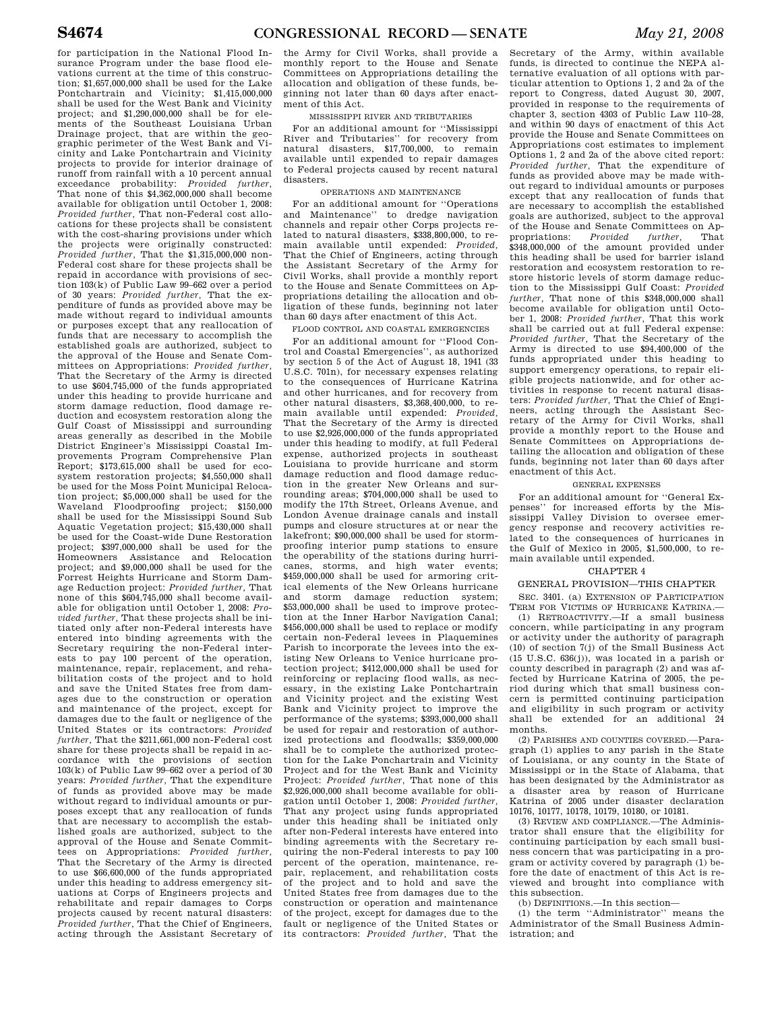for participation in the National Flood Insurance Program under the base flood elevations current at the time of this construction; \$1,657,000,000 shall be used for the Lake Pontchartrain and Vicinity; \$1,415,000,000 shall be used for the West Bank and Vicinity project; and \$1,290,000,000 shall be for elements of the Southeast Louisiana Urban Drainage project, that are within the geographic perimeter of the West Bank and Vicinity and Lake Pontchartrain and Vicinity projects to provide for interior drainage of runoff from rainfall with a 10 percent annual exceedance probability: *Provided further,*  That none of this \$4,362,000,000 shall become available for obligation until October 1, 2008: *Provided further,* That non-Federal cost allocations for these projects shall be consistent with the cost-sharing provisions under which the projects were originally constructed: *Provided further,* That the \$1,315,000,000 non-Federal cost share for these projects shall be repaid in accordance with provisions of section 103(k) of Public Law 99–662 over a period of 30 years: *Provided further,* That the expenditure of funds as provided above may be made without regard to individual amounts or purposes except that any reallocation of funds that are necessary to accomplish the established goals are authorized, subject to the approval of the House and Senate Committees on Appropriations: *Provided further,*  That the Secretary of the Army is directed to use \$604,745,000 of the funds appropriated under this heading to provide hurricane and storm damage reduction, flood damage reduction and ecosystem restoration along the Gulf Coast of Mississippi and surrounding areas generally as described in the Mobile District Engineer's Mississippi Coastal Improvements Program Comprehensive Plan Report; \$173,615,000 shall be used for ecosystem restoration projects; \$4,550,000 shall be used for the Moss Point Municipal Relocation project; \$5,000,000 shall be used for the Waveland Floodproofing project; \$150,000 shall be used for the Mississippi Sound Sub Aquatic Vegetation project; \$15,430,000 shall be used for the Coast-wide Dune Restoration project; \$397,000,000 shall be used for the Homeowners Assistance and Relocation project; and \$9,000,000 shall be used for the Forrest Heights Hurricane and Storm Damage Reduction project: *Provided further,* That none of this \$604,745,000 shall become available for obligation until October 1, 2008: *Provided further,* That these projects shall be initiated only after non-Federal interests have entered into binding agreements with the Secretary requiring the non-Federal interests to pay 100 percent of the operation, maintenance, repair, replacement, and rehabilitation costs of the project and to hold and save the United States free from damages due to the construction or operation and maintenance of the project, except for damages due to the fault or negligence of the United States or its contractors: *Provided further,* That the \$211,661,000 non-Federal cost share for these projects shall be repaid in accordance with the provisions of section 103(k) of Public Law 99–662 over a period of 30 years: *Provided further,* That the expenditure of funds as provided above may be made without regard to individual amounts or purposes except that any reallocation of funds that are necessary to accomplish the established goals are authorized, subject to the approval of the House and Senate Committees on Appropriations: *Provided further,*  That the Secretary of the Army is directed to use \$66,600,000 of the funds appropriated under this heading to address emergency situations at Corps of Engineers projects and rehabilitate and repair damages to Corps projects caused by recent natural disasters: *Provided further,* That the Chief of Engineers, acting through the Assistant Secretary of

the Army for Civil Works, shall provide a monthly report to the House and Senate Committees on Appropriations detailing the allocation and obligation of these funds, beginning not later than 60 days after enactment of this Act.

## MISSISSIPPI RIVER AND TRIBUTARIES

For an additional amount for ''Mississippi River and Tributaries'' for recovery from natural disasters, \$17,700,000, to remain available until expended to repair damages to Federal projects caused by recent natural disasters.

#### OPERATIONS AND MAINTENANCE

For an additional amount for ''Operations and Maintenance'' to dredge navigation channels and repair other Corps projects related to natural disasters, \$338,800,000, to remain available until expended: *Provided,*  That the Chief of Engineers, acting through the Assistant Secretary of the Army for Civil Works, shall provide a monthly report to the House and Senate Committees on Appropriations detailing the allocation and obligation of these funds, beginning not later than 60 days after enactment of this Act.

FLOOD CONTROL AND COASTAL EMERGENCIES

For an additional amount for ''Flood Control and Coastal Emergencies'', as authorized by section 5 of the Act of August 18, 1941 (33 U.S.C. 701n), for necessary expenses relating to the consequences of Hurricane Katrina and other hurricanes, and for recovery from other natural disasters, \$3,368,400,000, to remain available until expended: *Provided,*  That the Secretary of the Army is directed to use \$2,926,000,000 of the funds appropriated under this heading to modify, at full Federal expense, authorized projects in southeast Louisiana to provide hurricane and storm damage reduction and flood damage reduction in the greater New Orleans and surrounding areas; \$704,000,000 shall be used to modify the 17th Street, Orleans Avenue, and London Avenue drainage canals and install pumps and closure structures at or near the lakefront; \$90,000,000 shall be used for stormproofing interior pump stations to ensure the operability of the stations during hurricanes, storms, and high water events; \$459,000,000 shall be used for armoring critical elements of the New Orleans hurricane and storm damage reduction system; \$53,000,000 shall be used to improve protection at the Inner Harbor Navigation Canal; \$456,000,000 shall be used to replace or modify certain non-Federal levees in Plaquemines Parish to incorporate the levees into the existing New Orleans to Venice hurricane protection project; \$412,000,000 shall be used for reinforcing or replacing flood walls, as necessary, in the existing Lake Pontchartrain and Vicinity project and the existing West Bank and Vicinity project to improve the performance of the systems; \$393,000,000 shall be used for repair and restoration of authorized protections and floodwalls; \$359,000,000 shall be to complete the authorized protection for the Lake Ponchartrain and Vicinity Project and for the West Bank and Vicinity Project: *Provided further,* That none of this \$2,926,000,000 shall become available for obligation until October 1, 2008: *Provided further,*  That any project using funds appropriated under this heading shall be initiated only after non-Federal interests have entered into binding agreements with the Secretary requiring the non-Federal interests to pay 100 percent of the operation, maintenance, repair, replacement, and rehabilitation costs of the project and to hold and save the United States free from damages due to the construction or operation and maintenance of the project, except for damages due to the fault or negligence of the United States or its contractors: *Provided further,* That the

Secretary of the Army, within available funds, is directed to continue the NEPA alternative evaluation of all options with particular attention to Options 1, 2 and 2a of the report to Congress, dated August 30, 2007, provided in response to the requirements of chapter 3, section 4303 of Public Law 110–28, and within 90 days of enactment of this Act provide the House and Senate Committees on Appropriations cost estimates to implement Options 1, 2 and 2a of the above cited report: *Provided further,* That the expenditure of funds as provided above may be made without regard to individual amounts or purposes except that any reallocation of funds that are necessary to accomplish the established goals are authorized, subject to the approval of the House and Senate Committees on Appropriations: *Provided further,* That \$348,000,000 of the amount provided under this heading shall be used for barrier island restoration and ecosystem restoration to restore historic levels of storm damage reduction to the Mississippi Gulf Coast: *Provided further,* That none of this \$348,000,000 shall become available for obligation until October 1, 2008: *Provided further,* That this work shall be carried out at full Federal expense: *Provided further,* That the Secretary of the Army is directed to use \$94,400,000 of the funds appropriated under this heading to support emergency operations, to repair eligible projects nationwide, and for other activities in response to recent natural disasters: *Provided further,* That the Chief of Engineers, acting through the Assistant Secretary of the Army for Civil Works, shall provide a monthly report to the House and Senate Committees on Appropriations detailing the allocation and obligation of these funds, beginning not later than 60 days after enactment of this Act.

#### GENERAL EXPENSES

For an additional amount for ''General Expenses'' for increased efforts by the Mississippi Valley Division to oversee emergency response and recovery activities related to the consequences of hurricanes in the Gulf of Mexico in 2005, \$1,500,000, to remain available until expended.

## CHAPTER 4

## GENERAL PROVISION—THIS CHAPTER

SEC. 3401. (a) EXTENSION OF PARTICIPATION TERM FOR VICTIMS OF HURRICANE KATRINA.—

(1) RETROACTIVITY.—If a small business concern, while participating in any program or activity under the authority of paragraph (10) of section 7(j) of the Small Business Act  $(15 \text{ U.S.C. } 636(i))$ , was located in a parish or county described in paragraph (2) and was affected by Hurricane Katrina of 2005, the period during which that small business concern is permitted continuing participation and eligibility in such program or activity shall be extended for an additional 24 months.

(2) PARISHES AND COUNTIES COVERED.—Paragraph (1) applies to any parish in the State of Louisiana, or any county in the State of Mississippi or in the State of Alabama, that has been designated by the Administrator as a disaster area by reason of Hurricane Katrina of 2005 under disaster declaration 10176, 10177, 10178, 10179, 10180, or 10181.

(3) REVIEW AND COMPLIANCE.—The Administrator shall ensure that the eligibility for continuing participation by each small business concern that was participating in a program or activity covered by paragraph (1) before the date of enactment of this Act is reviewed and brought into compliance with this subsection.

(b) DEFINITIONS.—In this section—

(1) the term ''Administrator'' means the Administrator of the Small Business Administration; and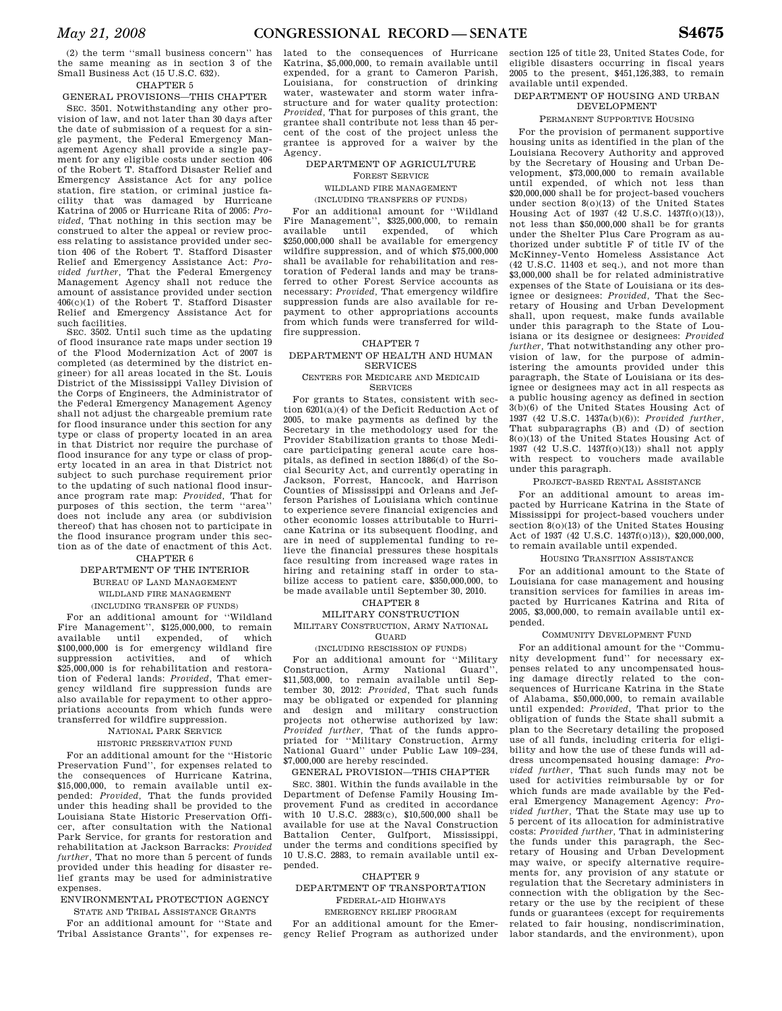(2) the term ''small business concern'' has the same meaning as in section 3 of the Small Business Act (15 U.S.C. 632).

## CHAPTER 5

GENERAL PROVISIONS—THIS CHAPTER SEC. 3501. Notwithstanding any other provision of law, and not later than 30 days after the date of submission of a request for a single payment, the Federal Emergency Management Agency shall provide a single payment for any eligible costs under section 406 of the Robert T. Stafford Disaster Relief and Emergency Assistance Act for any police station, fire station, or criminal justice facility that was damaged by Hurricane Katrina of 2005 or Hurricane Rita of 2005: *Provided,* That nothing in this section may be construed to alter the appeal or review process relating to assistance provided under section 406 of the Robert T. Stafford Disaster Relief and Emergency Assistance Act: *Provided further,* That the Federal Emergency Management Agency shall not reduce the amount of assistance provided under section 406(c)(1) of the Robert T. Stafford Disaster Relief and Emergency Assistance Act for such facilities.

SEC. 3502. Until such time as the updating of flood insurance rate maps under section 19 of the Flood Modernization Act of 2007 is completed (as determined by the district engineer) for all areas located in the St. Louis District of the Mississippi Valley Division of the Corps of Engineers, the Administrator of the Federal Emergency Management Agency shall not adjust the chargeable premium rate for flood insurance under this section for any type or class of property located in an area in that District nor require the purchase of flood insurance for any type or class of property located in an area in that District not subject to such purchase requirement prior to the updating of such national flood insurance program rate map: *Provided,* That for purposes of this section, the term ''area'' does not include any area (or subdivision thereof) that has chosen not to participate in the flood insurance program under this section as of the date of enactment of this Act.

## CHAPTER 6

DEPARTMENT OF THE INTERIOR BUREAU OF LAND MANAGEMENT WILDLAND FIRE MANAGEMENT (INCLUDING TRANSFER OF FUNDS)

For an additional amount for ''Wildland Fire Management'', \$125,000,000, to remain available until expended, of which \$100,000,000 is for emergency wildland fire suppression activities, and of which \$25,000,000 is for rehabilitation and restoration of Federal lands: *Provided,* That emergency wildland fire suppression funds are also available for repayment to other appropriations accounts from which funds were transferred for wildfire suppression.

#### NATIONAL PARK SERVICE

#### HISTORIC PRESERVATION FUND

For an additional amount for the ''Historic Preservation Fund'', for expenses related to the consequences of Hurricane Katrina, \$15,000,000, to remain available until expended: *Provided,* That the funds provided under this heading shall be provided to the Louisiana State Historic Preservation Officer, after consultation with the National Park Service, for grants for restoration and rehabilitation at Jackson Barracks: *Provided further,* That no more than 5 percent of funds provided under this heading for disaster relief grants may be used for administrative expenses.

## ENVIRONMENTAL PROTECTION AGENCY STATE AND TRIBAL ASSISTANCE GRANTS

For an additional amount for ''State and Tribal Assistance Grants'', for expenses re-

lated to the consequences of Hurricane Katrina, \$5,000,000, to remain available until expended, for a grant to Cameron Parish, Louisiana, for construction of drinking water, wastewater and storm water infrastructure and for water quality protection: *Provided,* That for purposes of this grant, the grantee shall contribute not less than 45 percent of the cost of the project unless the grantee is approved for a waiver by the Agency.

#### DEPARTMENT OF AGRICULTURE

FOREST SERVICE

WILDLAND FIRE MANAGEMENT

(INCLUDING TRANSFERS OF FUNDS)

For an additional amount for ''Wildland Fire Management'', \$325,000,000, to remain<br>available until expended of which until expended, \$250,000,000 shall be available for emergency wildfire suppression, and of which \$75,000,000 shall be available for rehabilitation and restoration of Federal lands and may be transferred to other Forest Service accounts as necessary: *Provided,* That emergency wildfire suppression funds are also available for repayment to other appropriations accounts from which funds were transferred for wildfire suppression.

## CHAPTER 7

#### DEPARTMENT OF HEALTH AND HUMAN SERVICES

## CENTERS FOR MEDICARE AND MEDICAID **SERVICES**

For grants to States, consistent with section 6201(a)(4) of the Deficit Reduction Act of 2005, to make payments as defined by the Secretary in the methodology used for the Provider Stabilization grants to those Medicare participating general acute care hospitals, as defined in section 1886(d) of the Social Security Act, and currently operating in Jackson, Forrest, Hancock, and Harrison Counties of Mississippi and Orleans and Jefferson Parishes of Louisiana which continue to experience severe financial exigencies and other economic losses attributable to Hurricane Katrina or its subsequent flooding, and are in need of supplemental funding to relieve the financial pressures these hospitals face resulting from increased wage rates in hiring and retaining staff in order to stabilize access to patient care, \$350,000,000, to be made available until September 30, 2010. CHAPTER 8

## MILITARY CONSTRUCTION

MILITARY CONSTRUCTION, ARMY NATIONAL GUARD

#### (INCLUDING RESCISSION OF FUNDS)

For an additional amount for ''Military Construction, Army National Guard'', \$11,503,000, to remain available until September 30, 2012: *Provided,* That such funds may be obligated or expended for planning and design and military construction projects not otherwise authorized by law: *Provided further,* That of the funds appropriated for ''Military Construction, Army National Guard'' under Public Law 109–234, \$7,000,000 are hereby rescinded.

## GENERAL PROVISION—THIS CHAPTER

SEC. 3801. Within the funds available in the Department of Defense Family Housing Improvement Fund as credited in accordance with 10 U.S.C. 2883(c), \$10,500,000 shall be available for use at the Naval Construction Battalion Center, Gulfport, Mississippi, under the terms and conditions specified by 10 U.S.C. 2883, to remain available until expended.

## CHAPTER 9

## DEPARTMENT OF TRANSPORTATION

FEDERAL-AID HIGHWAYS EMERGENCY RELIEF PROGRAM

For an additional amount for the Emergency Relief Program as authorized under

section 125 of title 23, United States Code, for eligible disasters occurring in fiscal years 2005 to the present, \$451,126,383, to remain available until expended.

## DEPARTMENT OF HOUSING AND URBAN DEVELOPMENT

### PERMANENT SUPPORTIVE HOUSING

For the provision of permanent supportive housing units as identified in the plan of the Louisiana Recovery Authority and approved by the Secretary of Housing and Urban Development, \$73,000,000 to remain available until expended, of which not less than \$20,000,000 shall be for project-based vouchers under section  $8(0)(13)$  of the United States Housing Act of 1937 (42 U.S.C. 1437f(o)(13)), not less than \$50,000,000 shall be for grants under the Shelter Plus Care Program as authorized under subtitle F of title IV of the McKinney-Vento Homeless Assistance Act (42 U.S.C. 11403 et seq.), and not more than \$3,000,000 shall be for related administrative expenses of the State of Louisiana or its designee or designees: *Provided,* That the Secretary of Housing and Urban Development shall, upon request, make funds available under this paragraph to the State of Louisiana or its designee or designees: *Provided further,* That notwithstanding any other provision of law, for the purpose of administering the amounts provided under this paragraph, the State of Louisiana or its designee or designees may act in all respects as a public housing agency as defined in section 3(b)(6) of the United States Housing Act of 1937 (42 U.S.C. 1437a(b)(6)): *Provided further,*  That subparagraphs (B) and (D) of section 8(o)(13) of the United States Housing Act of 1937 (42 U.S.C. 1437f(o)(13)) shall not apply with respect to vouchers made available under this paragraph.

## PROJECT-BASED RENTAL ASSISTANCE

For an additional amount to areas impacted by Hurricane Katrina in the State of Mississippi for project-based vouchers under section  $8(0)(13)$  of the United States Housing Act of 1937 (42 U.S.C. 1437f(o)13)), \$20,000,000, to remain available until expended.

#### HOUSING TRANSITION ASSISTANCE

For an additional amount to the State of Louisiana for case management and housing transition services for families in areas impacted by Hurricanes Katrina and Rita of 2005, \$3,000,000, to remain available until expended.

#### COMMUNITY DEVELOPMENT FUND

For an additional amount for the ''Community development fund'' for necessary expenses related to any uncompensated housing damage directly related to the consequences of Hurricane Katrina in the State of Alabama, \$50,000,000, to remain available until expended: *Provided,* That prior to the obligation of funds the State shall submit a plan to the Secretary detailing the proposed use of all funds, including criteria for eligibility and how the use of these funds will address uncompensated housing damage: *Provided further,* That such funds may not be used for activities reimbursable by or for which funds are made available by the Federal Emergency Management Agency: *Provided further,* That the State may use up to 5 percent of its allocation for administrative costs: *Provided further,* That in administering the funds under this paragraph, the Secretary of Housing and Urban Development may waive, or specify alternative requirements for, any provision of any statute or regulation that the Secretary administers in connection with the obligation by the Secretary or the use by the recipient of these funds or guarantees (except for requirements related to fair housing, nondiscrimination, labor standards, and the environment), upon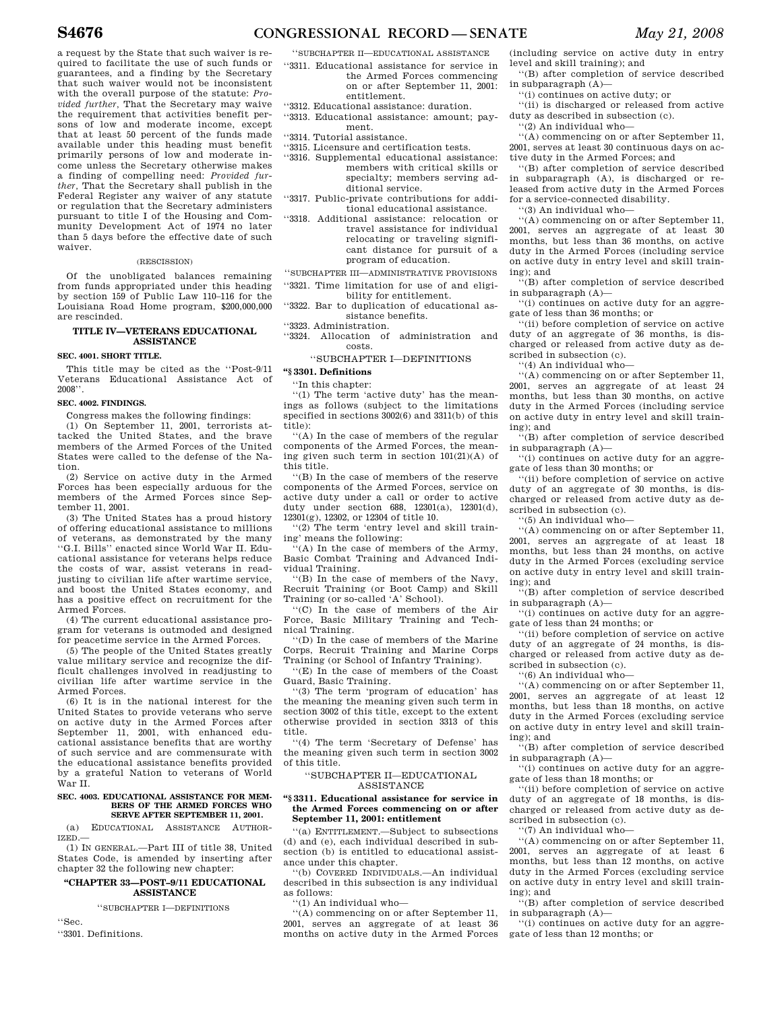a request by the State that such waiver is required to facilitate the use of such funds or guarantees, and a finding by the Secretary that such waiver would not be inconsistent with the overall purpose of the statute: *Provided further,* That the Secretary may waive the requirement that activities benefit persons of low and moderate income, except that at least 50 percent of the funds made available under this heading must benefit primarily persons of low and moderate income unless the Secretary otherwise makes a finding of compelling need: *Provided further,* That the Secretary shall publish in the Federal Register any waiver of any statute or regulation that the Secretary administers pursuant to title I of the Housing and Community Development Act of 1974 no later than 5 days before the effective date of such waiver.

## (RESCISSION)

Of the unobligated balances remaining from funds appropriated under this heading by section 159 of Public Law 110–116 for the Louisiana Road Home program, \$200,000,000 are rescinded.

## **TITLE IV—VETERANS EDUCATIONAL ASSISTANCE**

### **SEC. 4001. SHORT TITLE.**

This title may be cited as the ''Post-9/11 Veterans Educational Assistance Act of 2008''.

#### **SEC. 4002. FINDINGS.**

Congress makes the following findings:

(1) On September 11, 2001, terrorists attacked the United States, and the brave members of the Armed Forces of the United States were called to the defense of the Nation.

(2) Service on active duty in the Armed Forces has been especially arduous for the members of the Armed Forces since September 11, 2001.

(3) The United States has a proud history of offering educational assistance to millions of veterans, as demonstrated by the many ''G.I. Bills'' enacted since World War II. Educational assistance for veterans helps reduce the costs of war, assist veterans in readjusting to civilian life after wartime service, and boost the United States economy, and has a positive effect on recruitment for the Armed Forces.

(4) The current educational assistance program for veterans is outmoded and designed for peacetime service in the Armed Forces.

(5) The people of the United States greatly value military service and recognize the difficult challenges involved in readjusting to civilian life after wartime service in the Armed Forces.

(6) It is in the national interest for the United States to provide veterans who serve on active duty in the Armed Forces after September 11, 2001, with enhanced educational assistance benefits that are worthy of such service and are commensurate with the educational assistance benefits provided by a grateful Nation to veterans of World War II.

#### **SEC. 4003. EDUCATIONAL ASSISTANCE FOR MEM-BERS OF THE ARMED FORCES WHO SERVE AFTER SEPTEMBER 11, 2001.**

(a) EDUCATIONAL ASSISTANCE AUTHOR-IZED.—

(1) IN GENERAL.—Part III of title 38, United States Code, is amended by inserting after chapter 32 the following new chapter:

## **''CHAPTER 33—POST–9/11 EDUCATIONAL ASSISTANCE**

''SUBCHAPTER I—DEFINITIONS

''Sec.

''3301. Definitions.

''SUBCHAPTER II—EDUCATIONAL ASSISTANCE ''3311. Educational assistance for service in the Armed Forces commencing on or after September 11, 2001:

entitlement.

- ''3312. Educational assistance: duration. ''3313. Educational assistance: amount; payment.
- ''3314. Tutorial assistance.
- ''3315. Licensure and certification tests.
- ''3316. Supplemental educational assistance: members with critical skills or specialty; members serving additional service.
- ''3317. Public-private contributions for additional educational assistance.
- ''3318. Additional assistance: relocation or travel assistance for individual relocating or traveling significant distance for pursuit of a program of education.

''SUBCHAPTER III—ADMINISTRATIVE PROVISIONS

''3321. Time limitation for use of and eligibility for entitlement.

''3322. Bar to duplication of educational assistance benefits.

''3323. Administration.

''3324. Allocation of administration and costs.

''SUBCHAPTER I—DEFINITIONS

## **''§ 3301. Definitions**

''In this chapter:

''(1) The term 'active duty' has the meanings as follows (subject to the limitations specified in sections 3002(6) and 3311(b) of this title):

''(A) In the case of members of the regular components of the Armed Forces, the meaning given such term in section 101(21)(A) of this title.

''(B) In the case of members of the reserve components of the Armed Forces, service on active duty under a call or order to active duty under section 688, 12301(a), 12301(d), 12301(g), 12302, or 12304 of title 10.

''(2) The term 'entry level and skill training' means the following:

''(A) In the case of members of the Army, Basic Combat Training and Advanced Individual Training.

''(B) In the case of members of the Navy, Recruit Training (or Boot Camp) and Skill Training (or so-called 'A' School).

''(C) In the case of members of the Air Force, Basic Military Training and Technical Training.

''(D) In the case of members of the Marine Corps, Recruit Training and Marine Corps Training (or School of Infantry Training).

''(E) In the case of members of the Coast Guard, Basic Training.

''(3) The term 'program of education' has the meaning the meaning given such term in section 3002 of this title, except to the extent otherwise provided in section 3313 of this title.

''(4) The term 'Secretary of Defense' has the meaning given such term in section 3002 of this title.

## ''SUBCHAPTER II—EDUCATIONAL **ASSISTANCE**

## **''§ 3311. Educational assistance for service in the Armed Forces commencing on or after September 11, 2001: entitlement**

''(a) ENTITLEMENT.—Subject to subsections (d) and (e), each individual described in subsection (b) is entitled to educational assistance under this chapter.

''(b) COVERED INDIVIDUALS.—An individual described in this subsection is any individual as follows:

''(1) An individual who—

''(A) commencing on or after September 11, 2001, serves an aggregate of at least 36 months on active duty in the Armed Forces

(including service on active duty in entry level and skill training); and

''(B) after completion of service described in subparagraph (A)—

''(i) continues on active duty; or

''(ii) is discharged or released from active duty as described in subsection (c).

''(2) An individual who—

''(A) commencing on or after September 11, 2001, serves at least 30 continuous days on active duty in the Armed Forces; and

''(B) after completion of service described in subparagraph (A), is discharged or released from active duty in the Armed Forces for a service-connected disability.

''(3) An individual who—

''(A) commencing on or after September 11, 2001, serves an aggregate of at least 30 months, but less than 36 months, on active duty in the Armed Forces (including service on active duty in entry level and skill training); and

''(B) after completion of service described in subparagraph (A)—

''(i) continues on active duty for an aggregate of less than 36 months; or

''(ii) before completion of service on active duty of an aggregate of 36 months, is discharged or released from active duty as described in subsection (c).

''(4) An individual who—

''(A) commencing on or after September 11, 2001, serves an aggregate of at least 24 months, but less than 30 months, on active duty in the Armed Forces (including service on active duty in entry level and skill training); and

''(B) after completion of service described in subparagraph (A)—

''(i) continues on active duty for an aggregate of less than 30 months; or

''(ii) before completion of service on active duty of an aggregate of 30 months, is discharged or released from active duty as described in subsection (c).

''(5) An individual who—

''(A) commencing on or after September 11, 2001, serves an aggregate of at least 18 months, but less than 24 months, on active duty in the Armed Forces (excluding service on active duty in entry level and skill training); and

''(B) after completion of service described in subparagraph (A)—

''(i) continues on active duty for an aggregate of less than 24 months; or

''(ii) before completion of service on active duty of an aggregate of 24 months, is discharged or released from active duty as described in subsection (c).

''(6) An individual who—

''(A) commencing on or after September 11, 2001, serves an aggregate of at least 12 months, but less than 18 months, on active duty in the Armed Forces (excluding service on active duty in entry level and skill training); and

''(B) after completion of service described in subparagraph (A)—

''(i) continues on active duty for an aggregate of less than 18 months; or

''(ii) before completion of service on active duty of an aggregate of 18 months, is discharged or released from active duty as described in subsection (c).

''(7) An individual who—

''(A) commencing on or after September 11, 2001, serves an aggregate of at least 6 months, but less than 12 months, on active duty in the Armed Forces (excluding service on active duty in entry level and skill training); and

''(B) after completion of service described in subparagraph (A)—

''(i) continues on active duty for an aggregate of less than 12 months; or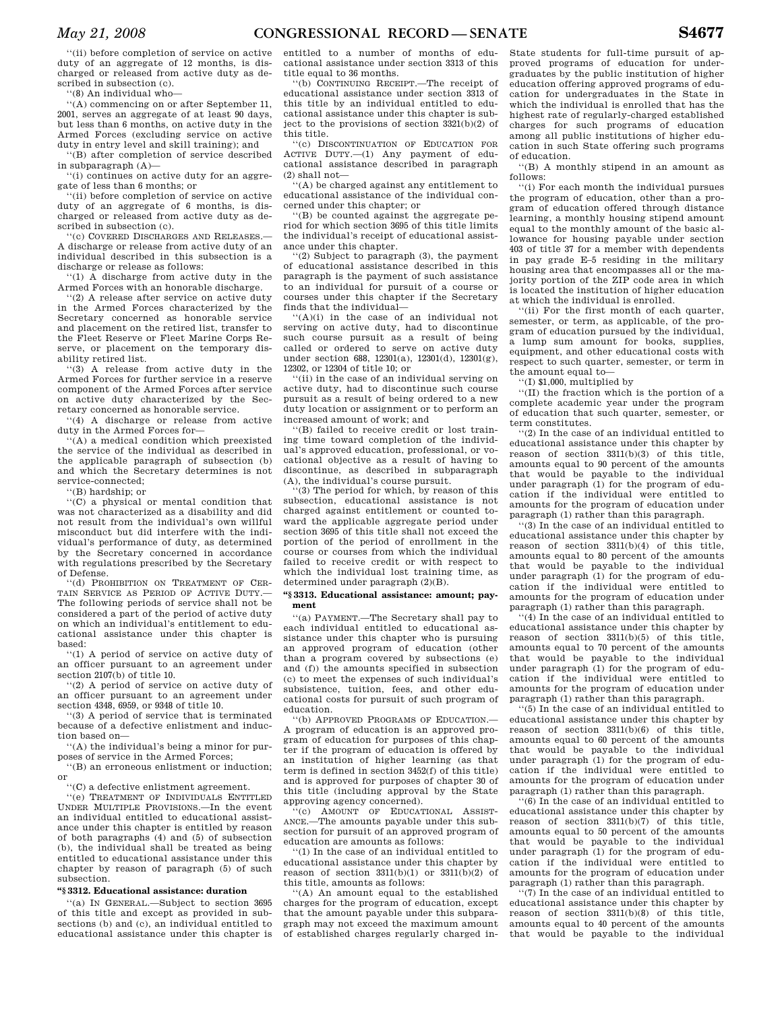''(ii) before completion of service on active duty of an aggregate of 12 months, is discharged or released from active duty as described in subsection (c).

''(8) An individual who—

''(A) commencing on or after September 11, 2001, serves an aggregate of at least 90 days, but less than 6 months, on active duty in the Armed Forces (excluding service on active duty in entry level and skill training); and

(B) after completion of service described in subparagraph (A)—

'(i) continues on active duty for an aggregate of less than 6 months; or

''(ii) before completion of service on active duty of an aggregate of 6 months, is discharged or released from active duty as described in subsection (c).

'(c) COVERED DISCHARGES AND RELEASES.-A discharge or release from active duty of an individual described in this subsection is a discharge or release as follows:

''(1) A discharge from active duty in the Armed Forces with an honorable discharge.

''(2) A release after service on active duty in the Armed Forces characterized by the Secretary concerned as honorable service and placement on the retired list, transfer to the Fleet Reserve or Fleet Marine Corps Reserve, or placement on the temporary disability retired list.

''(3) A release from active duty in the Armed Forces for further service in a reserve component of the Armed Forces after service on active duty characterized by the Secretary concerned as honorable service.

''(4) A discharge or release from active duty in the Armed Forces for—

''(A) a medical condition which preexisted the service of the individual as described in the applicable paragraph of subsection (b) and which the Secretary determines is not service-connected;

''(B) hardship; or

''(C) a physical or mental condition that was not characterized as a disability and did not result from the individual's own willful misconduct but did interfere with the individual's performance of duty, as determined by the Secretary concerned in accordance with regulations prescribed by the Secretary of Defense.

''(d) PROHIBITION ON TREATMENT OF CER-TAIN SERVICE AS PERIOD OF ACTIVE DUTY.— The following periods of service shall not be considered a part of the period of active duty on which an individual's entitlement to educational assistance under this chapter is based:

''(1) A period of service on active duty of an officer pursuant to an agreement under section 2107(b) of title 10.

''(2) A period of service on active duty of an officer pursuant to an agreement under section 4348, 6959, or 9348 of title 10.

''(3) A period of service that is terminated because of a defective enlistment and induction based on—

''(A) the individual's being a minor for purposes of service in the Armed Forces;

''(B) an erroneous enlistment or induction; or

''(C) a defective enlistment agreement.

''(e) TREATMENT OF INDIVIDUALS ENTITLED UNDER MULTIPLE PROVISIONS.—In the event an individual entitled to educational assistance under this chapter is entitled by reason of both paragraphs (4) and (5) of subsection (b), the individual shall be treated as being entitled to educational assistance under this chapter by reason of paragraph (5) of such subsection.

## **''§ 3312. Educational assistance: duration**

''(a) IN GENERAL.—Subject to section 3695 of this title and except as provided in subsections (b) and (c), an individual entitled to educational assistance under this chapter is

entitled to a number of months of educational assistance under section 3313 of this title equal to 36 months.

''(b) CONTINUING RECEIPT.—The receipt of educational assistance under section 3313 of this title by an individual entitled to educational assistance under this chapter is subject to the provisions of section 3321(b)(2) of this title.

''(c) DISCONTINUATION OF EDUCATION FOR ACTIVE DUTY.—(1) Any payment of educational assistance described in paragraph (2) shall not—

''(A) be charged against any entitlement to educational assistance of the individual concerned under this chapter; or

''(B) be counted against the aggregate period for which section 3695 of this title limits the individual's receipt of educational assistance under this chapter.

 $(2)$  Subject to paragraph  $(3)$ , the payment of educational assistance described in this paragraph is the payment of such assistance to an individual for pursuit of a course or courses under this chapter if the Secretary finds that the individual—

''(A)(i) in the case of an individual not serving on active duty, had to discontinue such course pursuit as a result of being called or ordered to serve on active duty under section 688, 12301(a), 12301(d), 12301(g), 12302, or 12304 of title 10; or

''(ii) in the case of an individual serving on active duty, had to discontinue such course pursuit as a result of being ordered to a new duty location or assignment or to perform an increased amount of work; and

''(B) failed to receive credit or lost training time toward completion of the individual's approved education, professional, or vocational objective as a result of having to discontinue, as described in subparagraph (A), the individual's course pursuit.

''(3) The period for which, by reason of this subsection, educational assistance is not charged against entitlement or counted toward the applicable aggregate period under section 3695 of this title shall not exceed the portion of the period of enrollment in the course or courses from which the individual failed to receive credit or with respect to which the individual lost training time, as determined under paragraph (2)(B).

### **''§ 3313. Educational assistance: amount; payment**

''(a) PAYMENT.—The Secretary shall pay to each individual entitled to educational assistance under this chapter who is pursuing an approved program of education (other than a program covered by subsections (e) and (f)) the amounts specified in subsection (c) to meet the expenses of such individual's subsistence, tuition, fees, and other educational costs for pursuit of such program of education.

''(b) APPROVED PROGRAMS OF EDUCATION.— A program of education is an approved program of education for purposes of this chapter if the program of education is offered by an institution of higher learning (as that term is defined in section 3452(f) of this title) and is approved for purposes of chapter 30 of this title (including approval by the State approving agency concerned).

''(c) AMOUNT OF EDUCATIONAL ASSIST-ANCE.—The amounts payable under this subsection for pursuit of an approved program of education are amounts as follows:

''(1) In the case of an individual entitled to educational assistance under this chapter by reason of section  $3311(b)(1)$  or  $3311(b)(2)$  of this title, amounts as follows:

''(A) An amount equal to the established charges for the program of education, except that the amount payable under this subparagraph may not exceed the maximum amount of established charges regularly charged in-

State students for full-time pursuit of approved programs of education for undergraduates by the public institution of higher education offering approved programs of education for undergraduates in the State in which the individual is enrolled that has the highest rate of regularly-charged established charges for such programs of education among all public institutions of higher education in such State offering such programs of education.

''(B) A monthly stipend in an amount as follows:

''(i) For each month the individual pursues the program of education, other than a program of education offered through distance learning, a monthly housing stipend amount equal to the monthly amount of the basic allowance for housing payable under section 403 of title 37 for a member with dependents in pay grade E–5 residing in the military housing area that encompasses all or the majority portion of the ZIP code area in which is located the institution of higher education at which the individual is enrolled.

''(ii) For the first month of each quarter, semester, or term, as applicable, of the program of education pursued by the individual, a lump sum amount for books, supplies, equipment, and other educational costs with respect to such quarter, semester, or term in the amount equal to—

''(I) \$1,000, multiplied by

''(II) the fraction which is the portion of a complete academic year under the program of education that such quarter, semester, or term constitutes.

''(2) In the case of an individual entitled to educational assistance under this chapter by reason of section 3311(b)(3) of this title, amounts equal to 90 percent of the amounts that would be payable to the individual under paragraph (1) for the program of education if the individual were entitled to amounts for the program of education under paragraph (1) rather than this paragraph.

''(3) In the case of an individual entitled to educational assistance under this chapter by reason of section 3311(b)(4) of this title, amounts equal to 80 percent of the amounts that would be payable to the individual under paragraph (1) for the program of education if the individual were entitled to amounts for the program of education under paragraph (1) rather than this paragraph.

''(4) In the case of an individual entitled to educational assistance under this chapter by reason of section 3311(b)(5) of this title, amounts equal to 70 percent of the amounts that would be payable to the individual under paragraph (1) for the program of education if the individual were entitled to amounts for the program of education under paragraph (1) rather than this paragraph.

''(5) In the case of an individual entitled to educational assistance under this chapter by reason of section 3311(b)(6) of this title, amounts equal to 60 percent of the amounts that would be payable to the individual under paragraph (1) for the program of education if the individual were entitled to amounts for the program of education under paragraph (1) rather than this paragraph.

''(6) In the case of an individual entitled to educational assistance under this chapter by reason of section 3311(b)(7) of this title, amounts equal to 50 percent of the amounts that would be payable to the individual under paragraph (1) for the program of education if the individual were entitled to amounts for the program of education under paragraph (1) rather than this paragraph.

''(7) In the case of an individual entitled to educational assistance under this chapter by reason of section 3311(b)(8) of this title, amounts equal to 40 percent of the amounts that would be payable to the individual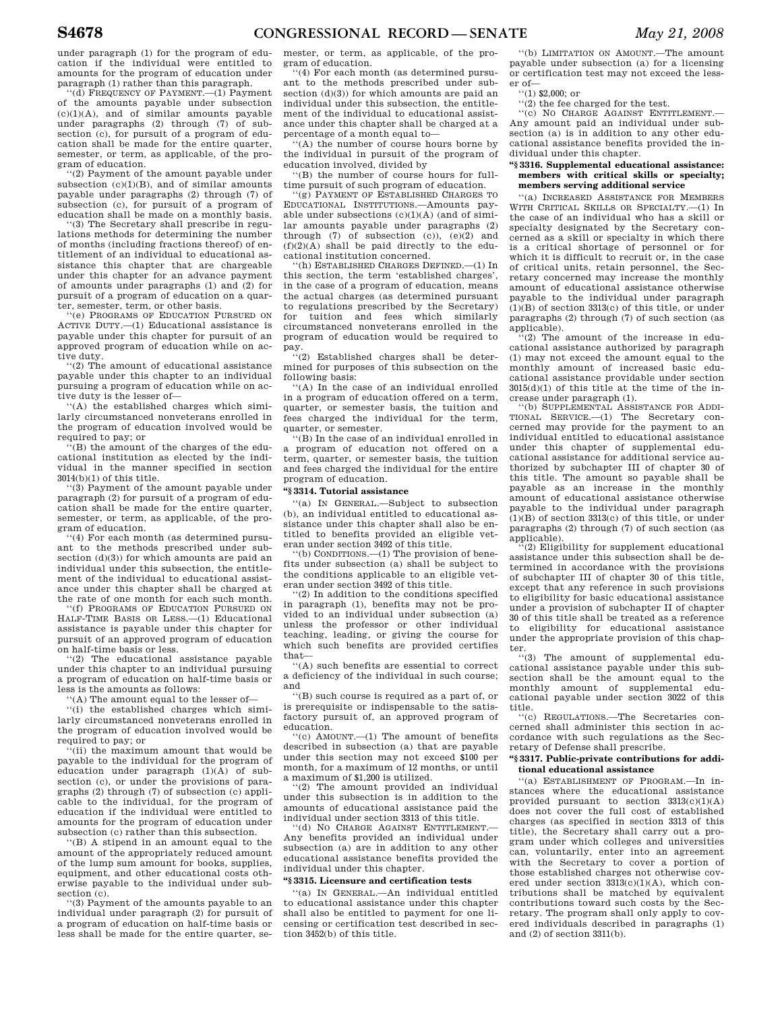under paragraph (1) for the program of education if the individual were entitled to amounts for the program of education under paragraph (1) rather than this paragraph.

''(d) FREQUENCY OF PAYMENT.—(1) Payment of the amounts payable under subsection  $(c)(1)(A)$ , and of similar amounts payable under paragraphs (2) through (7) of subsection (c), for pursuit of a program of education shall be made for the entire quarter, semester, or term, as applicable, of the program of education.

''(2) Payment of the amount payable under subsection (c)(1)(B), and of similar amounts payable under paragraphs (2) through (7) of subsection (c), for pursuit of a program of education shall be made on a monthly basis.

''(3) The Secretary shall prescribe in regulations methods for determining the number of months (including fractions thereof) of entitlement of an individual to educational assistance this chapter that are chargeable under this chapter for an advance payment of amounts under paragraphs (1) and (2) for pursuit of a program of education on a quarter, semester, term, or other basis.

''(e) PROGRAMS OF EDUCATION PURSUED ON ACTIVE DUTY.—(1) Educational assistance is payable under this chapter for pursuit of an approved program of education while on active duty.

''(2) The amount of educational assistance payable under this chapter to an individual pursuing a program of education while on active duty is the lesser of—

''(A) the established charges which similarly circumstanced nonveterans enrolled in the program of education involved would be required to pay; or

''(B) the amount of the charges of the educational institution as elected by the individual in the manner specified in section 3014(b)(1) of this title.

''(3) Payment of the amount payable under paragraph (2) for pursuit of a program of education shall be made for the entire quarter, semester, or term, as applicable, of the program of education.

''(4) For each month (as determined pursuant to the methods prescribed under subsection (d)(3)) for which amounts are paid an individual under this subsection, the entitlement of the individual to educational assistance under this chapter shall be charged at the rate of one month for each such month.

''(f) PROGRAMS OF EDUCATION PURSUED ON HALF-TIME BASIS OR LESS.—(1) Educational assistance is payable under this chapter for pursuit of an approved program of education on half-time basis or less.

''(2) The educational assistance payable under this chapter to an individual pursuing a program of education on half-time basis or less is the amounts as follows:

''(A) The amount equal to the lesser of—

''(i) the established charges which similarly circumstanced nonveterans enrolled in the program of education involved would be required to pay; or

''(ii) the maximum amount that would be payable to the individual for the program of education under paragraph (1)(A) of subsection (c), or under the provisions of paragraphs (2) through (7) of subsection (c) applicable to the individual, for the program of education if the individual were entitled to amounts for the program of education under subsection (c) rather than this subsection.

''(B) A stipend in an amount equal to the amount of the appropriately reduced amount of the lump sum amount for books, supplies, equipment, and other educational costs otherwise payable to the individual under subsection (c).

'(3) Payment of the amounts payable to an individual under paragraph (2) for pursuit of a program of education on half-time basis or less shall be made for the entire quarter, semester, or term, as applicable, of the program of education.

''(4) For each month (as determined pursuant to the methods prescribed under subsection  $(d)(3)$ ) for which amounts are paid an individual under this subsection, the entitlement of the individual to educational assistance under this chapter shall be charged at a percentage of a month equal to—

''(A) the number of course hours borne by the individual in pursuit of the program of education involved, divided by

''(B) the number of course hours for fulltime pursuit of such program of education.

''(g) PAYMENT OF ESTABLISHED CHARGES TO EDUCATIONAL INSTITUTIONS.—Amounts payable under subsections  $(c)(1)(A)$  (and of similar amounts payable under paragraphs (2) through  $(7)$  of subsection  $(c)$ ,  $(e)(2)$  and  $(f)(2)(A)$  shall be paid directly to the educational institution concerned.

''(h) ESTABLISHED CHARGES DEFINED.—(1) In this section, the term 'established charges', in the case of a program of education, means the actual charges (as determined pursuant to regulations prescribed by the Secretary) for tuition and fees which similarly circumstanced nonveterans enrolled in the program of education would be required to pay.

 $(2)$  Established charges shall be determined for purposes of this subsection on the following basis:

''(A) In the case of an individual enrolled in a program of education offered on a term, quarter, or semester basis, the tuition and fees charged the individual for the term, quarter, or semester.

''(B) In the case of an individual enrolled in a program of education not offered on a term, quarter, or semester basis, the tuition and fees charged the individual for the entire program of education.

#### **''§ 3314. Tutorial assistance**

''(a) IN GENERAL.—Subject to subsection (b), an individual entitled to educational assistance under this chapter shall also be entitled to benefits provided an eligible veteran under section 3492 of this title.

 $'(b)$  CONDITIONS.— $(1)$  The provision of benefits under subsection (a) shall be subject to the conditions applicable to an eligible veteran under section 3492 of this title.

''(2) In addition to the conditions specified in paragraph (1), benefits may not be provided to an individual under subsection (a) unless the professor or other individual teaching, leading, or giving the course for which such benefits are provided certifies that—

''(A) such benefits are essential to correct a deficiency of the individual in such course; and

''(B) such course is required as a part of, or is prerequisite or indispensable to the satisfactory pursuit of, an approved program of education.

''(c) AMOUNT.—(1) The amount of benefits described in subsection (a) that are payable under this section may not exceed \$100 per month, for a maximum of 12 months, or until a maximum of \$1,200 is utilized.

''(2) The amount provided an individual under this subsection is in addition to the amounts of educational assistance paid the individual under section 3313 of this title.

''(d) NO CHARGE AGAINST ENTITLEMENT.— Any benefits provided an individual under subsection (a) are in addition to any other educational assistance benefits provided the individual under this chapter.

#### **''§ 3315. Licensure and certification tests**

''(a) IN GENERAL.—An individual entitled to educational assistance under this chapter shall also be entitled to payment for one licensing or certification test described in section 3452(b) of this title.

''(b) LIMITATION ON AMOUNT.—The amount payable under subsection (a) for a licensing or certification test may not exceed the lesser of—

''(1) \$2,000; or

''(2) the fee charged for the test.

''(c) NO CHARGE AGAINST ENTITLEMENT.— Any amount paid an individual under subsection (a) is in addition to any other educational assistance benefits provided the individual under this chapter.

#### **''§ 3316. Supplemental educational assistance: members with critical skills or specialty; members serving additional service**

''(a) INCREASED ASSISTANCE FOR MEMBERS WITH CRITICAL SKILLS OR SPECIALTY.—(1) In the case of an individual who has a skill or specialty designated by the Secretary concerned as a skill or specialty in which there is a critical shortage of personnel or for which it is difficult to recruit or, in the case of critical units, retain personnel, the Secretary concerned may increase the monthly amount of educational assistance otherwise payable to the individual under paragraph (1)(B) of section 3313(c) of this title, or under paragraphs (2) through (7) of such section (as applicable).

 $(2)$  The amount of the increase in educational assistance authorized by paragraph (1) may not exceed the amount equal to the monthly amount of increased basic educational assistance providable under section  $3015(d)(1)$  of this title at the time of the increase under paragraph (1).

''(b) SUPPLEMENTAL ASSISTANCE FOR ADDI-TIONAL SERVICE.—(1) The Secretary concerned may provide for the payment to an individual entitled to educational assistance under this chapter of supplemental educational assistance for additional service authorized by subchapter III of chapter 30 of this title. The amount so payable shall be payable as an increase in the monthly amount of educational assistance otherwise payable to the individual under paragraph (1)(B) of section 3313(c) of this title, or under paragraphs (2) through (7) of such section (as applicable).

(2) Eligibility for supplement educational assistance under this subsection shall be determined in accordance with the provisions of subchapter III of chapter 30 of this title, except that any reference in such provisions to eligibility for basic educational assistance under a provision of subchapter II of chapter 30 of this title shall be treated as a reference to eligibility for educational assistance under the appropriate provision of this chapter.

''(3) The amount of supplemental educational assistance payable under this subsection shall be the amount equal to the monthly amount of supplemental educational payable under section 3022 of this title.

''(c) REGULATIONS.—The Secretaries concerned shall administer this section in accordance with such regulations as the Secretary of Defense shall prescribe.

## **''§ 3317. Public-private contributions for additional educational assistance**

''(a) ESTABLISHMENT OF PROGRAM.—In instances where the educational assistance provided pursuant to section 3313(c)(1)(A) does not cover the full cost of established charges (as specified in section 3313 of this title), the Secretary shall carry out a program under which colleges and universities can, voluntarily, enter into an agreement with the Secretary to cover a portion of those established charges not otherwise covered under section  $3313(c)(1)(A)$ , which contributions shall be matched by equivalent contributions toward such costs by the Secretary. The program shall only apply to covered individuals described in paragraphs (1) and (2) of section 3311(b).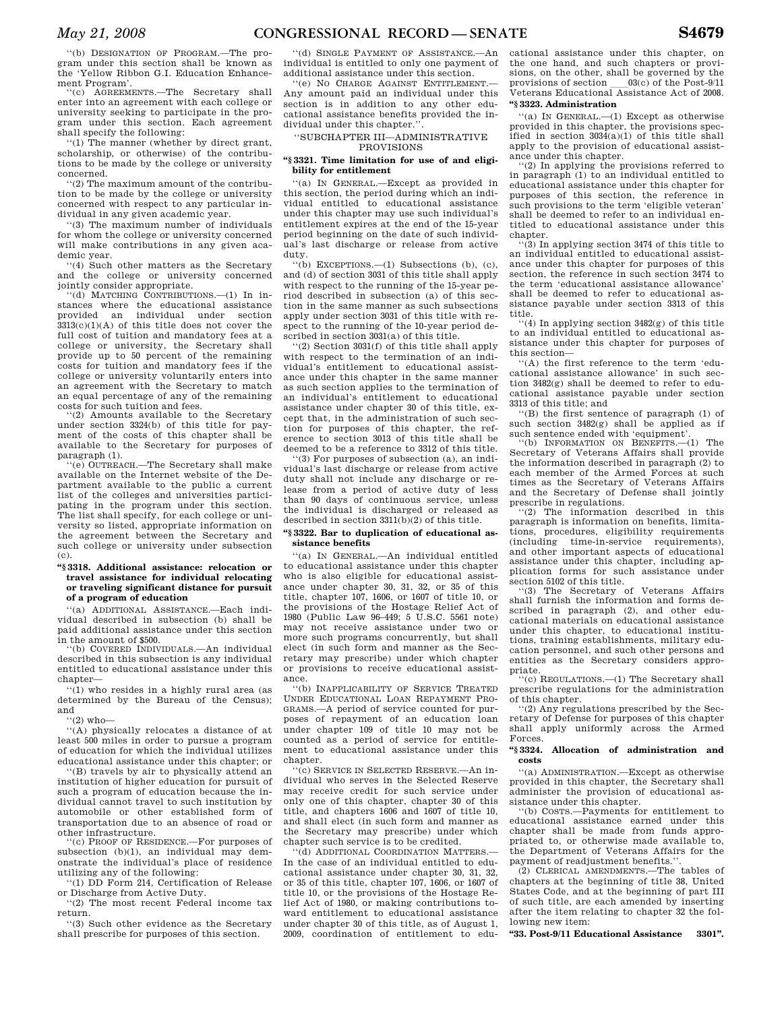''(b) DESIGNATION OF PROGRAM.—The program under this section shall be known as the 'Yellow Ribbon G.I. Education Enhancement Program'.

''(c) AGREEMENTS.—The Secretary shall enter into an agreement with each college or university seeking to participate in the program under this section. Each agreement shall specify the following:

''(1) The manner (whether by direct grant, scholarship, or otherwise) of the contributions to be made by the college or university concerned.

''(2) The maximum amount of the contribution to be made by the college or university concerned with respect to any particular individual in any given academic year.

''(3) The maximum number of individuals for whom the college or university concerned will make contributions in any given academic year.

''(4) Such other matters as the Secretary and the college or university concerned jointly consider appropriate.

''(d) MATCHING CONTRIBUTIONS.—(1) In instances where the educational assistance provided an individual under section  $3313(c)(1)(A)$  of this title does not cover the full cost of tuition and mandatory fees at a college or university, the Secretary shall provide up to 50 percent of the remaining costs for tuition and mandatory fees if the college or university voluntarily enters into an agreement with the Secretary to match an equal percentage of any of the remaining costs for such tuition and fees.

'(2) Amounts available to the Secretary under section 3324(b) of this title for payment of the costs of this chapter shall be available to the Secretary for purposes of paragraph (1).

'(e) OUTREACH.—The Secretary shall make available on the Internet website of the Department available to the public a current list of the colleges and universities participating in the program under this section. The list shall specify, for each college or university so listed, appropriate information on the agreement between the Secretary and such college or university under subsection (c).

#### **''§ 3318. Additional assistance: relocation or travel assistance for individual relocating or traveling significant distance for pursuit of a program of education**

''(a) ADDITIONAL ASSISTANCE.—Each individual described in subsection (b) shall be paid additional assistance under this section in the amount of \$500.

(b) COVERED INDIVIDUALS.—An individual described in this subsection is any individual entitled to educational assistance under this chapter—

''(1) who resides in a highly rural area (as determined by the Bureau of the Census); and

 $``(2)$  who-

''(A) physically relocates a distance of at least 500 miles in order to pursue a program of education for which the individual utilizes educational assistance under this chapter; or

''(B) travels by air to physically attend an institution of higher education for pursuit of such a program of education because the individual cannot travel to such institution by automobile or other established form of transportation due to an absence of road or other infrastructure.

'(c) PROOF OF RESIDENCE.—For purposes of subsection (b)(1), an individual may demonstrate the individual's place of residence utilizing any of the following:

''(1) DD Form 214, Certification of Release or Discharge from Active Duty.

''(2) The most recent Federal income tax return.

''(3) Such other evidence as the Secretary shall prescribe for purposes of this section.

''(d) SINGLE PAYMENT OF ASSISTANCE.—An individual is entitled to only one payment of additional assistance under this section.

''(e) NO CHARGE AGAINST ENTITLEMENT.— Any amount paid an individual under this section is in addition to any other educational assistance benefits provided the individual under this chapter.''.

''SUBCHAPTER III—ADMINISTRATIVE PROVISIONS

### **''§ 3321. Time limitation for use of and eligibility for entitlement**

''(a) IN GENERAL.—Except as provided in this section, the period during which an individual entitled to educational assistance under this chapter may use such individual's entitlement expires at the end of the 15-year period beginning on the date of such individual's last discharge or release from active duty.

''(b) EXCEPTIONS.—(1) Subsections (b), (c), and (d) of section 3031 of this title shall apply with respect to the running of the 15-year period described in subsection (a) of this section in the same manner as such subsections apply under section 3031 of this title with respect to the running of the 10-year period described in section 3031(a) of this title.

''(2) Section 3031(f) of this title shall apply with respect to the termination of an individual's entitlement to educational assistance under this chapter in the same manner as such section applies to the termination of an individual's entitlement to educational assistance under chapter 30 of this title, except that, in the administration of such section for purposes of this chapter, the reference to section 3013 of this title shall be deemed to be a reference to 3312 of this title.

 $(3)$  For purposes of subsection  $(a)$ , an individual's last discharge or release from active duty shall not include any discharge or release from a period of active duty of less than 90 days of continuous service, unless the individual is discharged or released as described in section 3311(b)(2) of this title.

## **''§ 3322. Bar to duplication of educational assistance benefits**

''(a) IN GENERAL.—An individual entitled to educational assistance under this chapter who is also eligible for educational assistance under chapter 30, 31, 32, or 35 of this title, chapter 107, 1606, or 1607 of title 10, or the provisions of the Hostage Relief Act of 1980 (Public Law 96–449; 5 U.S.C. 5561 note) may not receive assistance under two or more such programs concurrently, but shall elect (in such form and manner as the Secretary may prescribe) under which chapter or provisions to receive educational assistance.

''(b) INAPPLICABILITY OF SERVICE TREATED UNDER EDUCATIONAL LOAN REPAYMENT PRO-GRAMS.—A period of service counted for purposes of repayment of an education loan under chapter 109 of title 10 may not be counted as a period of service for entitlement to educational assistance under this chapter.

''(c) SERVICE IN SELECTED RESERVE.—An individual who serves in the Selected Reserve may receive credit for such service under only one of this chapter, chapter 30 of this title, and chapters 1606 and 1607 of title 10, and shall elect (in such form and manner as the Secretary may prescribe) under which chapter such service is to be credited.

''(d) ADDITIONAL COORDINATION MATTERS.— In the case of an individual entitled to educational assistance under chapter 30, 31, 32, or 35 of this title, chapter 107, 1606, or 1607 of title 10, or the provisions of the Hostage Relief Act of 1980, or making contributions toward entitlement to educational assistance under chapter 30 of this title, as of August 1, 2009, coordination of entitlement to edu-

cational assistance under this chapter, on the one hand, and such chapters or provisions, on the other, shall be governed by the provisions of section  $10(0)$  of the Post-9/11 provisions of section \_\_\_03(c) of the Post-9/11<br>Veterans Educational Assistance Act of 2008.

## **''§ 3323. Administration**

''(a) IN GENERAL.—(1) Except as otherwise provided in this chapter, the provisions specified in section 3034(a)(1) of this title shall apply to the provision of educational assistance under this chapter.

''(2) In applying the provisions referred to in paragraph (1) to an individual entitled to educational assistance under this chapter for purposes of this section, the reference in such provisions to the term 'eligible veteran' shall be deemed to refer to an individual entitled to educational assistance under this chapter.

''(3) In applying section 3474 of this title to an individual entitled to educational assistance under this chapter for purposes of this section, the reference in such section 3474 to the term 'educational assistance allowance' shall be deemed to refer to educational assistance payable under section 3313 of this title.

''(4) In applying section 3482(g) of this title to an individual entitled to educational assistance under this chapter for purposes of this section—

''(A) the first reference to the term 'educational assistance allowance' in such section 3482(g) shall be deemed to refer to educational assistance payable under section 3313 of this title; and

''(B) the first sentence of paragraph (1) of such section 3482(g) shall be applied as if such sentence ended with 'equipment'.

''(b) INFORMATION ON BENEFITS.—(1) The Secretary of Veterans Affairs shall provide the information described in paragraph (2) to each member of the Armed Forces at such times as the Secretary of Veterans Affairs and the Secretary of Defense shall jointly prescribe in regulations.

''(2) The information described in this paragraph is information on benefits, limitations, procedures, eligibility requirements (including time-in-service requirements), and other important aspects of educational assistance under this chapter, including application forms for such assistance under

section 5102 of this title.<br>
"(3) The Secretary of Veterans Affairs shall furnish the information and forms described in paragraph (2), and other educational materials on educational assistance under this chapter, to educational institutions, training establishments, military education personnel, and such other persons and entities as the Secretary considers appropriate.

''(c) REGULATIONS.—(1) The Secretary shall prescribe regulations for the administration of this chapter.

 $(2)$  Any regulations prescribed by the Secretary of Defense for purposes of this chapter shall apply uniformly across the Armed Forces.

## **''§ 3324. Allocation of administration and costs**

''(a) ADMINISTRATION.—Except as otherwise provided in this chapter, the Secretary shall administer the provision of educational assistance under this chapter.

''(b) COSTS.—Payments for entitlement to educational assistance earned under this chapter shall be made from funds appropriated to, or otherwise made available to, the Department of Veterans Affairs for the payment of readjustment benefits."

(2) CLERICAL AMENDMENTS.—The tables of chapters at the beginning of title 38, United States Code, and at the beginning of part III of such title, are each amended by inserting after the item relating to chapter 32 the following new item:

**''33. Post-9/11 Educational Assistance 3301''.**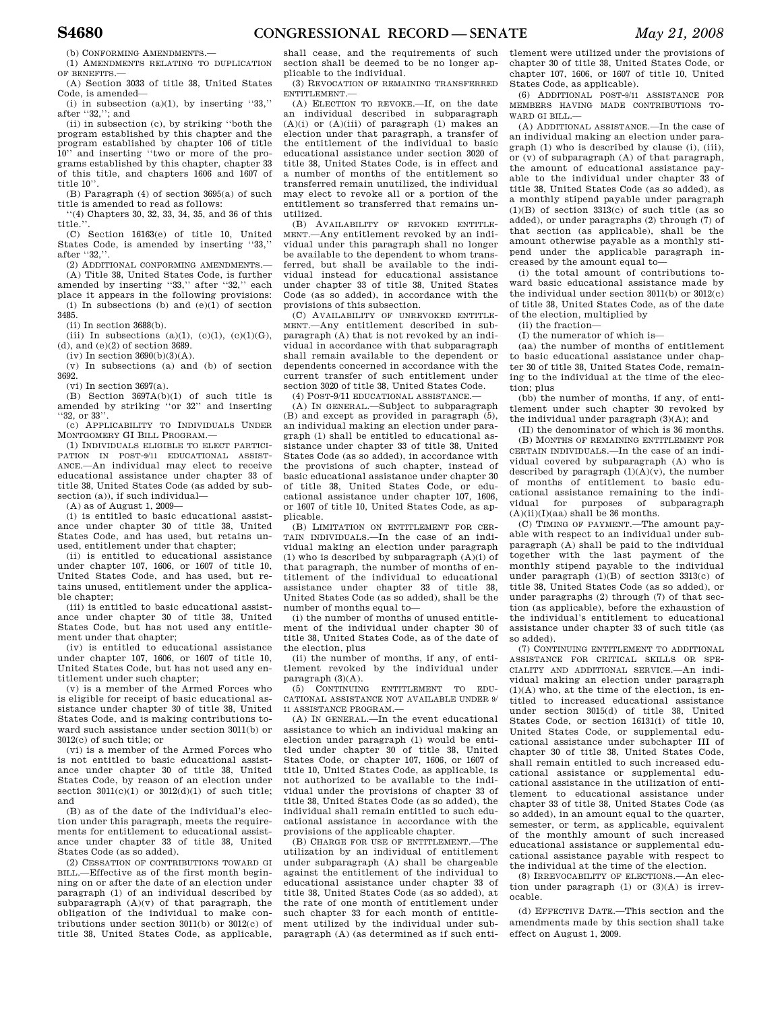(b) CONFORMING AMENDMENTS.—

(1) AMENDMENTS RELATING TO DUPLICATION OF BENEFITS.—

(A) Section 3033 of title 38, United States Code, is amended—

(i) in subsection (a)(1), by inserting "33," after ''32,''; and

(ii) in subsection (c), by striking ''both the program established by this chapter and the program established by chapter 106 of title 10'' and inserting ''two or more of the programs established by this chapter, chapter 33 of this title, and chapters 1606 and 1607 of title 10''.

(B) Paragraph (4) of section 3695(a) of such title is amended to read as follows:

''(4) Chapters 30, 32, 33, 34, 35, and 36 of this title.'

(C) Section 16163(e) of title 10, United States Code, is amended by inserting ''33,'' after ''32,''.

(2) ADDITIONAL CONFORMING AMENDMENTS.— (A) Title 38, United States Code, is further amended by inserting ''33,'' after ''32,'' each

place it appears in the following provisions: (i) In subsections (b) and  $(e)(1)$  of section

3485. (ii) In section 3688(b).

(iii) In subsections (a)(1),  $(c)(1)$ ,  $(c)(1)(G)$ ,

(d), and (e)(2) of section 3689.  $(iv)$  In section  $3690(b)(3)(A)$ .

(v) In subsections (a) and (b) of section 3692.

 $(vi)$  In section  $3697(a)$ .

(B) Section 3697A(b)(1) of such title is amended by striking ''or 32'' and inserting ''32, or 33''.

(c) APPLICABILITY TO INDIVIDUALS UNDER MONTGOMERY GI BILL PROGRAM.—

(1) INDIVIDUALS ELIGIBLE TO ELECT PARTICI-PATION IN POST-9/11 EDUCATIONAL ASSIST-ANCE.—An individual may elect to receive educational assistance under chapter 33 of title 38, United States Code (as added by subsection (a)), if such individual—

(A) as of August 1, 2009—

(i) is entitled to basic educational assistance under chapter 30 of title 38, United States Code, and has used, but retains unused, entitlement under that chapter;

(ii) is entitled to educational assistance under chapter 107, 1606, or 1607 of title 10, United States Code, and has used, but retains unused, entitlement under the applicable chapter;

(iii) is entitled to basic educational assistance under chapter 30 of title 38, United States Code, but has not used any entitlement under that chapter;

(iv) is entitled to educational assistance under chapter 107, 1606, or 1607 of title 10, United States Code, but has not used any entitlement under such chapter;

(v) is a member of the Armed Forces who is eligible for receipt of basic educational assistance under chapter 30 of title 38, United States Code, and is making contributions toward such assistance under section 3011(b) or 3012(c) of such title; or

(vi) is a member of the Armed Forces who is not entitled to basic educational assistance under chapter 30 of title 38, United States Code, by reason of an election under section  $3011(c)(1)$  or  $3012(d)(1)$  of such title; and

(B) as of the date of the individual's election under this paragraph, meets the requirements for entitlement to educational assistance under chapter 33 of title 38, United States Code (as so added).

(2) CESSATION OF CONTRIBUTIONS TOWARD GI BILL.—Effective as of the first month beginning on or after the date of an election under paragraph (1) of an individual described by subparagraph (A)(v) of that paragraph, the obligation of the individual to make contributions under section 3011(b) or 3012(c) of title 38, United States Code, as applicable,

shall cease, and the requirements of such section shall be deemed to be no longer applicable to the individual.

(3) REVOCATION OF REMAINING TRANSFERRED ENTITLEMENT.—

(A) ELECTION TO REVOKE.—If, on the date an individual described in subparagraph  $(A)(i)$  or  $(A)(iii)$  of paragraph  $(1)$  makes an election under that paragraph, a transfer of the entitlement of the individual to basic educational assistance under section 3020 of title 38, United States Code, is in effect and a number of months of the entitlement so transferred remain unutilized, the individual may elect to revoke all or a portion of the entitlement so transferred that remains unutilized.

(B) AVAILABILITY OF REVOKED ENTITLE-MENT.—Any entitlement revoked by an individual under this paragraph shall no longer be available to the dependent to whom transferred, but shall be available to the individual instead for educational assistance under chapter 33 of title 38, United States Code (as so added), in accordance with the provisions of this subsection.

(C) AVAILABILITY OF UNREVOKED ENTITLE-MENT.—Any entitlement described in subparagraph (A) that is not revoked by an individual in accordance with that subparagraph shall remain available to the dependent or dependents concerned in accordance with the current transfer of such entitlement under section 3020 of title 38, United States Code.

(4) POST-9/11 EDUCATIONAL ASSISTANCE.—

(A) IN GENERAL.—Subject to subparagraph (B) and except as provided in paragraph (5), an individual making an election under paragraph (1) shall be entitled to educational assistance under chapter 33 of title 38, United States Code (as so added), in accordance with the provisions of such chapter, instead of basic educational assistance under chapter 30 of title 38, United States Code, or edu-cational assistance under chapter 107, 1606, or 1607 of title 10, United States Code, as applicable.

(B) LIMITATION ON ENTITLEMENT FOR CER-TAIN INDIVIDUALS.—In the case of an individual making an election under paragraph (1) who is described by subparagraph (A)(i) of that paragraph, the number of months of entitlement of the individual to educational assistance under chapter 33 of title 38, United States Code (as so added), shall be the number of months equal to—

(i) the number of months of unused entitlement of the individual under chapter 30 of title 38, United States Code, as of the date of the election, plus

(ii) the number of months, if any, of entitlement revoked by the individual under paragraph (3)(A).

(5) CONTINUING ENTITLEMENT TO EDU-CATIONAL ASSISTANCE NOT AVAILABLE UNDER 9/ 11 ASSISTANCE PROGRAM.—

(A) IN GENERAL.—In the event educational assistance to which an individual making an election under paragraph (1) would be entitled under chapter 30 of title 38, United States Code, or chapter 107, 1606, or 1607 of title 10, United States Code, as applicable, is not authorized to be available to the individual under the provisions of chapter 33 of title 38, United States Code (as so added), the individual shall remain entitled to such educational assistance in accordance with the provisions of the applicable chapter.

(B) CHARGE FOR USE OF ENTITLEMENT.—The utilization by an individual of entitlement under subparagraph (A) shall be chargeable against the entitlement of the individual to educational assistance under chapter 33 of title 38, United States Code (as so added), at the rate of one month of entitlement under such chapter 33 for each month of entitlement utilized by the individual under subparagraph (A) (as determined as if such enti-

tlement were utilized under the provisions of chapter 30 of title 38, United States Code, or chapter 107, 1606, or 1607 of title 10, United States Code, as applicable).

(6) ADDITIONAL POST-9/11 ASSISTANCE FOR MEMBERS HAVING MADE CONTRIBUTIONS TO-WARD GI BILL.—

(A) ADDITIONAL ASSISTANCE.—In the case of an individual making an election under paragraph (1) who is described by clause (i), (iii), or (v) of subparagraph (A) of that paragraph, the amount of educational assistance payable to the individual under chapter 33 of title 38, United States Code (as so added), as a monthly stipend payable under paragraph (1)(B) of section 3313(c) of such title (as so added), or under paragraphs (2) through (7) of that section (as applicable), shall be the amount otherwise payable as a monthly stipend under the applicable paragraph increased by the amount equal to—

(i) the total amount of contributions toward basic educational assistance made by the individual under section 3011(b) or 3012(c) of title 38, United States Code, as of the date of the election, multiplied by

(ii) the fraction—

(I) the numerator of which is—

(aa) the number of months of entitlement to basic educational assistance under chapter 30 of title 38, United States Code, remaining to the individual at the time of the election; plus

(bb) the number of months, if any, of entitlement under such chapter 30 revoked by the individual under paragraph (3)(A); and

(II) the denominator of which is 36 months. (B) MONTHS OF REMAINING ENTITLEMENT FOR CERTAIN INDIVIDUALS.—In the case of an individual covered by subparagraph (A) who is described by paragraph  $(1)(A)(v)$ , the number of months of entitlement to basic educational assistance remaining to the individual for purposes of subparagraph  $(A)(ii)(I)(aa)$  shall be 36 months.

(C) TIMING OF PAYMENT.—The amount payable with respect to an individual under subparagraph (A) shall be paid to the individual together with the last payment of the monthly stipend payable to the individual under paragraph (1)(B) of section 3313(c) of title 38, United States Code (as so added), or under paragraphs (2) through (7) of that section (as applicable), before the exhaustion of the individual's entitlement to educational assistance under chapter 33 of such title (as so added).

(7) CONTINUING ENTITLEMENT TO ADDITIONAL ASSISTANCE FOR CRITICAL SKILLS OR SPE-CIALITY AND ADDITIONAL SERVICE.—An individual making an election under paragraph  $(1)(A)$  who, at the time of the election, is entitled to increased educational assistance under section 3015(d) of title 38, United States Code, or section 16131(i) of title 10, United States Code, or supplemental educational assistance under subchapter III of chapter 30 of title 38, United States Code, shall remain entitled to such increased educational assistance or supplemental educational assistance in the utilization of entitlement to educational assistance under chapter 33 of title 38, United States Code (as so added), in an amount equal to the quarter, semester, or term, as applicable, equivalent of the monthly amount of such increased educational assistance or supplemental educational assistance payable with respect to the individual at the time of the election.

(8) IRREVOCABILITY OF ELECTIONS.—An election under paragraph  $(1)$  or  $(3)(A)$  is irrevocable.

(d) EFFECTIVE DATE.—This section and the amendments made by this section shall take effect on August 1, 2009.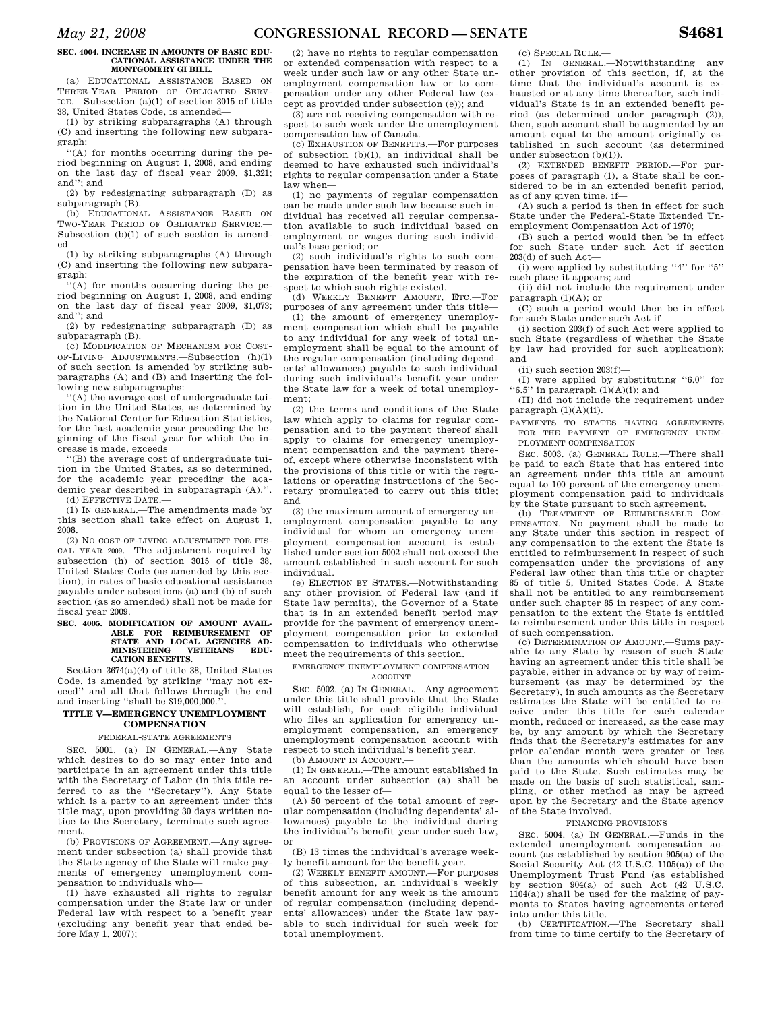#### **SEC. 4004. INCREASE IN AMOUNTS OF BASIC EDU-CATIONAL ASSISTANCE UNDER THE MONTGOMERY GI BILL.**

(a) EDUCATIONAL ASSISTANCE BASED ON THREE-YEAR PERIOD OF OBLIGATED SERV-ICE.—Subsection (a)(1) of section 3015 of title 38, United States Code, is amended—

(1) by striking subparagraphs (A) through (C) and inserting the following new subparagraph:

''(A) for months occurring during the period beginning on August 1, 2008, and ending on the last day of fiscal year 2009, \$1,321; and''; and

(2) by redesignating subparagraph (D) as subparagraph (B).

(b) EDUCATIONAL ASSISTANCE BASED ON TWO-YEAR PERIOD OF OBLIGATED SERVICE.— Subsection (b)(1) of such section is amended—

(1) by striking subparagraphs (A) through (C) and inserting the following new subparagraph:

''(A) for months occurring during the period beginning on August 1, 2008, and ending on the last day of fiscal year 2009, \$1,073; and''; and

(2) by redesignating subparagraph (D) as subparagraph (B).

(c) MODIFICATION OF MECHANISM FOR COST-OF-LIVING ADJUSTMENTS.—Subsection (h)(1) of such section is amended by striking subparagraphs (A) and (B) and inserting the following new subparagraphs:

''(A) the average cost of undergraduate tuition in the United States, as determined by the National Center for Education Statistics, for the last academic year preceding the beginning of the fiscal year for which the increase is made, exceeds

''(B) the average cost of undergraduate tuition in the United States, as so determined, for the academic year preceding the academic year described in subparagraph (A).''.

(d) EFFECTIVE DATE.—

(1) IN GENERAL.—The amendments made by this section shall take effect on August 1, 2008.

(2) NO COST-OF-LIVING ADJUSTMENT FOR FIS-CAL YEAR 2009.—The adjustment required by subsection (h) of section 3015 of title 38, United States Code (as amended by this section), in rates of basic educational assistance payable under subsections (a) and (b) of such section (as so amended) shall not be made for fiscal year 2009.

## **SEC. 4005. MODIFICATION OF AMOUNT AVAIL-ABLE FOR REIMBURSEMENT OF STATE AND LOCAL AGENCIES AD-MINISTERING VETERANS EDU-CATION BENEFITS.**

Section 3674(a)(4) of title 38, United States Code, is amended by striking ''may not exceed'' and all that follows through the end and inserting "shall be  $$19,000,000$ ."

## **TITLE V—EMERGENCY UNEMPLOYMENT COMPENSATION**

## FEDERAL-STATE AGREEMENTS

SEC. 5001. (a) IN GENERAL.—Any State which desires to do so may enter into and participate in an agreement under this title with the Secretary of Labor (in this title referred to as the ''Secretary''). Any State which is a party to an agreement under this title may, upon providing 30 days written notice to the Secretary, terminate such agreement.

(b) PROVISIONS OF AGREEMENT.—Any agreement under subsection (a) shall provide that the State agency of the State will make payments of emergency unemployment compensation to individuals who—

(1) have exhausted all rights to regular compensation under the State law or under Federal law with respect to a benefit year (excluding any benefit year that ended before May 1, 2007);

(2) have no rights to regular compensation or extended compensation with respect to a week under such law or any other State unemployment compensation law or to compensation under any other Federal law (except as provided under subsection (e)); and

(3) are not receiving compensation with respect to such week under the unemployment compensation law of Canada.

(c) EXHAUSTION OF BENEFITS.—For purposes of subsection (b)(1), an individual shall be deemed to have exhausted such individual's rights to regular compensation under a State law when—

(1) no payments of regular compensation can be made under such law because such individual has received all regular compensation available to such individual based on employment or wages during such individual's base period; or

(2) such individual's rights to such compensation have been terminated by reason of the expiration of the benefit year with respect to which such rights existed.

(d) WEEKLY BENEFIT AMOUNT, ETC.—For purposes of any agreement under this title—

(1) the amount of emergency unemployment compensation which shall be payable to any individual for any week of total unemployment shall be equal to the amount of the regular compensation (including dependents' allowances) payable to such individual during such individual's benefit year under the State law for a week of total unemployment;

(2) the terms and conditions of the State law which apply to claims for regular compensation and to the payment thereof shall apply to claims for emergency unemployment compensation and the payment thereof, except where otherwise inconsistent with the provisions of this title or with the regulations or operating instructions of the Secretary promulgated to carry out this title; and

(3) the maximum amount of emergency unemployment compensation payable to any individual for whom an emergency unemployment compensation account is established under section 5002 shall not exceed the amount established in such account for such individual.

(e) ELECTION BY STATES.—Notwithstanding any other provision of Federal law (and if State law permits), the Governor of a State that is in an extended benefit period may provide for the payment of emergency unemployment compensation prior to extended compensation to individuals who otherwise meet the requirements of this section.

EMERGENCY UNEMPLOYMENT COMPENSATION

## ACCOUNT

SEC. 5002. (a) IN GENERAL.—Any agreement under this title shall provide that the State will establish, for each eligible individual who files an application for emergency unemployment compensation, an emergency unemployment compensation account with respect to such individual's benefit year.

(b) AMOUNT IN ACCOUNT.—

(1) IN GENERAL.—The amount established in an account under subsection (a) shall be equal to the lesser of-

(A) 50 percent of the total amount of regular compensation (including dependents' allowances) payable to the individual during the individual's benefit year under such law, or

(B) 13 times the individual's average weekly benefit amount for the benefit year.

(2) WEEKLY BENEFIT AMOUNT.—For purposes of this subsection, an individual's weekly benefit amount for any week is the amount of regular compensation (including dependents' allowances) under the State law payable to such individual for such week for total unemployment.

(c) SPECIAL RULE.—

(1) IN GENERAL.—Notwithstanding any other provision of this section, if, at the time that the individual's account is exhausted or at any time thereafter, such individual's State is in an extended benefit period (as determined under paragraph (2)), then, such account shall be augmented by an amount equal to the amount originally established in such account (as determined under subsection (b)(1)).

(2) EXTENDED BENEFIT PERIOD.—For purposes of paragraph (1), a State shall be considered to be in an extended benefit period, as of any given time, if—

(A) such a period is then in effect for such State under the Federal-State Extended Unemployment Compensation Act of 1970;

(B) such a period would then be in effect for such State under such Act if section  $203(d)$  of such Act—

(i) were applied by substituting ''4'' for ''5'' each place it appears; and

(ii) did not include the requirement under paragraph  $(1)(A)$ ; or

(C) such a period would then be in effect for such State under such Act if—

(i) section 203(f) of such Act were applied to such State (regardless of whether the State by law had provided for such application); and

(ii) such section 203(f)—

(I) were applied by substituting ''6.0'' for ''6.5" in paragraph  $(1)(A)(i)$ ; and

(II) did not include the requirement under  $\text{paramh}(1)(\text{A})(\text{ii}).$ 

PAYMENTS TO STATES HAVING AGREEMENTS FOR THE PAYMENT OF EMERGENCY UNEM-PLOYMENT COMPENSATION

SEC. 5003. (a) GENERAL RULE.—There shall be paid to each State that has entered into an agreement under this title an amount equal to 100 percent of the emergency unemployment compensation paid to individuals

by the State pursuant to such agreement. (b) TREATMENT OF REIMBURSABLE COM-PENSATION.—No payment shall be made to any State under this section in respect of any compensation to the extent the State is entitled to reimbursement in respect of such compensation under the provisions of any Federal law other than this title or chapter 85 of title 5, United States Code. A State shall not be entitled to any reimbursement under such chapter 85 in respect of any compensation to the extent the State is entitled to reimbursement under this title in respect of such compensation.

(c) DETERMINATION OF AMOUNT.—Sums payable to any State by reason of such State having an agreement under this title shall be payable, either in advance or by way of reimbursement (as may be determined by the Secretary), in such amounts as the Secretary estimates the State will be entitled to receive under this title for each calendar month, reduced or increased, as the case may be, by any amount by which the Secretary finds that the Secretary's estimates for any prior calendar month were greater or less than the amounts which should have been paid to the State. Such estimates may be made on the basis of such statistical, sampling, or other method as may be agreed upon by the Secretary and the State agency of the State involved.

## FINANCING PROVISIONS

SEC. 5004. (a) IN GENERAL.—Funds in the extended unemployment compensation account (as established by section 905(a) of the Social Security Act (42 U.S.C. 1105(a)) of the Unemployment Trust Fund (as established by section 904(a) of such Act (42 U.S.C. 1104(a)) shall be used for the making of payments to States having agreements entered into under this title.

(b) CERTIFICATION.—The Secretary shall from time to time certify to the Secretary of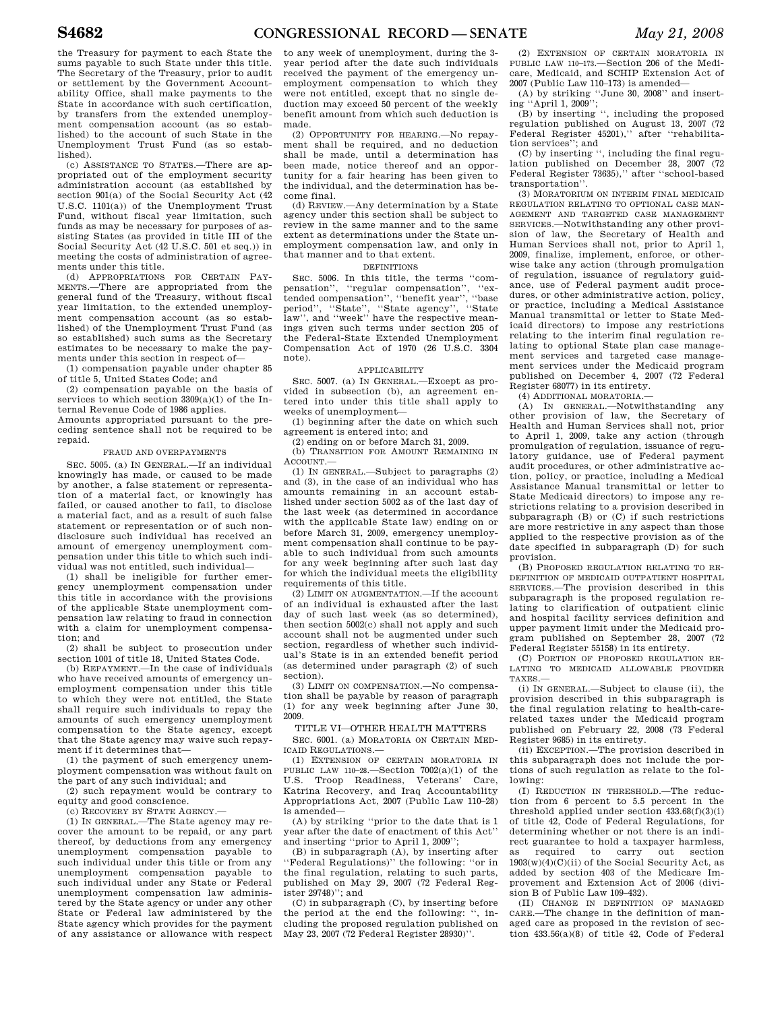the Treasury for payment to each State the sums payable to such State under this title. The Secretary of the Treasury, prior to audit or settlement by the Government Accountability Office, shall make payments to the State in accordance with such certification, by transfers from the extended unemployment compensation account (as so established) to the account of such State in the Unemployment Trust Fund (as so established).

(c) ASSISTANCE TO STATES.—There are appropriated out of the employment security administration account (as established by section 901(a) of the Social Security Act (42 U.S.C. 1101(a)) of the Unemployment Trust Fund, without fiscal year limitation, such funds as may be necessary for purposes of assisting States (as provided in title III of the Social Security Act (42 U.S.C. 501 et seq.)) in meeting the costs of administration of agreements under this title.

(d) APPROPRIATIONS FOR CERTAIN PAY-MENTS.—There are appropriated from the general fund of the Treasury, without fiscal year limitation, to the extended unemployment compensation account (as so established) of the Unemployment Trust Fund (as so established) such sums as the Secretary estimates to be necessary to make the payments under this section in respect of—

(1) compensation payable under chapter 85 of title 5, United States Code; and

(2) compensation payable on the basis of services to which section 3309(a)(1) of the Internal Revenue Code of 1986 applies. Amounts appropriated pursuant to the pre-

ceding sentence shall not be required to be repaid.

## FRAUD AND OVERPAYMENTS

SEC. 5005. (a) IN GENERAL.—If an individual knowingly has made, or caused to be made by another, a false statement or representation of a material fact, or knowingly has failed, or caused another to fail, to disclose a material fact, and as a result of such false statement or representation or of such nondisclosure such individual has received an amount of emergency unemployment compensation under this title to which such individual was not entitled, such individual—

(1) shall be ineligible for further emergency unemployment compensation under this title in accordance with the provisions of the applicable State unemployment compensation law relating to fraud in connection with a claim for unemployment compensation; and

(2) shall be subject to prosecution under section 1001 of title 18, United States Code.

(b) REPAYMENT.—In the case of individuals who have received amounts of emergency unemployment compensation under this title to which they were not entitled, the State shall require such individuals to repay the amounts of such emergency unemployment compensation to the State agency, except that the State agency may waive such repayment if it determines that—

(1) the payment of such emergency unemployment compensation was without fault on the part of any such individual; and

(2) such repayment would be contrary to equity and good conscience.

(c) RECOVERY BY STATE AGENCY.—

(1) IN GENERAL.—The State agency may recover the amount to be repaid, or any part thereof, by deductions from any emergency unemployment compensation payable to such individual under this title or from any unemployment compensation payable to such individual under any State or Federal unemployment compensation law administered by the State agency or under any other State or Federal law administered by the State agency which provides for the payment of any assistance or allowance with respect to any week of unemployment, during the 3 year period after the date such individuals received the payment of the emergency unemployment compensation to which they were not entitled, except that no single deduction may exceed 50 percent of the weekly benefit amount from which such deduction is made.

(2) OPPORTUNITY FOR HEARING.—No repayment shall be required, and no deduction shall be made, until a determination has been made, notice thereof and an opportunity for a fair hearing has been given to the individual, and the determination has become final.

(d) REVIEW.—Any determination by a State agency under this section shall be subject to review in the same manner and to the same extent as determinations under the State unemployment compensation law, and only in that manner and to that extent.

## DEFINITIONS

SEC. 5006. In this title, the terms ''compensation'', ''regular compensation'', ''ex-tended compensation'', ''benefit year'', ''base period'', ''State'', ''State agency'', ''State law'', and ''week'' have the respective meanings given such terms under section 205 of the Federal-State Extended Unemployment Compensation Act of 1970 (26 U.S.C. 3304 note).

#### APPLICABILITY

SEC. 5007. (a) IN GENERAL.—Except as provided in subsection (b), an agreement entered into under this title shall apply to weeks of unemployment—

(1) beginning after the date on which such agreement is entered into; and

(2) ending on or before March 31, 2009. (b) TRANSITION FOR AMOUNT REMAINING IN ACCOUNT.—

(1) IN GENERAL.—Subject to paragraphs (2) and (3), in the case of an individual who has amounts remaining in an account established under section 5002 as of the last day of the last week (as determined in accordance with the applicable State law) ending on or before March 31, 2009, emergency unemployment compensation shall continue to be payable to such individual from such amounts for any week beginning after such last day for which the individual meets the eligibility requirements of this title.

(2) LIMIT ON AUGMENTATION.—If the account of an individual is exhausted after the last day of such last week (as so determined), then section 5002(c) shall not apply and such account shall not be augmented under such section, regardless of whether such individual's State is in an extended benefit period (as determined under paragraph (2) of such section).

(3) LIMIT ON COMPENSATION.—No compensation shall be payable by reason of paragraph (1) for any week beginning after June 30, 2009.

TITLE VI—OTHER HEALTH MATTERS

SEC. 6001. (a) MORATORIA ON CERTAIN MED-ICAID REGULATIONS.—

(1) EXTENSION OF CERTAIN MORATORIA IN PUBLIC LAW 110–28.—Section 7002(a)(1) of the U.S. Troop Readiness, Veterans' Care, Katrina Recovery, and Iraq Accountability Appropriations Act, 2007 (Public Law 110–28) is amended—

(A) by striking ''prior to the date that is 1 year after the date of enactment of this Act'' and inserting ''prior to April 1, 2009'';

(B) in subparagraph (A), by inserting after ''Federal Regulations)'' the following: ''or in the final regulation, relating to such parts, published on May 29, 2007 (72 Federal Register 29748)''; and

(C) in subparagraph (C), by inserting before the period at the end the following: '', including the proposed regulation published on May 23, 2007 (72 Federal Register 28930)''.

(2) EXTENSION OF CERTAIN MORATORIA IN PUBLIC LAW 110–173.—Section 206 of the Medicare, Medicaid, and SCHIP Extension Act of 2007 (Public Law 110–173) is amended—

(A) by striking ''June 30, 2008'' and insert-ing ''April 1, 2009'';

(B) by inserting '', including the proposed regulation published on August 13, 2007 (72 Federal Register 45201),'' after ''rehabilitation services''; and

(C) by inserting '', including the final regulation published on December 28, 2007 (72 Federal Register 73635),'' after ''school-based transportation''.

(3) MORATORIUM ON INTERIM FINAL MEDICAID REGULATION RELATING TO OPTIONAL CASE MAN-AGEMENT AND TARGETED CASE MANAGEMENT SERVICES.—Notwithstanding any other provision of law, the Secretary of Health and Human Services shall not, prior to April 1, 2009, finalize, implement, enforce, or otherwise take any action (through promulgation of regulation, issuance of regulatory guidance, use of Federal payment audit procedures, or other administrative action, policy, or practice, including a Medical Assistance Manual transmittal or letter to State Medicaid directors) to impose any restrictions relating to the interim final regulation relating to optional State plan case management services and targeted case management services under the Medicaid program published on December 4, 2007 (72 Federal Register 68077) in its entirety.

(4) ADDITIONAL MORATORIA.—

(A) IN GENERAL.—Notwithstanding any other provision of law, the Secretary of Health and Human Services shall not, prior to April 1, 2009, take any action (through promulgation of regulation, issuance of regulatory guidance, use of Federal payment audit procedures, or other administrative action, policy, or practice, including a Medical Assistance Manual transmittal or letter to State Medicaid directors) to impose any restrictions relating to a provision described in subparagraph (B) or (C) if such restrictions are more restrictive in any aspect than those applied to the respective provision as of the date specified in subparagraph (D) for such provision.

(B) PROPOSED REGULATION RELATING TO RE-DEFINITION OF MEDICAID OUTPATIENT HOSPITAL SERVICES.—The provision described in this subparagraph is the proposed regulation relating to clarification of outpatient clinic and hospital facility services definition and upper payment limit under the Medicaid program published on September 28, 2007 (72 Federal Register 55158) in its entirety.

(C) PORTION OF PROPOSED REGULATION RE-LATING TO MEDICAID ALLOWABLE PROVIDER TAXES.—

(i) IN GENERAL.—Subject to clause (ii), the provision described in this subparagraph is the final regulation relating to health-carerelated taxes under the Medicaid program published on February 22, 2008 (73 Federal Register 9685) in its entirety.

(ii) EXCEPTION.—The provision described in this subparagraph does not include the portions of such regulation as relate to the following:

(I) REDUCTION IN THRESHOLD.—The reduction from 6 percent to 5.5 percent in the threshold applied under section 433.68(f)(3)(i) of title 42, Code of Federal Regulations, for determining whether or not there is an indirect guarantee to hold a taxpayer harmless, required to carry out section  $1903(w)(4)(C)(ii)$  of the Social Security Act, as added by section 403 of the Medicare Improvement and Extension Act of 2006 (division B of Public Law 109–432).

(II) CHANGE IN DEFINITION OF MANAGED CARE.—The change in the definition of managed care as proposed in the revision of section 433.56(a)(8) of title 42, Code of Federal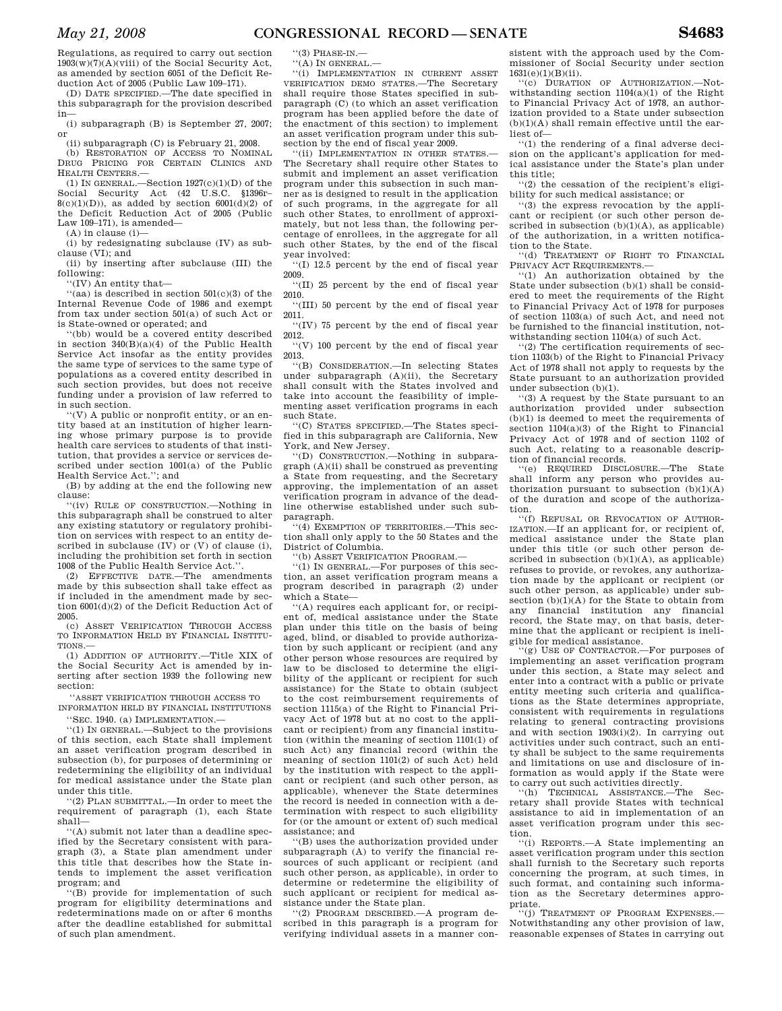(D) DATE SPECIFIED.—The date specified in this subparagraph for the provision described in—

(i) subparagraph (B) is September 27, 2007; or

(ii) subparagraph (C) is February 21, 2008. (b) RESTORATION OF ACCESS TO NOMINAL DRUG PRICING FOR CERTAIN CLINICS AND HEALTH CENTERS.—

(1) IN GENERAL.—Section  $1927(c)(1)(D)$  of the Social Security Act (42 U.S.C. §1396r–  $8(c)(1)(D)$ , as added by section  $6001(d)(2)$  of the Deficit Reduction Act of 2005 (Public Law 109–171), is amended—

(A) in clause (i)—

(i) by redesignating subclause (IV) as subclause (VI); and

(ii) by inserting after subclause (III) the following:

''(IV) An entity that—

 $(aa)$  is described in section  $501(c)(3)$  of the Internal Revenue Code of 1986 and exempt from tax under section 501(a) of such Act or is State-owned or operated; and

''(bb) would be a covered entity described in section  $340(B)(a)(4)$  of the Public Health Service Act insofar as the entity provides the same type of services to the same type of populations as a covered entity described in such section provides, but does not receive funding under a provision of law referred to in such section.

''(V) A public or nonprofit entity, or an entity based at an institution of higher learning whose primary purpose is to provide health care services to students of that institution, that provides a service or services described under section 1001(a) of the Public Health Service Act.''; and

(B) by adding at the end the following new clause:

''(iv) RULE OF CONSTRUCTION.—Nothing in this subparagraph shall be construed to alter any existing statutory or regulatory prohibition on services with respect to an entity described in subclause  $(IV)$  or  $(V)$  of clause (i), including the prohibition set forth in section 1008 of the Public Health Service Act.'

(2) EFFECTIVE DATE.—The amendments made by this subsection shall take effect as if included in the amendment made by section 6001(d)(2) of the Deficit Reduction Act of 2005.

(c) ASSET VERIFICATION THROUGH ACCESS TO INFORMATION HELD BY FINANCIAL INSTITU-TIONS.—

(1) ADDITION OF AUTHORITY.—Title XIX of the Social Security Act is amended by inserting after section 1939 the following new section:

''ASSET VERIFICATION THROUGH ACCESS TO INFORMATION HELD BY FINANCIAL INSTITUTIONS

''SEC. 1940. (a) IMPLEMENTATION.—

''(1) IN GENERAL.—Subject to the provisions of this section, each State shall implement an asset verification program described in subsection (b), for purposes of determining or redetermining the eligibility of an individual for medical assistance under the State plan under this title.

''(2) PLAN SUBMITTAL.—In order to meet the requirement of paragraph (1), each State shall—

''(A) submit not later than a deadline specified by the Secretary consistent with paragraph (3), a State plan amendment under this title that describes how the State intends to implement the asset verification program; and

''(B) provide for implementation of such program for eligibility determinations and redeterminations made on or after 6 months after the deadline established for submittal of such plan amendment.

 $''(3)$  PHASE-IN.-

 $``(A)$  In GENERAL.

''(i) IMPLEMENTATION IN CURRENT ASSET VERIFICATION DEMO STATES.—The Secretary shall require those States specified in subparagraph (C) (to which an asset verification program has been applied before the date of the enactment of this section) to implement an asset verification program under this subsection by the end of fiscal year 2009.

''(ii) IMPLEMENTATION IN OTHER STATES.— The Secretary shall require other States to submit and implement an asset verification program under this subsection in such manner as is designed to result in the application of such programs, in the aggregate for all such other States, to enrollment of approximately, but not less than, the following percentage of enrollees, in the aggregate for all such other States, by the end of the fiscal year involved:

''(I) 12.5 percent by the end of fiscal year 2009.

''(II) 25 percent by the end of fiscal year 2010. ''(III) 50 percent by the end of fiscal year

2011.

''(IV) 75 percent by the end of fiscal year 2012.

''(V) 100 percent by the end of fiscal year 2013.

''(B) CONSIDERATION.—In selecting States under subparagraph (A)(ii), the Secretary shall consult with the States involved and take into account the feasibility of implementing asset verification programs in each such State.

''(C) STATES SPECIFIED.—The States specified in this subparagraph are California, New York, and New Jersey.

''(D) CONSTRUCTION.—Nothing in subparagraph (A)(ii) shall be construed as preventing a State from requesting, and the Secretary approving, the implementation of an asset verification program in advance of the deadline otherwise established under such subparagraph.

''(4) EXEMPTION OF TERRITORIES.—This section shall only apply to the 50 States and the District of Columbia.

(b) ASSET VERIFICATION PROGRAM.

 $''(1)$  In GENERAL.—For purposes of this section, an asset verification program means a program described in paragraph (2) under which a State—

''(A) requires each applicant for, or recipient of, medical assistance under the State plan under this title on the basis of being aged, blind, or disabled to provide authorization by such applicant or recipient (and any other person whose resources are required by law to be disclosed to determine the eligibility of the applicant or recipient for such assistance) for the State to obtain (subject to the cost reimbursement requirements of section 1115(a) of the Right to Financial Privacy Act of 1978 but at no cost to the applicant or recipient) from any financial institution (within the meaning of section 1101(1) of such Act) any financial record (within the meaning of section 1101(2) of such Act) held by the institution with respect to the applicant or recipient (and such other person, as applicable), whenever the State determines the record is needed in connection with a determination with respect to such eligibility for (or the amount or extent of) such medical assistance; and

''(B) uses the authorization provided under subparagraph (A) to verify the financial resources of such applicant or recipient (and such other person, as applicable), in order to determine or redetermine the eligibility of such applicant or recipient for medical assistance under the State plan.

''(2) PROGRAM DESCRIBED.—A program described in this paragraph is a program for verifying individual assets in a manner con-

sistent with the approach used by the Commissioner of Social Security under section  $1631(e)(1)(B)(ii)$ .

''(c) DURATION OF AUTHORIZATION.—Notwithstanding section 1104(a)(1) of the Right to Financial Privacy Act of 1978, an authorization provided to a State under subsection  $(b)(1)(A)$  shall remain effective until the earliest of—

''(1) the rendering of a final adverse decision on the applicant's application for medical assistance under the State's plan under this title;

''(2) the cessation of the recipient's eligibility for such medical assistance; or

''(3) the express revocation by the applicant or recipient (or such other person described in subsection (b)(1)(A), as applicable) of the authorization, in a written notification to the State.

''(d) TREATMENT OF RIGHT TO FINANCIAL PRIVACY ACT REQUIREMENTS.—

''(1) An authorization obtained by the State under subsection (b)(1) shall be considered to meet the requirements of the Right to Financial Privacy Act of 1978 for purposes of section 1103(a) of such Act, and need not be furnished to the financial institution, notwithstanding section 1104(a) of such Act.

''(2) The certification requirements of section 1103(b) of the Right to Financial Privacy Act of 1978 shall not apply to requests by the State pursuant to an authorization provided under subsection (b)(1).

''(3) A request by the State pursuant to an authorization provided under subsection (b)(1) is deemed to meet the requirements of section  $1104(a)(3)$  of the Right to Financial Privacy Act of 1978 and of section 1102 of such Act, relating to a reasonable description of financial records.

''(e) REQUIRED DISCLOSURE.—The State shall inform any person who provides authorization pursuant to subsection  $(b)(1)(A)$ of the duration and scope of the authorization.

''(f) REFUSAL OR REVOCATION OF AUTHOR-IZATION.—If an applicant for, or recipient of, medical assistance under the State plan under this title (or such other person described in subsection  $(b)(1)(A)$ , as applicable) refuses to provide, or revokes, any authorization made by the applicant or recipient (or such other person, as applicable) under subsection  $(b)(1)(A)$  for the State to obtain from any financial institution any financial record, the State may, on that basis, determine that the applicant or recipient is ineligible for medical assistance.

''(g) USE OF CONTRACTOR.—For purposes of implementing an asset verification program under this section, a State may select and enter into a contract with a public or private entity meeting such criteria and qualifications as the State determines appropriate, consistent with requirements in regulations relating to general contracting provisions and with section 1903(i)(2). In carrying out activities under such contract, such an entity shall be subject to the same requirements and limitations on use and disclosure of information as would apply if the State were to carry out such activities directly.

''(h) TECHNICAL ASSISTANCE.—The Secretary shall provide States with technical assistance to aid in implementation of an asset verification program under this section.

''(i) REPORTS.—A State implementing an asset verification program under this section shall furnish to the Secretary such reports concerning the program, at such times, in such format, and containing such information as the Secretary determines appropriate. ''(j) TREATMENT OF PROGRAM EXPENSES.—

Notwithstanding any other provision of law, reasonable expenses of States in carrying out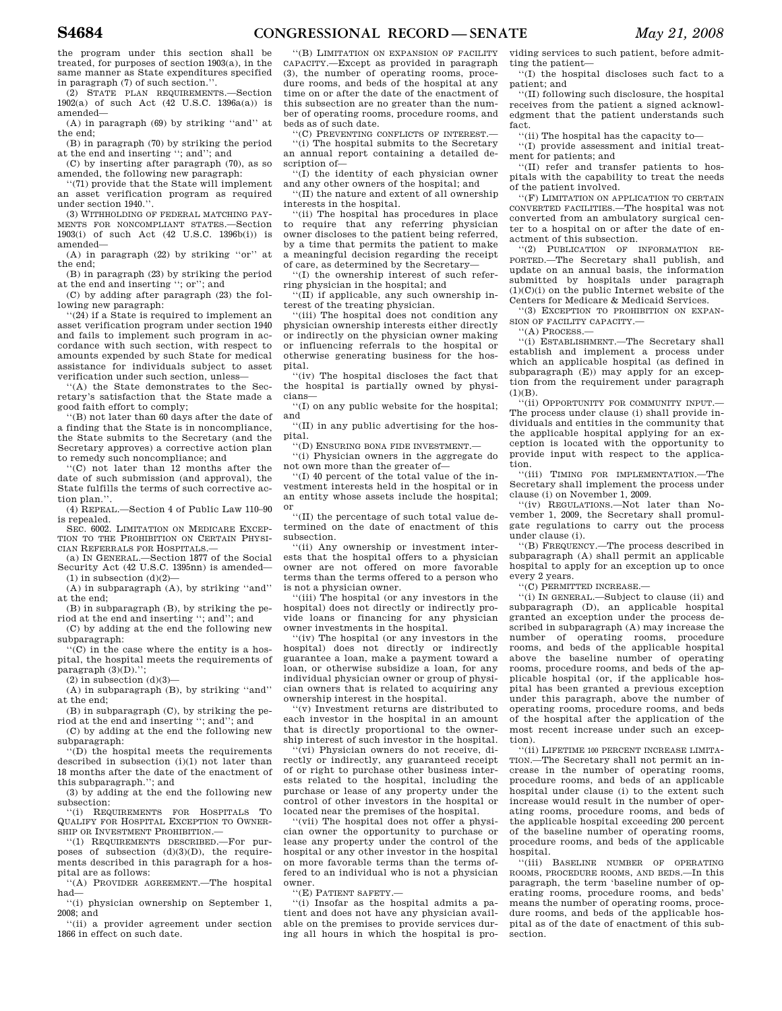the program under this section shall be treated, for purposes of section 1903(a), in the same manner as State expenditures specified in paragraph (7) of such section."

(2) STATE PLAN REQUIREMENTS.—Section 1902(a) of such Act (42 U.S.C. 1396a(a)) is amended—

(A) in paragraph (69) by striking ''and'' at the end;

(B) in paragraph (70) by striking the period at the end and inserting ''; and''; and

(C) by inserting after paragraph (70), as so amended, the following new paragraph:

''(71) provide that the State will implement an asset verification program as required under section 1940.''.

(3) WITHHOLDING OF FEDERAL MATCHING PAY-MENTS FOR NONCOMPLIANT STATES.—Section 1903(i) of such Act (42 U.S.C. 1396b(i)) is amended—

(A) in paragraph (22) by striking ''or'' at the end;

(B) in paragraph (23) by striking the period at the end and inserting ''; or''; and

(C) by adding after paragraph (23) the following new paragraph:

''(24) if a State is required to implement an asset verification program under section 1940 and fails to implement such program in accordance with such section, with respect to amounts expended by such State for medical assistance for individuals subject to asset verification under such section, unless—

''(A) the State demonstrates to the Secretary's satisfaction that the State made a good faith effort to comply;

''(B) not later than 60 days after the date of a finding that the State is in noncompliance, the State submits to the Secretary (and the Secretary approves) a corrective action plan to remedy such noncompliance; and

''(C) not later than 12 months after the date of such submission (and approval), the State fulfills the terms of such corrective action plan.''.

(4) REPEAL.—Section 4 of Public Law 110–90 is repealed.

SEC. 6002. LIMITATION ON MEDICARE EXCEP-TION TO THE PROHIBITION ON CERTAIN PHYSI-CIAN REFERRALS FOR HOSPITALS.—

(a) IN GENERAL.—Section 1877 of the Social Security Act (42 U.S.C. 1395nn) is amended—  $(1)$  in subsection  $(d)(2)$ —

(A) in subparagraph (A), by striking ''and'' at the end;

(B) in subparagraph (B), by striking the period at the end and inserting ''; and''; and

(C) by adding at the end the following new subparagraph:

''(C) in the case where the entity is a hospital, the hospital meets the requirements of paragraph (3)(D).'';

 $(2)$  in subsection  $(d)(3)$ –

(A) in subparagraph (B), by striking ''and'' at the end;

(B) in subparagraph (C), by striking the period at the end and inserting ''; and''; and

(C) by adding at the end the following new subparagraph:

''(D) the hospital meets the requirements described in subsection (i)(1) not later than 18 months after the date of the enactment of this subparagraph.''; and

(3) by adding at the end the following new subsection:

''(i) REQUIREMENTS FOR HOSPITALS TO QUALIFY FOR HOSPITAL EXCEPTION TO OWNER-SHIP OR INVESTMENT PROHIBITION.

''(1) REQUIREMENTS DESCRIBED.—For purposes of subsection  $(d)(3)(D)$ , the requirements described in this paragraph for a hospital are as follows:

''(A) PROVIDER AGREEMENT.—The hospital had—

''(i) physician ownership on September 1, 2008; and

''(ii) a provider agreement under section 1866 in effect on such date.

''(B) LIMITATION ON EXPANSION OF FACILITY CAPACITY.—Except as provided in paragraph (3), the number of operating rooms, procedure rooms, and beds of the hospital at any time on or after the date of the enactment of this subsection are no greater than the number of operating rooms, procedure rooms, and beds as of such date.

''(C) PREVENTING CONFLICTS OF INTEREST.— ''(i) The hospital submits to the Secretary an annual report containing a detailed description of—

''(I) the identity of each physician owner and any other owners of the hospital; and

''(II) the nature and extent of all ownership interests in the hospital.

''(ii) The hospital has procedures in place to require that any referring physician owner discloses to the patient being referred, by a time that permits the patient to make a meaningful decision regarding the receipt of care, as determined by the Secretary—

''(I) the ownership interest of such referring physician in the hospital; and

''(II) if applicable, any such ownership interest of the treating physician.

''(iii) The hospital does not condition any physician ownership interests either directly or indirectly on the physician owner making or influencing referrals to the hospital or otherwise generating business for the hospital.

''(iv) The hospital discloses the fact that the hospital is partially owned by physicians—

''(I) on any public website for the hospital; and

''(II) in any public advertising for the hos-

pital. ''(D) ENSURING BONA FIDE INVESTMENT.—

''(i) Physician owners in the aggregate do not own more than the greater of—

''(I) 40 percent of the total value of the investment interests held in the hospital or in an entity whose assets include the hospital; or

''(II) the percentage of such total value determined on the date of enactment of this subsection.

''(ii) Any ownership or investment interests that the hospital offers to a physician owner are not offered on more favorable terms than the terms offered to a person who is not a physician owner.

'(iii) The hospital (or any investors in the hospital) does not directly or indirectly provide loans or financing for any physician owner investments in the hospital.

''(iv) The hospital (or any investors in the hospital) does not directly or indirectly guarantee a loan, make a payment toward a loan, or otherwise subsidize a loan, for any individual physician owner or group of physician owners that is related to acquiring any ownership interest in the hospital.

''(v) Investment returns are distributed to each investor in the hospital in an amount that is directly proportional to the ownership interest of such investor in the hospital.

''(vi) Physician owners do not receive, directly or indirectly, any guaranteed receipt of or right to purchase other business interests related to the hospital, including the purchase or lease of any property under the control of other investors in the hospital or located near the premises of the hospital.

''(vii) The hospital does not offer a physician owner the opportunity to purchase or lease any property under the control of the hospital or any other investor in the hospital on more favorable terms than the terms offered to an individual who is not a physician owner.

''(E) PATIENT SAFETY.—

''(i) Insofar as the hospital admits a patient and does not have any physician available on the premises to provide services during all hours in which the hospital is providing services to such patient, before admitting the patient—

''(I) the hospital discloses such fact to a patient; and

''(II) following such disclosure, the hospital receives from the patient a signed acknowledgment that the patient understands such fact.

''(ii) The hospital has the capacity to—

''(I) provide assessment and initial treatment for patients; and

''(II) refer and transfer patients to hospitals with the capability to treat the needs of the patient involved.

''(F) LIMITATION ON APPLICATION TO CERTAIN CONVERTED FACILITIES.—The hospital was not converted from an ambulatory surgical center to a hospital on or after the date of enactment of this subsection.

''(2) PUBLICATION OF INFORMATION RE-PORTED.—The Secretary shall publish, and update on an annual basis, the information submitted by hospitals under paragraph  $(1)(C)(i)$  on the public Internet website of the Centers for Medicare & Medicaid Services.

''(3) EXCEPTION TO PROHIBITION ON EXPAN-SION OF FACILITY CAPACITY.—

''(A) PROCESS.—

''(i) ESTABLISHMENT.—The Secretary shall establish and implement a process under which an applicable hospital (as defined in subparagraph (E)) may apply for an exception from the requirement under paragraph  $(1)(B)$ .

''(ii) OPPORTUNITY FOR COMMUNITY INPUT.— The process under clause (i) shall provide individuals and entities in the community that the applicable hospital applying for an exception is located with the opportunity to provide input with respect to the application.

''(iii) TIMING FOR IMPLEMENTATION.—The Secretary shall implement the process under clause (i) on November 1, 2009.

''(iv) REGULATIONS.—Not later than November 1, 2009, the Secretary shall promulgate regulations to carry out the process under clause (i).

''(B) FREQUENCY.—The process described in subparagraph (A) shall permit an applicable hospital to apply for an exception up to once every 2 years.

''(C) PERMITTED INCREASE.—

''(i) IN GENERAL.—Subject to clause (ii) and subparagraph (D), an applicable hospital granted an exception under the process described in subparagraph (A) may increase the number of operating rooms, procedure rooms, and beds of the applicable hospital above the baseline number of operating rooms, procedure rooms, and beds of the applicable hospital (or, if the applicable hospital has been granted a previous exception under this paragraph, above the number of operating rooms, procedure rooms, and beds of the hospital after the application of the most recent increase under such an exception).

''(ii) LIFETIME 100 PERCENT INCREASE LIMITA-TION.—The Secretary shall not permit an increase in the number of operating rooms, procedure rooms, and beds of an applicable hospital under clause (i) to the extent such increase would result in the number of operating rooms, procedure rooms, and beds of the applicable hospital exceeding 200 percent of the baseline number of operating rooms, procedure rooms, and beds of the applicable hospital.

''(iii) BASELINE NUMBER OF OPERATING ROOMS, PROCEDURE ROOMS, AND BEDS.—In this paragraph, the term 'baseline number of operating rooms, procedure rooms, and beds' means the number of operating rooms, procedure rooms, and beds of the applicable hospital as of the date of enactment of this subsection.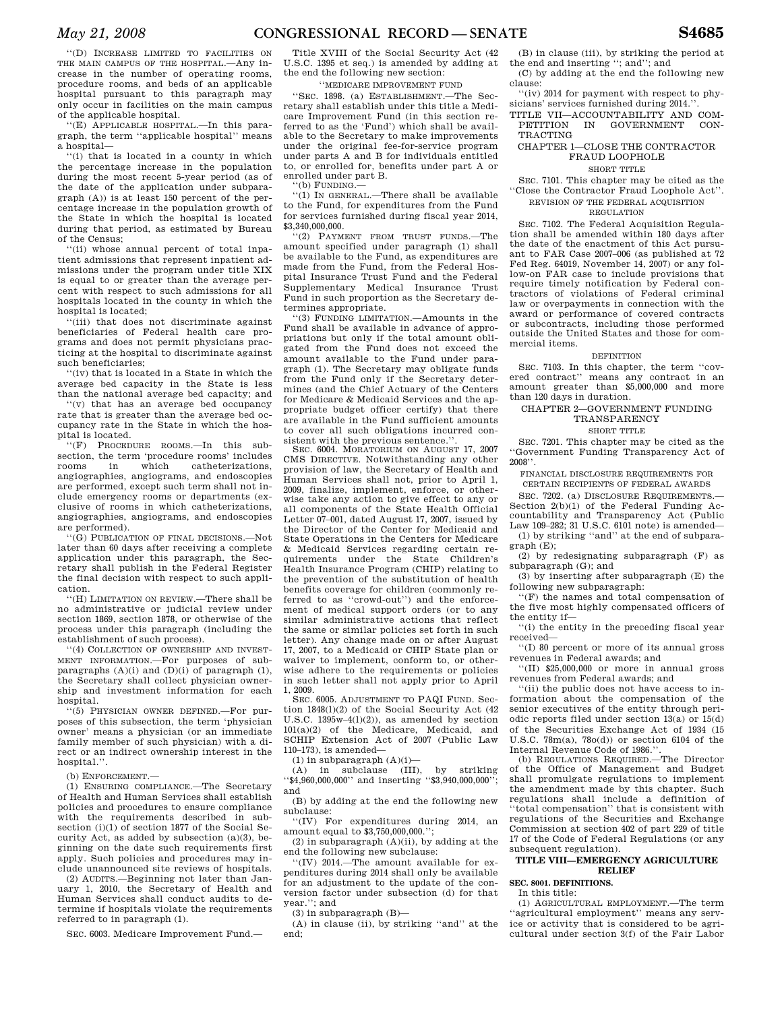''(D) INCREASE LIMITED TO FACILITIES ON THE MAIN CAMPUS OF THE HOSPITAL.—Any increase in the number of operating rooms, procedure rooms, and beds of an applicable hospital pursuant to this paragraph may only occur in facilities on the main campus of the applicable hospital.

''(E) APPLICABLE HOSPITAL.—In this paragraph, the term ''applicable hospital'' means a hospital—

''(i) that is located in a county in which the percentage increase in the population during the most recent 5-year period (as of the date of the application under subparagraph (A)) is at least 150 percent of the percentage increase in the population growth of the State in which the hospital is located during that period, as estimated by Bureau of the Census;

''(ii) whose annual percent of total inpatient admissions that represent inpatient admissions under the program under title XIX is equal to or greater than the average percent with respect to such admissions for all hospitals located in the county in which the hospital is located;

''(iii) that does not discriminate against beneficiaries of Federal health care programs and does not permit physicians practicing at the hospital to discriminate against such beneficiaries;

''(iv) that is located in a State in which the average bed capacity in the State is less than the national average bed capacity; and

''(v) that has an average bed occupancy rate that is greater than the average bed occupancy rate in the State in which the hospital is located.

''(F) PROCEDURE ROOMS.—In this subsection, the term 'procedure rooms' includes<br>rooms in which catheterizations, rooms in which catheterizations, angiographies, angiograms, and endoscopies are performed, except such term shall not include emergency rooms or departments (exclusive of rooms in which catheterizations, angiographies, angiograms, and endoscopies are performed).

''(G) PUBLICATION OF FINAL DECISIONS.—Not later than 60 days after receiving a complete application under this paragraph, the Secretary shall publish in the Federal Register the final decision with respect to such application.

''(H) LIMITATION ON REVIEW.—There shall be no administrative or judicial review under section 1869, section 1878, or otherwise of the process under this paragraph (including the establishment of such process).

''(4) COLLECTION OF OWNERSHIP AND INVEST-MENT INFORMATION.—For purposes of subparagraphs  $(A)(i)$  and  $(D)(i)$  of paragraph  $(1)$ , the Secretary shall collect physician ownership and investment information for each hospital.

''(5) PHYSICIAN OWNER DEFINED.—For purposes of this subsection, the term 'physician owner' means a physician (or an immediate family member of such physician) with a direct or an indirect ownership interest in the hospital.''.

(b) ENFORCEMENT.—

(1) ENSURING COMPLIANCE.—The Secretary of Health and Human Services shall establish policies and procedures to ensure compliance with the requirements described in subsection (i)(1) of section 1877 of the Social Security Act, as added by subsection (a)(3), beginning on the date such requirements first apply. Such policies and procedures may include unannounced site reviews of hospitals.

(2) AUDITS.—Beginning not later than January 1, 2010, the Secretary of Health and Human Services shall conduct audits to determine if hospitals violate the requirements referred to in paragraph (1).

SEC. 6003. Medicare Improvement Fund.—

Title XVIII of the Social Security Act (42 U.S.C. 1395 et seq.) is amended by adding at the end the following new section:

## ''MEDICARE IMPROVEMENT FUND

''SEC. 1898. (a) ESTABLISHMENT.—The Secretary shall establish under this title a Medicare Improvement Fund (in this section referred to as the 'Fund') which shall be available to the Secretary to make improvements under the original fee-for-service program under parts A and B for individuals entitled to, or enrolled for, benefits under part A or enrolled under part B.

''(b) FUNDING.—

''(1) IN GENERAL.—There shall be available to the Fund, for expenditures from the Fund for services furnished during fiscal year 2014, \$3,340,000,000.

''(2) PAYMENT FROM TRUST FUNDS.—The amount specified under paragraph (1) shall be available to the Fund, as expenditures are made from the Fund, from the Federal Hospital Insurance Trust Fund and the Federal Supplementary Medical Insurance Trust Fund in such proportion as the Secretary determines appropriate.

''(3) FUNDING LIMITATION.—Amounts in the Fund shall be available in advance of appropriations but only if the total amount obligated from the Fund does not exceed the amount available to the Fund under paragraph (1). The Secretary may obligate funds from the Fund only if the Secretary determines (and the Chief Actuary of the Centers for Medicare & Medicaid Services and the appropriate budget officer certify) that there are available in the Fund sufficient amounts to cover all such obligations incurred consistent with the previous sentence.'

SEC. 6004. MORATORIUM ON AUGUST 17, 2007 CMS DIRECTIVE. Notwithstanding any other provision of law, the Secretary of Health and Human Services shall not, prior to April 1, 2009, finalize, implement, enforce, or otherwise take any action to give effect to any or all components of the State Health Official Letter 07–001, dated August 17, 2007, issued by the Director of the Center for Medicaid and State Operations in the Centers for Medicare & Medicaid Services regarding certain requirements under the State Health Insurance Program (CHIP) relating to the prevention of the substitution of health benefits coverage for children (commonly referred to as ''crowd-out'') and the enforcement of medical support orders (or to any similar administrative actions that reflect the same or similar policies set forth in such letter). Any change made on or after August 17, 2007, to a Medicaid or CHIP State plan or waiver to implement, conform to, or otherwise adhere to the requirements or policies in such letter shall not apply prior to April 1, 2009.

SEC. 6005. ADJUSTMENT TO PAQI FUND. Section 1848(l)(2) of the Social Security Act (42 U.S.C.  $1395w-4(1)(2)$ , as amended by section 101(a)(2) of the Medicare, Medicaid, and SCHIP Extension Act of 2007 (Public Law 110–173), is amended—

(1) in subparagraph  $(A)(i)$ —

(A) in subclause (III), by striking ''\$4,960,000,000'' and inserting ''\$3,940,000,000''; and

(B) by adding at the end the following new subclause:

''(IV) For expenditures during 2014, an amount equal to \$3,750,000,000.'';

(2) in subparagraph (A)(ii), by adding at the end the following new subclause:

''(IV) 2014.—The amount available for expenditures during 2014 shall only be available for an adjustment to the update of the conversion factor under subsection (d) for that year.''; and

(3) in subparagraph (B)—

(A) in clause (ii), by striking ''and'' at the end;

(B) in clause (iii), by striking the period at the end and inserting ''; and''; and (C) by adding at the end the following new

clause:

''(iv) 2014 for payment with respect to physicians' services furnished during 2014.''.

TITLE VII—ACCOUNTABILITY AND COM-<br>PETITION IN GOVERNMENT CON-IN GOVERNMENT CON-TRACTING

## CHAPTER 1—CLOSE THE CONTRACTOR FRAUD LOOPHOLE

## SHORT TITLE

SEC. 7101. This chapter may be cited as the ''Close the Contractor Fraud Loophole Act''.

#### REVISION OF THE FEDERAL ACQUISITION REGULATION

SEC. 7102. The Federal Acquisition Regulation shall be amended within 180 days after the date of the enactment of this Act pursuant to FAR Case 2007–006 (as published at 72 Fed Reg. 64019, November 14, 2007) or any follow-on FAR case to include provisions that require timely notification by Federal contractors of violations of Federal criminal law or overpayments in connection with the award or performance of covered contracts or subcontracts, including those performed outside the United States and those for commercial items.

#### **DEFINITION**

SEC. 7103. In this chapter, the term ''covered contract'' means any contract in an amount greater than \$5,000,000 and more than 120 days in duration.

## CHAPTER 2—GOVERNMENT FUNDING TRANSPARENCY

SHORT TITLE

SEC. 7201. This chapter may be cited as the ''Government Funding Transparency Act of 2008''.

FINANCIAL DISCLOSURE REQUIREMENTS FOR CERTAIN RECIPIENTS OF FEDERAL AWARDS

SEC. 7202. (a) DISCLOSURE REQUIREMENTS.—

Section 2(b)(1) of the Federal Funding Accountability and Transparency Act (Public Law 109–282; 31 U.S.C. 6101 note) is amended—

(1) by striking ''and'' at the end of subparagraph (E);

(2) by redesignating subparagraph (F) as subparagraph (G); and

(3) by inserting after subparagraph (E) the following new subparagraph:

''(F) the names and total compensation of the five most highly compensated officers of the entity if—

''(i) the entity in the preceding fiscal year received—

''(I) 80 percent or more of its annual gross revenues in Federal awards; and

''(II) \$25,000,000 or more in annual gross revenues from Federal awards; and

''(ii) the public does not have access to information about the compensation of the senior executives of the entity through periodic reports filed under section 13(a) or 15(d) of the Securities Exchange Act of 1934 (15 U.S.C. 78m(a), 78o(d)) or section 6104 of the Internal Revenue Code of 1986.''. (b) REGULATIONS REQUIRED.—The Director

of the Office of Management and Budget shall promulgate regulations to implement the amendment made by this chapter. Such regulations shall include a definition of 'total compensation'' that is consistent with regulations of the Securities and Exchange Commission at section 402 of part 229 of title 17 of the Code of Federal Regulations (or any subsequent regulation).

## **TITLE VIII—EMERGENCY AGRICULTURE RELIEF**

**SEC. 8001. DEFINITIONS.** 

## In this title:

(1) AGRICULTURAL EMPLOYMENT.—The term ''agricultural employment'' means any service or activity that is considered to be agricultural under section 3(f) of the Fair Labor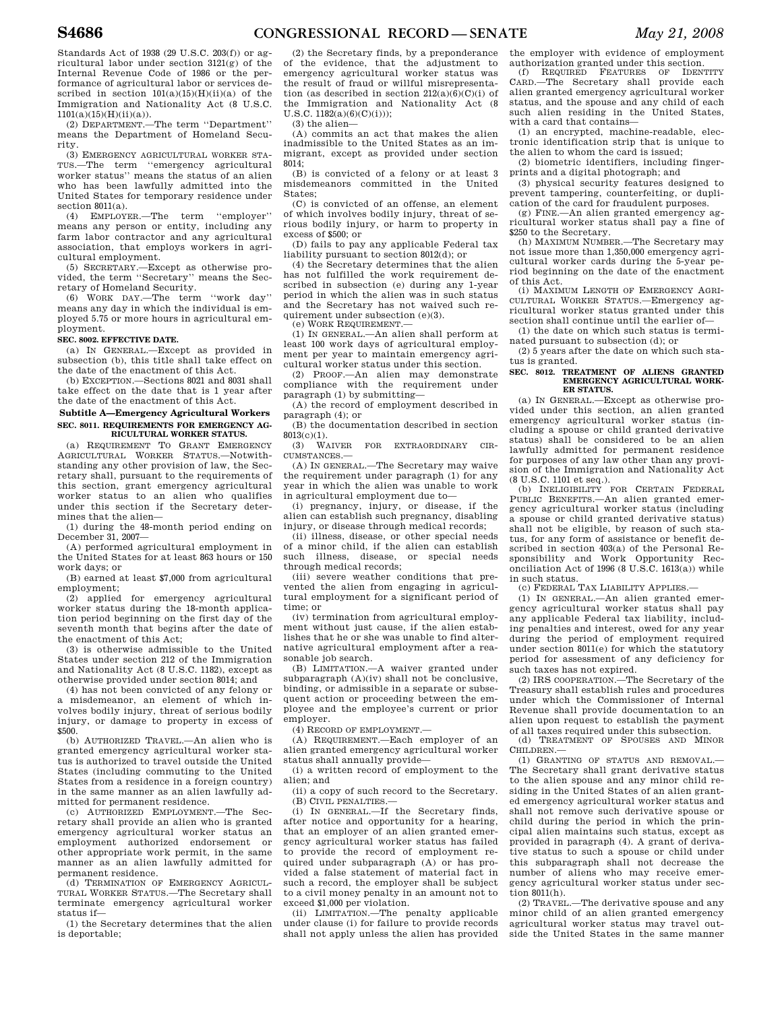Standards Act of 1938 (29 U.S.C. 203(f)) or agricultural labor under section 3121(g) of the Internal Revenue Code of 1986 or the performance of agricultural labor or services described in section  $101(a)(15)(H)(ii)(a)$  of the Immigration and Nationality Act (8 U.S.C.  $1101(a)(15)(H)(ii)(a)).$ 

(2) DEPARTMENT.—The term ''Department'' means the Department of Homeland Security.

(3) EMERGENCY AGRICULTURAL WORKER STA-TUS.—The term ''emergency agricultural worker status'' means the status of an alien who has been lawfully admitted into the United States for temporary residence under section 8011(a).

(4) EMPLOYER.—The term ''employer'' means any person or entity, including any farm labor contractor and any agricultural association, that employs workers in agricultural employment.

(5) SECRETARY.—Except as otherwise provided, the term ''Secretary'' means the Secretary of Homeland Security.

(6) WORK DAY.—The term ''work day'' means any day in which the individual is employed 5.75 or more hours in agricultural employment.

#### **SEC. 8002. EFFECTIVE DATE.**

(a) IN GENERAL.—Except as provided in subsection (b), this title shall take effect on the date of the enactment of this Act.

(b) EXCEPTION.—Sections 8021 and 8031 shall take effect on the date that is 1 year after the date of the enactment of this Act.

#### **Subtitle A—Emergency Agricultural Workers SEC. 8011. REQUIREMENTS FOR EMERGENCY AG-RICULTURAL WORKER STATUS.**

(a) REQUIREMENT TO GRANT EMERGENCY AGRICULTURAL WORKER STATUS.—Notwithstanding any other provision of law, the Secretary shall, pursuant to the requirements of this section, grant emergency agricultural worker status to an alien who qualifies under this section if the Secretary determines that the alien—

(1) during the 48-month period ending on December 31, 2007—

(A) performed agricultural employment in the United States for at least 863 hours or 150 work days; or

(B) earned at least \$7,000 from agricultural employment;

(2) applied for emergency agricultural worker status during the 18-month application period beginning on the first day of the seventh month that begins after the date of the enactment of this Act;

(3) is otherwise admissible to the United States under section 212 of the Immigration and Nationality Act (8 U.S.C. 1182), except as otherwise provided under section 8014; and

(4) has not been convicted of any felony or a misdemeanor, an element of which involves bodily injury, threat of serious bodily injury, or damage to property in excess of \$500.

(b) AUTHORIZED TRAVEL.—An alien who is granted emergency agricultural worker status is authorized to travel outside the United States (including commuting to the United States from a residence in a foreign country) in the same manner as an alien lawfully admitted for permanent residence.

(c) AUTHORIZED EMPLOYMENT.—The Secretary shall provide an alien who is granted emergency agricultural worker status an employment authorized endorsement or other appropriate work permit, in the same manner as an alien lawfully admitted for permanent residence.

(d) TERMINATION OF EMERGENCY AGRICUL-TURAL WORKER STATUS.—The Secretary shall terminate emergency agricultural worker status if—

(1) the Secretary determines that the alien is deportable;

(2) the Secretary finds, by a preponderance of the evidence, that the adjustment to emergency agricultural worker status was the result of fraud or willful misrepresentation (as described in section  $212(a)(6)(C)(i)$  of the Immigration and Nationality Act (8 U.S.C. 1182(a)(6)(C)(i)));

(3) the alien—

(A) commits an act that makes the alien inadmissible to the United States as an immigrant, except as provided under section 8014;

(B) is convicted of a felony or at least 3 misdemeanors committed in the United States;

(C) is convicted of an offense, an element of which involves bodily injury, threat of serious bodily injury, or harm to property in excess of \$500; or

(D) fails to pay any applicable Federal tax liability pursuant to section 8012(d); or

(4) the Secretary determines that the alien has not fulfilled the work requirement described in subsection (e) during any 1-year period in which the alien was in such status and the Secretary has not waived such requirement under subsection (e)(3).

(e) WORK REQUIREMENT.—

(1) IN GENERAL.—An alien shall perform at least 100 work days of agricultural employment per year to maintain emergency agricultural worker status under this section.

(2) PROOF.—An alien may demonstrate compliance with the requirement under paragraph (1) by submitting—

(A) the record of employment described in paragraph (4); or

(B) the documentation described in section  $8013(c)(1)$ .

(3) WAIVER FOR EXTRAORDINARY CIR-CUMSTANCES.—

(A) IN GENERAL.—The Secretary may waive the requirement under paragraph (1) for any year in which the alien was unable to work in agricultural employment due to—

(i) pregnancy, injury, or disease, if the alien can establish such pregnancy, disabling injury, or disease through medical records;

(ii) illness, disease, or other special needs of a minor child, if the alien can establish such illness, disease, or special needs through medical records;

(iii) severe weather conditions that prevented the alien from engaging in agricultural employment for a significant period of time; or

(iv) termination from agricultural employment without just cause, if the alien establishes that he or she was unable to find alternative agricultural employment after a reasonable job search.

(B) LIMITATION.—A waiver granted under subparagraph  $(A)(iv)$  shall not be conclusive, binding, or admissible in a separate or subsequent action or proceeding between the employee and the employee's current or prior employer.

 $(4)$  RECORD OF EMPLOYMENT $-$ 

(A) REQUIREMENT.—Each employer of an alien granted emergency agricultural worker status shall annually provide—

(i) a written record of employment to the alien; and

(ii) a copy of such record to the Secretary. (B) CIVIL PENALTIES.

(i) IN GENERAL.—If the Secretary finds, after notice and opportunity for a hearing, that an employer of an alien granted emergency agricultural worker status has failed to provide the record of employment required under subparagraph (A) or has provided a false statement of material fact in such a record, the employer shall be subject to a civil money penalty in an amount not to exceed \$1,000 per violation.

(ii) LIMITATION.—The penalty applicable under clause (i) for failure to provide records shall not apply unless the alien has provided authorization granted under this section. (f) REQUIRED FEATURES OF IDENTITY CARD.—The Secretary shall provide each alien granted emergency agricultural worker

the employer with evidence of employment

status, and the spouse and any child of each such alien residing in the United States, with a card that contains— (1) an encrypted, machine-readable, elec-

tronic identification strip that is unique to the alien to whom the card is issued;

(2) biometric identifiers, including fingerprints and a digital photograph; and

(3) physical security features designed to prevent tampering, counterfeiting, or duplication of the card for fraudulent purposes.

(g) FINE.—An alien granted emergency agricultural worker status shall pay a fine of \$250 to the Secretary.

(h) MAXIMUM NUMBER.—The Secretary may not issue more than 1,350,000 emergency agricultural worker cards during the 5-year period beginning on the date of the enactment of this Act.

(i) MAXIMUM LENGTH OF EMERGENCY AGRI-CULTURAL WORKER STATUS.—Emergency agricultural worker status granted under this section shall continue until the earlier of—

(1) the date on which such status is terminated pursuant to subsection (d); or

(2) 5 years after the date on which such status is granted.

#### **SEC. 8012. TREATMENT OF ALIENS GRANTED EMERGENCY AGRICULTURAL WORK-ER STATUS.**

(a) IN GENERAL.—Except as otherwise provided under this section, an alien granted emergency agricultural worker status (including a spouse or child granted derivative status) shall be considered to be an alien lawfully admitted for permanent residence for purposes of any law other than any provision of the Immigration and Nationality Act (8 U.S.C. 1101 et seq.). (b) INELIGIBILITY FOR CERTAIN FEDERAL

PUBLIC BENEFITS.—An alien granted emergency agricultural worker status (including a spouse or child granted derivative status) shall not be eligible, by reason of such status, for any form of assistance or benefit described in section 403(a) of the Personal Responsibility and Work Opportunity Reconciliation Act of 1996 (8 U.S.C. 1613(a)) while in such status.

(c) FEDERAL TAX LIABILITY APPLIES.—

(1) IN GENERAL.—An alien granted emergency agricultural worker status shall pay any applicable Federal tax liability, including penalties and interest, owed for any year during the period of employment required under section 8011(e) for which the statutory period for assessment of any deficiency for such taxes has not expired.

(2) IRS COOPERATION.—The Secretary of the Treasury shall establish rules and procedures under which the Commissioner of Internal Revenue shall provide documentation to an alien upon request to establish the payment of all taxes required under this subsection.

(d) TREATMENT OF SPOUSES AND MINOR CHILDREN.—

(1) GRANTING OF STATUS AND REMOVAL.— The Secretary shall grant derivative status to the alien spouse and any minor child residing in the United States of an alien granted emergency agricultural worker status and shall not remove such derivative spouse or child during the period in which the principal alien maintains such status, except as provided in paragraph (4). A grant of derivative status to such a spouse or child under this subparagraph shall not decrease the number of aliens who may receive emergency agricultural worker status under section  $8011(h)$ .<br>(2) TRAVEL.-

-The derivative spouse and any minor child of an alien granted emergency agricultural worker status may travel outside the United States in the same manner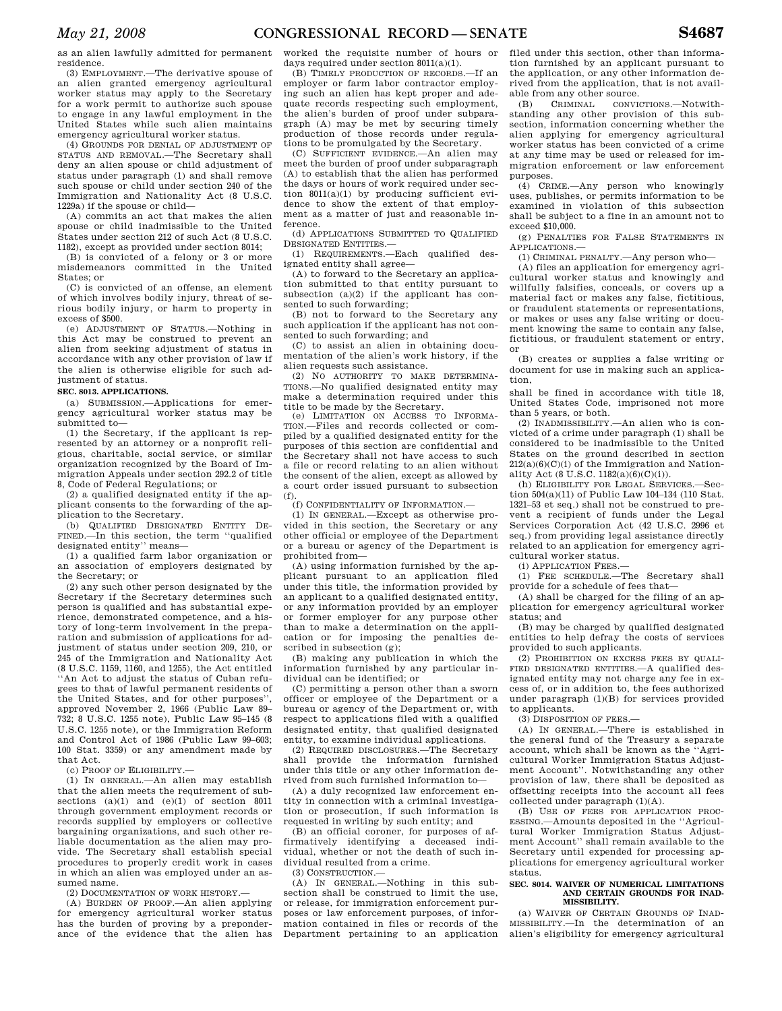as an alien lawfully admitted for permanent residence.

(3) EMPLOYMENT.—The derivative spouse of an alien granted emergency agricultural worker status may apply to the Secretary for a work permit to authorize such spouse to engage in any lawful employment in the United States while such alien maintains emergency agricultural worker status.

(4) GROUNDS FOR DENIAL OF ADJUSTMENT OF STATUS AND REMOVAL.—The Secretary shall deny an alien spouse or child adjustment of status under paragraph (1) and shall remove such spouse or child under section 240 of the Immigration and Nationality Act (8 U.S.C. 1229a) if the spouse or child—

(A) commits an act that makes the alien spouse or child inadmissible to the United States under section 212 of such Act (8 U.S.C. 1182), except as provided under section 8014;

(B) is convicted of a felony or 3 or more misdemeanors committed in the United States; or

(C) is convicted of an offense, an element of which involves bodily injury, threat of serious bodily injury, or harm to property in excess of \$500.

(e) ADJUSTMENT OF STATUS.—Nothing in this Act may be construed to prevent an alien from seeking adjustment of status in accordance with any other provision of law if the alien is otherwise eligible for such adjustment of status.

## **SEC. 8013. APPLICATIONS.**

(a) SUBMISSION.—Applications for emergency agricultural worker status may be submitted to—

(1) the Secretary, if the applicant is represented by an attorney or a nonprofit religious, charitable, social service, or similar organization recognized by the Board of Immigration Appeals under section 292.2 of title 8, Code of Federal Regulations; or

(2) a qualified designated entity if the applicant consents to the forwarding of the application to the Secretary.

(b) QUALIFIED DESIGNATED ENTITY DE-FINED.—In this section, the term ''qualified designated entity'' means—

(1) a qualified farm labor organization or an association of employers designated by the Secretary; or

(2) any such other person designated by the Secretary if the Secretary determines such person is qualified and has substantial experience, demonstrated competence, and a history of long-term involvement in the preparation and submission of applications for adjustment of status under section 209, 210, or 245 of the Immigration and Nationality Act (8 U.S.C. 1159, 1160, and 1255), the Act entitled ''An Act to adjust the status of Cuban refugees to that of lawful permanent residents of the United States, and for other purposes'', approved November 2, 1966 (Public Law 89– 732; 8 U.S.C. 1255 note), Public Law 95–145 (8 U.S.C. 1255 note), or the Immigration Reform and Control Act of 1986 (Public Law 99–603; 100 Stat. 3359) or any amendment made by that Act.

(c) PROOF OF ELIGIBILITY.—

(1) IN GENERAL.—An alien may establish that the alien meets the requirement of subsections (a)(1) and (e)(1) of section 8011 through government employment records or records supplied by employers or collective bargaining organizations, and such other reliable documentation as the alien may provide. The Secretary shall establish special procedures to properly credit work in cases in which an alien was employed under an assumed name.

(2) DOCUMENTATION OF WORK HISTORY.

(A) BURDEN OF PROOF.—An alien applying for emergency agricultural worker status has the burden of proving by a preponderance of the evidence that the alien has worked the requisite number of hours or days required under section 8011(a)(1).

(B) TIMELY PRODUCTION OF RECORDS.—If an employer or farm labor contractor employing such an alien has kept proper and adequate records respecting such employment, the alien's burden of proof under subparagraph (A) may be met by securing timely production of those records under regulations to be promulgated by the Secretary.

(C) SUFFICIENT EVIDENCE.—An alien may meet the burden of proof under subparagraph (A) to establish that the alien has performed the days or hours of work required under section 8011(a)(1) by producing sufficient evidence to show the extent of that employment as a matter of just and reasonable inference.

(d) APPLICATIONS SUBMITTED TO QUALIFIED DESIGNATED ENTITIES.—

(1) REQUIREMENTS.—Each qualified designated entity shall agree—

(A) to forward to the Secretary an application submitted to that entity pursuant to subsection (a)(2) if the applicant has consented to such forwarding;

(B) not to forward to the Secretary any such application if the applicant has not consented to such forwarding; and

(C) to assist an alien in obtaining documentation of the alien's work history, if the alien requests such assistance.

(2) NO AUTHORITY TO MAKE DETERMINA-TIONS.—No qualified designated entity may make a determination required under this title to be made by the Secretary.

(e) LIMITATION ON ACCESS TO INFORMA-TION.—Files and records collected or compiled by a qualified designated entity for the purposes of this section are confidential and the Secretary shall not have access to such a file or record relating to an alien without the consent of the alien, except as allowed by a court order issued pursuant to subsection  $(f)$ .

(f) CONFIDENTIALITY OF INFORMATION.—

(1) IN GENERAL.—Except as otherwise provided in this section, the Secretary or any other official or employee of the Department or a bureau or agency of the Department is prohibited from—

(A) using information furnished by the applicant pursuant to an application filed under this title, the information provided by an applicant to a qualified designated entity, or any information provided by an employer or former employer for any purpose other than to make a determination on the application or for imposing the penalties described in subsection (g);

(B) making any publication in which the information furnished by any particular individual can be identified; or

(C) permitting a person other than a sworn officer or employee of the Department or a bureau or agency of the Department or, with respect to applications filed with a qualified designated entity, that qualified designated entity, to examine individual applications.

(2) REQUIRED DISCLOSURES.—The Secretary shall provide the information furnished under this title or any other information derived from such furnished information to—

(A) a duly recognized law enforcement entity in connection with a criminal investigation or prosecution, if such information is requested in writing by such entity; and

(B) an official coroner, for purposes of affirmatively identifying a deceased individual, whether or not the death of such individual resulted from a crime.

(3) CONSTRUCTION.—

(A) IN GENERAL.—Nothing in this subsection shall be construed to limit the use, or release, for immigration enforcement purposes or law enforcement purposes, of information contained in files or records of the Department pertaining to an application filed under this section, other than information furnished by an applicant pursuant to the application, or any other information derived from the application, that is not available from any other source.

(B) CRIMINAL CONVICTIONS.—Notwithstanding any other provision of this subsection, information concerning whether the alien applying for emergency agricultural worker status has been convicted of a crime at any time may be used or released for immigration enforcement or law enforcement purposes.

(4) CRIME.—Any person who knowingly uses, publishes, or permits information to be examined in violation of this subsection shall be subject to a fine in an amount not to exceed \$10,000.

(g) PENALTIES FOR FALSE STATEMENTS IN APPLICATIONS.—

(1) CRIMINAL PENALTY.—Any person who—

(A) files an application for emergency agricultural worker status and knowingly and willfully falsifies, conceals, or covers up a material fact or makes any false, fictitious, or fraudulent statements or representations, or makes or uses any false writing or document knowing the same to contain any false, fictitious, or fraudulent statement or entry, or

(B) creates or supplies a false writing or document for use in making such an application,

shall be fined in accordance with title 18, United States Code, imprisoned not more than 5 years, or both.

(2) INADMISSIBILITY.—An alien who is convicted of a crime under paragraph (1) shall be considered to be inadmissible to the United States on the ground described in section  $212(a)(6)(C)(i)$  of the Immigration and Nationality Act (8 U.S.C. 1182(a)(6)(C)(i)).

(h) ELIGIBILITY FOR LEGAL SERVICES.—Section 504(a)(11) of Public Law 104–134 (110 Stat. 1321–53 et seq.) shall not be construed to prevent a recipient of funds under the Legal Services Corporation Act (42 U.S.C. 2996 et seq.) from providing legal assistance directly related to an application for emergency agricultural worker status.

(i) APPLICATION FEES.—

(1) FEE SCHEDULE.—The Secretary shall provide for a schedule of fees that—

(A) shall be charged for the filing of an application for emergency agricultural worker status; and

(B) may be charged by qualified designated entities to help defray the costs of services provided to such applicants.

(2) PROHIBITION ON EXCESS FEES BY QUALI-FIED DESIGNATED ENTITIES.—A qualified designated entity may not charge any fee in excess of, or in addition to, the fees authorized under paragraph (1)(B) for services provided to applicants.

(3) DISPOSITION OF FEES.—

 $(A)$  IN GENERAL.—There is established in the general fund of the Treasury a separate account, which shall be known as the ''Agricultural Worker Immigration Status Adjustment Account''. Notwithstanding any other provision of law, there shall be deposited as offsetting receipts into the account all fees collected under paragraph (1)(A).

(B) USE OF FEES FOR APPLICATION PROC-ESSING.—Amounts deposited in the ''Agricultural Worker Immigration Status Adjustment Account'' shall remain available to the Secretary until expended for processing applications for emergency agricultural worker status.

#### **SEC. 8014. WAIVER OF NUMERICAL LIMITATIONS AND CERTAIN GROUNDS FOR INAD-MISSIBILITY.**

(a) WAIVER OF CERTAIN GROUNDS OF INAD-MISSIBILITY.—In the determination of an alien's eligibility for emergency agricultural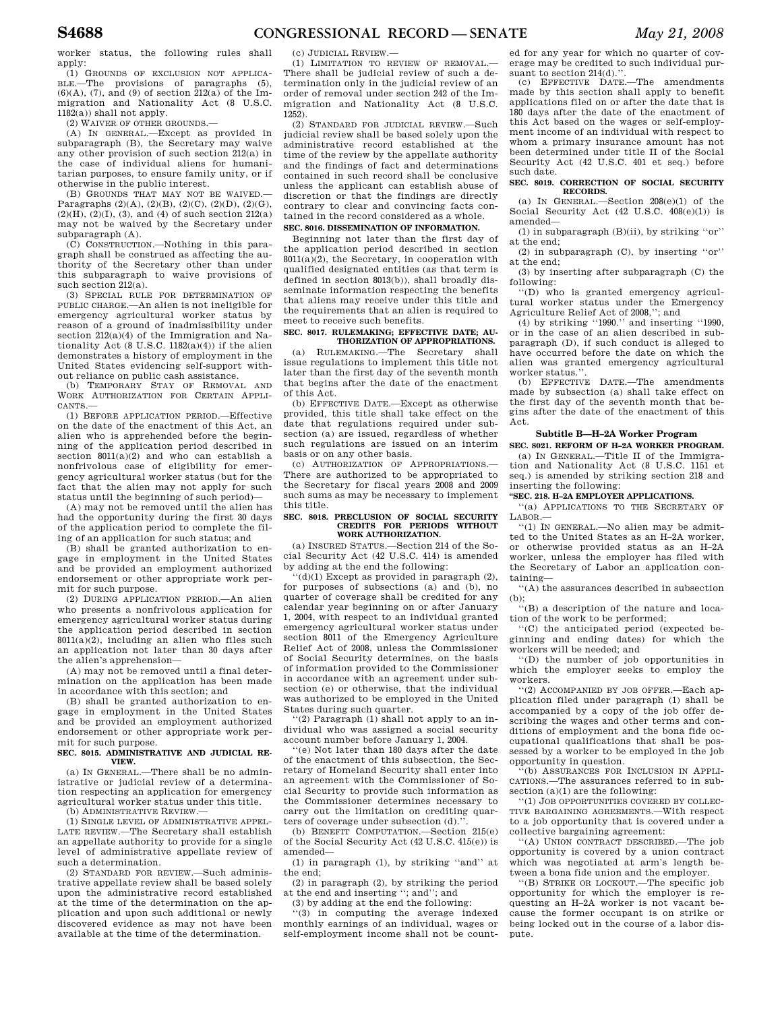worker status, the following rules shall apply:

(1) GROUNDS OF EXCLUSION NOT APPLICA-BLE.—The provisions of paragraphs (5),  $(6)(A)$ ,  $(7)$ , and  $(9)$  of section 212 $(a)$  of the Immigration and Nationality Act (8 U.S.C. 1182(a)) shall not apply.

(2) WAIVER OF OTHER GROUNDS.—

(A) IN GENERAL.—Except as provided in subparagraph (B), the Secretary may waive any other provision of such section 212(a) in the case of individual aliens for humanitarian purposes, to ensure family unity, or if otherwise in the public interest.

(B) GROUNDS THAT MAY NOT BE WAIVED.— Paragraphs (2)(A), (2)(B), (2)(C), (2)(D), (2)(G),  $(2)(H)$ ,  $(2)(I)$ ,  $(3)$ , and  $(4)$  of such section  $212(a)$ may not be waived by the Secretary under subparagraph (A).

(C) CONSTRUCTION.—Nothing in this paragraph shall be construed as affecting the authority of the Secretary other than under this subparagraph to waive provisions of such section 212(a).

(3) SPECIAL RULE FOR DETERMINATION OF PUBLIC CHARGE.—An alien is not ineligible for emergency agricultural worker status by reason of a ground of inadmissibility under section 212(a)(4) of the Immigration and Nationality Act  $(8 \text{ U.S.C. } 1182(a)(4))$  if the alien demonstrates a history of employment in the United States evidencing self-support without reliance on public cash assistance.

(b) TEMPORARY STAY OF REMOVAL AND WORK AUTHORIZATION FOR CERTAIN APPLI-CANTS.—

(1) BEFORE APPLICATION PERIOD.—Effective on the date of the enactment of this Act, an alien who is apprehended before the beginning of the application period described in section 8011(a)(2) and who can establish a nonfrivolous case of eligibility for emergency agricultural worker status (but for the fact that the alien may not apply for such status until the beginning of such period)—

(A) may not be removed until the alien has had the opportunity during the first 30 days of the application period to complete the filing of an application for such status; and

(B) shall be granted authorization to engage in employment in the United States and be provided an employment authorized endorsement or other appropriate work permit for such purpose.

(2) DURING APPLICATION PERIOD.—An alien who presents a nonfrivolous application for emergency agricultural worker status during the application period described in section 8011(a)(2), including an alien who files such an application not later than 30 days after the alien's apprehension—

(A) may not be removed until a final determination on the application has been made in accordance with this section; and

(B) shall be granted authorization to engage in employment in the United States and be provided an employment authorized endorsement or other appropriate work permit for such purpose.

# **SEC. 8015. ADMINISTRATIVE AND JUDICIAL RE-**

**VIEW.**<br>(a) IN GENERAL. -There shall be no administrative or judicial review of a determination respecting an application for emergency agricultural worker status under this title.

(b) ADMINISTRATIVE REVIEW.—

(1) SINGLE LEVEL OF ADMINISTRATIVE APPEL-LATE REVIEW.—The Secretary shall establish an appellate authority to provide for a single level of administrative appellate review of such a determination.

(2) STANDARD FOR REVIEW.—Such administrative appellate review shall be based solely upon the administrative record established at the time of the determination on the application and upon such additional or newly discovered evidence as may not have been available at the time of the determination.

(c) JUDICIAL REVIEW.—

(1) LIMITATION TO REVIEW OF REMOVAL. There shall be judicial review of such a determination only in the judicial review of an order of removal under section 242 of the Immigration and Nationality Act (8 U.S.C. 1252).

(2) STANDARD FOR JUDICIAL REVIEW.—Such judicial review shall be based solely upon the administrative record established at the time of the review by the appellate authority and the findings of fact and determinations contained in such record shall be conclusive unless the applicant can establish abuse of discretion or that the findings are directly contrary to clear and convincing facts contained in the record considered as a whole. **SEC. 8016. DISSEMINATION OF INFORMATION.** 

Beginning not later than the first day of the application period described in section 8011(a)(2), the Secretary, in cooperation with qualified designated entities (as that term is defined in section 8013(b)), shall broadly disseminate information respecting the benefits that aliens may receive under this title and the requirements that an alien is required to meet to receive such benefits.

## SEC. 8017. RULEMAKING: EFFECTIVE DATE: AU-**THORIZATION OF APPROPRIATIONS.**

(a) RULEMAKING.—The Secretary shall issue regulations to implement this title not later than the first day of the seventh month that begins after the date of the enactment of this Act.

(b) EFFECTIVE DATE.—Except as otherwise provided, this title shall take effect on the date that regulations required under subsection (a) are issued, regardless of whether such regulations are issued on an interim basis or on any other basis.

(c) AUTHORIZATION OF APPROPRIATIONS.— There are authorized to be appropriated to the Secretary for fiscal years 2008 and 2009 such sums as may be necessary to implement this title.

## **SEC. 8018. PRECLUSION OF SOCIAL SECURITY CREDITS FOR PERIODS WITHOUT WORK AUTHORIZATION.**

(a) INSURED STATUS.—Section 214 of the Social Security Act (42 U.S.C. 414) is amended by adding at the end the following:

 $\mathcal{C}(d)(1)$  Except as provided in paragraph (2), for purposes of subsections (a) and (b), no quarter of coverage shall be credited for any calendar year beginning on or after January 1, 2004, with respect to an individual granted emergency agricultural worker status under section 8011 of the Emergency Agriculture Relief Act of 2008, unless the Commissioner of Social Security determines, on the basis of information provided to the Commissioner in accordance with an agreement under subsection (e) or otherwise, that the individual was authorized to be employed in the United States during such quarter.

''(2) Paragraph (1) shall not apply to an individual who was assigned a social security account number before January 1, 2004.

''(e) Not later than 180 days after the date of the enactment of this subsection, the Secretary of Homeland Security shall enter into an agreement with the Commissioner of Social Security to provide such information as the Commissioner determines necessary to carry out the limitation on crediting quarters of coverage under subsection (d).'

(b) BENEFIT COMPUTATION.—Section 215(e) of the Social Security Act (42 U.S.C. 415(e)) is amended—

(1) in paragraph (1), by striking ''and'' at the end;

(2) in paragraph (2), by striking the period at the end and inserting ''; and''; and

(3) by adding at the end the following:

''(3) in computing the average indexed monthly earnings of an individual, wages or self-employment income shall not be count-

ed for any year for which no quarter of coverage may be credited to such individual pursuant to section 214(d)."

(c) EFFECTIVE DATE.—The amendments made by this section shall apply to benefit applications filed on or after the date that is 180 days after the date of the enactment of this Act based on the wages or self-employment income of an individual with respect to whom a primary insurance amount has not been determined under title II of the Social Security Act (42 U.S.C. 401 et seq.) before such date.

#### **SEC. 8019. CORRECTION OF SOCIAL SECURITY RECORDS.**

(a) IN GENERAL.—Section 208(e)(1) of the Social Security Act (42 U.S.C. 408(e)(1)) is amended—

(1) in subparagraph (B)(ii), by striking ''or'' at the end;

(2) in subparagraph (C), by inserting ''or'' at the end;

(3) by inserting after subparagraph (C) the following:

''(D) who is granted emergency agricultural worker status under the Emergency

Agriculture Relief Act of 2008,''; and (4) by striking ''1990.'' and inserting ''1990, or in the case of an alien described in subparagraph (D), if such conduct is alleged to have occurred before the date on which the alien was granted emergency agricultural worker status.''.

(b) EFFECTIVE DATE.—The amendments made by subsection (a) shall take effect on the first day of the seventh month that begins after the date of the enactment of this Act.

## **Subtitle B—H–2A Worker Program**

**SEC. 8021. REFORM OF H–2A WORKER PROGRAM.**  (a) IN GENERAL.—Title II of the Immigration and Nationality Act (8 U.S.C. 1151 et seq.) is amended by striking section 218 and inserting the following:

#### **''SEC. 218. H–2A EMPLOYER APPLICATIONS.**

''(a) APPLICATIONS TO THE SECRETARY OF LABOR.—

''(1) IN GENERAL.—No alien may be admitted to the United States as an H–2A worker, or otherwise provided status as an H–2A worker, unless the employer has filed with the Secretary of Labor an application containing—

''(A) the assurances described in subsection (b);

''(B) a description of the nature and location of the work to be performed;

''(C) the anticipated period (expected beginning and ending dates) for which the workers will be needed; and

''(D) the number of job opportunities in which the employer seeks to employ the workers.

''(2) ACCOMPANIED BY JOB OFFER.—Each application filed under paragraph (1) shall be accompanied by a copy of the job offer describing the wages and other terms and conditions of employment and the bona fide occupational qualifications that shall be possessed by a worker to be employed in the job opportunity in question.

(b) ASSURANCES FOR INCLUSION IN APPLI-CATIONS.—The assurances referred to in subsection (a)(1) are the following:

''(1) JOB OPPORTUNITIES COVERED BY COLLEC-TIVE BARGAINING AGREEMENTS.—With respect to a job opportunity that is covered under a collective bargaining agreement:

''(A) UNION CONTRACT DESCRIBED.—The job opportunity is covered by a union contract which was negotiated at arm's length between a bona fide union and the employer.

''(B) STRIKE OR LOCKOUT.—The specific job opportunity for which the employer is requesting an H–2A worker is not vacant because the former occupant is on strike or being locked out in the course of a labor dispute.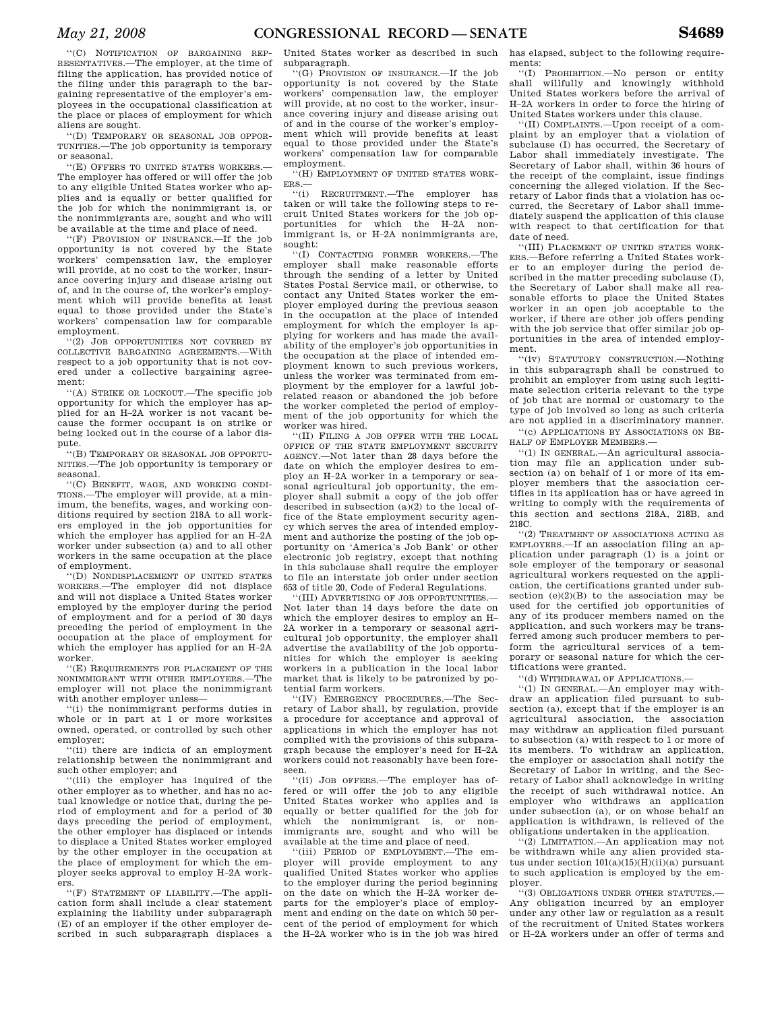''(C) NOTIFICATION OF BARGAINING REP-RESENTATIVES.—The employer, at the time of filing the application, has provided notice of the filing under this paragraph to the bargaining representative of the employer's employees in the occupational classification at the place or places of employment for which aliens are sought.

''(D) TEMPORARY OR SEASONAL JOB OPPOR-TUNITIES.—The job opportunity is temporary or seasonal.

''(E) OFFERS TO UNITED STATES WORKERS.— The employer has offered or will offer the job to any eligible United States worker who applies and is equally or better qualified for the job for which the nonimmigrant is, or the nonimmigrants are, sought and who will be available at the time and place of need.

''(F) PROVISION OF INSURANCE.—If the job opportunity is not covered by the State workers' compensation law, the employer will provide, at no cost to the worker, insurance covering injury and disease arising out of, and in the course of, the worker's employment which will provide benefits at least equal to those provided under the State's workers' compensation law for comparable employment.

''(2) JOB OPPORTUNITIES NOT COVERED BY COLLECTIVE BARGAINING AGREEMENTS.—With respect to a job opportunity that is not covered under a collective bargaining agreement:

''(A) STRIKE OR LOCKOUT.—The specific job opportunity for which the employer has applied for an H–2A worker is not vacant because the former occupant is on strike or being locked out in the course of a labor dispute.

''(B) TEMPORARY OR SEASONAL JOB OPPORTU-NITIES.—The job opportunity is temporary or seasonal.

''(C) BENEFIT, WAGE, AND WORKING CONDI-TIONS.—The employer will provide, at a minimum, the benefits, wages, and working conditions required by section 218A to all workers employed in the job opportunities for which the employer has applied for an H–2A worker under subsection (a) and to all other workers in the same occupation at the place of employment.

''(D) NONDISPLACEMENT OF UNITED STATES WORKERS.—The employer did not displace and will not displace a United States worker employed by the employer during the period of employment and for a period of 30 days preceding the period of employment in the occupation at the place of employment for which the employer has applied for an H–2A worker.

'(E) REQUIREMENTS FOR PLACEMENT OF THE NONIMMIGRANT WITH OTHER EMPLOYERS.—The employer will not place the nonimmigrant with another employer unless-

''(i) the nonimmigrant performs duties in whole or in part at 1 or more worksites owned, operated, or controlled by such other employer;

''(ii) there are indicia of an employment relationship between the nonimmigrant and such other employer; and

''(iii) the employer has inquired of the other employer as to whether, and has no actual knowledge or notice that, during the period of employment and for a period of 30 days preceding the period of employment, the other employer has displaced or intends to displace a United States worker employed by the other employer in the occupation at the place of employment for which the employer seeks approval to employ H–2A workers.

''(F) STATEMENT OF LIABILITY.—The application form shall include a clear statement explaining the liability under subparagraph (E) of an employer if the other employer described in such subparagraph displaces a

United States worker as described in such subparagraph.

''(G) PROVISION OF INSURANCE.—If the job opportunity is not covered by the State workers' compensation law, the employer will provide, at no cost to the worker, insurance covering injury and disease arising out of and in the course of the worker's employment which will provide benefits at least equal to those provided under the State's workers' compensation law for comparable employment.

''(H) EMPLOYMENT OF UNITED STATES WORK-ERS.—

''(i) RECRUITMENT.—The employer has taken or will take the following steps to recruit United States workers for the job opportunities for which the H–2A nonimmigrant is, or H–2A nonimmigrants are, sought:

''(I) CONTACTING FORMER WORKERS.—The employer shall make reasonable efforts through the sending of a letter by United States Postal Service mail, or otherwise, to contact any United States worker the employer employed during the previous season in the occupation at the place of intended employment for which the employer is applying for workers and has made the availability of the employer's job opportunities in the occupation at the place of intended employment known to such previous workers, unless the worker was terminated from employment by the employer for a lawful jobrelated reason or abandoned the job before the worker completed the period of employment of the job opportunity for which the worker was hired.

''(II) FILING A JOB OFFER WITH THE LOCAL OFFICE OF THE STATE EMPLOYMENT SECURITY AGENCY.—Not later than 28 days before the date on which the employer desires to employ an H–2A worker in a temporary or seasonal agricultural job opportunity, the employer shall submit a copy of the job offer described in subsection (a)(2) to the local office of the State employment security agency which serves the area of intended employment and authorize the posting of the job opportunity on 'America's Job Bank' or other electronic job registry, except that nothing in this subclause shall require the employer to file an interstate job order under section 653 of title 20, Code of Federal Regulations.

''(III) ADVERTISING OF JOB OPPORTUNITIES.— Not later than 14 days before the date on which the employer desires to employ an H– 2A worker in a temporary or seasonal agricultural job opportunity, the employer shall advertise the availability of the job opportunities for which the employer is seeking workers in a publication in the local labor market that is likely to be patronized by po-

tential farm workers. ''(IV) EMERGENCY PROCEDURES.—The Secretary of Labor shall, by regulation, provide a procedure for acceptance and approval of applications in which the employer has not complied with the provisions of this subparagraph because the employer's need for H–2A workers could not reasonably have been foreseen.

''(ii) JOB OFFERS.—The employer has offered or will offer the job to any eligible United States worker who applies and is equally or better qualified for the job for which the nonimmigrant is, or nonimmigrants are, sought and who will be available at the time and place of need.

''(iii) PERIOD OF EMPLOYMENT.—The employer will provide employment to any qualified United States worker who applies to the employer during the period beginning on the date on which the H–2A worker departs for the employer's place of employment and ending on the date on which 50 percent of the period of employment for which the H–2A worker who is in the job was hired

has elapsed, subject to the following requirements:

''(I) PROHIBITION.—No person or entity shall willfully and knowingly withhold United States workers before the arrival of H–2A workers in order to force the hiring of United States workers under this clause.

''(II) COMPLAINTS.—Upon receipt of a complaint by an employer that a violation of subclause (I) has occurred, the Secretary of Labor shall immediately investigate. The Labor shall immediately investigate. Secretary of Labor shall, within 36 hours of the receipt of the complaint, issue findings concerning the alleged violation. If the Secretary of Labor finds that a violation has occurred, the Secretary of Labor shall immediately suspend the application of this clause with respect to that certification for that date of need.

''(III) PLACEMENT OF UNITED STATES WORK-ERS.—Before referring a United States worker to an employer during the period described in the matter preceding subclause (I), the Secretary of Labor shall make all reasonable efforts to place the United States worker in an open job acceptable to the worker, if there are other job offers pending with the job service that offer similar job opportunities in the area of intended employment.

''(iv) STATUTORY CONSTRUCTION.—Nothing in this subparagraph shall be construed to prohibit an employer from using such legitimate selection criteria relevant to the type of job that are normal or customary to the type of job involved so long as such criteria are not applied in a discriminatory manner.

''(c) APPLICATIONS BY ASSOCIATIONS ON BE-HALF OF EMPLOYER MEMBERS.—

''(1) IN GENERAL.—An agricultural association may file an application under subsection (a) on behalf of 1 or more of its employer members that the association certifies in its application has or have agreed in writing to comply with the requirements of this section and sections 218A, 218B, and 218C.

''(2) TREATMENT OF ASSOCIATIONS ACTING AS EMPLOYERS.—If an association filing an application under paragraph (1) is a joint or sole employer of the temporary or seasonal agricultural workers requested on the application, the certifications granted under subsection  $(e)(2)(B)$  to the association may be used for the certified job opportunities of any of its producer members named on the application, and such workers may be transferred among such producer members to perform the agricultural services of a temporary or seasonal nature for which the certifications were granted.

''(d) WITHDRAWAL OF APPLICATIONS.—

''(1) IN GENERAL.—An employer may withdraw an application filed pursuant to subsection (a), except that if the employer is an agricultural association, the association may withdraw an application filed pursuant to subsection (a) with respect to 1 or more of its members. To withdraw an application, the employer or association shall notify the Secretary of Labor in writing, and the Secretary of Labor shall acknowledge in writing the receipt of such withdrawal notice. An employer who withdraws an application under subsection (a), or on whose behalf an application is withdrawn, is relieved of the obligations undertaken in the application.

''(2) LIMITATION.—An application may not be withdrawn while any alien provided status under section  $101(a)(15)(H)(ii)(a)$  pursuant to such application is employed by the employer.

''(3) OBLIGATIONS UNDER OTHER STATUTES.— Any obligation incurred by an employer under any other law or regulation as a result of the recruitment of United States workers or H–2A workers under an offer of terms and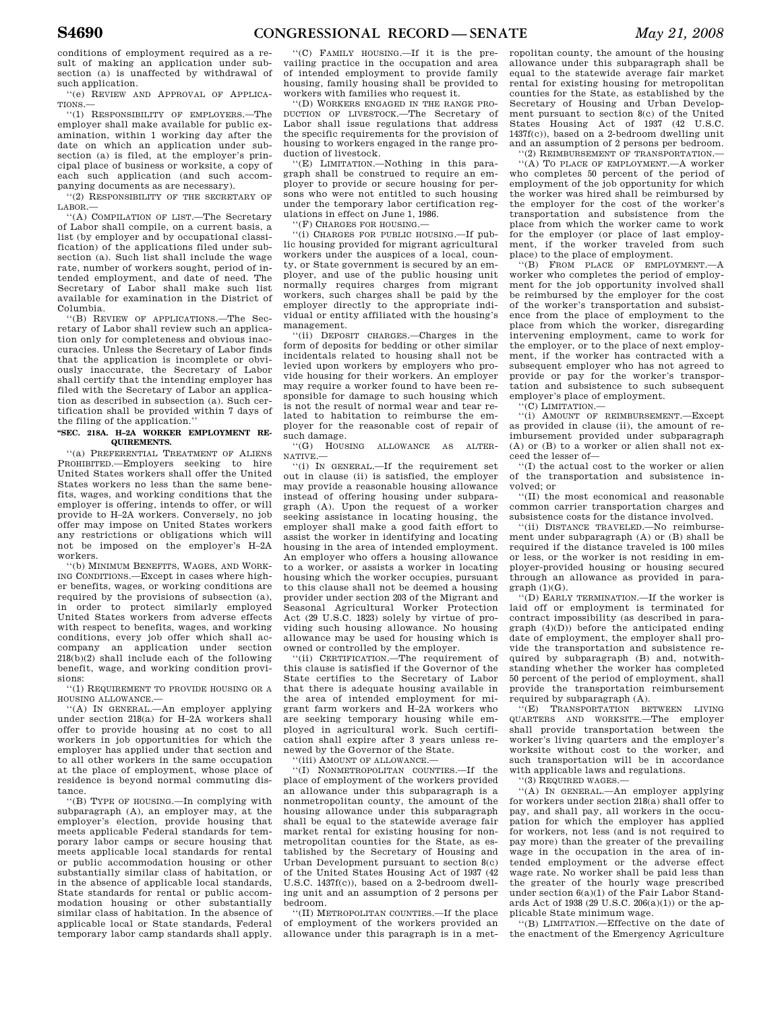conditions of employment required as a result of making an application under subsection (a) is unaffected by withdrawal of such application.

''(e) REVIEW AND APPROVAL OF APPLICA-TIONS.—

''(1) RESPONSIBILITY OF EMPLOYERS.—The employer shall make available for public examination, within 1 working day after the date on which an application under subsection (a) is filed, at the employer's principal place of business or worksite, a copy of each such application (and such accompanying documents as are necessary).

''(2) RESPONSIBILITY OF THE SECRETARY OF LABOR.—

''(A) COMPILATION OF LIST.—The Secretary of Labor shall compile, on a current basis, a list (by employer and by occupational classification) of the applications filed under subsection (a). Such list shall include the wage rate, number of workers sought, period of intended employment, and date of need. The Secretary of Labor shall make such list available for examination in the District of Columbia.

''(B) REVIEW OF APPLICATIONS.—The Secretary of Labor shall review such an application only for completeness and obvious inaccuracies. Unless the Secretary of Labor finds that the application is incomplete or obviously inaccurate, the Secretary of Labor shall certify that the intending employer has filed with the Secretary of Labor an application as described in subsection (a). Such certification shall be provided within 7 days of the filing of the application.''

#### **''SEC. 218A. H–2A WORKER EMPLOYMENT RE-QUIREMENTS.**

''(a) PREFERENTIAL TREATMENT OF ALIENS PROHIBITED.—Employers seeking to hire United States workers shall offer the United States workers no less than the same benefits, wages, and working conditions that the employer is offering, intends to offer, or will provide to H–2A workers. Conversely, no job offer may impose on United States workers any restrictions or obligations which will not be imposed on the employer's H–2A workers.

''(b) MINIMUM BENEFITS, WAGES, AND WORK-ING CONDITIONS.—Except in cases where higher benefits, wages, or working conditions are required by the provisions of subsection (a), in order to protect similarly employed United States workers from adverse effects with respect to benefits, wages, and working conditions, every job offer which shall accompany an application under section 218(b)(2) shall include each of the following benefit, wage, and working condition provisions:

''(1) REQUIREMENT TO PROVIDE HOUSING OR A HOUSING ALLOWANCE.—

''(A) IN GENERAL.—An employer applying under section 218(a) for H–2A workers shall offer to provide housing at no cost to all workers in job opportunities for which the employer has applied under that section and to all other workers in the same occupation at the place of employment, whose place of residence is beyond normal commuting distance.

''(B) TYPE OF HOUSING.—In complying with subparagraph (A), an employer may, at the employer's election, provide housing that meets applicable Federal standards for temporary labor camps or secure housing that meets applicable local standards for rental or public accommodation housing or other substantially similar class of habitation, or in the absence of applicable local standards, State standards for rental or public accommodation housing or other substantially similar class of habitation. In the absence of applicable local or State standards, Federal temporary labor camp standards shall apply.

''(C) FAMILY HOUSING.—If it is the prevailing practice in the occupation and area of intended employment to provide family housing, family housing shall be provided to workers with families who request it.

''(D) WORKERS ENGAGED IN THE RANGE PRO-DUCTION OF LIVESTOCK.—The Secretary of Labor shall issue regulations that address the specific requirements for the provision of housing to workers engaged in the range production of livestock.

''(E) LIMITATION.—Nothing in this paragraph shall be construed to require an employer to provide or secure housing for persons who were not entitled to such housing under the temporary labor certification regulations in effect on June 1, 1986.

''(F) CHARGES FOR HOUSING.—

''(i) CHARGES FOR PUBLIC HOUSING.—If public housing provided for migrant agricultural workers under the auspices of a local, county, or State government is secured by an employer, and use of the public housing unit normally requires charges from migrant workers, such charges shall be paid by the employer directly to the appropriate individual or entity affiliated with the housing's management.

''(ii) DEPOSIT CHARGES.—Charges in the form of deposits for bedding or other similar incidentals related to housing shall not be levied upon workers by employers who provide housing for their workers. An employer may require a worker found to have been responsible for damage to such housing which is not the result of normal wear and tear related to habitation to reimburse the employer for the reasonable cost of repair of such damage.

''(G) HOUSING ALLOWANCE AS ALTER-NATIVE.—

''(i) IN GENERAL.—If the requirement set out in clause (ii) is satisfied, the employer may provide a reasonable housing allowance instead of offering housing under subparagraph (A). Upon the request of a worker seeking assistance in locating housing, the employer shall make a good faith effort to assist the worker in identifying and locating housing in the area of intended employment. An employer who offers a housing allowance to a worker, or assists a worker in locating housing which the worker occupies, pursuant to this clause shall not be deemed a housing provider under section 203 of the Migrant and Seasonal Agricultural Worker Protection Act (29 U.S.C. 1823) solely by virtue of providing such housing allowance. No housing allowance may be used for housing which is owned or controlled by the employer.

'(ii) CERTIFICATION.—The requirement of this clause is satisfied if the Governor of the State certifies to the Secretary of Labor that there is adequate housing available in the area of intended employment for migrant farm workers and H–2A workers who are seeking temporary housing while employed in agricultural work. Such certification shall expire after 3 years unless renewed by the Governor of the State.

''(iii) AMOUNT OF ALLOWANCE.—

''(I) NONMETROPOLITAN COUNTIES.—If the place of employment of the workers provided an allowance under this subparagraph is a nonmetropolitan county, the amount of the housing allowance under this subparagraph shall be equal to the statewide average fair market rental for existing housing for nonmetropolitan counties for the State, as established by the Secretary of Housing and Urban Development pursuant to section 8(c) of the United States Housing Act of 1937 (42 U.S.C. 1437f(c)), based on a 2-bedroom dwelling unit and an assumption of 2 persons per bedroom.

''(II) METROPOLITAN COUNTIES.—If the place of employment of the workers provided an allowance under this paragraph is in a met-

ropolitan county, the amount of the housing allowance under this subparagraph shall be equal to the statewide average fair market rental for existing housing for metropolitan counties for the State, as established by the Secretary of Housing and Urban Development pursuant to section 8(c) of the United States Housing Act of 1937 (42 U.S.C. 1437f(c)), based on a 2-bedroom dwelling unit and an assumption of 2 persons per bedroom. ''(2) REIMBURSEMENT OF TRANSPORTATION.—

''(A) TO PLACE OF EMPLOYMENT.—A worker who completes 50 percent of the period of employment of the job opportunity for which the worker was hired shall be reimbursed by the employer for the cost of the worker's transportation and subsistence from the place from which the worker came to work for the employer (or place of last employment, if the worker traveled from such place) to the place of employment.

''(B) FROM PLACE OF EMPLOYMENT.—A worker who completes the period of employment for the job opportunity involved shall be reimbursed by the employer for the cost of the worker's transportation and subsistence from the place of employment to the place from which the worker, disregarding intervening employment, came to work for the employer, or to the place of next employment, if the worker has contracted with a subsequent employer who has not agreed to provide or pay for the worker's transportation and subsistence to such subsequent employer's place of employment.

''(C) LIMITATION.—

''(i) AMOUNT OF REIMBURSEMENT.—Except as provided in clause (ii), the amount of reimbursement provided under subparagraph (A) or (B) to a worker or alien shall not exceed the lesser of—

''(I) the actual cost to the worker or alien of the transportation and subsistence involved; or

''(II) the most economical and reasonable common carrier transportation charges and subsistence costs for the distance involved.

''(ii) DISTANCE TRAVELED.—No reimbursement under subparagraph (A) or (B) shall be required if the distance traveled is 100 miles or less, or the worker is not residing in employer-provided housing or housing secured through an allowance as provided in para $graph (1)(G)$ .

''(D) EARLY TERMINATION.—If the worker is laid off or employment is terminated for contract impossibility (as described in paragraph (4)(D)) before the anticipated ending date of employment, the employer shall provide the transportation and subsistence required by subparagraph (B) and, notwithstanding whether the worker has completed 50 percent of the period of employment, shall provide the transportation reimbursement required by subparagraph  $(A)$ .

''(E) TRANSPORTATION BETWEEN LIVING QUARTERS AND WORKSITE.—The employer shall provide transportation between the worker's living quarters and the employer's worksite without cost to the worker, and such transportation will be in accordance with applicable laws and regulations.

''(3) REQUIRED WAGES.—

''(A) IN GENERAL.—An employer applying for workers under section 218(a) shall offer to pay, and shall pay, all workers in the occupation for which the employer has applied for workers, not less (and is not required to pay more) than the greater of the prevailing wage in the occupation in the area of intended employment or the adverse effect wage rate. No worker shall be paid less than the greater of the hourly wage prescribed under section 6(a)(1) of the Fair Labor Standards Act of 1938 (29 U.S.C. 206(a)(1)) or the applicable State minimum wage.

''(B) LIMITATION.—Effective on the date of the enactment of the Emergency Agriculture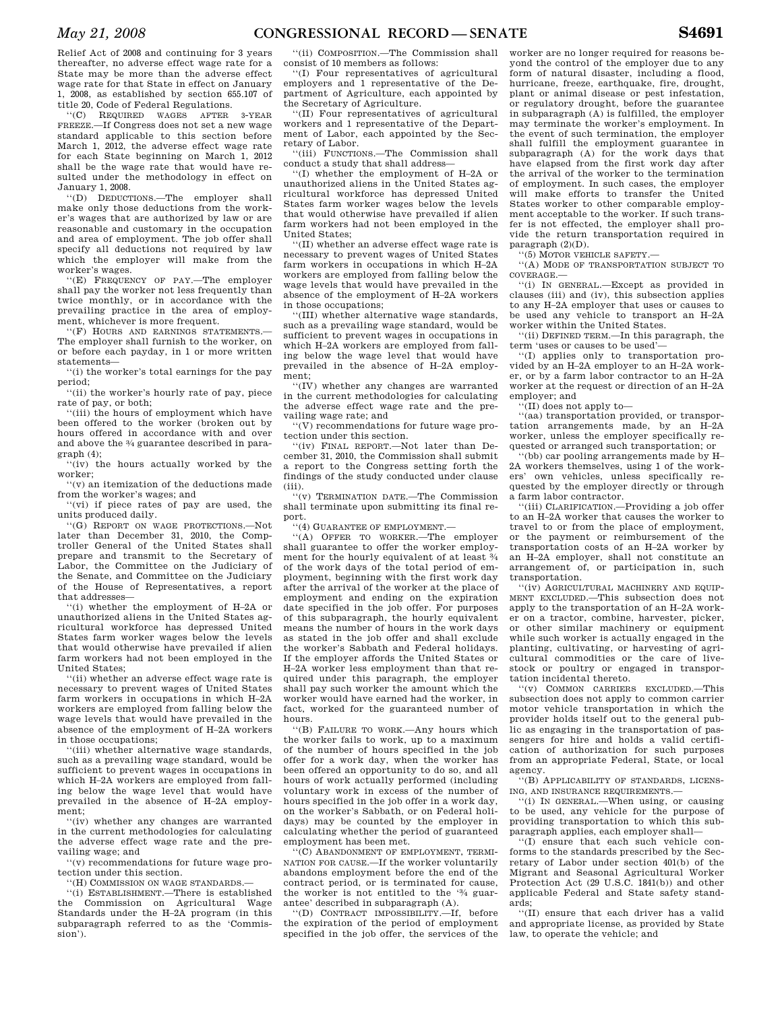Relief Act of 2008 and continuing for 3 years thereafter, no adverse effect wage rate for a State may be more than the adverse effect wage rate for that State in effect on January 1, 2008, as established by section 655.107 of title 20, Code of Federal Regulations.

''(C) REQUIRED WAGES AFTER 3-YEAR FREEZE.—If Congress does not set a new wage standard applicable to this section before March 1, 2012, the adverse effect wage rate for each State beginning on March 1, 2012 shall be the wage rate that would have resulted under the methodology in effect on January 1, 2008.

''(D) DEDUCTIONS.—The employer shall make only those deductions from the worker's wages that are authorized by law or are reasonable and customary in the occupation and area of employment. The job offer shall specify all deductions not required by law which the employer will make from the worker's wages.

''(E) FREQUENCY OF PAY.—The employer shall pay the worker not less frequently than twice monthly, or in accordance with the prevailing practice in the area of employment, whichever is more frequent.

'(F) HOURS AND EARNINGS STATEMENTS.-The employer shall furnish to the worker, on or before each payday, in 1 or more written statements—

''(i) the worker's total earnings for the pay period;

''(ii) the worker's hourly rate of pay, piece rate of pay, or both;

''(iii) the hours of employment which have been offered to the worker (broken out by hours offered in accordance with and over and above the 3⁄4 guarantee described in paragraph (4);

''(iv) the hours actually worked by the worker;

''(v) an itemization of the deductions made from the worker's wages; and

''(vi) if piece rates of pay are used, the units produced daily.

''(G) REPORT ON WAGE PROTECTIONS.—Not later than December 31, 2010, the Comptroller General of the United States shall prepare and transmit to the Secretary of Labor, the Committee on the Judiciary of the Senate, and Committee on the Judiciary of the House of Representatives, a report that addresses—

''(i) whether the employment of H–2A or unauthorized aliens in the United States agricultural workforce has depressed United States farm worker wages below the levels that would otherwise have prevailed if alien farm workers had not been employed in the United States;

''(ii) whether an adverse effect wage rate is necessary to prevent wages of United States farm workers in occupations in which H–2A workers are employed from falling below the wage levels that would have prevailed in the absence of the employment of H–2A workers in those occupations;

''(iii) whether alternative wage standards, such as a prevailing wage standard, would be sufficient to prevent wages in occupations in which H–2A workers are employed from falling below the wage level that would have prevailed in the absence of H–2A employment;

''(iv) whether any changes are warranted in the current methodologies for calculating the adverse effect wage rate and the prevailing wage; and

''(v) recommendations for future wage protection under this section.

''(H) COMMISSION ON WAGE STANDARDS.—

''(i) ESTABLISHMENT.—There is established Commission on Agricultural Wage Standards under the H–2A program (in this subparagraph referred to as the 'Commission').

''(ii) COMPOSITION.—The Commission shall consist of 10 members as follows:

''(I) Four representatives of agricultural employers and 1 representative of the Department of Agriculture, each appointed by the Secretary of Agriculture.

''(II) Four representatives of agricultural workers and 1 representative of the Department of Labor, each appointed by the Secretary of Labor.

''(iii) FUNCTIONS.—The Commission shall conduct a study that shall address—

''(I) whether the employment of H–2A or unauthorized aliens in the United States agricultural workforce has depressed United States farm worker wages below the levels that would otherwise have prevailed if alien farm workers had not been employed in the United States;

''(II) whether an adverse effect wage rate is necessary to prevent wages of United States farm workers in occupations in which H–2A workers are employed from falling below the wage levels that would have prevailed in the absence of the employment of H–2A workers in those occupations;

''(III) whether alternative wage standards, such as a prevailing wage standard, would be sufficient to prevent wages in occupations in which H–2A workers are employed from falling below the wage level that would have prevailed in the absence of H–2A employment;

''(IV) whether any changes are warranted in the current methodologies for calculating the adverse effect wage rate and the prevailing wage rate; and

''(V) recommendations for future wage protection under this section.

''(iv) FINAL REPORT.—Not later than December 31, 2010, the Commission shall submit a report to the Congress setting forth the findings of the study conducted under clause  $(iii)$ .

 $\frac{f'(y)}{f''(y)}$  TERMINATION DATE —The Commission shall terminate upon submitting its final report.

''(4) GUARANTEE OF EMPLOYMENT.—

''(A) OFFER TO WORKER.—The employer shall guarantee to offer the worker employment for the hourly equivalent of at least 3⁄4 of the work days of the total period of employment, beginning with the first work day after the arrival of the worker at the place of employment and ending on the expiration date specified in the job offer. For purposes of this subparagraph, the hourly equivalent means the number of hours in the work days as stated in the job offer and shall exclude the worker's Sabbath and Federal holidays. If the employer affords the United States or H–2A worker less employment than that required under this paragraph, the employer shall pay such worker the amount which the worker would have earned had the worker, in fact, worked for the guaranteed number of hours.

''(B) FAILURE TO WORK.—Any hours which the worker fails to work, up to a maximum of the number of hours specified in the job offer for a work day, when the worker has been offered an opportunity to do so, and all hours of work actually performed (including voluntary work in excess of the number of hours specified in the job offer in a work day, on the worker's Sabbath, or on Federal holidays) may be counted by the employer in calculating whether the period of guaranteed employment has been met.

''(C) ABANDONMENT OF EMPLOYMENT, TERMI-NATION FOR CAUSE.—If the worker voluntarily abandons employment before the end of the contract period, or is terminated for cause, the worker is not entitled to the '3⁄4 guarantee' described in subparagraph (A).

''(D) CONTRACT IMPOSSIBILITY.—If, before the expiration of the period of employment specified in the job offer, the services of the worker are no longer required for reasons beyond the control of the employer due to any form of natural disaster, including a flood, hurricane, freeze, earthquake, fire, drought, plant or animal disease or pest infestation, or regulatory drought, before the guarantee in subparagraph (A) is fulfilled, the employer may terminate the worker's employment. In the event of such termination, the employer shall fulfill the employment guarantee in subparagraph (A) for the work days that have elapsed from the first work day after the arrival of the worker to the termination of employment. In such cases, the employer will make efforts to transfer the United States worker to other comparable employment acceptable to the worker. If such transfer is not effected, the employer shall provide the return transportation required in paragraph (2)(D).

''(5) MOTOR VEHICLE SAFETY.—

''(A) MODE OF TRANSPORTATION SUBJECT TO COVERAGE.—

''(i) IN GENERAL.—Except as provided in clauses (iii) and (iv), this subsection applies to any H–2A employer that uses or causes to be used any vehicle to transport an H–2A worker within the United States.

''(ii) DEFINED TERM.—In this paragraph, the term 'uses or causes to be used'—

''(I) applies only to transportation provided by an H–2A employer to an H–2A worker, or by a farm labor contractor to an H–2A worker at the request or direction of an H–2A employer; and

 $\cdot$ <sup>'</sup>(II) does not apply to—

''(aa) transportation provided, or transportation arrangements made, by an H–2A worker, unless the employer specifically requested or arranged such transportation; or

''(bb) car pooling arrangements made by H– 2A workers themselves, using 1 of the workers' own vehicles, unless specifically requested by the employer directly or through a farm labor contractor.

''(iii) CLARIFICATION.—Providing a job offer to an H–2A worker that causes the worker to travel to or from the place of employment, or the payment or reimbursement of the transportation costs of an H–2A worker by an H–2A employer, shall not constitute an arrangement of, or participation in, such transportation.

''(iv) AGRICULTURAL MACHINERY AND EQUIP-MENT EXCLUDED.—This subsection does not apply to the transportation of an H–2A worker on a tractor, combine, harvester, picker, or other similar machinery or equipment while such worker is actually engaged in the planting, cultivating, or harvesting of agricultural commodities or the care of livestock or poultry or engaged in transportation incidental thereto.

''(v) COMMON CARRIERS EXCLUDED.—This subsection does not apply to common carrier motor vehicle transportation in which the provider holds itself out to the general public as engaging in the transportation of passengers for hire and holds a valid certification of authorization for such purposes from an appropriate Federal, State, or local agency.

''(B) APPLICABILITY OF STANDARDS, LICENS-ING, AND INSURANCE REQUIREMENTS.—

''(i) IN GENERAL.—When using, or causing to be used, any vehicle for the purpose of providing transportation to which this subparagraph applies, each employer shall—

''(I) ensure that each such vehicle conforms to the standards prescribed by the Secretary of Labor under section 401(b) of the Migrant and Seasonal Agricultural Worker Protection Act (29 U.S.C. 1841(b)) and other applicable Federal and State safety standards;

''(II) ensure that each driver has a valid and appropriate license, as provided by State law, to operate the vehicle; and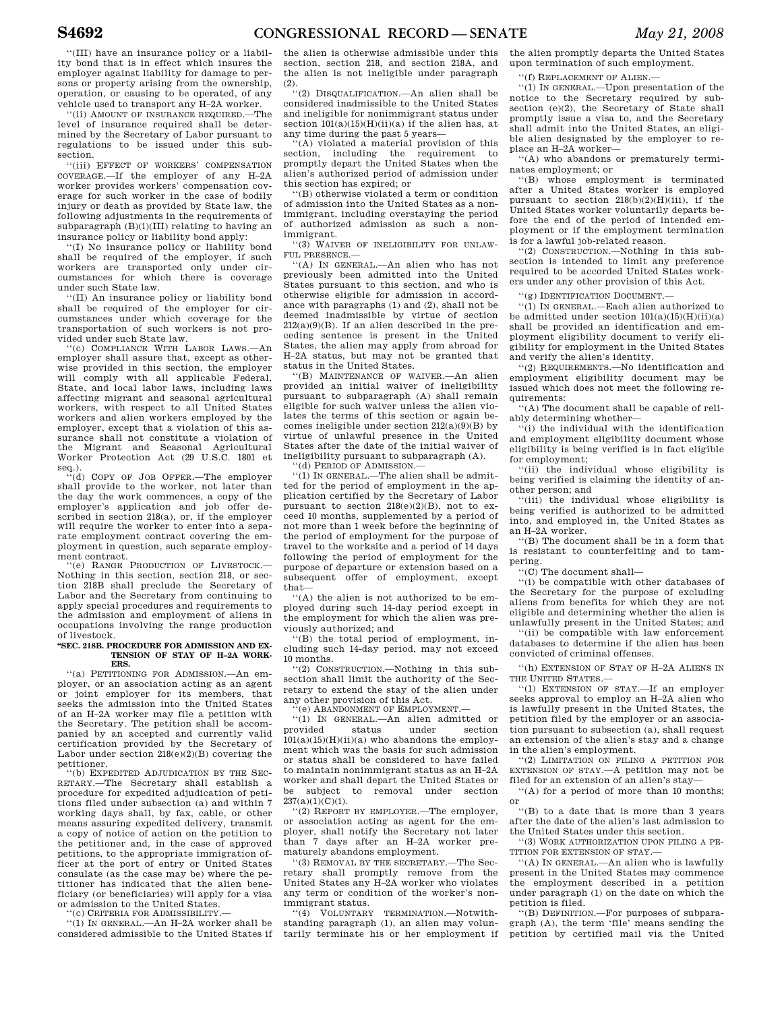''(III) have an insurance policy or a liability bond that is in effect which insures the employer against liability for damage to persons or property arising from the ownership, operation, or causing to be operated, of any vehicle used to transport any H–2A worker.

''(ii) AMOUNT OF INSURANCE REQUIRED.—The level of insurance required shall be determined by the Secretary of Labor pursuant to regulations to be issued under this subsection.

''(iii) EFFECT OF WORKERS' COMPENSATION COVERAGE.—If the employer of any H–2A worker provides workers' compensation coverage for such worker in the case of bodily injury or death as provided by State law, the following adjustments in the requirements of subparagraph (B)(i)(III) relating to having an insurance policy or liability bond apply:

'(I) No insurance policy or liability bond shall be required of the employer, if such workers are transported only under circumstances for which there is coverage under such State law.

''(II) An insurance policy or liability bond shall be required of the employer for circumstances under which coverage for the transportation of such workers is not pro-

vided under such State law. ''(c) COMPLIANCE WITH LABOR LAWS.—An employer shall assure that, except as otherwise provided in this section, the employer will comply with all applicable Federal, State, and local labor laws, including laws affecting migrant and seasonal agricultural workers, with respect to all United States workers and alien workers employed by the employer, except that a violation of this assurance shall not constitute a violation of the Migrant and Seasonal Agricultural Worker Protection Act (29 U.S.C. 1801 et seq.).<br>"(d) COPY OF JOB OFFER.—The employer

shall provide to the worker, not later than the day the work commences, a copy of the employer's application and job offer described in section 218(a), or, if the employer will require the worker to enter into a separate employment contract covering the employment in question, such separate employment contract.

(e) RANGE PRODUCTION OF LIVESTOCK. Nothing in this section, section 218, or section 218B shall preclude the Secretary of Labor and the Secretary from continuing to apply special procedures and requirements to the admission and employment of aliens in occupations involving the range production of livestock.

#### **''SEC. 218B. PROCEDURE FOR ADMISSION AND EX-TENSION OF STAY OF H–2A WORK-ERS.**

''(a) PETITIONING FOR ADMISSION.—An employer, or an association acting as an agent or joint employer for its members, that seeks the admission into the United States of an H–2A worker may file a petition with the Secretary. The petition shall be accompanied by an accepted and currently valid certification provided by the Secretary of Labor under section 218(e)(2)(B) covering the petitioner.

''(b) EXPEDITED ADJUDICATION BY THE SEC-RETARY.—The Secretary shall establish a procedure for expedited adjudication of petitions filed under subsection (a) and within 7 working days shall, by fax, cable, or other means assuring expedited delivery, transmit a copy of notice of action on the petition to the petitioner and, in the case of approved petitions, to the appropriate immigration officer at the port of entry or United States consulate (as the case may be) where the petitioner has indicated that the alien beneficiary (or beneficiaries) will apply for a visa or admission to the United States.

(c) CRITERIA FOR ADMISSIBILITY.

''(1) IN GENERAL.—An H–2A worker shall be considered admissible to the United States if

the alien is otherwise admissible under this section, section 218, and section 218A, and the alien is not ineligible under paragraph (2).

''(2) DISQUALIFICATION.—An alien shall be considered inadmissible to the United States and ineligible for nonimmigrant status under section  $101(a)(15)(H)(ii)(a)$  if the alien has, at any time during the past 5 years—

''(A) violated a material provision of this section, including the requirement to promptly depart the United States when the alien's authorized period of admission under this section has expired; or

''(B) otherwise violated a term or condition of admission into the United States as a nonimmigrant, including overstaying the period of authorized admission as such a nonimmigrant.

''(3) WAIVER OF INELIGIBILITY FOR UNLAW-FUL PRESENCE.—

''(A) IN GENERAL.—An alien who has not previously been admitted into the United States pursuant to this section, and who is otherwise eligible for admission in accordance with paragraphs (1) and (2), shall not be deemed inadmissible by virtue of section  $212(a)(9)(B)$ . If an alien described in the preceding sentence is present in the United States, the alien may apply from abroad for H–2A status, but may not be granted that status in the United States.

''(B) MAINTENANCE OF WAIVER.—An alien provided an initial waiver of ineligibility pursuant to subparagraph (A) shall remain eligible for such waiver unless the alien violates the terms of this section or again becomes ineligible under section  $212(a)(9)(B)$  by virtue of unlawful presence in the United States after the date of the initial waiver of ineligibility pursuant to subparagraph (A).

'(d) PERIOD OF ADMISSION.

''(1) IN GENERAL.—The alien shall be admitted for the period of employment in the application certified by the Secretary of Labor pursuant to section 218(e)(2)(B), not to exceed 10 months, supplemented by a period of not more than 1 week before the beginning of the period of employment for the purpose of travel to the worksite and a period of 14 days following the period of employment for the purpose of departure or extension based on a subsequent offer of employment, except that—

''(A) the alien is not authorized to be employed during such 14-day period except in the employment for which the alien was previously authorized; and

''(B) the total period of employment, including such 14-day period, may not exceed 10 months.

''(2) CONSTRUCTION.—Nothing in this subsection shall limit the authority of the Secretary to extend the stay of the alien under any other provision of this Act.

'(e) ABANDONMENT OF EMPLOYMENT.-

''(1) IN GENERAL.—An alien admitted or provided status under section  $101(a)(15)(H)(ii)(a)$  who abandons the employment which was the basis for such admission or status shall be considered to have failed to maintain nonimmigrant status as an H–2A worker and shall depart the United States or be subject to removal under section  $237(a)(1)(C)(i)$ .

''(2) REPORT BY EMPLOYER.—The employer, or association acting as agent for the employer, shall notify the Secretary not later than 7 days after an H–2A worker prematurely abandons employment.

''(3) REMOVAL BY THE SECRETARY.—The Secretary shall promptly remove from the United States any H–2A worker who violates any term or condition of the worker's nonimmigrant status.

''(4) VOLUNTARY TERMINATION.—Notwithstanding paragraph (1), an alien may voluntarily terminate his or her employment if the alien promptly departs the United States upon termination of such employment.

''(f) REPLACEMENT OF ALIEN.—

''(1) IN GENERAL.—Upon presentation of the notice to the Secretary required by subsection (e)(2), the Secretary of State shall promptly issue a visa to, and the Secretary shall admit into the United States, an eligible alien designated by the employer to replace an H–2A worker—

''(A) who abandons or prematurely terminates employment; or

''(B) whose employment is terminated after a United States worker is employed pursuant to section 218(b)(2)(H)(iii), if the United States worker voluntarily departs before the end of the period of intended employment or if the employment termination is for a lawful job-related reason.

''(2) CONSTRUCTION.—Nothing in this subsection is intended to limit any preference required to be accorded United States workers under any other provision of this Act.

''(g) IDENTIFICATION DOCUMENT.—

''(1) IN GENERAL.—Each alien authorized to be admitted under section  $101(a)(15)(H)(ii)(a)$ shall be provided an identification and employment eligibility document to verify eligibility for employment in the United States and verify the alien's identity.

''(2) REQUIREMENTS.—No identification and employment eligibility document may be issued which does not meet the following requirements:

''(A) The document shall be capable of reliably determining whether—

''(i) the individual with the identification and employment eligibility document whose eligibility is being verified is in fact eligible for employment;

''(ii) the individual whose eligibility is being verified is claiming the identity of another person; and

''(iii) the individual whose eligibility is being verified is authorized to be admitted into, and employed in, the United States as an H–2A worker.

''(B) The document shall be in a form that is resistant to counterfeiting and to tampering.

''(C) The document shall—

''(i) be compatible with other databases of the Secretary for the purpose of excluding aliens from benefits for which they are not eligible and determining whether the alien is unlawfully present in the United States; and

''(ii) be compatible with law enforcement databases to determine if the alien has been convicted of criminal offenses.

''(h) EXTENSION OF STAY OF H–2A ALIENS IN THE UNITED STATES -

''(1) EXTENSION OF STAY.—If an employer seeks approval to employ an H–2A alien who is lawfully present in the United States, the petition filed by the employer or an association pursuant to subsection (a), shall request an extension of the alien's stay and a change in the alien's employment.

''(2) LIMITATION ON FILING A PETITION FOR EXTENSION OF STAY.—A petition may not be filed for an extension of an alien's stay—

''(A) for a period of more than 10 months; or

''(B) to a date that is more than 3 years after the date of the alien's last admission to the United States under this section.

''(3) WORK AUTHORIZATION UPON FILING A PE-TITION FOR EXTENSION OF STAY.-

''(A) IN GENERAL.—An alien who is lawfully present in the United States may commence the employment described in a petition under paragraph (1) on the date on which the petition is filed.

''(B) DEFINITION.—For purposes of subparagraph (A), the term 'file' means sending the petition by certified mail via the United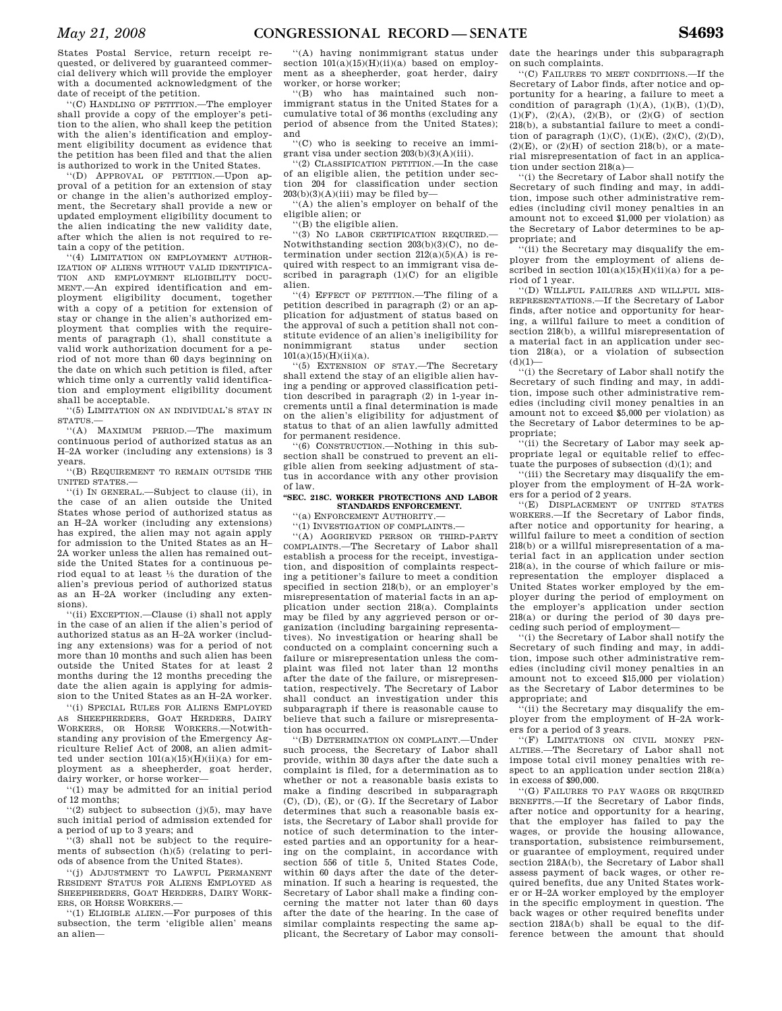States Postal Service, return receipt requested, or delivered by guaranteed commercial delivery which will provide the employer with a documented acknowledgment of the date of receipt of the petition.

''(C) HANDLING OF PETITION.—The employer shall provide a copy of the employer's petition to the alien, who shall keep the petition with the alien's identification and employment eligibility document as evidence that the petition has been filed and that the alien is authorized to work in the United States.

''(D) APPROVAL OF PETITION.—Upon approval of a petition for an extension of stay or change in the alien's authorized employment, the Secretary shall provide a new or updated employment eligibility document to the alien indicating the new validity date, after which the alien is not required to retain a copy of the petition.

''(4) LIMITATION ON EMPLOYMENT AUTHOR-IZATION OF ALIENS WITHOUT VALID IDENTIFICA-TION AND EMPLOYMENT ELIGIBILITY DOCU-MENT.—An expired identification and employment eligibility document, together with a copy of a petition for extension of stay or change in the alien's authorized employment that complies with the requirements of paragraph (1), shall constitute a valid work authorization document for a period of not more than 60 days beginning on the date on which such petition is filed, after which time only a currently valid identification and employment eligibility document shall be acceptable.

''(5) LIMITATION ON AN INDIVIDUAL'S STAY IN STATUS.—

''(A) MAXIMUM PERIOD.—The maximum continuous period of authorized status as an H–2A worker (including any extensions) is 3 years.

''(B) REQUIREMENT TO REMAIN OUTSIDE THE UNITED STATES.—

''(i) IN GENERAL.—Subject to clause (ii), in the case of an alien outside the United States whose period of authorized status as an H–2A worker (including any extensions) has expired, the alien may not again apply for admission to the United States as an H– 2A worker unless the alien has remained outside the United States for a continuous period equal to at least  $\frac{1}{5}$  the duration of the alien's previous period of authorized status as an H–2A worker (including any extensions).

''(ii) EXCEPTION.—Clause (i) shall not apply in the case of an alien if the alien's period of authorized status as an H–2A worker (including any extensions) was for a period of not more than 10 months and such alien has been outside the United States for at least 2 months during the 12 months preceding the date the alien again is applying for admission to the United States as an H–2A worker.

''(i) SPECIAL RULES FOR ALIENS EMPLOYED AS SHEEPHERDERS, GOAT HERDERS, DAIRY WORKERS, OR HORSE WORKERS.—Notwithstanding any provision of the Emergency Agriculture Relief Act of 2008, an alien admitted under section  $101(a)(15)(H)(ii)(a)$  for employment as a sheepherder, goat herder, dairy worker, or horse worker—

''(1) may be admitted for an initial period of 12 months;

 $(2)$  subject to subsection  $(i)(5)$ , may have such initial period of admission extended for a period of up to 3 years; and

 $(3)$  shall not be subject to the requirements of subsection (h)(5) (relating to periods of absence from the United States).

''(j) ADJUSTMENT TO LAWFUL PERMANENT RESIDENT STATUS FOR ALIENS EMPLOYED AS SHEEPHERDERS, GOAT HERDERS, DAIRY WORK-ERS, OR HORSE WORKERS.—

''(1) ELIGIBLE ALIEN.—For purposes of this subsection, the term 'eligible alien' means an alien—

''(A) having nonimmigrant status under section  $101(a)(15)(H)(ii)(a)$  based on employment as a sheepherder, goat herder, dairy worker, or horse worker;

''(B) who has maintained such nonimmigrant status in the United States for a cumulative total of 36 months (excluding any period of absence from the United States); and

''(C) who is seeking to receive an immigrant visa under section 203(b)(3)(A)(iii).

''(2) CLASSIFICATION PETITION.—In the case of an eligible alien, the petition under section 204 for classification under section  $203(b)(3)(A)(iii)$  may be filed by-

''(A) the alien's employer on behalf of the eligible alien; or

''(B) the eligible alien.

''(3) NO LABOR CERTIFICATION REQUIRED.— Notwithstanding section 203(b)(3)(C), no determination under section  $212(a)(5)(A)$  is required with respect to an immigrant visa described in paragraph  $(1)(C)$  for an eligible alien.

 $''(4)$  EFFECT OF PETITION —The filing of a petition described in paragraph (2) or an application for adjustment of status based on the approval of such a petition shall not constitute evidence of an alien's ineligibility for nonimmigrant status under  $101(a)(15)(H)(ii)(a)$ .

''(5) EXTENSION OF STAY.—The Secretary shall extend the stay of an eligible alien having a pending or approved classification petition described in paragraph (2) in 1-year increments until a final determination is made on the alien's eligibility for adjustment of status to that of an alien lawfully admitted for permanent residence.

''(6) CONSTRUCTION.—Nothing in this subsection shall be construed to prevent an eligible alien from seeking adjustment of status in accordance with any other provision of law.

#### **''SEC. 218C. WORKER PROTECTIONS AND LABOR STANDARDS ENFORCEMENT.**

''(a) ENFORCEMENT AUTHORITY.—

''(1) INVESTIGATION OF COMPLAINTS.—

''(A) AGGRIEVED PERSON OR THIRD-PARTY COMPLAINTS.—The Secretary of Labor shall establish a process for the receipt, investigation, and disposition of complaints respecting a petitioner's failure to meet a condition specified in section 218(b), or an employer's misrepresentation of material facts in an application under section 218(a). Complaints may be filed by any aggrieved person or organization (including bargaining representatives). No investigation or hearing shall be conducted on a complaint concerning such a failure or misrepresentation unless the complaint was filed not later than 12 months after the date of the failure, or misrepresentation, respectively. The Secretary of Labor shall conduct an investigation under this subparagraph if there is reasonable cause to believe that such a failure or misrepresentation has occurred.

''(B) DETERMINATION ON COMPLAINT.—Under such process, the Secretary of Labor shall provide, within 30 days after the date such a complaint is filed, for a determination as to whether or not a reasonable basis exists to make a finding described in subparagraph (C), (D), (E), or (G). If the Secretary of Labor determines that such a reasonable basis exists, the Secretary of Labor shall provide for notice of such determination to the interested parties and an opportunity for a hearing on the complaint, in accordance with section 556 of title 5, United States Code, within 60 days after the date of the determination. If such a hearing is requested, the Secretary of Labor shall make a finding concerning the matter not later than 60 days after the date of the hearing. In the case of similar complaints respecting the same applicant, the Secretary of Labor may consolidate the hearings under this subparagraph on such complaints.

''(C) FAILURES TO MEET CONDITIONS.—If the Secretary of Labor finds, after notice and opportunity for a hearing, a failure to meet a condition of paragraph (1)(A), (1)(B), (1)(D),  $(1)(F)$ ,  $(2)(A)$ ,  $(2)(B)$ , or  $(2)(G)$  of section 218(b), a substantial failure to meet a condition of paragraph  $(1)(C)$ ,  $(1)(E)$ ,  $(2)(C)$ ,  $(2)(D)$ ,  $(2)(E)$ , or  $(2)(H)$  of section 218(b), or a material misrepresentation of fact in an application under section 218(a)—

''(i) the Secretary of Labor shall notify the Secretary of such finding and may, in addition, impose such other administrative remedies (including civil money penalties in an amount not to exceed \$1,000 per violation) as the Secretary of Labor determines to be appropriate; and

''(ii) the Secretary may disqualify the employer from the employment of aliens described in section  $101(a)(15)(H)(ii)(a)$  for a period of 1 year.

''(D) WILLFUL FAILURES AND WILLFUL MIS-REPRESENTATIONS.—If the Secretary of Labor finds, after notice and opportunity for hearing, a willful failure to meet a condition of section 218(b), a willful misrepresentation of a material fact in an application under section 218(a), or a violation of subsection  $(d)(1)$ —

''(i) the Secretary of Labor shall notify the Secretary of such finding and may, in addition, impose such other administrative remedies (including civil money penalties in an amount not to exceed \$5,000 per violation) as the Secretary of Labor determines to be appropriate;

''(ii) the Secretary of Labor may seek appropriate legal or equitable relief to effectuate the purposes of subsection (d)(1); and

''(iii) the Secretary may disqualify the employer from the employment of H–2A workers for a period of 2 years.

''(E) DISPLACEMENT OF UNITED STATES WORKERS.—If the Secretary of Labor finds, after notice and opportunity for hearing, a willful failure to meet a condition of section 218(b) or a willful misrepresentation of a material fact in an application under section 218(a), in the course of which failure or misrepresentation the employer displaced a United States worker employed by the employer during the period of employment on the employer's application under section 218(a) or during the period of 30 days preceding such period of employment—

''(i) the Secretary of Labor shall notify the Secretary of such finding and may, in addition, impose such other administrative remedies (including civil money penalties in an amount not to exceed \$15,000 per violation) as the Secretary of Labor determines to be appropriate; and

''(ii) the Secretary may disqualify the employer from the employment of H–2A workers for a period of 3 years.

''(F) LIMITATIONS ON CIVIL MONEY PEN-ALTIES.—The Secretary of Labor shall not impose total civil money penalties with respect to an application under section 218(a) in excess of \$90,000.

''(G) FAILURES TO PAY WAGES OR REQUIRED BENEFITS.—If the Secretary of Labor finds, after notice and opportunity for a hearing, that the employer has failed to pay the wages, or provide the housing allowance, transportation, subsistence reimbursement, or guarantee of employment, required under section 218A(b), the Secretary of Labor shall assess payment of back wages, or other required benefits, due any United States worker or H–2A worker employed by the employer in the specific employment in question. The back wages or other required benefits under section 218A(b) shall be equal to the difference between the amount that should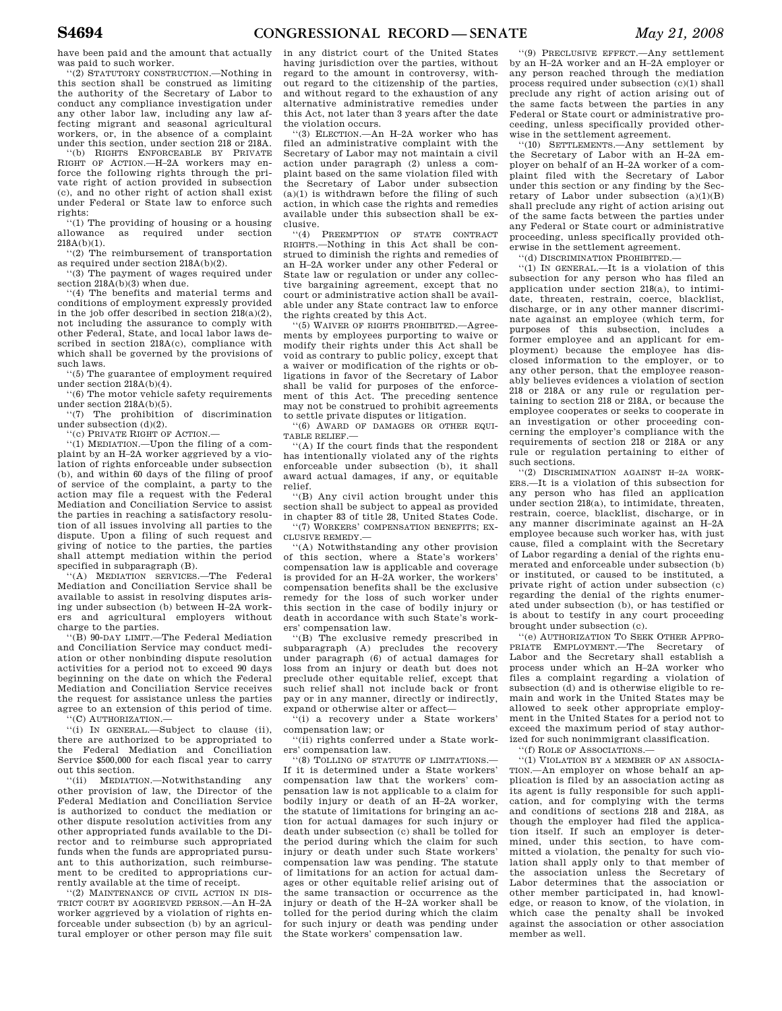have been paid and the amount that actually was paid to such worker.

''(2) STATUTORY CONSTRUCTION.—Nothing in this section shall be construed as limiting the authority of the Secretary of Labor to conduct any compliance investigation under any other labor law, including any law affecting migrant and seasonal agricultural workers, or, in the absence of a complaint under this section, under section 218 or 218A.

''(b) RIGHTS ENFORCEABLE BY PRIVATE RIGHT OF ACTION.—H–2A workers may enforce the following rights through the private right of action provided in subsection (c), and no other right of action shall exist under Federal or State law to enforce such rights:

 $\tilde{f}$ (1) The providing of housing or a housing allowance as required under section 218A(b)(1).

''(2) The reimbursement of transportation as required under section 218A(b)(2).

''(3) The payment of wages required under section 218A(b)(3) when due.

''(4) The benefits and material terms and conditions of employment expressly provided in the job offer described in section  $\frac{218(a)(2)}{216(a)}$ , not including the assurance to comply with other Federal, State, and local labor laws described in section 218A(c), compliance with which shall be governed by the provisions of such laws.

''(5) The guarantee of employment required under section 218A(b)(4).

''(6) The motor vehicle safety requirements under section 218A(b)(5).

''(7) The prohibition of discrimination under subsection (d)(2).

''(c) PRIVATE RIGHT OF ACTION.—

''(1) MEDIATION.—Upon the filing of a complaint by an H–2A worker aggrieved by a violation of rights enforceable under subsection (b), and within 60 days of the filing of proof of service of the complaint, a party to the action may file a request with the Federal Mediation and Conciliation Service to assist the parties in reaching a satisfactory resolution of all issues involving all parties to the dispute. Upon a filing of such request and giving of notice to the parties, the parties shall attempt mediation within the period specified in subparagraph (B).

(A) MEDIATION SERVICES.—The Federal Mediation and Conciliation Service shall be available to assist in resolving disputes arising under subsection (b) between H–2A workers and agricultural employers without charge to the parties.

''(B) 90-DAY LIMIT.—The Federal Mediation and Conciliation Service may conduct mediation or other nonbinding dispute resolution activities for a period not to exceed 90 days beginning on the date on which the Federal Mediation and Conciliation Service receives the request for assistance unless the parties agree to an extension of this period of time.

''(C) AUTHORIZATION.—

''(i) IN GENERAL.—Subject to clause (ii), there are authorized to be appropriated to the Federal Mediation and Conciliation Service \$500,000 for each fiscal year to carry out this section.

''(ii) MEDIATION.—Notwithstanding other provision of law, the Director of the Federal Mediation and Conciliation Service is authorized to conduct the mediation or other dispute resolution activities from any other appropriated funds available to the Director and to reimburse such appropriated funds when the funds are appropriated pursuant to this authorization, such reimbursement to be credited to appropriations currently available at the time of receipt.

''(2) MAINTENANCE OF CIVIL ACTION IN DIS-TRICT COURT BY AGGRIEVED PERSON.—An H–2A worker aggrieved by a violation of rights enforceable under subsection (b) by an agricultural employer or other person may file suit

in any district court of the United States having jurisdiction over the parties, without regard to the amount in controversy, without regard to the citizenship of the parties, and without regard to the exhaustion of any alternative administrative remedies under this Act, not later than 3 years after the date the violation occurs.

''(3) ELECTION.—An H–2A worker who has filed an administrative complaint with the Secretary of Labor may not maintain a civil action under paragraph (2) unless a complaint based on the same violation filed with the Secretary of Labor under subsection  $(a)(1)$  is withdrawn before the filing of such action, in which case the rights and remedies available under this subsection shall be exclusive.

''(4) PREEMPTION OF STATE CONTRACT RIGHTS.—Nothing in this Act shall be construed to diminish the rights and remedies of an H–2A worker under any other Federal or State law or regulation or under any collective bargaining agreement, except that no court or administrative action shall be available under any State contract law to enforce the rights created by this Act.

''(5) WAIVER OF RIGHTS PROHIBITED.—Agreements by employees purporting to waive or modify their rights under this Act shall be void as contrary to public policy, except that a waiver or modification of the rights or obligations in favor of the Secretary of Labor shall be valid for purposes of the enforcement of this Act. The preceding sentence may not be construed to prohibit agreements to settle private disputes or litigation.

''(6) AWARD OF DAMAGES OR OTHER EQUI-TABLE RELIEF.—

''(A) If the court finds that the respondent has intentionally violated any of the rights enforceable under subsection (b), it shall award actual damages, if any, or equitable relief.

''(B) Any civil action brought under this section shall be subject to appeal as provided in chapter 83 of title 28, United States Code. ''(7) WORKERS' COMPENSATION BENEFITS; EX-CLUSIVE REMEDY.—

''(A) Notwithstanding any other provision of this section, where a State's workers' compensation law is applicable and coverage is provided for an H–2A worker, the workers' compensation benefits shall be the exclusive remedy for the loss of such worker under this section in the case of bodily injury or death in accordance with such State's workers' compensation law.

''(B) The exclusive remedy prescribed in subparagraph (A) precludes the recovery under paragraph (6) of actual damages for loss from an injury or death but does not preclude other equitable relief, except that such relief shall not include back or front pay or in any manner, directly or indirectly, expand or otherwise alter or affect—

''(i) a recovery under a State workers' compensation law; or

''(ii) rights conferred under a State workers' compensation law.

''(8) TOLLING OF STATUTE OF LIMITATIONS.— If it is determined under a State workers' compensation law that the workers' compensation law is not applicable to a claim for bodily injury or death of an H–2A worker, the statute of limitations for bringing an action for actual damages for such injury or death under subsection (c) shall be tolled for the period during which the claim for such injury or death under such State workers' compensation law was pending. The statute of limitations for an action for actual damages or other equitable relief arising out of the same transaction or occurrence as the injury or death of the H–2A worker shall be tolled for the period during which the claim for such injury or death was pending under the State workers' compensation law.

''(9) PRECLUSIVE EFFECT.—Any settlement by an H–2A worker and an H–2A employer or any person reached through the mediation process required under subsection (c)(1) shall preclude any right of action arising out of the same facts between the parties in any Federal or State court or administrative proceeding, unless specifically provided otherwise in the settlement agreement.

''(10) SETTLEMENTS.—Any settlement by the Secretary of Labor with an H–2A employer on behalf of an H–2A worker of a complaint filed with the Secretary of Labor under this section or any finding by the Secretary of Labor under subsection  $(a)(1)(B)$ shall preclude any right of action arising out of the same facts between the parties under any Federal or State court or administrative proceeding, unless specifically provided otherwise in the settlement agreement.

''(d) DISCRIMINATION PROHIBITED.—

''(1) IN GENERAL.—It is a violation of this subsection for any person who has filed an application under section 218(a), to intimidate, threaten, restrain, coerce, blacklist, discharge, or in any other manner discriminate against an employee (which term, for purposes of this subsection, includes a former employee and an applicant for employment) because the employee has disclosed information to the employer, or to any other person, that the employee reasonably believes evidences a violation of section 218 or 218A or any rule or regulation pertaining to section 218 or 218A, or because the employee cooperates or seeks to cooperate in an investigation or other proceeding concerning the employer's compliance with the requirements of section 218 or 218A or any rule or regulation pertaining to either of such sections.

''(2) DISCRIMINATION AGAINST H–2A WORK-ERS.—It is a violation of this subsection for any person who has filed an application under section 218(a), to intimidate, threaten, restrain, coerce, blacklist, discharge, or in any manner discriminate against an H–2A employee because such worker has, with just cause, filed a complaint with the Secretary of Labor regarding a denial of the rights enumerated and enforceable under subsection (b) or instituted, or caused to be instituted, a private right of action under subsection (c) regarding the denial of the rights enumerated under subsection (b), or has testified or is about to testify in any court proceeding brought under subsection (c).

''(e) AUTHORIZATION TO SEEK OTHER APPRO-PRIATE EMPLOYMENT.—The Secretary of Labor and the Secretary shall establish a process under which an H–2A worker who files a complaint regarding a violation of subsection (d) and is otherwise eligible to remain and work in the United States may be allowed to seek other appropriate employment in the United States for a period not to exceed the maximum period of stay authorized for such nonimmigrant classification.

''(f) ROLE OF ASSOCIATIONS.—

''(1) VIOLATION BY A MEMBER OF AN ASSOCIA-TION.—An employer on whose behalf an application is filed by an association acting as its agent is fully responsible for such application, and for complying with the terms and conditions of sections 218 and 218A, as though the employer had filed the application itself. If such an employer is determined, under this section, to have committed a violation, the penalty for such violation shall apply only to that member of the association unless the Secretary of Labor determines that the association or other member participated in, had knowledge, or reason to know, of the violation, in which case the penalty shall be invoked against the association or other association member as well.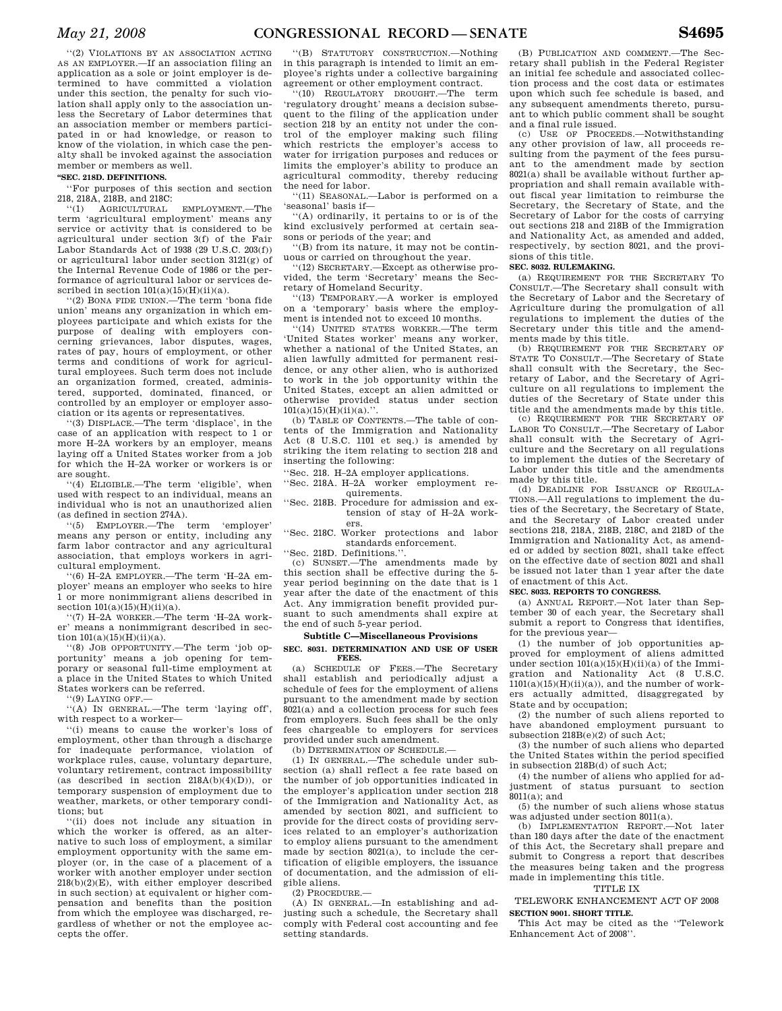''(2) VIOLATIONS BY AN ASSOCIATION ACTING AS AN EMPLOYER.—If an association filing an application as a sole or joint employer is determined to have committed a violation under this section, the penalty for such violation shall apply only to the association unless the Secretary of Labor determines that an association member or members participated in or had knowledge, or reason to know of the violation, in which case the penalty shall be invoked against the association member or members as well.

#### **''SEC. 218D. DEFINITIONS.**

''For purposes of this section and section 218, 218A, 218B, and 218C:<br>
"(1) AGRICULTURAL

EMPLOYMENT.—The term 'agricultural employment' means any service or activity that is considered to be agricultural under section 3(f) of the Fair Labor Standards Act of 1938 (29 U.S.C. 203(f)) or agricultural labor under section 3121(g) of the Internal Revenue Code of 1986 or the performance of agricultural labor or services described in section  $101(a)(15)(H)(ii)(a)$ .

''(2) BONA FIDE UNION.—The term 'bona fide union' means any organization in which employees participate and which exists for the purpose of dealing with employers concerning grievances, labor disputes, wages, rates of pay, hours of employment, or other terms and conditions of work for agricultural employees. Such term does not include an organization formed, created, administered, supported, dominated, financed, or controlled by an employer or employer association or its agents or representatives.

''(3) DISPLACE.—The term 'displace', in the case of an application with respect to 1 or more H–2A workers by an employer, means laying off a United States worker from a job for which the H–2A worker or workers is or are sought.

''(4) ELIGIBLE.—The term 'eligible', when used with respect to an individual, means an individual who is not an unauthorized alien (as defined in section 274A).

''(5) EMPLOYER.—The term 'employer' means any person or entity, including any farm labor contractor and any agricultural association, that employs workers in agricultural employment.

''(6) H–2A EMPLOYER.—The term 'H–2A employer' means an employer who seeks to hire 1 or more nonimmigrant aliens described in section  $101(a)(15)(H)(ii)(a)$ .

''(7) H–2A WORKER.—The term 'H–2A worker' means a nonimmigrant described in section  $101(a)(15)(H)(ii)(a)$ .

''(8) JOB OPPORTUNITY.—The term 'job opportunity' means a job opening for temporary or seasonal full-time employment at a place in the United States to which United States workers can be referred.

''(9) LAYING OFF.—

(A) IN GENERAL.—The term 'laving off'. with respect to a worker—

''(i) means to cause the worker's loss of employment, other than through a discharge for inadequate performance, violation of workplace rules, cause, voluntary departure, voluntary retirement, contract impossibility (as described in section  $218A(b)(4)(D)$ ), or temporary suspension of employment due to weather, markets, or other temporary conditions; but

''(ii) does not include any situation in which the worker is offered, as an alternative to such loss of employment, a similar employment opportunity with the same employer (or, in the case of a placement of a worker with another employer under section  $218(b)(2)(E)$ , with either employer described in such section) at equivalent or higher compensation and benefits than the position from which the employee was discharged, regardless of whether or not the employee accepts the offer.

''(B) STATUTORY CONSTRUCTION.—Nothing in this paragraph is intended to limit an employee's rights under a collective bargaining agreement or other employment contract.

'(10) REGULATORY DROUGHT.—The term 'regulatory drought' means a decision subsequent to the filing of the application under section 218 by an entity not under the control of the employer making such filing which restricts the employer's access to water for irrigation purposes and reduces or limits the employer's ability to produce an agricultural commodity, thereby reducing the need for labor.

''(11) SEASONAL.—Labor is performed on a 'seasonal' basis if—

''(A) ordinarily, it pertains to or is of the kind exclusively performed at certain seasons or periods of the year; and

''(B) from its nature, it may not be continuous or carried on throughout the year.

''(12) SECRETARY.—Except as otherwise provided, the term 'Secretary' means the Secretary of Homeland Security.

''(13) TEMPORARY.—A worker is employed on a 'temporary' basis where the employment is intended not to exceed 10 months.

''(14) UNITED STATES WORKER.—The term 'United States worker' means any worker, whether a national of the United States, an alien lawfully admitted for permanent residence, or any other alien, who is authorized to work in the job opportunity within the United States, except an alien admitted or otherwise provided status under section  $101(a)(15)(H)(ii)(a)$ .".

(b) TABLE OF CONTENTS.—The table of contents of the Immigration and Nationality Act (8 U.S.C. 1101 et seq.) is amended by striking the item relating to section 218 and inserting the following:

''Sec. 218. H–2A employer applications.

''Sec. 218A. H–2A worker employment requirements.

'Sec. 218B. Procedure for admission and extension of stay of H–2A workers.

''Sec. 218C. Worker protections and labor standards enforcement.

''Sec. 218D. Definitions.''.

(c) SUNSET.—The amendments made by this section shall be effective during the 5 year period beginning on the date that is 1 year after the date of the enactment of this Act. Any immigration benefit provided pursuant to such amendments shall expire at the end of such 5-year period.

## **Subtitle C—Miscellaneous Provisions**

### **SEC. 8031. DETERMINATION AND USE OF USER FEES.**

(a) SCHEDULE OF FEES.—The Secretary shall establish and periodically adjust a schedule of fees for the employment of aliens pursuant to the amendment made by section 8021(a) and a collection process for such fees from employers. Such fees shall be the only fees chargeable to employers for services provided under such amendment.

(b) DETERMINATION OF SCHEDULE.—

(1) IN GENERAL.—The schedule under subsection (a) shall reflect a fee rate based on the number of job opportunities indicated in the employer's application under section 218 of the Immigration and Nationality Act, as amended by section 8021, and sufficient to provide for the direct costs of providing services related to an employer's authorization to employ aliens pursuant to the amendment made by section 8021(a), to include the certification of eligible employers, the issuance of documentation, and the admission of eligible aliens.

(2) PROCEDURE.—

(A) IN GENERAL.—In establishing and adjusting such a schedule, the Secretary shall comply with Federal cost accounting and fee setting standards.

(B) PUBLICATION AND COMMENT.—The Secretary shall publish in the Federal Register an initial fee schedule and associated collection process and the cost data or estimates upon which such fee schedule is based, and any subsequent amendments thereto, pursuant to which public comment shall be sought and a final rule issued.

(c) USE OF PROCEEDS.—Notwithstanding any other provision of law, all proceeds resulting from the payment of the fees pursuant to the amendment made by section 8021(a) shall be available without further appropriation and shall remain available without fiscal year limitation to reimburse the Secretary, the Secretary of State, and the Secretary of Labor for the costs of carrying out sections 218 and 218B of the Immigration and Nationality Act, as amended and added, respectively, by section 8021, and the provisions of this title.

## **SEC. 8032. RULEMAKING.**

(a) REQUIREMENT FOR THE SECRETARY TO CONSULT.—The Secretary shall consult with the Secretary of Labor and the Secretary of Agriculture during the promulgation of all regulations to implement the duties of the Secretary under this title and the amend-

ments made by this title. (b) REQUIREMENT FOR THE SECRETARY OF STATE TO CONSULT.—The Secretary of State shall consult with the Secretary, the Secretary of Labor, and the Secretary of Agriculture on all regulations to implement the duties of the Secretary of State under this title and the amendments made by this title. (c) REQUIREMENT FOR THE SECRETARY OF LABOR TO CONSULT.—The Secretary of Labor shall consult with the Secretary of Agriculture and the Secretary on all regulations to implement the duties of the Secretary of Labor under this title and the amendments made by this title.

(d) DEADLINE FOR ISSUANCE OF REGULA-TIONS.—All regulations to implement the duties of the Secretary, the Secretary of State, and the Secretary of Labor created under sections 218, 218A, 218B, 218C, and 218D of the Immigration and Nationality Act, as amended or added by section 8021, shall take effect on the effective date of section 8021 and shall be issued not later than 1 year after the date of enactment of this Act.

#### **SEC. 8033. REPORTS TO CONGRESS.**

(a) ANNUAL REPORT.—Not later than September 30 of each year, the Secretary shall submit a report to Congress that identifies, for the previous year—

(1) the number of job opportunities approved for employment of aliens admitted under section  $101(a)(15)(H)(ii)(a)$  of the Immigration and Nationality Act (8 U.S.C.  $1101(a)(15)(H)(ii)(a)$ , and the number of workers actually admitted, disaggregated by State and by occupation;

(2) the number of such aliens reported to have abandoned employment pursuant to subsection 218B(e)(2) of such Act;

(3) the number of such aliens who departed the United States within the period specified in subsection 218B(d) of such Act;

(4) the number of aliens who applied for adjustment of status pursuant to section 8011(a); and

(5) the number of such aliens whose status was adjusted under section 8011(a). (b) IMPLEMENTATION REPORT.—Not later

than 180 days after the date of the enactment of this Act, the Secretary shall prepare and submit to Congress a report that describes the measures being taken and the progress made in implementing this title.

## TITLE IX

TELEWORK ENHANCEMENT ACT OF 2008 **SECTION 9001. SHORT TITLE.** 

This Act may be cited as the ''Telework Enhancement Act of 2008''.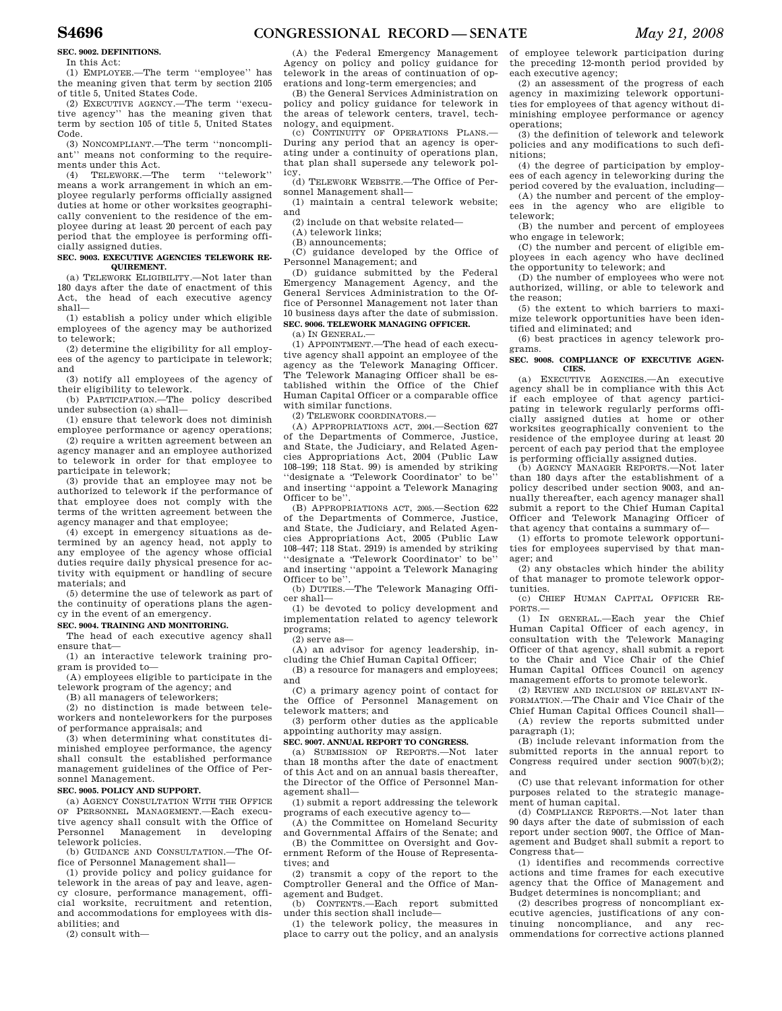## **SEC. 9002. DEFINITIONS.**

In this Act:

(1) EMPLOYEE.—The term ''employee'' has the meaning given that term by section 2105 of title 5, United States Code.

(2) EXECUTIVE AGENCY.—The term ''executive agency'' has the meaning given that term by section 105 of title 5, United States Code.

(3) NONCOMPLIANT.—The term ''noncompliant'' means not conforming to the requirements under this Act.

(4) TELEWORK.—The term ''telework'' means a work arrangement in which an employee regularly performs officially assigned duties at home or other worksites geographically convenient to the residence of the employee during at least 20 percent of each pay period that the employee is performing officially assigned duties.

#### **SEC. 9003. EXECUTIVE AGENCIES TELEWORK RE-QUIREMENT.**

(a) TELEWORK ELIGIBILITY.—Not later than 180 days after the date of enactment of this Act, the head of each executive agency shall—

(1) establish a policy under which eligible employees of the agency may be authorized to telework;

(2) determine the eligibility for all employees of the agency to participate in telework; and

(3) notify all employees of the agency of their eligibility to telework.

(b) PARTICIPATION.—The policy described under subsection (a) shall—

(1) ensure that telework does not diminish employee performance or agency operations;

(2) require a written agreement between an agency manager and an employee authorized to telework in order for that employee to participate in telework;

(3) provide that an employee may not be authorized to telework if the performance of that employee does not comply with the terms of the written agreement between the agency manager and that employee;

(4) except in emergency situations as determined by an agency head, not apply to any employee of the agency whose official duties require daily physical presence for activity with equipment or handling of secure materials; and

(5) determine the use of telework as part of the continuity of operations plans the agency in the event of an emergency.

#### **SEC. 9004. TRAINING AND MONITORING.**

The head of each executive agency shall ensure that—

(1) an interactive telework training program is provided to—

(A) employees eligible to participate in the telework program of the agency; and

(B) all managers of teleworkers;

(2) no distinction is made between teleworkers and nonteleworkers for the purposes of performance appraisals; and

(3) when determining what constitutes diminished employee performance, the agency shall consult the established performance management guidelines of the Office of Personnel Management.

#### **SEC. 9005. POLICY AND SUPPORT.**

(a) AGENCY CONSULTATION WITH THE OFFICE OF PERSONNEL MANAGEMENT.—Each executive agency shall consult with the Office of Personnel Management in developing telework policies.

(b) GUIDANCE AND CONSULTATION.—The Office of Personnel Management shall—

(1) provide policy and policy guidance for telework in the areas of pay and leave, agency closure, performance management, official worksite, recruitment and retention, and accommodations for employees with disabilities; and

(2) consult with—

(A) the Federal Emergency Management Agency on policy and policy guidance for telework in the areas of continuation of operations and long-term emergencies; and

(B) the General Services Administration on policy and policy guidance for telework in the areas of telework centers, travel, technology, and equipment.

(c) CONTINUITY OF OPERATIONS PLANS.— During any period that an agency is operating under a continuity of operations plan, that plan shall supersede any telework policy.

(d) TELEWORK WEBSITE.—The Office of Personnel Management shall—

(1) maintain a central telework website; and

(2) include on that website related—

(A) telework links;

(B) announcements;

(C) guidance developed by the Office of Personnel Management; and

(D) guidance submitted by the Federal Emergency Management Agency, and the General Services Administration to the Office of Personnel Management not later than 10 business days after the date of submission. **SEC. 9006. TELEWORK MANAGING OFFICER.** 

(a) IN GENERAL.—

(1) APPOINTMENT.—The head of each executive agency shall appoint an employee of the agency as the Telework Managing Officer. The Telework Managing Officer shall be established within the Office of the Chief Human Capital Officer or a comparable office with similar functions.

(2) TELEWORK COORDINATORS.—

(A) APPROPRIATIONS ACT, 2004.—Section 627 of the Departments of Commerce, Justice, and State, the Judiciary, and Related Agencies Appropriations Act, 2004 (Public Law 108–199; 118 Stat. 99) is amended by striking ''designate a 'Telework Coordinator' to be'' and inserting ''appoint a Telework Managing Officer to be'

(B) APPROPRIATIONS ACT, 2005.—Section 622 of the Departments of Commerce, Justice, and State, the Judiciary, and Related Agencies Appropriations Act, 2005 (Public Law 108–447; 118 Stat. 2919) is amended by striking ''designate a 'Telework Coordinator' to be'' and inserting ''appoint a Telework Managing Officer to be''.

(b) DUTIES.—The Telework Managing Officer shall—

(1) be devoted to policy development and implementation related to agency telework programs;

 $(2)$  serve as-

(A) an advisor for agency leadership, including the Chief Human Capital Officer;

(B) a resource for managers and employees; and

(C) a primary agency point of contact for the Office of Personnel Management on telework matters; and

(3) perform other duties as the applicable appointing authority may assign.

#### **SEC. 9007. ANNUAL REPORT TO CONGRESS.**

(a) SUBMISSION OF REPORTS.—Not later than 18 months after the date of enactment of this Act and on an annual basis thereafter, the Director of the Office of Personnel Management shall—

(1) submit a report addressing the telework programs of each executive agency to—

(A) the Committee on Homeland Security and Governmental Affairs of the Senate; and

(B) the Committee on Oversight and Government Reform of the House of Representatives; and

(2) transmit a copy of the report to the Comptroller General and the Office of Management and Budget.<br>(b) CONTENTS  $-R_2$ 

(b) CONTENTS.—Each report submitted under this section shall include—

(1) the telework policy, the measures in place to carry out the policy, and an analysis

of employee telework participation during the preceding 12-month period provided by each executive agency;

(2) an assessment of the progress of each agency in maximizing telework opportunities for employees of that agency without diminishing employee performance or agency operations;

(3) the definition of telework and telework policies and any modifications to such definitions;

(4) the degree of participation by employees of each agency in teleworking during the period covered by the evaluation, including—

(A) the number and percent of the employees in the agency who are eligible to telework;

(B) the number and percent of employees who engage in telework;

(C) the number and percent of eligible employees in each agency who have declined the opportunity to telework; and

(D) the number of employees who were not authorized, willing, or able to telework and the reason;

(5) the extent to which barriers to maximize telework opportunities have been identified and eliminated; and

(6) best practices in agency telework programs.

#### **SEC. 9008. COMPLIANCE OF EXECUTIVE AGEN-CIES.**

(a) EXECUTIVE AGENCIES.—An executive agency shall be in compliance with this Act if each employee of that agency partici-pating in telework regularly performs officially assigned duties at home or other worksites geographically convenient to the residence of the employee during at least 20 percent of each pay period that the employee is performing officially assigned duties.

(b) AGENCY MANAGER REPORTS.—Not later than 180 days after the establishment of a policy described under section 9003, and annually thereafter, each agency manager shall submit a report to the Chief Human Capital Officer and Telework Managing Officer of that agency that contains a summary of—

(1) efforts to promote telework opportunities for employees supervised by that manager; and

(2) any obstacles which hinder the ability of that manager to promote telework opportunities.

(c) CHIEF HUMAN CAPITAL OFFICER RE-PORTS.—

(1) IN GENERAL.—Each year the Chief Human Capital Officer of each agency, in consultation with the Telework Managing Officer of that agency, shall submit a report to the Chair and Vice Chair of the Chief Human Capital Offices Council on agency management efforts to promote telework.

(2) REVIEW AND INCLUSION OF RELEVANT IN-FORMATION.—The Chair and Vice Chair of the Chief Human Capital Offices Council shall— (A) review the reports submitted under

paragraph (1);

(B) include relevant information from the submitted reports in the annual report to Congress required under section 9007(b)(2); and

(C) use that relevant information for other purposes related to the strategic management of human capital.

(d) COMPLIANCE REPORTS.—Not later than 90 days after the date of submission of each report under section 9007, the Office of Management and Budget shall submit a report to Congress that—

(1) identifies and recommends corrective actions and time frames for each executive agency that the Office of Management and Budget determines is noncompliant; and

(2) describes progress of noncompliant executive agencies, justifications of any con-<br>tinuing noncompliance, and any recnoncompliance, and any recommendations for corrective actions planned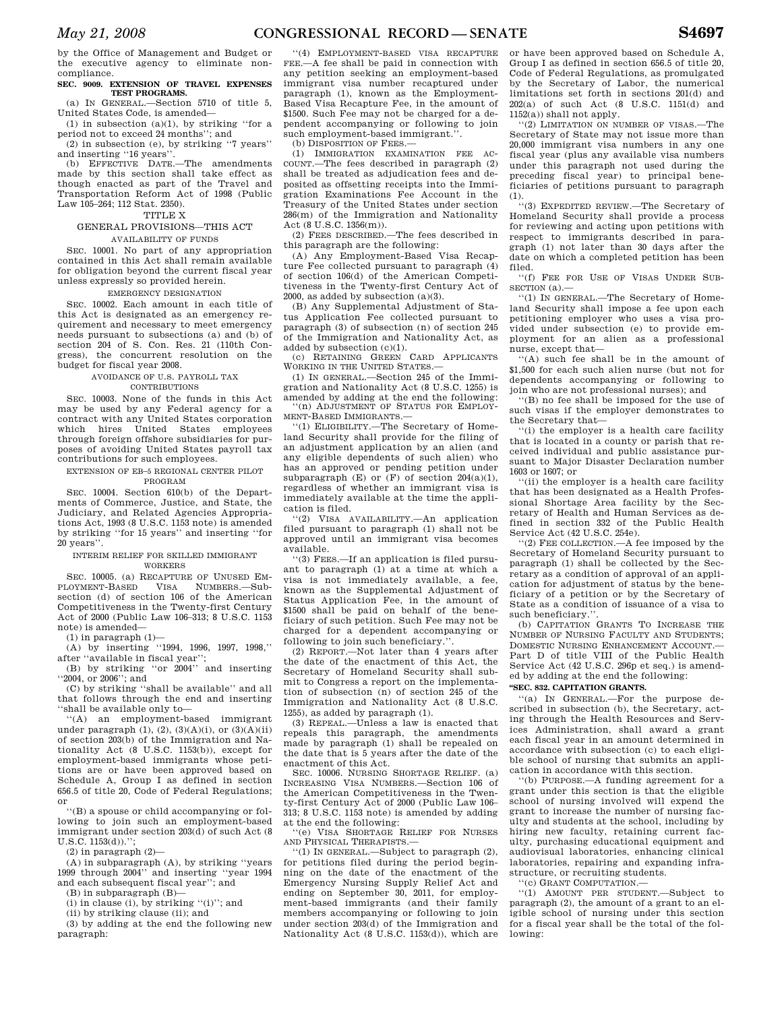by the Office of Management and Budget or the executive agency to eliminate noncompliance.

#### **SEC. 9009. EXTENSION OF TRAVEL EXPENSES TEST PROGRAMS.**

(a) IN GENERAL.—Section 5710 of title 5, United States Code, is amended—

(1) in subsection (a)(1), by striking "for a period not to exceed 24 months''; and

(2) in subsection (e), by striking ''7 years'' and inserting ''16 years''.

(b) EFFECTIVE DATE.—The amendments made by this section shall take effect as though enacted as part of the Travel and Transportation Reform Act of 1998 (Public Law 105–264; 112 Stat. 2350).

## TITLE X

## GENERAL PROVISIONS—THIS ACT AVAILABILITY OF FUNDS

SEC. 10001. No part of any appropriation contained in this Act shall remain available for obligation beyond the current fiscal year unless expressly so provided herein.

## EMERGENCY DESIGNATION

SEC. 10002. Each amount in each title of this Act is designated as an emergency requirement and necessary to meet emergency needs pursuant to subsections (a) and (b) of section 204 of S. Con. Res. 21 (110th Congress), the concurrent resolution on the budget for fiscal year 2008.

## AVOIDANCE OF U.S. PAYROLL TAX

## CONTRIBUTIONS

SEC. 10003. None of the funds in this Act may be used by any Federal agency for a contract with any United States corporation which hires United States employees through foreign offshore subsidiaries for purposes of avoiding United States payroll tax contributions for such employees.

#### EXTENSION OF EB–5 REGIONAL CENTER PILOT PROGRAM

SEC. 10004. Section 610(b) of the Departments of Commerce, Justice, and State, the Judiciary, and Related Agencies Appropriations Act, 1993 (8 U.S.C. 1153 note) is amended by striking ''for 15 years'' and inserting ''for 20 years''.

#### INTERIM RELIEF FOR SKILLED IMMIGRANT WORKERS

SEC. 10005. (a) RECAPTURE OF UNUSED EM-<br>LOYMENT-BASED VISA NUMBERS.—Sub-PLOYMENT-BASED section (d) of section 106 of the American Competitiveness in the Twenty-first Century Act of 2000 (Public Law 106–313; 8 U.S.C. 1153 note) is amended—

 $(1)$  in paragraph  $(1)$ -

(A) by inserting ''1994, 1996, 1997, 1998,'' after ''available in fiscal year'';

(B) by striking ''or 2004'' and inserting ''2004, or 2006''; and

(C) by striking ''shall be available'' and all that follows through the end and inserting ''shall be available only to—

''(A) an employment-based immigrant under paragraph  $(1)$ ,  $(2)$ ,  $(3)(A)(i)$ , or  $(3)(A)(ii)$ of section 203(b) of the Immigration and Nationality Act (8 U.S.C. 1153(b)), except for employment-based immigrants whose petitions are or have been approved based on Schedule A, Group I as defined in section 656.5 of title 20, Code of Federal Regulations; or

''(B) a spouse or child accompanying or following to join such an employment-based immigrant under section 203(d) of such Act (8 U.S.C. 1153(d)).'';

 $(2)$  in paragraph  $(2)$ —

(A) in subparagraph (A), by striking ''years 1999 through 2004'' and inserting ''year 1994 and each subsequent fiscal year''; and

(B) in subparagraph (B)—

(i) in clause (i), by striking ''(i)''; and

(ii) by striking clause (ii); and

(3) by adding at the end the following new paragraph:

''(4) EMPLOYMENT-BASED VISA RECAPTURE FEE.—A fee shall be paid in connection with any petition seeking an employment-based immigrant visa number recaptured under paragraph (1), known as the Employment-Based Visa Recapture Fee, in the amount of \$1500. Such Fee may not be charged for a dependent accompanying or following to join such employment-based immigrant.

## (b) DISPOSITION OF FEES.

(1) IMMIGRATION EXAMINATION FEE AC-COUNT.—The fees described in paragraph (2) shall be treated as adjudication fees and deposited as offsetting receipts into the Immigration Examinations Fee Account in the Treasury of the United States under section 286(m) of the Immigration and Nationality Act (8 U.S.C. 1356(m)).

(2) FEES DESCRIBED.—The fees described in this paragraph are the following:

(A) Any Employment-Based Visa Recapture Fee collected pursuant to paragraph (4) of section 106(d) of the American Competitiveness in the Twenty-first Century Act of 2000, as added by subsection (a)(3).

(B) Any Supplemental Adjustment of Status Application Fee collected pursuant to paragraph (3) of subsection (n) of section 245 of the Immigration and Nationality Act, as added by subsection (c)(1).

(c) RETAINING GREEN CARD APPLICANTS WORKING IN THE UNITED STATES.

(1) IN GENERAL.—Section 245 of the Immigration and Nationality Act (8 U.S.C. 1255) is amended by adding at the end the following: ''(n) ADJUSTMENT OF STATUS FOR EMPLOY-

MENT-BASED IMMIGRANTS.— ''(1) ELIGIBILITY.—The Secretary of Homeland Security shall provide for the filing of an adjustment application by an alien (and any eligible dependents of such alien) who has an approved or pending petition under subparagraph  $(E)$  or  $(F)$  of section 204 $(a)(1)$ ,

regardless of whether an immigrant visa is immediately available at the time the application is filed. ''(2) VISA AVAILABILITY.—An application filed pursuant to paragraph (1) shall not be

approved until an immigrant visa becomes available.

''(3) FEES.—If an application is filed pursuant to paragraph (1) at a time at which a visa is not immediately available, a fee, known as the Supplemental Adjustment of Status Application Fee, in the amount of \$1500 shall be paid on behalf of the beneficiary of such petition. Such Fee may not be charged for a dependent accompanying or following to join such beneficiary.''.

(2) REPORT.—Not later than 4 years after the date of the enactment of this Act, the Secretary of Homeland Security shall submit to Congress a report on the implementation of subsection (n) of section 245 of the Immigration and Nationality Act (8 U.S.C. 1255), as added by paragraph (1).

(3) REPEAL.—Unless a law is enacted that repeals this paragraph, the amendments made by paragraph (1) shall be repealed on the date that is 5 years after the date of the enactment of this Act.

SEC. 10006. NURSING SHORTAGE RELIEF. (a) INCREASING VISA NUMBERS.—Section 106 of the American Competitiveness in the Twenty-first Century Act of 2000 (Public Law 106– 313; 8 U.S.C. 1153 note) is amended by adding at the end the following:

''(e) VISA SHORTAGE RELIEF FOR NURSES AND PHYSICAL THERAPISTS.—

''(1) IN GENERAL.—Subject to paragraph (2), for petitions filed during the period beginning on the date of the enactment of the Emergency Nursing Supply Relief Act and ending on September 30, 2011, for employment-based immigrants (and their family members accompanying or following to join under section 203(d) of the Immigration and Nationality Act (8 U.S.C. 1153(d)), which are

or have been approved based on Schedule A, Group I as defined in section 656.5 of title 20, Code of Federal Regulations, as promulgated by the Secretary of Labor, the numerical limitations set forth in sections 201(d) and 202(a) of such Act (8 U.S.C. 1151(d) and 1152(a)) shall not apply.

''(2) LIMITATION ON NUMBER OF VISAS.—The Secretary of State may not issue more than 20,000 immigrant visa numbers in any one fiscal year (plus any available visa numbers under this paragraph not used during the preceding fiscal year) to principal beneficiaries of petitions pursuant to paragraph (1).

''(3) EXPEDITED REVIEW.—The Secretary of Homeland Security shall provide a process for reviewing and acting upon petitions with respect to immigrants described in paragraph (1) not later than 30 days after the date on which a completed petition has been filed.

''(f) FEE FOR USE OF VISAS UNDER SUB-SECTION  $(a)$ .

''(1) IN GENERAL.—The Secretary of Homeland Security shall impose a fee upon each petitioning employer who uses a visa provided under subsection (e) to provide employment for an alien as a professional nurse, except that—

''(A) such fee shall be in the amount of \$1,500 for each such alien nurse (but not for dependents accompanying or following to join who are not professional nurses); and

''(B) no fee shall be imposed for the use of such visas if the employer demonstrates to the Secretary that—

''(i) the employer is a health care facility that is located in a county or parish that received individual and public assistance pursuant to Major Disaster Declaration number 1603 or 1607; or

''(ii) the employer is a health care facility that has been designated as a Health Professional Shortage Area facility by the Secretary of Health and Human Services as defined in section 332 of the Public Health Service Act (42 U.S.C. 254e).

''(2) FEE COLLECTION.—A fee imposed by the Secretary of Homeland Security pursuant to paragraph (1) shall be collected by the Secretary as a condition of approval of an application for adjustment of status by the beneficiary of a petition or by the Secretary of State as a condition of issuance of a visa to such beneficiary.'

(b) CAPITATION GRANTS TO INCREASE THE NUMBER OF NURSING FACULTY AND STUDENTS; DOMESTIC NURSING ENHANCEMENT ACCOUNT-Part D of title VIII of the Public Health Service Act (42 U.S.C. 296p et seq.) is amended by adding at the end the following:

## **''SEC. 832. CAPITATION GRANTS.**

''(a) IN GENERAL.—For the purpose described in subsection (b), the Secretary, acting through the Health Resources and Services Administration, shall award a grant each fiscal year in an amount determined in accordance with subsection (c) to each eligible school of nursing that submits an application in accordance with this section.

''(b) PURPOSE.—A funding agreement for a grant under this section is that the eligible school of nursing involved will expend the grant to increase the number of nursing faculty and students at the school, including by hiring new faculty, retaining current faculty, purchasing educational equipment and audiovisual laboratories, enhancing clinical laboratories, repairing and expanding infrastructure, or recruiting students.

''(c) GRANT COMPUTATION.—

''(1) AMOUNT PER STUDENT.—Subject to paragraph (2), the amount of a grant to an eligible school of nursing under this section for a fiscal year shall be the total of the following: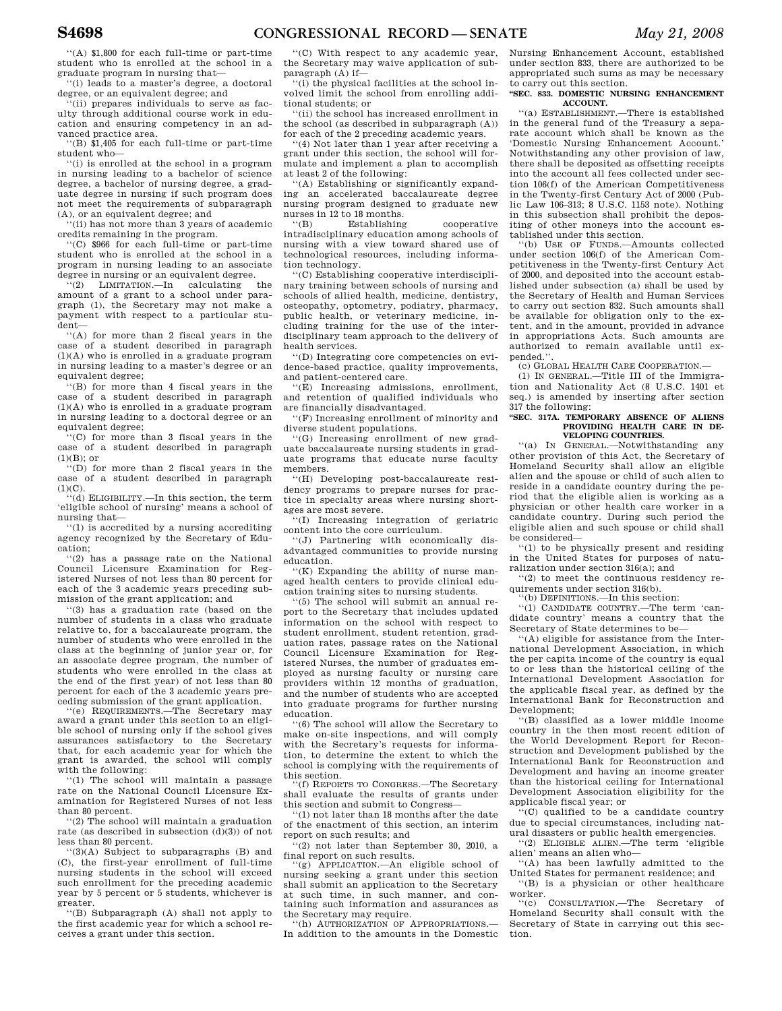''(A) \$1,800 for each full-time or part-time student who is enrolled at the school in a graduate program in nursing that—

''(i) leads to a master's degree, a doctoral degree, or an equivalent degree; and

''(ii) prepares individuals to serve as faculty through additional course work in education and ensuring competency in an advanced practice area.

''(B) \$1,405 for each full-time or part-time student who—

''(i) is enrolled at the school in a program in nursing leading to a bachelor of science degree, a bachelor of nursing degree, a graduate degree in nursing if such program does not meet the requirements of subparagraph (A), or an equivalent degree; and

''(ii) has not more than 3 years of academic credits remaining in the program.

''(C) \$966 for each full-time or part-time student who is enrolled at the school in a program in nursing leading to an associate degree in nursing or an equivalent degree.<br>"(2) LIMITATION —In calculating the

 $''(2)$  LIMITATION.—In calculating amount of a grant to a school under paragraph (1), the Secretary may not make a payment with respect to a particular student—

''(A) for more than 2 fiscal years in the case of a student described in paragraph (1)(A) who is enrolled in a graduate program in nursing leading to a master's degree or an equivalent degree;

''(B) for more than 4 fiscal years in the case of a student described in paragraph (1)(A) who is enrolled in a graduate program in nursing leading to a doctoral degree or an equivalent degree;

''(C) for more than 3 fiscal years in the case of a student described in paragraph  $(1)(B)$ ; or

''(D) for more than 2 fiscal years in the case of a student described in paragraph  $(1)(C)$ .

''(d) ELIGIBILITY.—In this section, the term 'eligible school of nursing' means a school of nursing that—

''(1) is accredited by a nursing accrediting agency recognized by the Secretary of Education;

''(2) has a passage rate on the National Council Licensure Examination for Registered Nurses of not less than 80 percent for each of the 3 academic years preceding submission of the grant application; and

''(3) has a graduation rate (based on the number of students in a class who graduate relative to, for a baccalaureate program, the number of students who were enrolled in the class at the beginning of junior year or, for an associate degree program, the number of students who were enrolled in the class at the end of the first year) of not less than 80 percent for each of the 3 academic years preceding submission of the grant application.

'(e) REQUIREMENTS.-The Secretary may award a grant under this section to an eligible school of nursing only if the school gives assurances satisfactory to the Secretary that, for each academic year for which the grant is awarded, the school will comply with the following:

''(1) The school will maintain a passage rate on the National Council Licensure Examination for Registered Nurses of not less than 80 percent.

''(2) The school will maintain a graduation rate (as described in subsection (d)(3)) of not less than 80 percent.

''(3)(A) Subject to subparagraphs (B) and (C), the first-year enrollment of full-time nursing students in the school will exceed such enrollment for the preceding academic year by 5 percent or 5 students, whichever is greater.

''(B) Subparagraph (A) shall not apply to the first academic year for which a school receives a grant under this section.

''(C) With respect to any academic year, the Secretary may waive application of subparagraph (A) if—

''(i) the physical facilities at the school involved limit the school from enrolling additional students; or

''(ii) the school has increased enrollment in the school (as described in subparagraph (A)) for each of the 2 preceding academic years.

''(4) Not later than 1 year after receiving a grant under this section, the school will formulate and implement a plan to accomplish at least 2 of the following:

''(A) Establishing or significantly expanding an accelerated baccalaureate degree nursing program designed to graduate new nurses in 12 to 18 months.

''(B) Establishing cooperative intradisciplinary education among schools of nursing with a view toward shared use of technological resources, including information technology.

''(C) Establishing cooperative interdisciplinary training between schools of nursing and schools of allied health, medicine, dentistry, osteopathy, optometry, podiatry, pharmacy, public health, or veterinary medicine, including training for the use of the interdisciplinary team approach to the delivery of health services.

''(D) Integrating core competencies on evidence-based practice, quality improvements, and patient-centered care.

''(E) Increasing admissions, enrollment, and retention of qualified individuals who are financially disadvantaged.

''(F) Increasing enrollment of minority and diverse student populations.

''(G) Increasing enrollment of new graduate baccalaureate nursing students in graduate programs that educate nurse faculty members.

''(H) Developing post-baccalaureate residency programs to prepare nurses for practice in specialty areas where nursing shortages are most severe.

''(I) Increasing integration of geriatric content into the core curriculum.

''(J) Partnering with economically disadvantaged communities to provide nursing education.

''(K) Expanding the ability of nurse managed health centers to provide clinical education training sites to nursing students.

''(5) The school will submit an annual report to the Secretary that includes updated information on the school with respect to student enrollment, student retention, graduation rates, passage rates on the National Council Licensure Examination for Registered Nurses, the number of graduates employed as nursing faculty or nursing care providers within 12 months of graduation, and the number of students who are accepted into graduate programs for further nursing education.

''(6) The school will allow the Secretary to make on-site inspections, and will comply with the Secretary's requests for information, to determine the extent to which the school is complying with the requirements of this section.

''(f) REPORTS TO CONGRESS.—The Secretary shall evaluate the results of grants under this section and submit to Congress—

''(1) not later than 18 months after the date of the enactment of this section, an interim report on such results; and

 $(2)$  not later than September 30, 2010, a final report on such results.

''(g) APPLICATION.—An eligible school of nursing seeking a grant under this section shall submit an application to the Secretary at such time, in such manner, and containing such information and assurances as the Secretary may require.

'(h) AUTHORIZATION OF APPROPRIATIONS.-In addition to the amounts in the Domestic Nursing Enhancement Account, established under section 833, there are authorized to be appropriated such sums as may be necessary to carry out this section.

#### **''SEC. 833. DOMESTIC NURSING ENHANCEMENT ACCOUNT.**

''(a) ESTABLISHMENT.—There is established in the general fund of the Treasury a separate account which shall be known as the 'Domestic Nursing Enhancement Account.' Notwithstanding any other provision of law, there shall be deposited as offsetting receipts into the account all fees collected under section 106(f) of the American Competitiveness in the Twenty-first Century Act of 2000 (Public Law 106–313; 8 U.S.C. 1153 note). Nothing in this subsection shall prohibit the depositing of other moneys into the account established under this section.

''(b) USE OF FUNDS.—Amounts collected under section 106(f) of the American Competitiveness in the Twenty-first Century Act of 2000, and deposited into the account established under subsection (a) shall be used by the Secretary of Health and Human Services to carry out section 832. Such amounts shall be available for obligation only to the extent, and in the amount, provided in advance in appropriations Acts. Such amounts are authorized to remain available until expended.''.

(c) GLOBAL HEALTH CARE COOPERATION.—

(1) IN GENERAL.—Title III of the Immigration and Nationality Act (8 U.S.C. 1401 et seq.) is amended by inserting after section 317 the following:

## **''SEC. 317A. TEMPORARY ABSENCE OF ALIENS PROVIDING HEALTH CARE IN DE-VELOPING COUNTRIES.**

''(a) IN GENERAL.—Notwithstanding any other provision of this Act, the Secretary of Homeland Security shall allow an eligible alien and the spouse or child of such alien to reside in a candidate country during the period that the eligible alien is working as a physician or other health care worker in a candidate country. During such period the eligible alien and such spouse or child shall be considered—

''(1) to be physically present and residing in the United States for purposes of naturalization under section 316(a); and

''(2) to meet the continuous residency requirements under section 316(b).

''(b) DEFINITIONS.—In this section:

''(1) CANDIDATE COUNTRY.—The term 'candidate country' means a country that the Secretary of State determines to be—

''(A) eligible for assistance from the International Development Association, in which the per capita income of the country is equal to or less than the historical ceiling of the International Development Association for the applicable fiscal year, as defined by the International Bank for Reconstruction and Development;

''(B) classified as a lower middle income country in the then most recent edition of the World Development Report for Reconstruction and Development published by the International Bank for Reconstruction and Development and having an income greater than the historical ceiling for International Development Association eligibility for the applicable fiscal year; or

 $f'(C)$  qualified to be a candidate country due to special circumstances, including natural disasters or public health emergencies.

''(2) ELIGIBLE ALIEN.—The term 'eligible alien' means an alien who—

''(A) has been lawfully admitted to the United States for permanent residence; and ''(B) is a physician or other healthcare worker.

''(c) CONSULTATION.—The Secretary of Homeland Security shall consult with the Secretary of State in carrying out this section.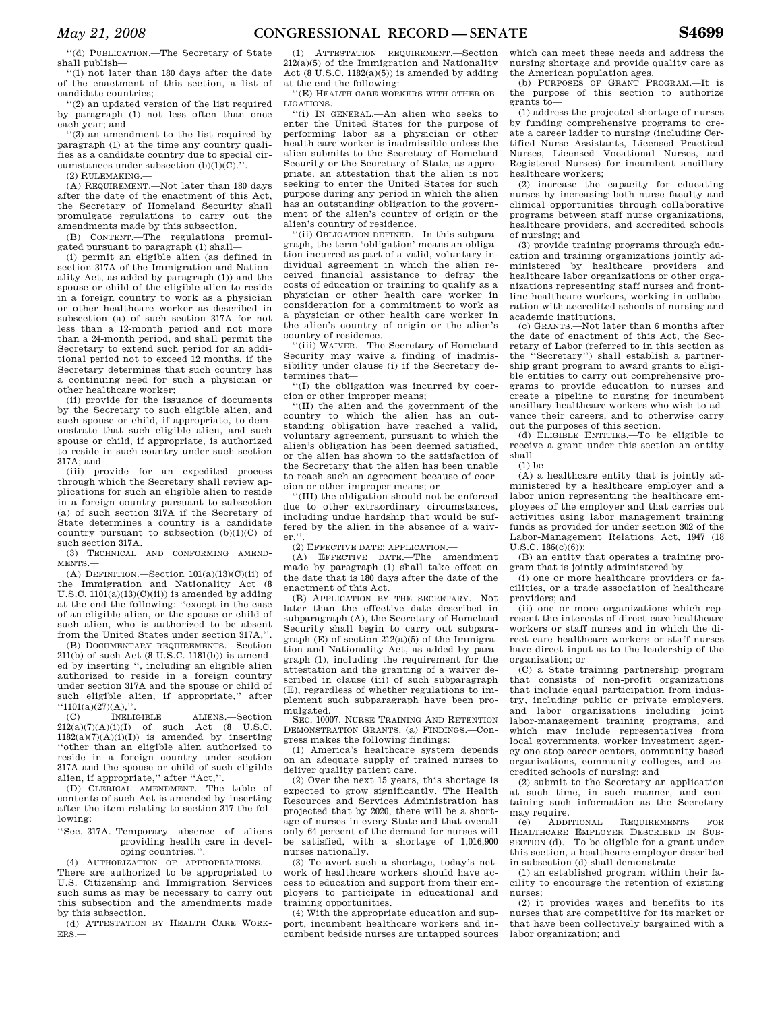''(d) PUBLICATION.—The Secretary of State shall publish—

''(1) not later than 180 days after the date of the enactment of this section, a list of candidate countries;

''(2) an updated version of the list required by paragraph (1) not less often than once each year; and

''(3) an amendment to the list required by paragraph (1) at the time any country qualifies as a candidate country due to special circumstances under subsection (b)(1)(C).''.

(2) RULEMAKING.—

(A) REQUIREMENT.—Not later than 180 days after the date of the enactment of this Act, the Secretary of Homeland Security shall promulgate regulations to carry out the amendments made by this subsection.

(B) CONTENT.—The regulations promulgated pursuant to paragraph (1) shall—

(i) permit an eligible alien (as defined in section 317A of the Immigration and Nationality Act, as added by paragraph (1)) and the spouse or child of the eligible alien to reside in a foreign country to work as a physician or other healthcare worker as described in subsection (a) of such section 317A for not less than a 12-month period and not more than a 24-month period, and shall permit the Secretary to extend such period for an additional period not to exceed 12 months, if the Secretary determines that such country has a continuing need for such a physician or other healthcare worker;

(ii) provide for the issuance of documents by the Secretary to such eligible alien, and such spouse or child, if appropriate, to demonstrate that such eligible alien, and such spouse or child, if appropriate, is authorized to reside in such country under such section 317A; and

(iii) provide for an expedited process through which the Secretary shall review applications for such an eligible alien to reside in a foreign country pursuant to subsection (a) of such section 317A if the Secretary of State determines a country is a candidate country pursuant to subsection  $(b)(1)(C)$  of such section 317A.

(3) TECHNICAL AND CONFORMING AMEND-MENTS.—

 $(A)$  DEFINITION.—Section  $101(a)(13)(C)(ii)$  of the Immigration and Nationality Act (8 U.S.C.  $1101(a)(13)(C)(ii)$  is amended by adding at the end the following: ''except in the case of an eligible alien, or the spouse or child of such alien, who is authorized to be absent from the United States under section 317A,''.

(B) DOCUMENTARY REQUIREMENTS.—Section 211(b) of such Act (8 U.S.C. 1181(b)) is amended by inserting '', including an eligible alien authorized to reside in a foreign country under section 317A and the spouse or child of such eligible alien, if appropriate," after "1101(a)(97)(A)"  $"1101(a)(27)(A),$ <br>(C) INEI

(C) INELIGIBLE ALIENS.—Section  $212(a)(7)(A)(i)(I) \quad \text{of} \quad \text{such} \quad \text{Act} \quad (8\quad U.S.C.$  $1182(a)(7)(A)(i)(I)$  is amended by inserting ''other than an eligible alien authorized to reside in a foreign country under section 317A and the spouse or child of such eligible alien, if appropriate,'' after ''Act,''.

(D) CLERICAL AMENDMENT.—The table of contents of such Act is amended by inserting after the item relating to section 317 the following:

''Sec. 317A. Temporary absence of aliens providing health care in developing countries.''.

(4) AUTHORIZATION OF APPROPRIATIONS. There are authorized to be appropriated to U.S. Citizenship and Immigration Services such sums as may be necessary to carry out this subsection and the amendments made by this subsection.

(d) ATTESTATION BY HEALTH CARE WORK-ERS.—

(1) ATTESTATION REQUIREMENT.—Section 212(a)(5) of the Immigration and Nationality Act  $(8 \text{ U.S.C. } 1182(a)(5))$  is amended by adding at the end the following:

''(E) HEALTH CARE WORKERS WITH OTHER OB-LIGATIONS.—

''(i) IN GENERAL.—An alien who seeks to enter the United States for the purpose of performing labor as a physician or other health care worker is inadmissible unless the alien submits to the Secretary of Homeland Security or the Secretary of State, as appropriate, an attestation that the alien is not seeking to enter the United States for such purpose during any period in which the alien has an outstanding obligation to the government of the alien's country of origin or the alien's country of residence.

''(ii) OBLIGATION DEFINED.—In this subparagraph, the term 'obligation' means an obligation incurred as part of a valid, voluntary individual agreement in which the alien received financial assistance to defray the costs of education or training to qualify as a physician or other health care worker in consideration for a commitment to work as a physician or other health care worker in the alien's country of origin or the alien's country of residence.

''(iii) WAIVER.—The Secretary of Homeland Security may waive a finding of inadmissibility under clause (i) if the Secretary determines that—

''(I) the obligation was incurred by coercion or other improper means;

''(II) the alien and the government of the country to which the alien has an outstanding obligation have reached a valid voluntary agreement, pursuant to which the alien's obligation has been deemed satisfied, or the alien has shown to the satisfaction of the Secretary that the alien has been unable to reach such an agreement because of coercion or other improper means; or

''(III) the obligation should not be enforced due to other extraordinary circumstances, including undue hardship that would be suffered by the alien in the absence of a waiver.''.

(2) EFFECTIVE DATE; APPLICATION.—

(A) EFFECTIVE DATE.—The amendment made by paragraph (1) shall take effect on the date that is 180 days after the date of the enactment of this Act.

(B) APPLICATION BY THE SECRETARY.—Not later than the effective date described in subparagraph (A), the Secretary of Homeland Security shall begin to carry out subparagraph (E) of section 212(a)(5) of the Immigration and Nationality Act, as added by paragraph (1), including the requirement for the attestation and the granting of a waiver described in clause (iii) of such subparagraph (E), regardless of whether regulations to implement such subparagraph have been promulgated.

SEC. 10007. NURSE TRAINING AND RETENTION DEMONSTRATION GRANTS. (a) FINDINGS.—Congress makes the following findings:

(1) America's healthcare system depends on an adequate supply of trained nurses to deliver quality patient care.

(2) Over the next 15 years, this shortage is expected to grow significantly. The Health Resources and Services Administration has projected that by 2020, there will be a shortage of nurses in every State and that overall only 64 percent of the demand for nurses will be satisfied, with a shortage of 1,016,900 nurses nationally.

(3) To avert such a shortage, today's network of healthcare workers should have access to education and support from their employers to participate in educational and training opportunities.

(4) With the appropriate education and support, incumbent healthcare workers and incumbent bedside nurses are untapped sources

which can meet these needs and address the nursing shortage and provide quality care as the American population ages.

(b) PURPOSES OF GRANT PROGRAM.—It is the purpose of this section to authorize grants to—

(1) address the projected shortage of nurses by funding comprehensive programs to create a career ladder to nursing (including Certified Nurse Assistants, Licensed Practical Nurses, Licensed Vocational Nurses, and Registered Nurses) for incumbent ancillary healthcare workers;

(2) increase the capacity for educating nurses by increasing both nurse faculty and clinical opportunities through collaborative programs between staff nurse organizations, healthcare providers, and accredited schools of nursing; and

(3) provide training programs through education and training organizations jointly administered by healthcare providers and healthcare labor organizations or other organizations representing staff nurses and frontline healthcare workers, working in collaboration with accredited schools of nursing and academic institutions.

(c) GRANTS.—Not later than 6 months after the date of enactment of this Act, the Secretary of Labor (referred to in this section as the ''Secretary'') shall establish a partnership grant program to award grants to eligible entities to carry out comprehensive programs to provide education to nurses and create a pipeline to nursing for incumbent ancillary healthcare workers who wish to advance their careers, and to otherwise carry out the purposes of this section.

(d) ELIGIBLE ENTITIES.—To be eligible to receive a grant under this section an entity shall—

(1) be—

 $(A)$  a healthcare entity that is jointly administered by a healthcare employer and a labor union representing the healthcare employees of the employer and that carries out activities using labor management training funds as provided for under section 302 of the Labor-Management Relations Act, 1947 (18  $U.S.C. 186(c)(6)$ 

(B) an entity that operates a training program that is jointly administered by—

(i) one or more healthcare providers or facilities, or a trade association of healthcare providers; and

(ii) one or more organizations which represent the interests of direct care healthcare workers or staff nurses and in which the direct care healthcare workers or staff nurses have direct input as to the leadership of the organization; or

(C) a State training partnership program that consists of non-profit organizations that include equal participation from industry, including public or private employers, and labor organizations including joint labor-management training programs, and which may include representatives from local governments, worker investment agency one-stop career centers, community based organizations, community colleges, and accredited schools of nursing; and

(2) submit to the Secretary an application at such time, in such manner, and containing such information as the Secretary may require.<br>(e) ADDITIONAL

(e) ADDITIONAL REQUIREMENTS FOR HEALTHCARE EMPLOYER DESCRIBED IN SUB-SECTION (d).—To be eligible for a grant under this section, a healthcare employer described in subsection (d) shall demonstrate—

(1) an established program within their facility to encourage the retention of existing nurses;

(2) it provides wages and benefits to its nurses that are competitive for its market or that have been collectively bargained with a labor organization; and